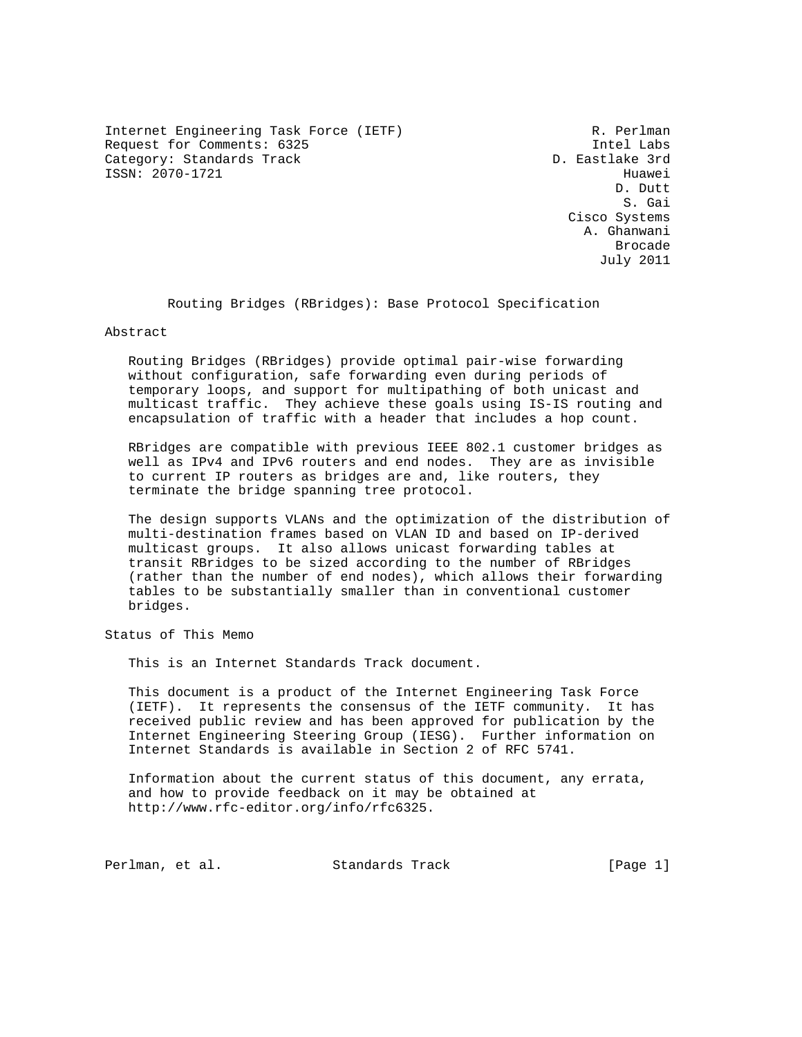Internet Engineering Task Force (IETF) R. Perlman Request for Comments: 6325 Intel Labs Category: Standards Track ISSN: 2070-1721 Huawei

D. Dutt S. Gai Cisco Systems A. Ghanwani de de la construcción de la construcción de la construcción de la construcción de la construcción de la construcción de la construcción de la construcción de la construcción de la construcción de la construcción de la cons July 2011

Routing Bridges (RBridges): Base Protocol Specification

### Abstract

 Routing Bridges (RBridges) provide optimal pair-wise forwarding without configuration, safe forwarding even during periods of temporary loops, and support for multipathing of both unicast and multicast traffic. They achieve these goals using IS-IS routing and encapsulation of traffic with a header that includes a hop count.

 RBridges are compatible with previous IEEE 802.1 customer bridges as well as IPv4 and IPv6 routers and end nodes. They are as invisible to current IP routers as bridges are and, like routers, they terminate the bridge spanning tree protocol.

 The design supports VLANs and the optimization of the distribution of multi-destination frames based on VLAN ID and based on IP-derived multicast groups. It also allows unicast forwarding tables at transit RBridges to be sized according to the number of RBridges (rather than the number of end nodes), which allows their forwarding tables to be substantially smaller than in conventional customer bridges.

Status of This Memo

This is an Internet Standards Track document.

 This document is a product of the Internet Engineering Task Force (IETF). It represents the consensus of the IETF community. It has received public review and has been approved for publication by the Internet Engineering Steering Group (IESG). Further information on Internet Standards is available in Section 2 of RFC 5741.

 Information about the current status of this document, any errata, and how to provide feedback on it may be obtained at http://www.rfc-editor.org/info/rfc6325.

Perlman, et al. Standards Track [Page 1]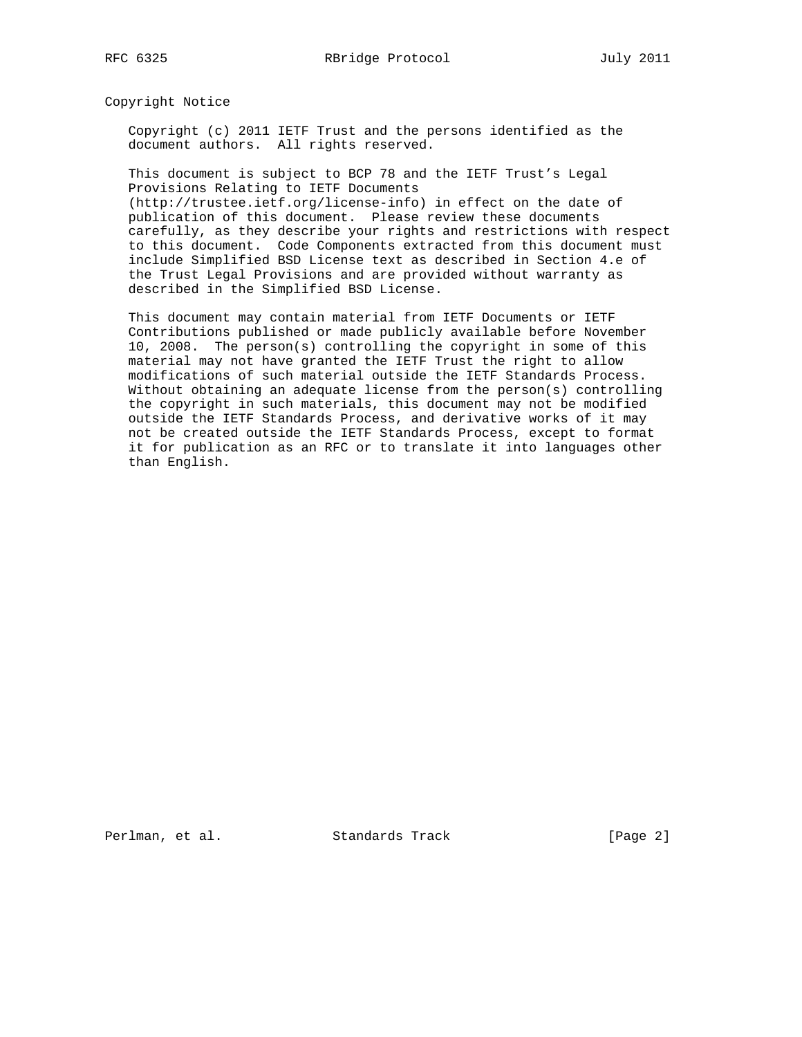Copyright Notice

 Copyright (c) 2011 IETF Trust and the persons identified as the document authors. All rights reserved.

 This document is subject to BCP 78 and the IETF Trust's Legal Provisions Relating to IETF Documents (http://trustee.ietf.org/license-info) in effect on the date of

 publication of this document. Please review these documents carefully, as they describe your rights and restrictions with respect to this document. Code Components extracted from this document must include Simplified BSD License text as described in Section 4.e of the Trust Legal Provisions and are provided without warranty as described in the Simplified BSD License.

 This document may contain material from IETF Documents or IETF Contributions published or made publicly available before November 10, 2008. The person(s) controlling the copyright in some of this material may not have granted the IETF Trust the right to allow modifications of such material outside the IETF Standards Process. Without obtaining an adequate license from the person(s) controlling the copyright in such materials, this document may not be modified outside the IETF Standards Process, and derivative works of it may not be created outside the IETF Standards Process, except to format it for publication as an RFC or to translate it into languages other than English.

Perlman, et al. Standards Track [Page 2]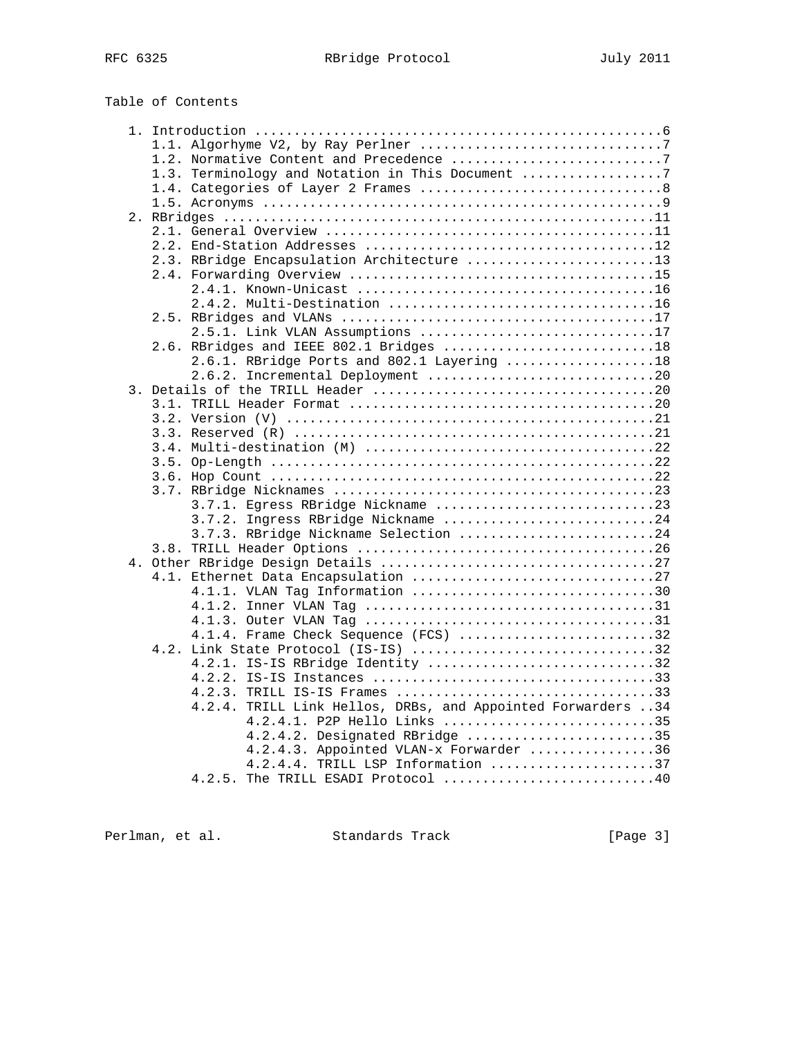# Table of Contents

| 1.3. Terminology and Notation in This Document              |
|-------------------------------------------------------------|
|                                                             |
|                                                             |
|                                                             |
|                                                             |
|                                                             |
| 2.3. RBridge Encapsulation Architecture 13                  |
|                                                             |
|                                                             |
|                                                             |
|                                                             |
| 2.5.1. Link VLAN Assumptions 17                             |
| 2.6. RBridges and IEEE 802.1 Bridges 18                     |
| 2.6.1. RBridge Ports and 802.1 Layering 18                  |
| 2.6.2. Incremental Deployment 20                            |
|                                                             |
|                                                             |
|                                                             |
|                                                             |
|                                                             |
|                                                             |
|                                                             |
|                                                             |
| 3.7.1. Egress RBridge Nickname 23                           |
| 3.7.2. Ingress RBridge Nickname 24                          |
| 3.7.3. RBridge Nickname Selection 24                        |
|                                                             |
|                                                             |
| 4.1. Ethernet Data Encapsulation 27                         |
| 4.1.1. VLAN Tag Information 30                              |
|                                                             |
|                                                             |
| 4.1.4. Frame Check Sequence (FCS) 32                        |
| 4.2. Link State Protocol (IS-IS) 32                         |
| 4.2.1. IS-IS RBridge Identity 32                            |
|                                                             |
| 4.2.3. TRILL IS-IS Frames 33                                |
| 4.2.4. TRILL Link Hellos, DRBs, and Appointed Forwarders 34 |
| 4.2.4.1. P2P Hello Links 35                                 |
| 4.2.4.2. Designated RBridge 35                              |
| 4.2.4.3. Appointed VLAN-x Forwarder 36                      |
| $4.2.4.4$ . TRILL LSP Information 37                        |
| 4.2.5. The TRILL ESADI Protocol 40                          |

Perlman, et al. Standards Track [Page 3]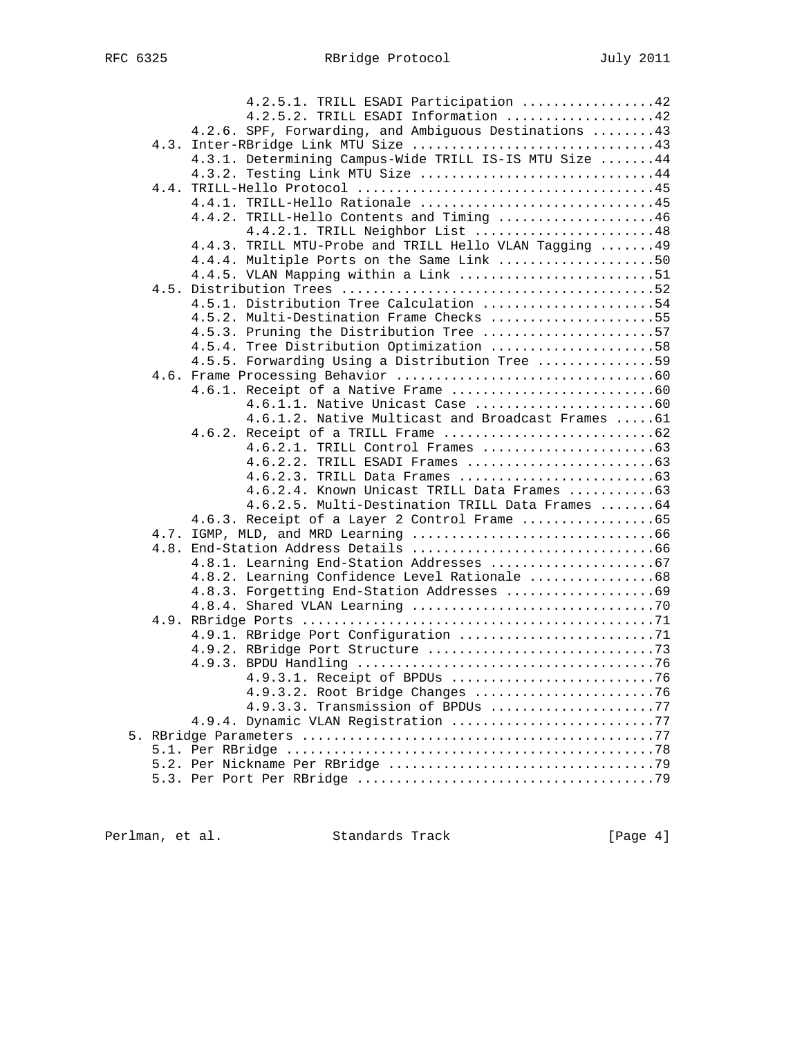|  | 4.2.5.1. TRILL ESADI Participation 42                                |  |
|--|----------------------------------------------------------------------|--|
|  | 4.2.5.2. TRILL ESADI Information 42                                  |  |
|  | 4.2.6. SPF, Forwarding, and Ambiguous Destinations  43               |  |
|  |                                                                      |  |
|  | 4.3.1. Determining Campus-Wide TRILL IS-IS MTU Size  44              |  |
|  | 4.3.2. Testing Link MTU Size 44                                      |  |
|  |                                                                      |  |
|  | 4.4.1. TRILL-Hello Rationale 45                                      |  |
|  | 4.4.2. TRILL-Hello Contents and Timing 46                            |  |
|  | 4.4.2.1. TRILL Neighbor List 48                                      |  |
|  | 4.4.3. TRILL MTU-Probe and TRILL Hello VLAN Tagging  49              |  |
|  | 4.4.4. Multiple Ports on the Same Link 50                            |  |
|  | 4.4.5. VLAN Mapping within a Link 51                                 |  |
|  |                                                                      |  |
|  | 4.5.1. Distribution Tree Calculation 54                              |  |
|  | 4.5.2. Multi-Destination Frame Checks 55                             |  |
|  | 4.5.3. Pruning the Distribution Tree 57                              |  |
|  | 4.5.4. Tree Distribution Optimization 58                             |  |
|  | 4.5.5. Forwarding Using a Distribution Tree 59                       |  |
|  |                                                                      |  |
|  |                                                                      |  |
|  | 4.6.1.1. Native Unicast Case 60                                      |  |
|  | 4.6.1.2. Native Multicast and Broadcast Frames  61                   |  |
|  |                                                                      |  |
|  |                                                                      |  |
|  |                                                                      |  |
|  |                                                                      |  |
|  | 4.6.2.4. Known Unicast TRILL Data Frames 63                          |  |
|  | 4.6.2.5. Multi-Destination TRILL Data Frames  64                     |  |
|  | 4.6.3. Receipt of a Layer 2 Control Frame 65                         |  |
|  |                                                                      |  |
|  |                                                                      |  |
|  |                                                                      |  |
|  | 4.8.2. Learning Confidence Level Rationale 68                        |  |
|  | 4.8.3. Forgetting End-Station Addresses 69                           |  |
|  |                                                                      |  |
|  |                                                                      |  |
|  |                                                                      |  |
|  |                                                                      |  |
|  |                                                                      |  |
|  | 4.9.3.1. Receipt of BPDUs 76                                         |  |
|  | 4.9.3.2. Root Bridge Changes 76<br>4.9.3.3. Transmission of BPDUs 77 |  |
|  | 4.9.4. Dynamic VLAN Registration 77                                  |  |
|  |                                                                      |  |
|  |                                                                      |  |
|  |                                                                      |  |
|  |                                                                      |  |
|  |                                                                      |  |

Perlman, et al. Standards Track [Page 4]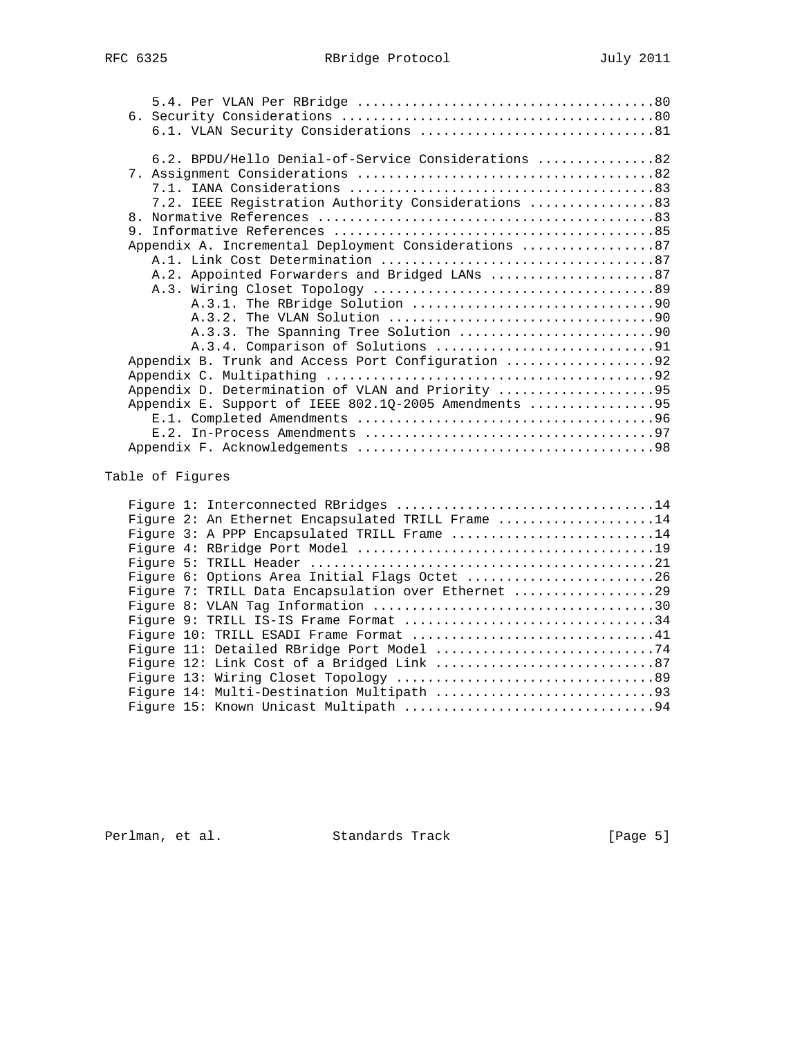| 6.2. BPDU/Hello Denial-of-Service Considerations 82   |
|-------------------------------------------------------|
|                                                       |
|                                                       |
| 7.2. IEEE Registration Authority Considerations 83    |
|                                                       |
|                                                       |
|                                                       |
|                                                       |
| A.2. Appointed Forwarders and Bridged LANs 87         |
|                                                       |
|                                                       |
|                                                       |
|                                                       |
|                                                       |
| Appendix B. Trunk and Access Port Configuration 92    |
|                                                       |
| Appendix D. Determination of VLAN and Priority 95     |
| Appendix E. Support of IEEE 802.10-2005 Amendments 95 |
|                                                       |
|                                                       |
|                                                       |
|                                                       |

# Table of Figures

|  |  | Figure 2: An Ethernet Encapsulated TRILL Frame 14   |  |  |  |  |
|--|--|-----------------------------------------------------|--|--|--|--|
|  |  | Figure 3: A PPP Encapsulated TRILL Frame 14         |  |  |  |  |
|  |  |                                                     |  |  |  |  |
|  |  |                                                     |  |  |  |  |
|  |  | Figure 6: Options Area Initial Flags Octet 26       |  |  |  |  |
|  |  | Figure 7: TRILL Data Encapsulation over Ethernet 29 |  |  |  |  |
|  |  |                                                     |  |  |  |  |
|  |  | Figure 9: TRILL IS-IS Frame Format 34               |  |  |  |  |
|  |  | Figure 10: TRILL ESADI Frame Format 41              |  |  |  |  |
|  |  |                                                     |  |  |  |  |
|  |  |                                                     |  |  |  |  |
|  |  |                                                     |  |  |  |  |
|  |  |                                                     |  |  |  |  |
|  |  |                                                     |  |  |  |  |
|  |  |                                                     |  |  |  |  |

Perlman, et al. Standards Track [Page 5]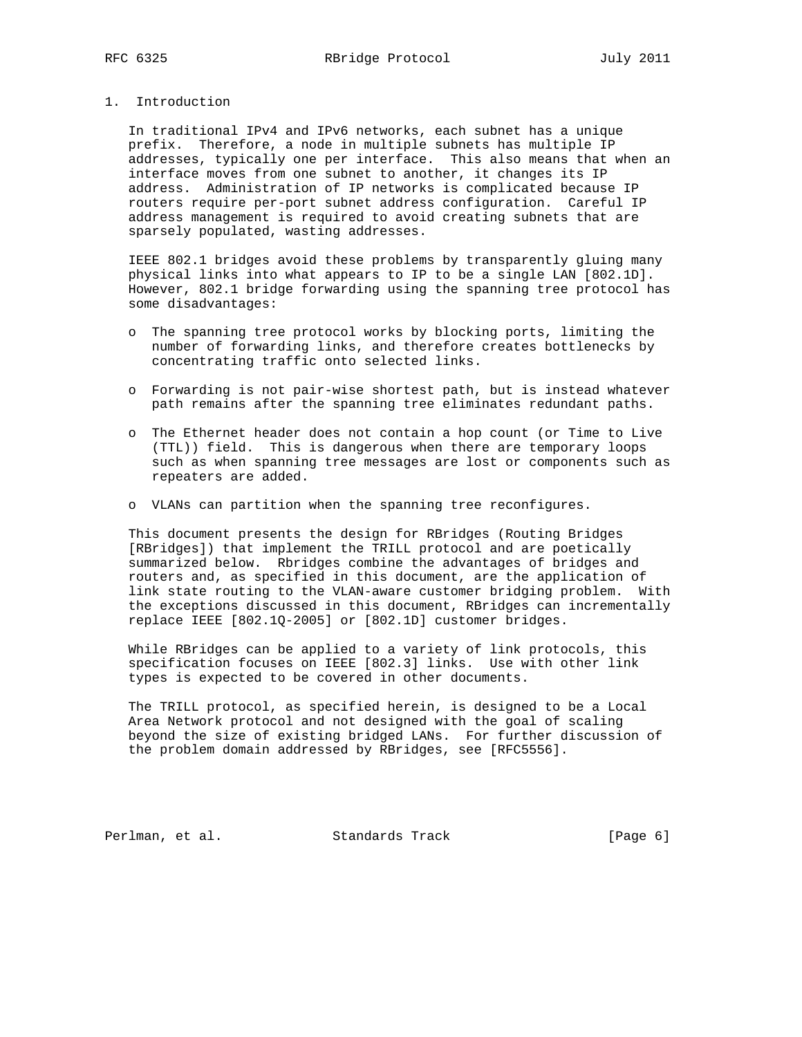# 1. Introduction

 In traditional IPv4 and IPv6 networks, each subnet has a unique prefix. Therefore, a node in multiple subnets has multiple IP addresses, typically one per interface. This also means that when an interface moves from one subnet to another, it changes its IP address. Administration of IP networks is complicated because IP routers require per-port subnet address configuration. Careful IP address management is required to avoid creating subnets that are sparsely populated, wasting addresses.

 IEEE 802.1 bridges avoid these problems by transparently gluing many physical links into what appears to IP to be a single LAN [802.1D]. However, 802.1 bridge forwarding using the spanning tree protocol has some disadvantages:

- o The spanning tree protocol works by blocking ports, limiting the number of forwarding links, and therefore creates bottlenecks by concentrating traffic onto selected links.
- o Forwarding is not pair-wise shortest path, but is instead whatever path remains after the spanning tree eliminates redundant paths.
- o The Ethernet header does not contain a hop count (or Time to Live (TTL)) field. This is dangerous when there are temporary loops such as when spanning tree messages are lost or components such as repeaters are added.
- o VLANs can partition when the spanning tree reconfigures.

 This document presents the design for RBridges (Routing Bridges [RBridges]) that implement the TRILL protocol and are poetically summarized below. Rbridges combine the advantages of bridges and routers and, as specified in this document, are the application of link state routing to the VLAN-aware customer bridging problem. With the exceptions discussed in this document, RBridges can incrementally replace IEEE [802.1Q-2005] or [802.1D] customer bridges.

 While RBridges can be applied to a variety of link protocols, this specification focuses on IEEE [802.3] links. Use with other link types is expected to be covered in other documents.

 The TRILL protocol, as specified herein, is designed to be a Local Area Network protocol and not designed with the goal of scaling beyond the size of existing bridged LANs. For further discussion of the problem domain addressed by RBridges, see [RFC5556].

Perlman, et al. Standards Track [Page 6]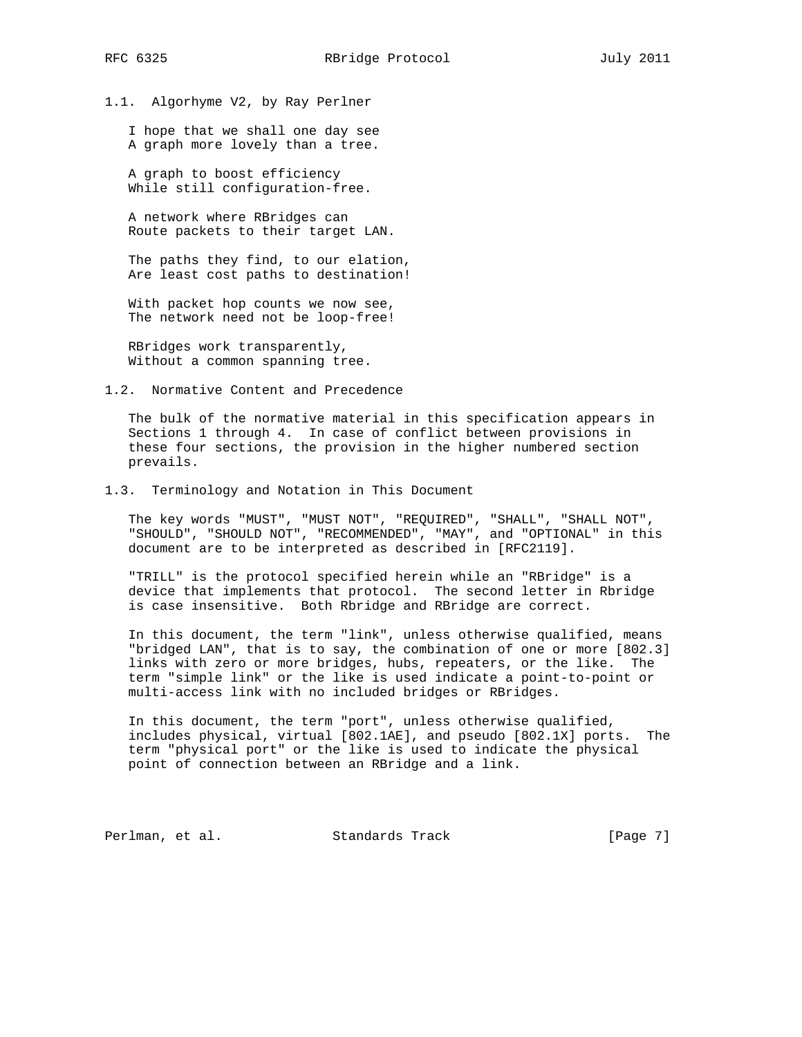1.1. Algorhyme V2, by Ray Perlner

 I hope that we shall one day see A graph more lovely than a tree.

 A graph to boost efficiency While still configuration-free.

 A network where RBridges can Route packets to their target LAN.

 The paths they find, to our elation, Are least cost paths to destination!

 With packet hop counts we now see, The network need not be loop-free!

 RBridges work transparently, Without a common spanning tree.

1.2. Normative Content and Precedence

 The bulk of the normative material in this specification appears in Sections 1 through 4. In case of conflict between provisions in these four sections, the provision in the higher numbered section prevails.

## 1.3. Terminology and Notation in This Document

 The key words "MUST", "MUST NOT", "REQUIRED", "SHALL", "SHALL NOT", "SHOULD", "SHOULD NOT", "RECOMMENDED", "MAY", and "OPTIONAL" in this document are to be interpreted as described in [RFC2119].

 "TRILL" is the protocol specified herein while an "RBridge" is a device that implements that protocol. The second letter in Rbridge is case insensitive. Both Rbridge and RBridge are correct.

 In this document, the term "link", unless otherwise qualified, means "bridged LAN", that is to say, the combination of one or more [802.3] links with zero or more bridges, hubs, repeaters, or the like. The term "simple link" or the like is used indicate a point-to-point or multi-access link with no included bridges or RBridges.

 In this document, the term "port", unless otherwise qualified, includes physical, virtual [802.1AE], and pseudo [802.1X] ports. The term "physical port" or the like is used to indicate the physical point of connection between an RBridge and a link.

Perlman, et al. Standards Track [Page 7]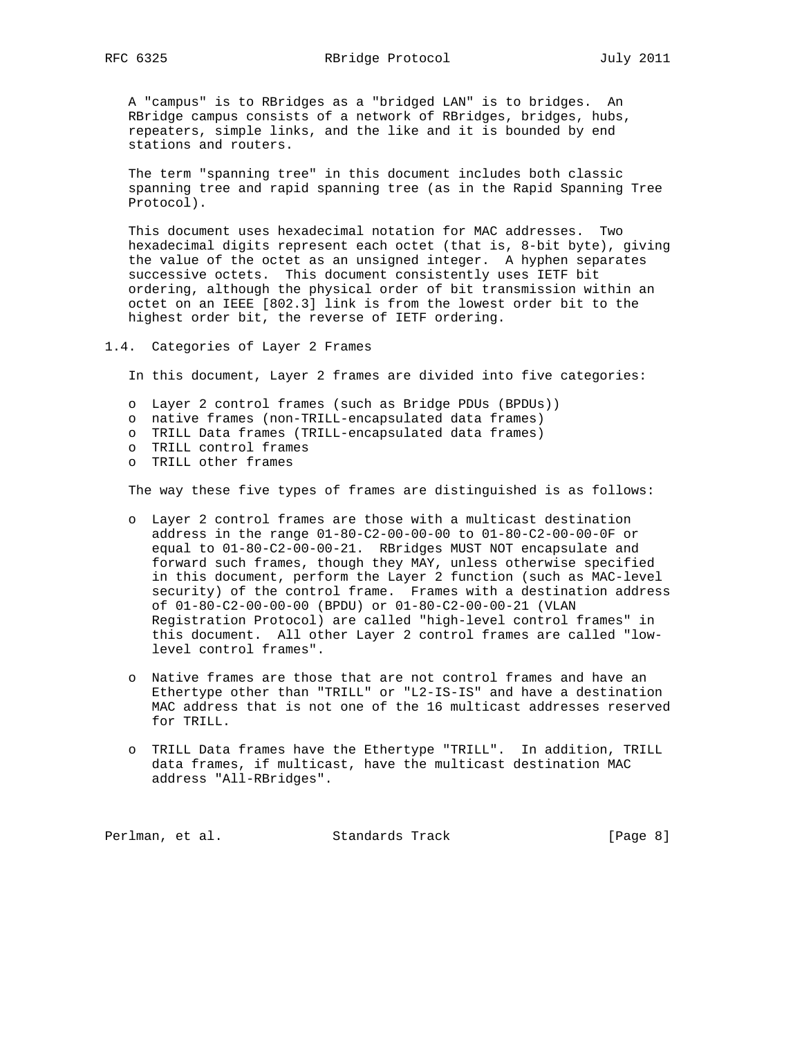A "campus" is to RBridges as a "bridged LAN" is to bridges. An RBridge campus consists of a network of RBridges, bridges, hubs, repeaters, simple links, and the like and it is bounded by end stations and routers.

 The term "spanning tree" in this document includes both classic spanning tree and rapid spanning tree (as in the Rapid Spanning Tree Protocol).

 This document uses hexadecimal notation for MAC addresses. Two hexadecimal digits represent each octet (that is, 8-bit byte), giving the value of the octet as an unsigned integer. A hyphen separates successive octets. This document consistently uses IETF bit ordering, although the physical order of bit transmission within an octet on an IEEE [802.3] link is from the lowest order bit to the highest order bit, the reverse of IETF ordering.

1.4. Categories of Layer 2 Frames

In this document, Layer 2 frames are divided into five categories:

- o Layer 2 control frames (such as Bridge PDUs (BPDUs))
- o native frames (non-TRILL-encapsulated data frames)
- o TRILL Data frames (TRILL-encapsulated data frames)
- o TRILL control frames
- o TRILL other frames

The way these five types of frames are distinguished is as follows:

- o Layer 2 control frames are those with a multicast destination address in the range 01-80-C2-00-00-00 to 01-80-C2-00-00-0F or equal to 01-80-C2-00-00-21. RBridges MUST NOT encapsulate and forward such frames, though they MAY, unless otherwise specified in this document, perform the Layer 2 function (such as MAC-level security) of the control frame. Frames with a destination address of 01-80-C2-00-00-00 (BPDU) or 01-80-C2-00-00-21 (VLAN Registration Protocol) are called "high-level control frames" in this document. All other Layer 2 control frames are called "low level control frames".
- o Native frames are those that are not control frames and have an Ethertype other than "TRILL" or "L2-IS-IS" and have a destination MAC address that is not one of the 16 multicast addresses reserved for TRILL.
- o TRILL Data frames have the Ethertype "TRILL". In addition, TRILL data frames, if multicast, have the multicast destination MAC address "All-RBridges".

Perlman, et al. Standards Track [Page 8]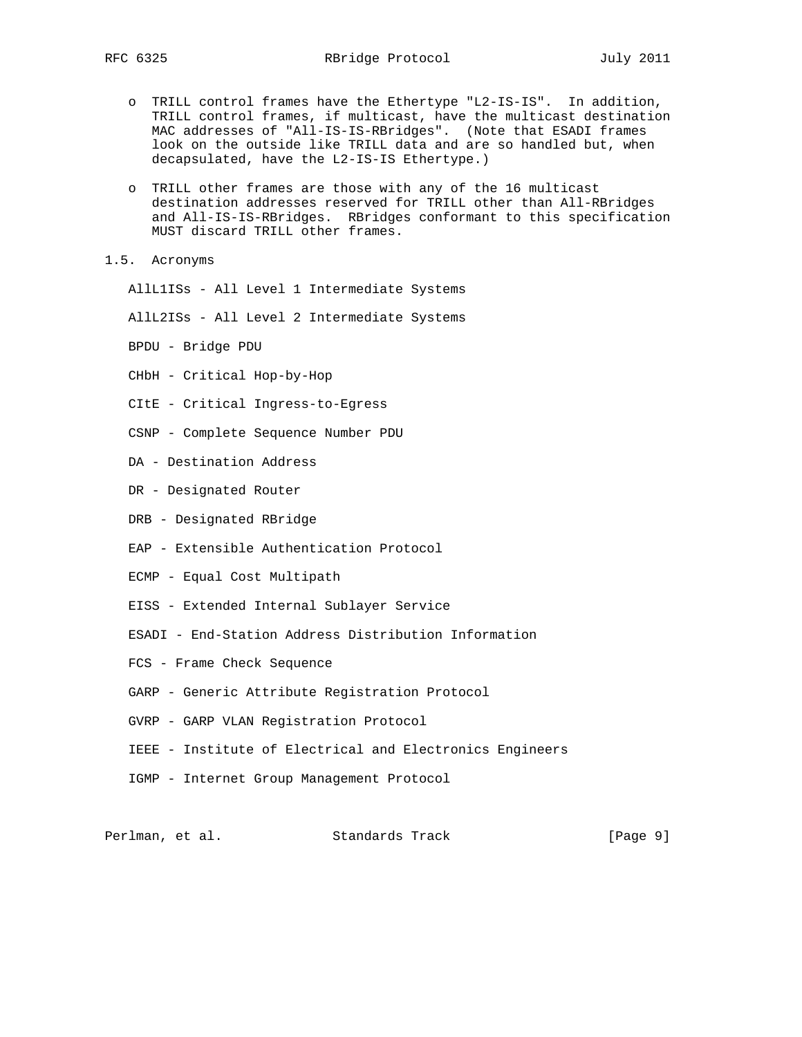- o TRILL control frames have the Ethertype "L2-IS-IS". In addition, TRILL control frames, if multicast, have the multicast destination MAC addresses of "All-IS-IS-RBridges". (Note that ESADI frames look on the outside like TRILL data and are so handled but, when decapsulated, have the L2-IS-IS Ethertype.)
- o TRILL other frames are those with any of the 16 multicast destination addresses reserved for TRILL other than All-RBridges and All-IS-IS-RBridges. RBridges conformant to this specification MUST discard TRILL other frames.
- 1.5. Acronyms

AllL1ISs - All Level 1 Intermediate Systems

- AllL2ISs All Level 2 Intermediate Systems
- BPDU Bridge PDU
- CHbH Critical Hop-by-Hop
- CItE Critical Ingress-to-Egress
- CSNP Complete Sequence Number PDU
- DA Destination Address
- DR Designated Router
- DRB Designated RBridge
- EAP Extensible Authentication Protocol
- ECMP Equal Cost Multipath
- EISS Extended Internal Sublayer Service
- ESADI End-Station Address Distribution Information
- FCS Frame Check Sequence
- GARP Generic Attribute Registration Protocol
- GVRP GARP VLAN Registration Protocol
- IEEE Institute of Electrical and Electronics Engineers
- IGMP Internet Group Management Protocol

Perlman, et al. Standards Track [Page 9]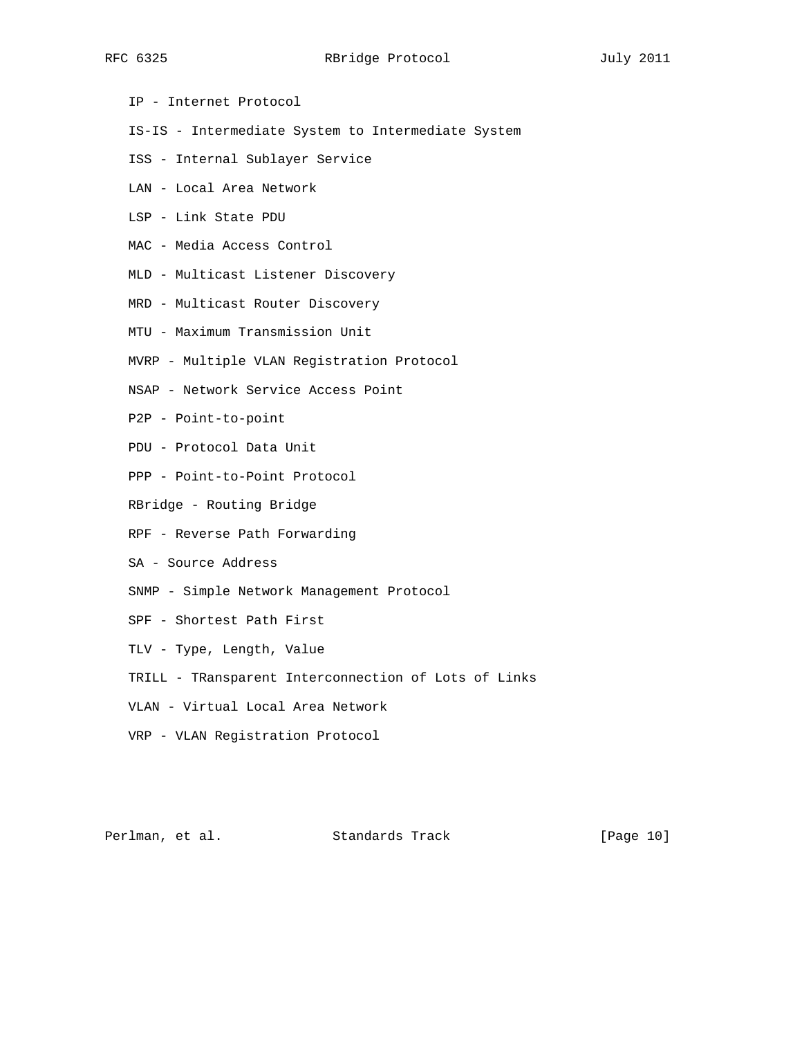- IP Internet Protocol
- IS-IS Intermediate System to Intermediate System
- ISS Internal Sublayer Service
- LAN Local Area Network
- LSP Link State PDU
- MAC Media Access Control
- MLD Multicast Listener Discovery
- MRD Multicast Router Discovery
- MTU Maximum Transmission Unit
- MVRP Multiple VLAN Registration Protocol
- NSAP Network Service Access Point
- P2P Point-to-point
- PDU Protocol Data Unit
- PPP Point-to-Point Protocol
- RBridge Routing Bridge
- RPF Reverse Path Forwarding
- SA Source Address
- SNMP Simple Network Management Protocol
- SPF Shortest Path First
- TLV Type, Length, Value
- TRILL TRansparent Interconnection of Lots of Links
- VLAN Virtual Local Area Network
- VRP VLAN Registration Protocol

Perlman, et al. Standards Track [Page 10]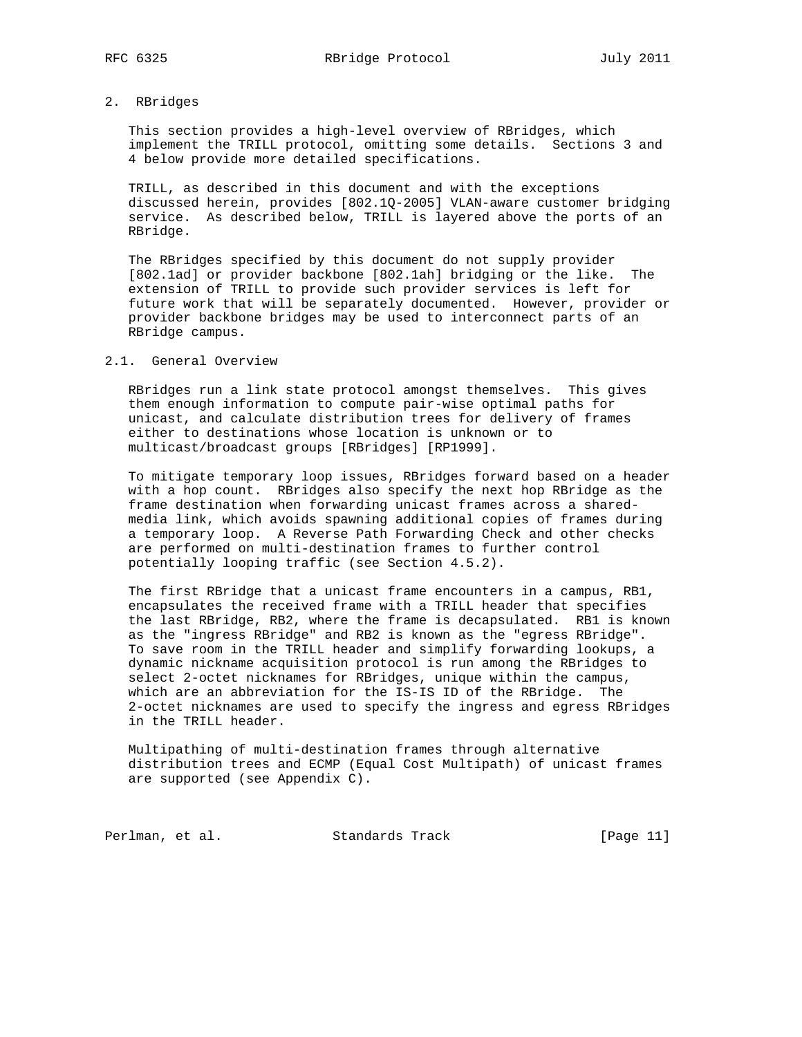2. RBridges

 This section provides a high-level overview of RBridges, which implement the TRILL protocol, omitting some details. Sections 3 and 4 below provide more detailed specifications.

 TRILL, as described in this document and with the exceptions discussed herein, provides [802.1Q-2005] VLAN-aware customer bridging service. As described below, TRILL is layered above the ports of an RBridge.

 The RBridges specified by this document do not supply provider [802.1ad] or provider backbone [802.1ah] bridging or the like. The extension of TRILL to provide such provider services is left for future work that will be separately documented. However, provider or provider backbone bridges may be used to interconnect parts of an RBridge campus.

## 2.1. General Overview

 RBridges run a link state protocol amongst themselves. This gives them enough information to compute pair-wise optimal paths for unicast, and calculate distribution trees for delivery of frames either to destinations whose location is unknown or to multicast/broadcast groups [RBridges] [RP1999].

 To mitigate temporary loop issues, RBridges forward based on a header with a hop count. RBridges also specify the next hop RBridge as the frame destination when forwarding unicast frames across a shared media link, which avoids spawning additional copies of frames during a temporary loop. A Reverse Path Forwarding Check and other checks are performed on multi-destination frames to further control potentially looping traffic (see Section 4.5.2).

 The first RBridge that a unicast frame encounters in a campus, RB1, encapsulates the received frame with a TRILL header that specifies the last RBridge, RB2, where the frame is decapsulated. RB1 is known as the "ingress RBridge" and RB2 is known as the "egress RBridge". To save room in the TRILL header and simplify forwarding lookups, a dynamic nickname acquisition protocol is run among the RBridges to select 2-octet nicknames for RBridges, unique within the campus, which are an abbreviation for the IS-IS ID of the RBridge. The 2-octet nicknames are used to specify the ingress and egress RBridges in the TRILL header.

 Multipathing of multi-destination frames through alternative distribution trees and ECMP (Equal Cost Multipath) of unicast frames are supported (see Appendix C).

Perlman, et al. Standards Track [Page 11]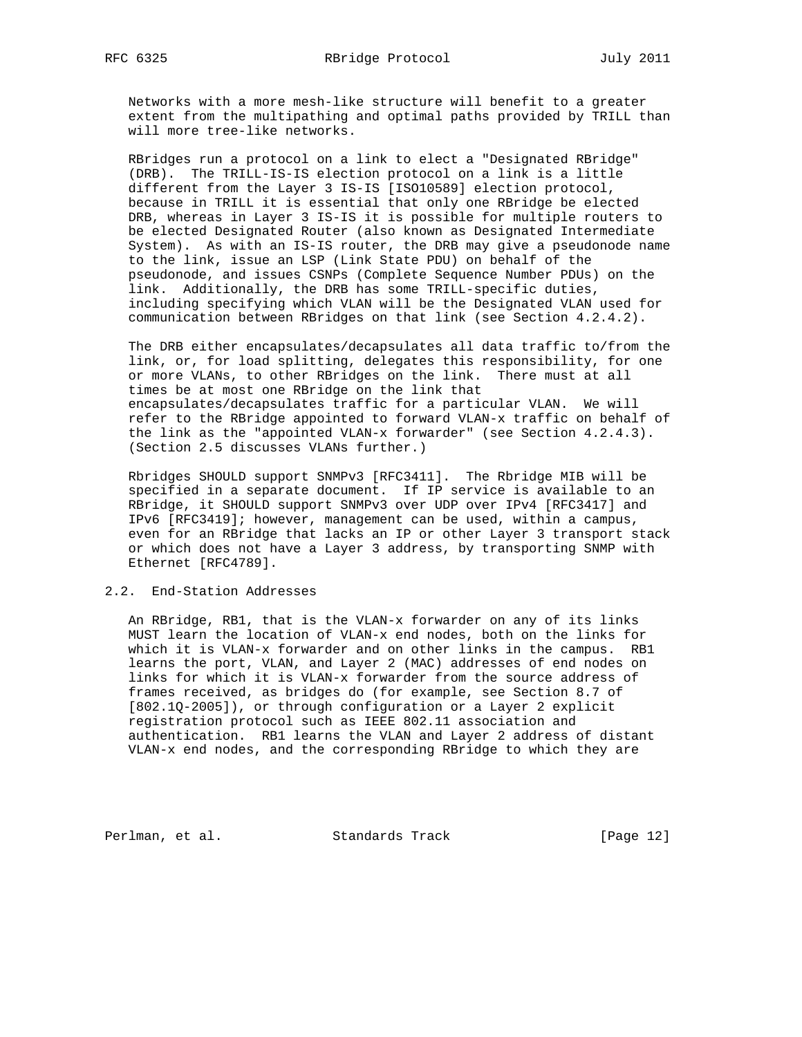Networks with a more mesh-like structure will benefit to a greater extent from the multipathing and optimal paths provided by TRILL than will more tree-like networks.

 RBridges run a protocol on a link to elect a "Designated RBridge" (DRB). The TRILL-IS-IS election protocol on a link is a little different from the Layer 3 IS-IS [ISO10589] election protocol, because in TRILL it is essential that only one RBridge be elected DRB, whereas in Layer 3 IS-IS it is possible for multiple routers to be elected Designated Router (also known as Designated Intermediate System). As with an IS-IS router, the DRB may give a pseudonode name to the link, issue an LSP (Link State PDU) on behalf of the pseudonode, and issues CSNPs (Complete Sequence Number PDUs) on the link. Additionally, the DRB has some TRILL-specific duties, including specifying which VLAN will be the Designated VLAN used for communication between RBridges on that link (see Section 4.2.4.2).

 The DRB either encapsulates/decapsulates all data traffic to/from the link, or, for load splitting, delegates this responsibility, for one or more VLANs, to other RBridges on the link. There must at all times be at most one RBridge on the link that encapsulates/decapsulates traffic for a particular VLAN. We will refer to the RBridge appointed to forward VLAN-x traffic on behalf of the link as the "appointed VLAN-x forwarder" (see Section 4.2.4.3). (Section 2.5 discusses VLANs further.)

 Rbridges SHOULD support SNMPv3 [RFC3411]. The Rbridge MIB will be specified in a separate document. If IP service is available to an RBridge, it SHOULD support SNMPv3 over UDP over IPv4 [RFC3417] and IPv6 [RFC3419]; however, management can be used, within a campus, even for an RBridge that lacks an IP or other Layer 3 transport stack or which does not have a Layer 3 address, by transporting SNMP with Ethernet [RFC4789].

## 2.2. End-Station Addresses

 An RBridge, RB1, that is the VLAN-x forwarder on any of its links MUST learn the location of VLAN-x end nodes, both on the links for which it is VLAN-x forwarder and on other links in the campus. RB1 learns the port, VLAN, and Layer 2 (MAC) addresses of end nodes on links for which it is VLAN-x forwarder from the source address of frames received, as bridges do (for example, see Section 8.7 of [802.1Q-2005]), or through configuration or a Layer 2 explicit registration protocol such as IEEE 802.11 association and authentication. RB1 learns the VLAN and Layer 2 address of distant VLAN-x end nodes, and the corresponding RBridge to which they are

Perlman, et al. Standards Track [Page 12]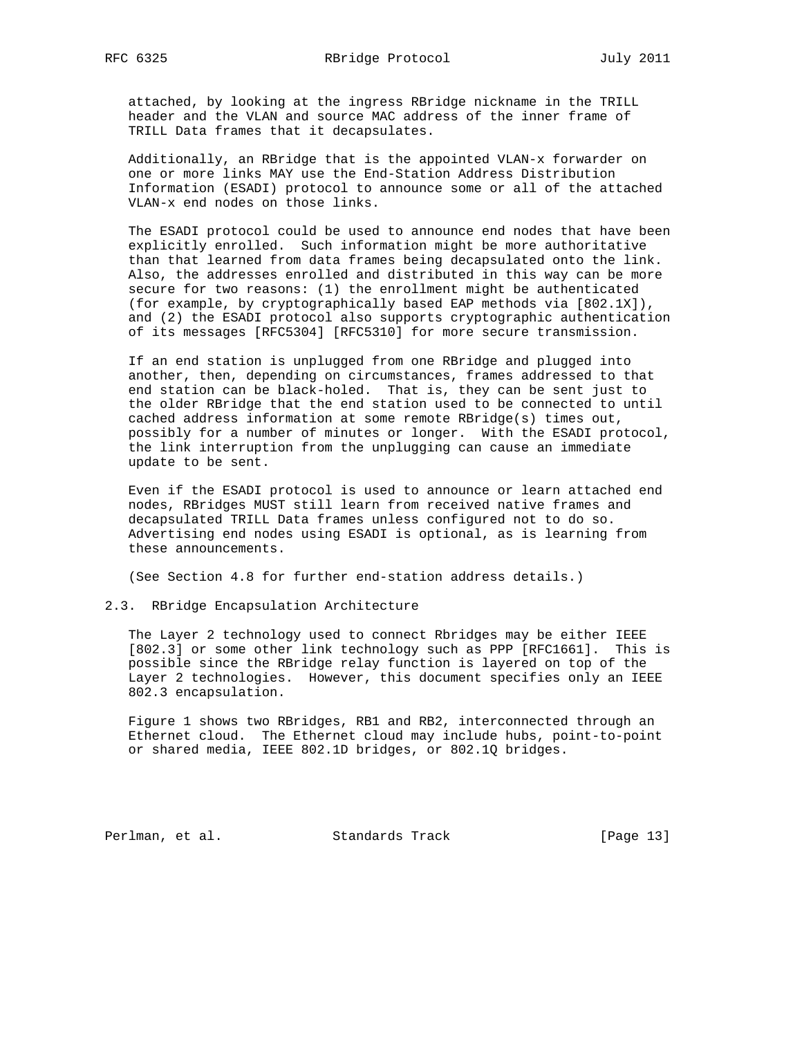attached, by looking at the ingress RBridge nickname in the TRILL header and the VLAN and source MAC address of the inner frame of TRILL Data frames that it decapsulates.

 Additionally, an RBridge that is the appointed VLAN-x forwarder on one or more links MAY use the End-Station Address Distribution Information (ESADI) protocol to announce some or all of the attached VLAN-x end nodes on those links.

 The ESADI protocol could be used to announce end nodes that have been explicitly enrolled. Such information might be more authoritative than that learned from data frames being decapsulated onto the link. Also, the addresses enrolled and distributed in this way can be more secure for two reasons: (1) the enrollment might be authenticated (for example, by cryptographically based EAP methods via [802.1X]), and (2) the ESADI protocol also supports cryptographic authentication of its messages [RFC5304] [RFC5310] for more secure transmission.

 If an end station is unplugged from one RBridge and plugged into another, then, depending on circumstances, frames addressed to that end station can be black-holed. That is, they can be sent just to the older RBridge that the end station used to be connected to until cached address information at some remote RBridge(s) times out, possibly for a number of minutes or longer. With the ESADI protocol, the link interruption from the unplugging can cause an immediate update to be sent.

 Even if the ESADI protocol is used to announce or learn attached end nodes, RBridges MUST still learn from received native frames and decapsulated TRILL Data frames unless configured not to do so. Advertising end nodes using ESADI is optional, as is learning from these announcements.

(See Section 4.8 for further end-station address details.)

2.3. RBridge Encapsulation Architecture

 The Layer 2 technology used to connect Rbridges may be either IEEE [802.3] or some other link technology such as PPP [RFC1661]. This is possible since the RBridge relay function is layered on top of the Layer 2 technologies. However, this document specifies only an IEEE 802.3 encapsulation.

 Figure 1 shows two RBridges, RB1 and RB2, interconnected through an Ethernet cloud. The Ethernet cloud may include hubs, point-to-point or shared media, IEEE 802.1D bridges, or 802.1Q bridges.

Perlman, et al. Standards Track [Page 13]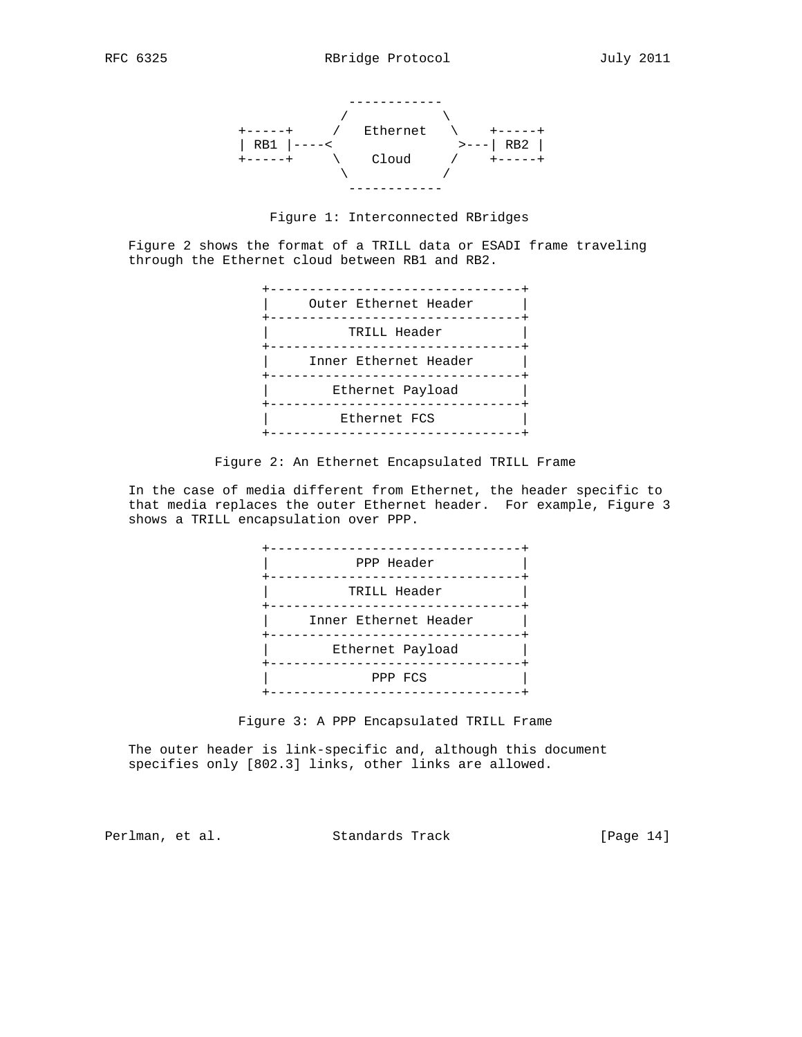

Figure 1: Interconnected RBridges

 Figure 2 shows the format of a TRILL data or ESADI frame traveling through the Ethernet cloud between RB1 and RB2.



Figure 2: An Ethernet Encapsulated TRILL Frame

 In the case of media different from Ethernet, the header specific to that media replaces the outer Ethernet header. For example, Figure 3 shows a TRILL encapsulation over PPP.



Figure 3: A PPP Encapsulated TRILL Frame

 The outer header is link-specific and, although this document specifies only [802.3] links, other links are allowed.

Perlman, et al. Standards Track [Page 14]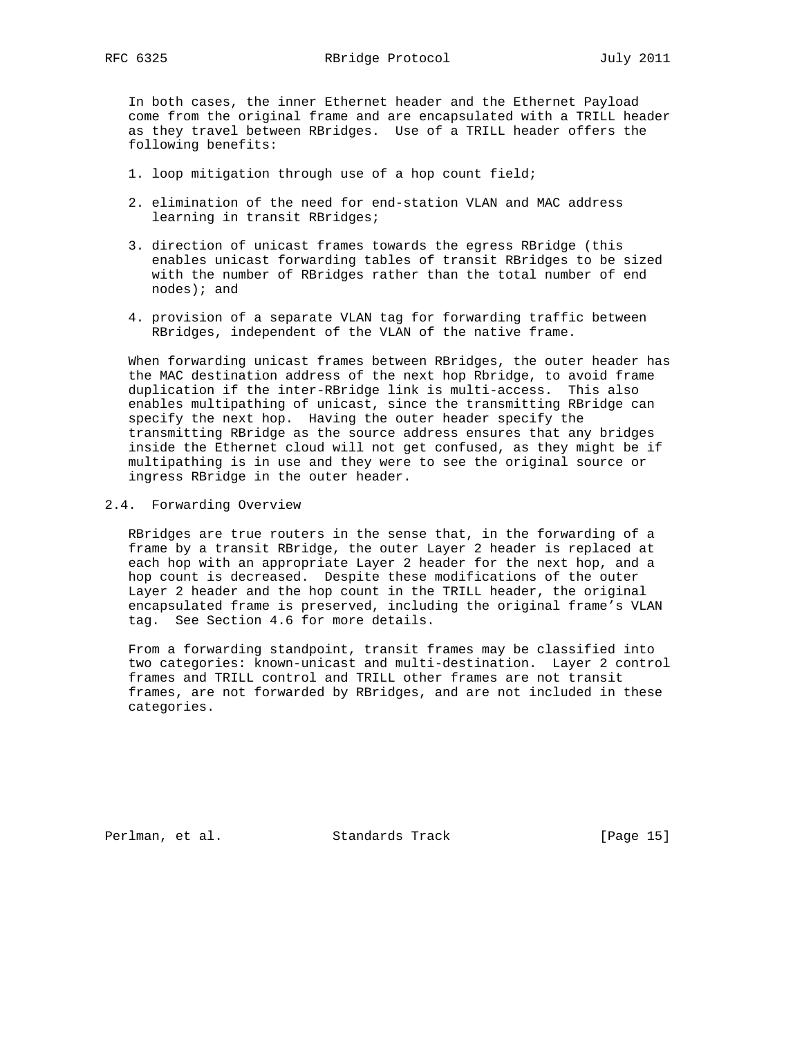In both cases, the inner Ethernet header and the Ethernet Payload come from the original frame and are encapsulated with a TRILL header as they travel between RBridges. Use of a TRILL header offers the following benefits:

- 1. loop mitigation through use of a hop count field;
- 2. elimination of the need for end-station VLAN and MAC address learning in transit RBridges;
- 3. direction of unicast frames towards the egress RBridge (this enables unicast forwarding tables of transit RBridges to be sized with the number of RBridges rather than the total number of end nodes); and
- 4. provision of a separate VLAN tag for forwarding traffic between RBridges, independent of the VLAN of the native frame.

 When forwarding unicast frames between RBridges, the outer header has the MAC destination address of the next hop Rbridge, to avoid frame duplication if the inter-RBridge link is multi-access. This also enables multipathing of unicast, since the transmitting RBridge can specify the next hop. Having the outer header specify the transmitting RBridge as the source address ensures that any bridges inside the Ethernet cloud will not get confused, as they might be if multipathing is in use and they were to see the original source or ingress RBridge in the outer header.

#### 2.4. Forwarding Overview

 RBridges are true routers in the sense that, in the forwarding of a frame by a transit RBridge, the outer Layer 2 header is replaced at each hop with an appropriate Layer 2 header for the next hop, and a hop count is decreased. Despite these modifications of the outer Layer 2 header and the hop count in the TRILL header, the original encapsulated frame is preserved, including the original frame's VLAN tag. See Section 4.6 for more details.

 From a forwarding standpoint, transit frames may be classified into two categories: known-unicast and multi-destination. Layer 2 control frames and TRILL control and TRILL other frames are not transit frames, are not forwarded by RBridges, and are not included in these categories.

Perlman, et al. Standards Track [Page 15]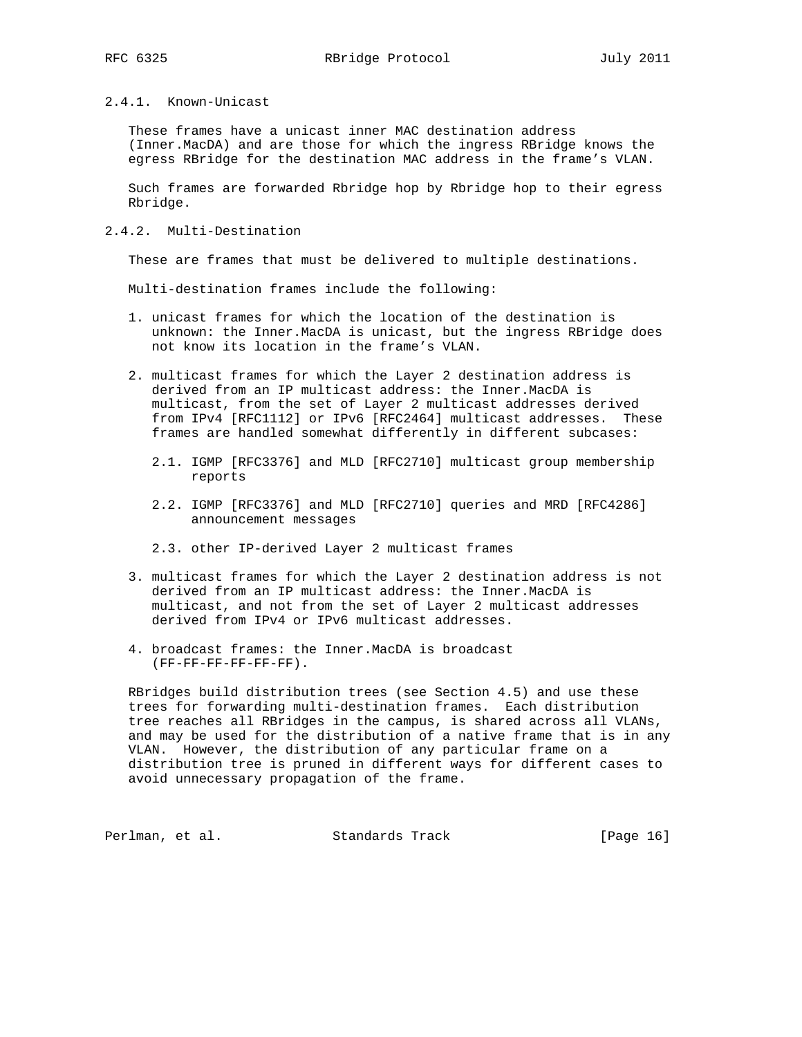# 2.4.1. Known-Unicast

 These frames have a unicast inner MAC destination address (Inner.MacDA) and are those for which the ingress RBridge knows the egress RBridge for the destination MAC address in the frame's VLAN.

 Such frames are forwarded Rbridge hop by Rbridge hop to their egress Rbridge.

2.4.2. Multi-Destination

These are frames that must be delivered to multiple destinations.

Multi-destination frames include the following:

- 1. unicast frames for which the location of the destination is unknown: the Inner.MacDA is unicast, but the ingress RBridge does not know its location in the frame's VLAN.
- 2. multicast frames for which the Layer 2 destination address is derived from an IP multicast address: the Inner.MacDA is multicast, from the set of Layer 2 multicast addresses derived from IPv4 [RFC1112] or IPv6 [RFC2464] multicast addresses. These frames are handled somewhat differently in different subcases:
	- 2.1. IGMP [RFC3376] and MLD [RFC2710] multicast group membership reports
	- 2.2. IGMP [RFC3376] and MLD [RFC2710] queries and MRD [RFC4286] announcement messages
	- 2.3. other IP-derived Layer 2 multicast frames
- 3. multicast frames for which the Layer 2 destination address is not derived from an IP multicast address: the Inner.MacDA is multicast, and not from the set of Layer 2 multicast addresses derived from IPv4 or IPv6 multicast addresses.
- 4. broadcast frames: the Inner.MacDA is broadcast (FF-FF-FF-FF-FF-FF).

 RBridges build distribution trees (see Section 4.5) and use these trees for forwarding multi-destination frames. Each distribution tree reaches all RBridges in the campus, is shared across all VLANs, and may be used for the distribution of a native frame that is in any VLAN. However, the distribution of any particular frame on a distribution tree is pruned in different ways for different cases to avoid unnecessary propagation of the frame.

Perlman, et al. Standards Track [Page 16]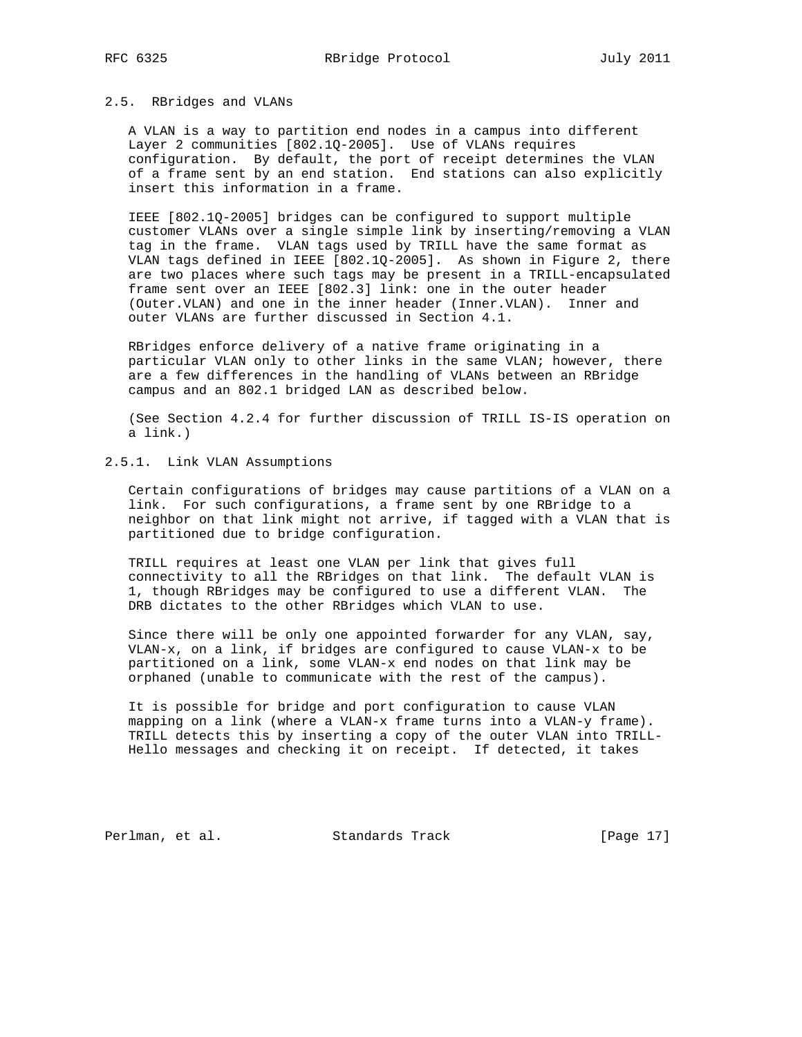#### 2.5. RBridges and VLANs

 A VLAN is a way to partition end nodes in a campus into different Layer 2 communities [802.1Q-2005]. Use of VLANs requires configuration. By default, the port of receipt determines the VLAN of a frame sent by an end station. End stations can also explicitly insert this information in a frame.

 IEEE [802.1Q-2005] bridges can be configured to support multiple customer VLANs over a single simple link by inserting/removing a VLAN tag in the frame. VLAN tags used by TRILL have the same format as VLAN tags defined in IEEE [802.1Q-2005]. As shown in Figure 2, there are two places where such tags may be present in a TRILL-encapsulated frame sent over an IEEE [802.3] link: one in the outer header (Outer.VLAN) and one in the inner header (Inner.VLAN). Inner and outer VLANs are further discussed in Section 4.1.

 RBridges enforce delivery of a native frame originating in a particular VLAN only to other links in the same VLAN; however, there are a few differences in the handling of VLANs between an RBridge campus and an 802.1 bridged LAN as described below.

 (See Section 4.2.4 for further discussion of TRILL IS-IS operation on a link.)

# 2.5.1. Link VLAN Assumptions

 Certain configurations of bridges may cause partitions of a VLAN on a link. For such configurations, a frame sent by one RBridge to a neighbor on that link might not arrive, if tagged with a VLAN that is partitioned due to bridge configuration.

 TRILL requires at least one VLAN per link that gives full connectivity to all the RBridges on that link. The default VLAN is 1, though RBridges may be configured to use a different VLAN. The DRB dictates to the other RBridges which VLAN to use.

 Since there will be only one appointed forwarder for any VLAN, say, VLAN-x, on a link, if bridges are configured to cause VLAN-x to be partitioned on a link, some VLAN-x end nodes on that link may be orphaned (unable to communicate with the rest of the campus).

 It is possible for bridge and port configuration to cause VLAN mapping on a link (where a VLAN-x frame turns into a VLAN-y frame). TRILL detects this by inserting a copy of the outer VLAN into TRILL- Hello messages and checking it on receipt. If detected, it takes

Perlman, et al. Standards Track [Page 17]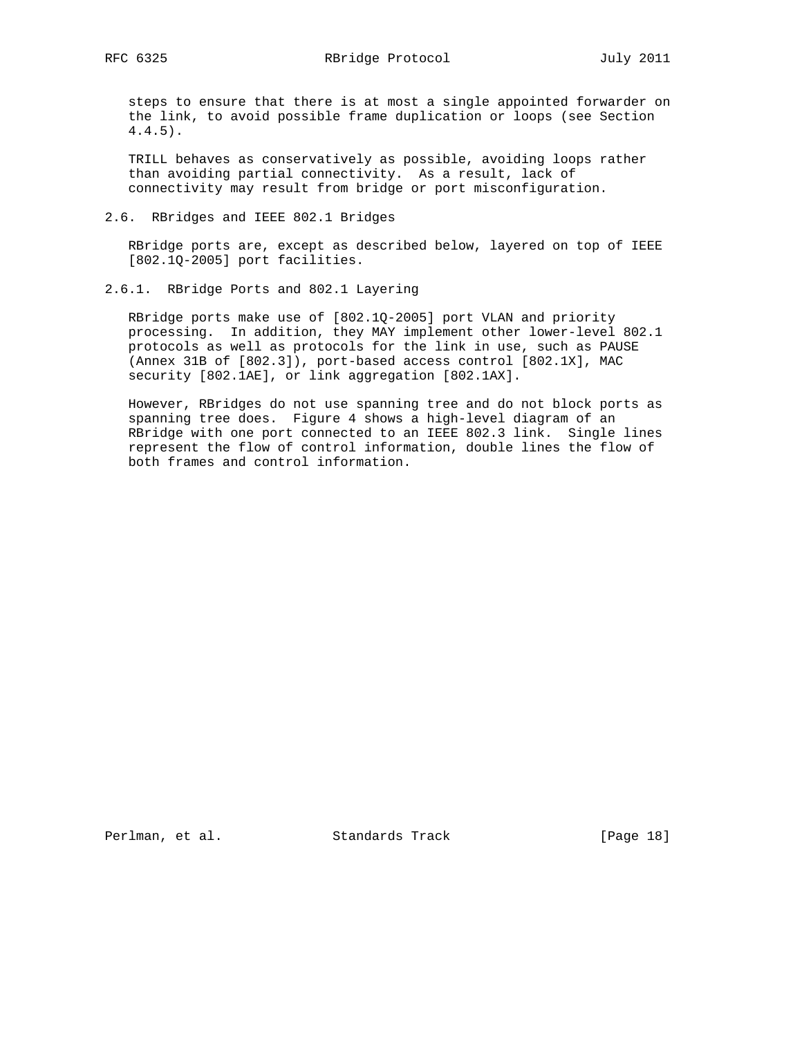steps to ensure that there is at most a single appointed forwarder on the link, to avoid possible frame duplication or loops (see Section 4.4.5).

 TRILL behaves as conservatively as possible, avoiding loops rather than avoiding partial connectivity. As a result, lack of connectivity may result from bridge or port misconfiguration.

2.6. RBridges and IEEE 802.1 Bridges

 RBridge ports are, except as described below, layered on top of IEEE [802.1Q-2005] port facilities.

2.6.1. RBridge Ports and 802.1 Layering

 RBridge ports make use of [802.1Q-2005] port VLAN and priority processing. In addition, they MAY implement other lower-level 802.1 protocols as well as protocols for the link in use, such as PAUSE (Annex 31B of [802.3]), port-based access control [802.1X], MAC security [802.1AE], or link aggregation [802.1AX].

 However, RBridges do not use spanning tree and do not block ports as spanning tree does. Figure 4 shows a high-level diagram of an RBridge with one port connected to an IEEE 802.3 link. Single lines represent the flow of control information, double lines the flow of both frames and control information.

Perlman, et al. Standards Track [Page 18]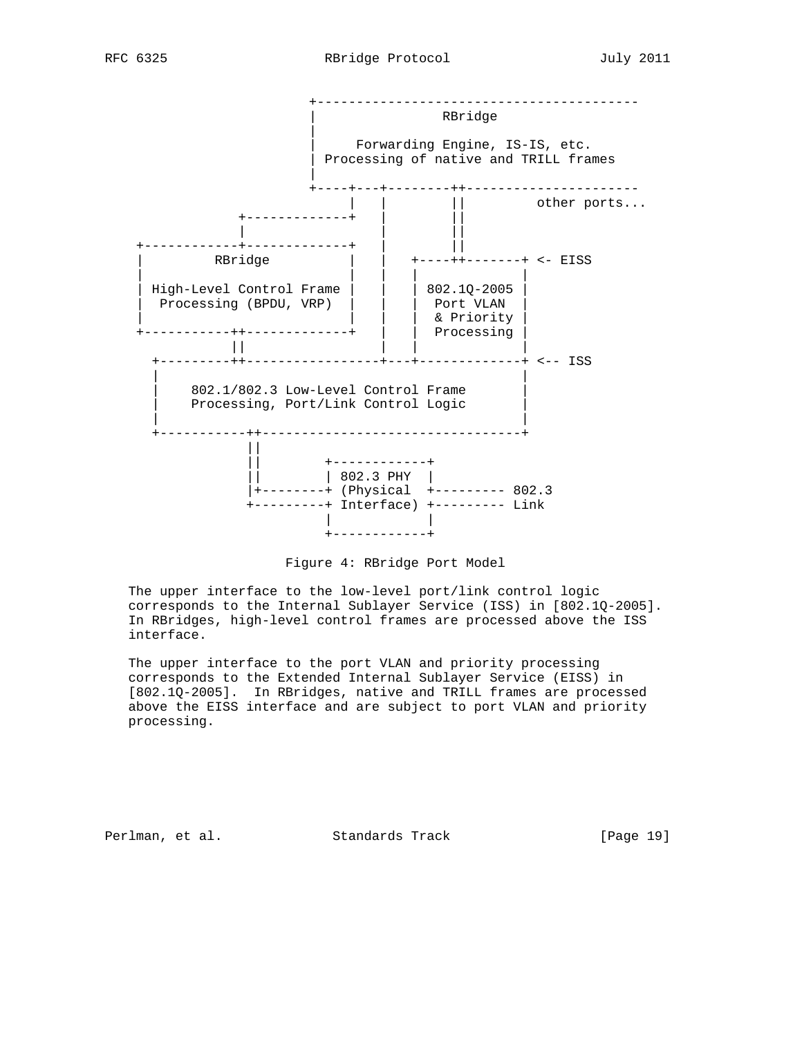



 The upper interface to the low-level port/link control logic corresponds to the Internal Sublayer Service (ISS) in [802.1Q-2005]. In RBridges, high-level control frames are processed above the ISS interface.

 The upper interface to the port VLAN and priority processing corresponds to the Extended Internal Sublayer Service (EISS) in [802.1Q-2005]. In RBridges, native and TRILL frames are processed above the EISS interface and are subject to port VLAN and priority processing.

Perlman, et al. Standards Track [Page 19]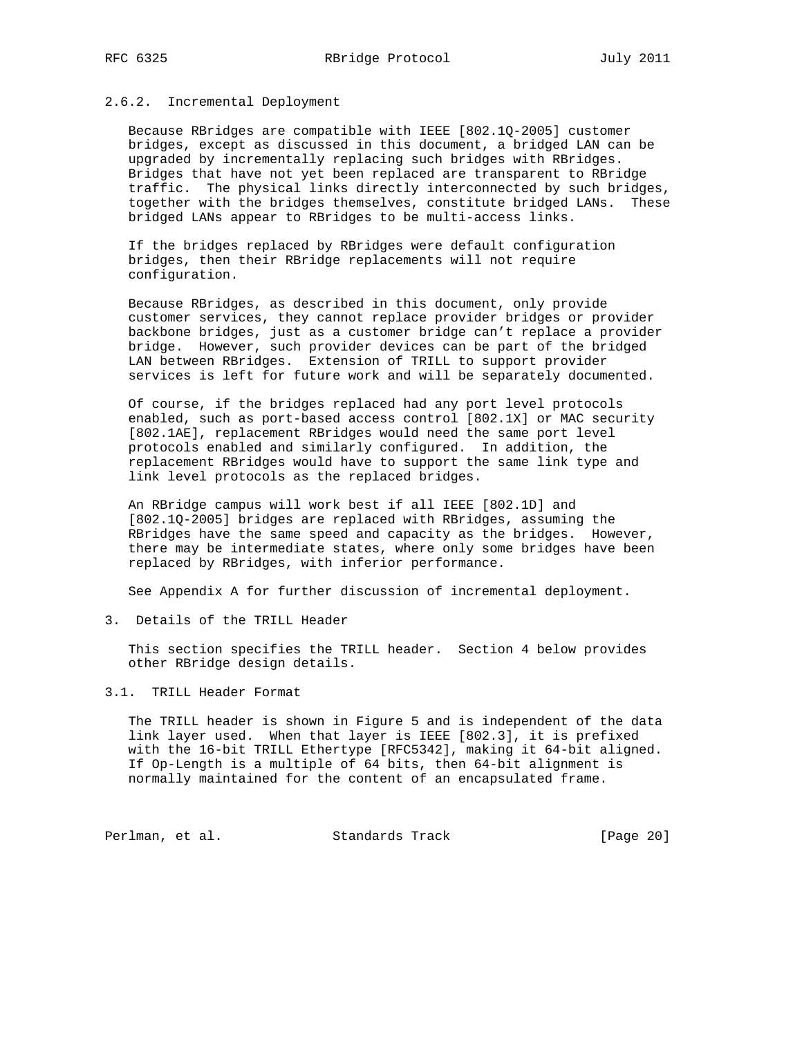## 2.6.2. Incremental Deployment

 Because RBridges are compatible with IEEE [802.1Q-2005] customer bridges, except as discussed in this document, a bridged LAN can be upgraded by incrementally replacing such bridges with RBridges. Bridges that have not yet been replaced are transparent to RBridge traffic. The physical links directly interconnected by such bridges, together with the bridges themselves, constitute bridged LANs. These bridged LANs appear to RBridges to be multi-access links.

 If the bridges replaced by RBridges were default configuration bridges, then their RBridge replacements will not require configuration.

 Because RBridges, as described in this document, only provide customer services, they cannot replace provider bridges or provider backbone bridges, just as a customer bridge can't replace a provider bridge. However, such provider devices can be part of the bridged LAN between RBridges. Extension of TRILL to support provider services is left for future work and will be separately documented.

 Of course, if the bridges replaced had any port level protocols enabled, such as port-based access control [802.1X] or MAC security [802.1AE], replacement RBridges would need the same port level protocols enabled and similarly configured. In addition, the replacement RBridges would have to support the same link type and link level protocols as the replaced bridges.

 An RBridge campus will work best if all IEEE [802.1D] and [802.1Q-2005] bridges are replaced with RBridges, assuming the RBridges have the same speed and capacity as the bridges. However, there may be intermediate states, where only some bridges have been replaced by RBridges, with inferior performance.

See Appendix A for further discussion of incremental deployment.

3. Details of the TRILL Header

 This section specifies the TRILL header. Section 4 below provides other RBridge design details.

## 3.1. TRILL Header Format

 The TRILL header is shown in Figure 5 and is independent of the data link layer used. When that layer is IEEE [802.3], it is prefixed with the 16-bit TRILL Ethertype [RFC5342], making it 64-bit aligned. If Op-Length is a multiple of 64 bits, then 64-bit alignment is normally maintained for the content of an encapsulated frame.

Perlman, et al. Standards Track [Page 20]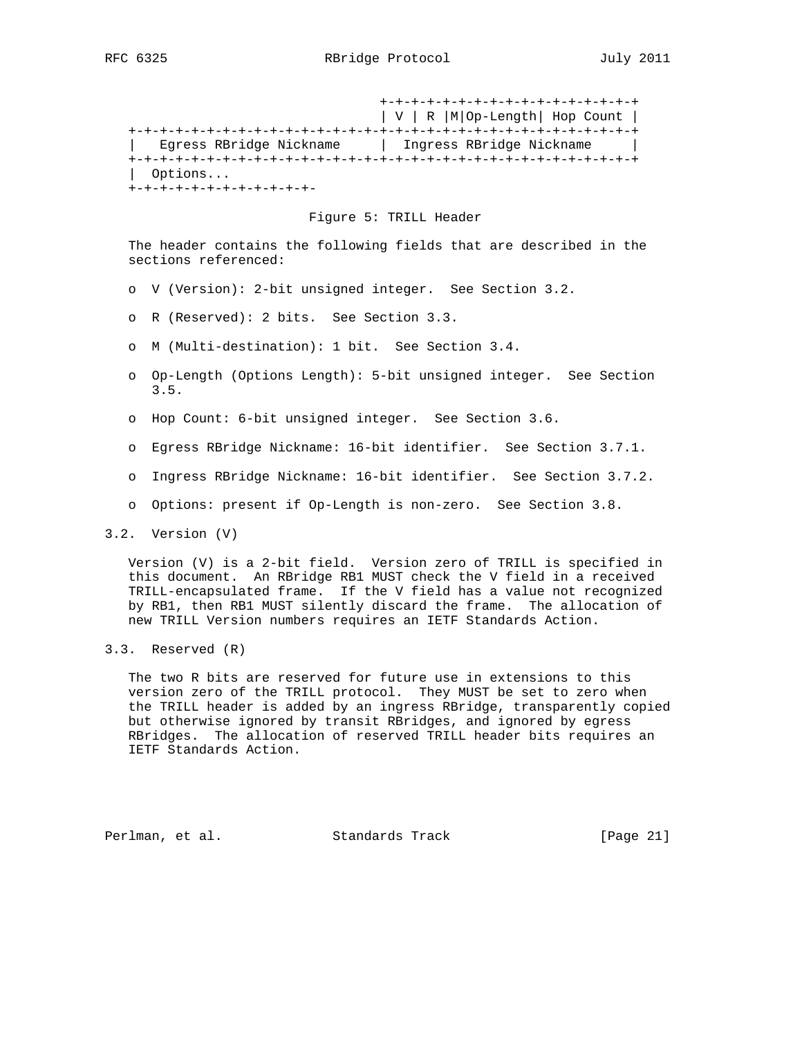+-+-+-+-+-+-+-+-+-+-+-+-+-+-+-+-+ | V | R |M|Op-Length| Hop Count | +-+-+-+-+-+-+-+-+-+-+-+-+-+-+-+-+-+-+-+-+-+-+-+-+-+-+-+-+-+-+-+-+ | Egress RBridge Nickname | Ingress RBridge Nickname | +-+-+-+-+-+-+-+-+-+-+-+-+-+-+-+-+-+-+-+-+-+-+-+-+-+-+-+-+-+-+-+-+ | Options... +-+-+-+-+-+-+-+-+-+-+-+-

#### Figure 5: TRILL Header

 The header contains the following fields that are described in the sections referenced:

- o V (Version): 2-bit unsigned integer. See Section 3.2.
- o R (Reserved): 2 bits. See Section 3.3.
- o M (Multi-destination): 1 bit. See Section 3.4.
- o Op-Length (Options Length): 5-bit unsigned integer. See Section 3.5.
- o Hop Count: 6-bit unsigned integer. See Section 3.6.
- o Egress RBridge Nickname: 16-bit identifier. See Section 3.7.1.
- o Ingress RBridge Nickname: 16-bit identifier. See Section 3.7.2.
- o Options: present if Op-Length is non-zero. See Section 3.8.

 Version (V) is a 2-bit field. Version zero of TRILL is specified in this document. An RBridge RB1 MUST check the V field in a received TRILL-encapsulated frame. If the V field has a value not recognized by RB1, then RB1 MUST silently discard the frame. The allocation of new TRILL Version numbers requires an IETF Standards Action.

 The two R bits are reserved for future use in extensions to this version zero of the TRILL protocol. They MUST be set to zero when the TRILL header is added by an ingress RBridge, transparently copied but otherwise ignored by transit RBridges, and ignored by egress RBridges. The allocation of reserved TRILL header bits requires an IETF Standards Action.

Perlman, et al. Standards Track [Page 21]

<sup>3.2.</sup> Version (V)

<sup>3.3.</sup> Reserved (R)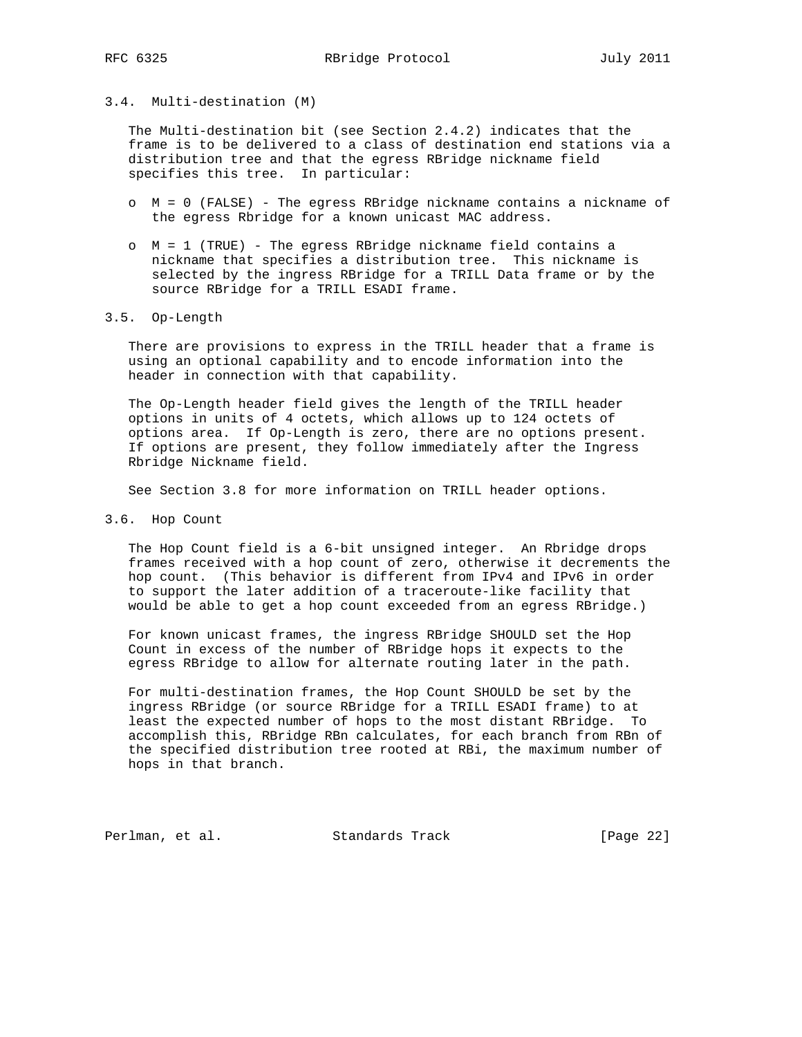#### 3.4. Multi-destination (M)

 The Multi-destination bit (see Section 2.4.2) indicates that the frame is to be delivered to a class of destination end stations via a distribution tree and that the egress RBridge nickname field specifies this tree. In particular:

- o M = 0 (FALSE) The egress RBridge nickname contains a nickname of the egress Rbridge for a known unicast MAC address.
- o M = 1 (TRUE) The egress RBridge nickname field contains a nickname that specifies a distribution tree. This nickname is selected by the ingress RBridge for a TRILL Data frame or by the source RBridge for a TRILL ESADI frame.

## 3.5. Op-Length

 There are provisions to express in the TRILL header that a frame is using an optional capability and to encode information into the header in connection with that capability.

 The Op-Length header field gives the length of the TRILL header options in units of 4 octets, which allows up to 124 octets of options area. If Op-Length is zero, there are no options present. If options are present, they follow immediately after the Ingress Rbridge Nickname field.

See Section 3.8 for more information on TRILL header options.

3.6. Hop Count

 The Hop Count field is a 6-bit unsigned integer. An Rbridge drops frames received with a hop count of zero, otherwise it decrements the hop count. (This behavior is different from IPv4 and IPv6 in order to support the later addition of a traceroute-like facility that would be able to get a hop count exceeded from an egress RBridge.)

 For known unicast frames, the ingress RBridge SHOULD set the Hop Count in excess of the number of RBridge hops it expects to the egress RBridge to allow for alternate routing later in the path.

 For multi-destination frames, the Hop Count SHOULD be set by the ingress RBridge (or source RBridge for a TRILL ESADI frame) to at least the expected number of hops to the most distant RBridge. To accomplish this, RBridge RBn calculates, for each branch from RBn of the specified distribution tree rooted at RBi, the maximum number of hops in that branch.

Perlman, et al. Standards Track [Page 22]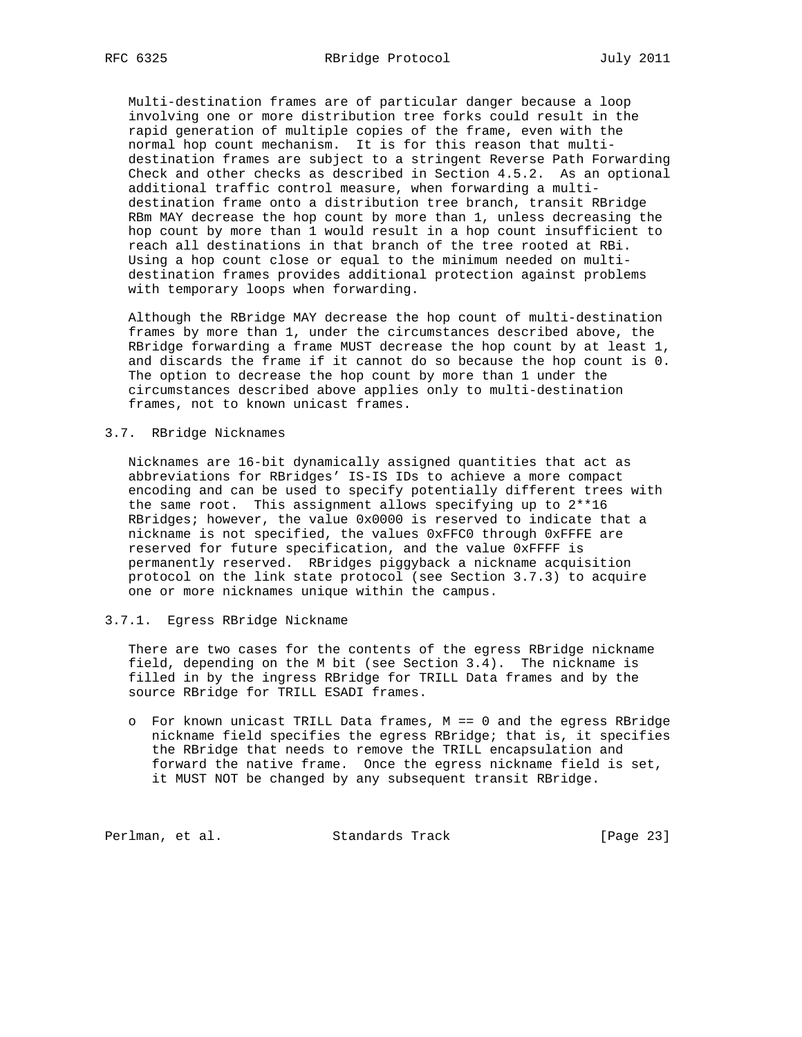Multi-destination frames are of particular danger because a loop involving one or more distribution tree forks could result in the rapid generation of multiple copies of the frame, even with the normal hop count mechanism. It is for this reason that multi destination frames are subject to a stringent Reverse Path Forwarding Check and other checks as described in Section 4.5.2. As an optional additional traffic control measure, when forwarding a multi destination frame onto a distribution tree branch, transit RBridge RBm MAY decrease the hop count by more than 1, unless decreasing the hop count by more than 1 would result in a hop count insufficient to reach all destinations in that branch of the tree rooted at RBi. Using a hop count close or equal to the minimum needed on multi destination frames provides additional protection against problems with temporary loops when forwarding.

 Although the RBridge MAY decrease the hop count of multi-destination frames by more than 1, under the circumstances described above, the RBridge forwarding a frame MUST decrease the hop count by at least 1, and discards the frame if it cannot do so because the hop count is 0. The option to decrease the hop count by more than 1 under the circumstances described above applies only to multi-destination frames, not to known unicast frames.

## 3.7. RBridge Nicknames

 Nicknames are 16-bit dynamically assigned quantities that act as abbreviations for RBridges' IS-IS IDs to achieve a more compact encoding and can be used to specify potentially different trees with the same root. This assignment allows specifying up to 2\*\*16 RBridges; however, the value 0x0000 is reserved to indicate that a nickname is not specified, the values 0xFFC0 through 0xFFFE are reserved for future specification, and the value 0xFFFF is permanently reserved. RBridges piggyback a nickname acquisition protocol on the link state protocol (see Section 3.7.3) to acquire one or more nicknames unique within the campus.

#### 3.7.1. Egress RBridge Nickname

 There are two cases for the contents of the egress RBridge nickname field, depending on the M bit (see Section 3.4). The nickname is filled in by the ingress RBridge for TRILL Data frames and by the source RBridge for TRILL ESADI frames.

 o For known unicast TRILL Data frames, M == 0 and the egress RBridge nickname field specifies the egress RBridge; that is, it specifies the RBridge that needs to remove the TRILL encapsulation and forward the native frame. Once the egress nickname field is set, it MUST NOT be changed by any subsequent transit RBridge.

Perlman, et al. Standards Track [Page 23]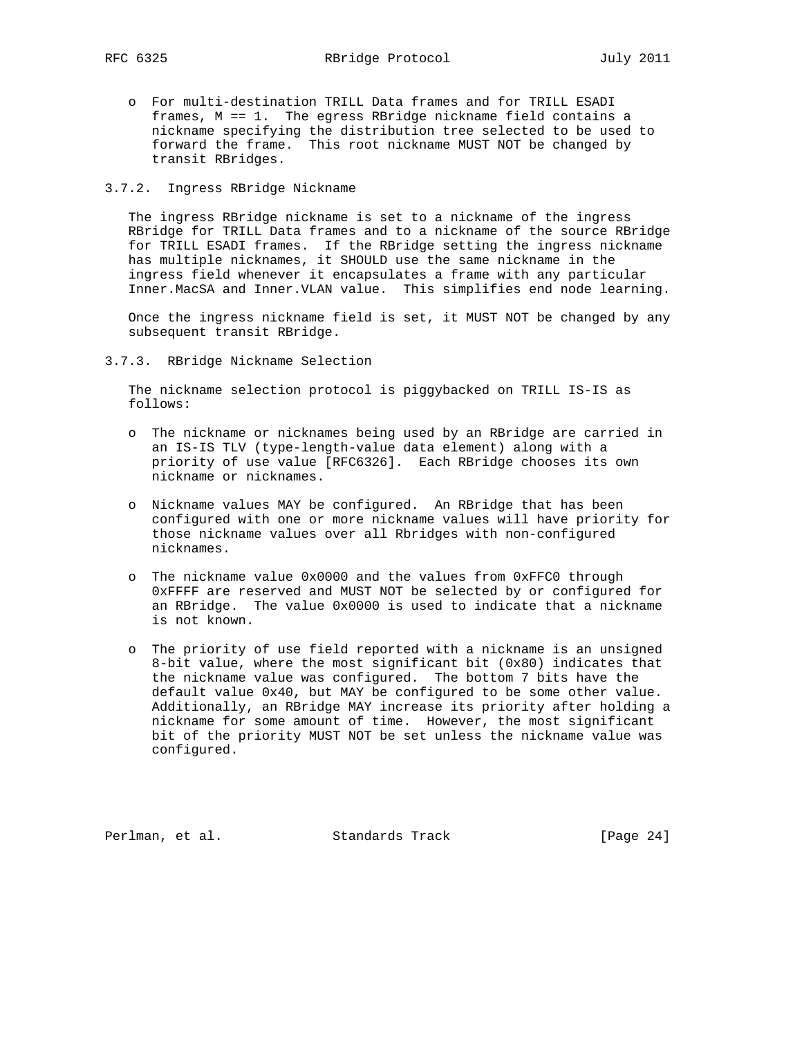o For multi-destination TRILL Data frames and for TRILL ESADI frames, M == 1. The egress RBridge nickname field contains a nickname specifying the distribution tree selected to be used to forward the frame. This root nickname MUST NOT be changed by transit RBridges.

## 3.7.2. Ingress RBridge Nickname

 The ingress RBridge nickname is set to a nickname of the ingress RBridge for TRILL Data frames and to a nickname of the source RBridge for TRILL ESADI frames. If the RBridge setting the ingress nickname has multiple nicknames, it SHOULD use the same nickname in the ingress field whenever it encapsulates a frame with any particular Inner.MacSA and Inner.VLAN value. This simplifies end node learning.

 Once the ingress nickname field is set, it MUST NOT be changed by any subsequent transit RBridge.

3.7.3. RBridge Nickname Selection

 The nickname selection protocol is piggybacked on TRILL IS-IS as follows:

- o The nickname or nicknames being used by an RBridge are carried in an IS-IS TLV (type-length-value data element) along with a priority of use value [RFC6326]. Each RBridge chooses its own nickname or nicknames.
- o Nickname values MAY be configured. An RBridge that has been configured with one or more nickname values will have priority for those nickname values over all Rbridges with non-configured nicknames.
- o The nickname value 0x0000 and the values from 0xFFC0 through 0xFFFF are reserved and MUST NOT be selected by or configured for an RBridge. The value 0x0000 is used to indicate that a nickname is not known.
- o The priority of use field reported with a nickname is an unsigned 8-bit value, where the most significant bit (0x80) indicates that the nickname value was configured. The bottom 7 bits have the default value 0x40, but MAY be configured to be some other value. Additionally, an RBridge MAY increase its priority after holding a nickname for some amount of time. However, the most significant bit of the priority MUST NOT be set unless the nickname value was configured.

Perlman, et al. Standards Track [Page 24]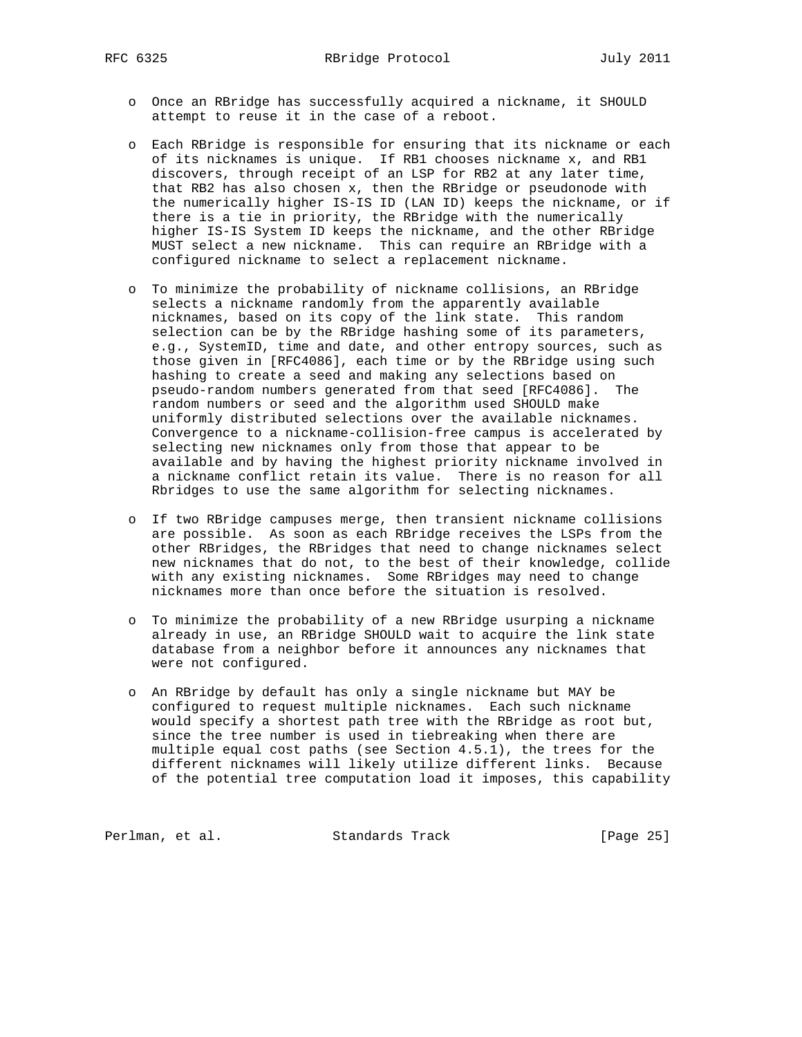- o Once an RBridge has successfully acquired a nickname, it SHOULD attempt to reuse it in the case of a reboot.
- o Each RBridge is responsible for ensuring that its nickname or each of its nicknames is unique. If RB1 chooses nickname x, and RB1 discovers, through receipt of an LSP for RB2 at any later time, that RB2 has also chosen x, then the RBridge or pseudonode with the numerically higher IS-IS ID (LAN ID) keeps the nickname, or if there is a tie in priority, the RBridge with the numerically higher IS-IS System ID keeps the nickname, and the other RBridge MUST select a new nickname. This can require an RBridge with a configured nickname to select a replacement nickname.
- o To minimize the probability of nickname collisions, an RBridge selects a nickname randomly from the apparently available nicknames, based on its copy of the link state. This random selection can be by the RBridge hashing some of its parameters, e.g., SystemID, time and date, and other entropy sources, such as those given in [RFC4086], each time or by the RBridge using such hashing to create a seed and making any selections based on pseudo-random numbers generated from that seed [RFC4086]. The random numbers or seed and the algorithm used SHOULD make uniformly distributed selections over the available nicknames. Convergence to a nickname-collision-free campus is accelerated by selecting new nicknames only from those that appear to be available and by having the highest priority nickname involved in a nickname conflict retain its value. There is no reason for all Rbridges to use the same algorithm for selecting nicknames.
- o If two RBridge campuses merge, then transient nickname collisions are possible. As soon as each RBridge receives the LSPs from the other RBridges, the RBridges that need to change nicknames select new nicknames that do not, to the best of their knowledge, collide with any existing nicknames. Some RBridges may need to change nicknames more than once before the situation is resolved.
- o To minimize the probability of a new RBridge usurping a nickname already in use, an RBridge SHOULD wait to acquire the link state database from a neighbor before it announces any nicknames that were not configured.
- o An RBridge by default has only a single nickname but MAY be configured to request multiple nicknames. Each such nickname would specify a shortest path tree with the RBridge as root but, since the tree number is used in tiebreaking when there are multiple equal cost paths (see Section 4.5.1), the trees for the different nicknames will likely utilize different links. Because of the potential tree computation load it imposes, this capability

Perlman, et al. Standards Track [Page 25]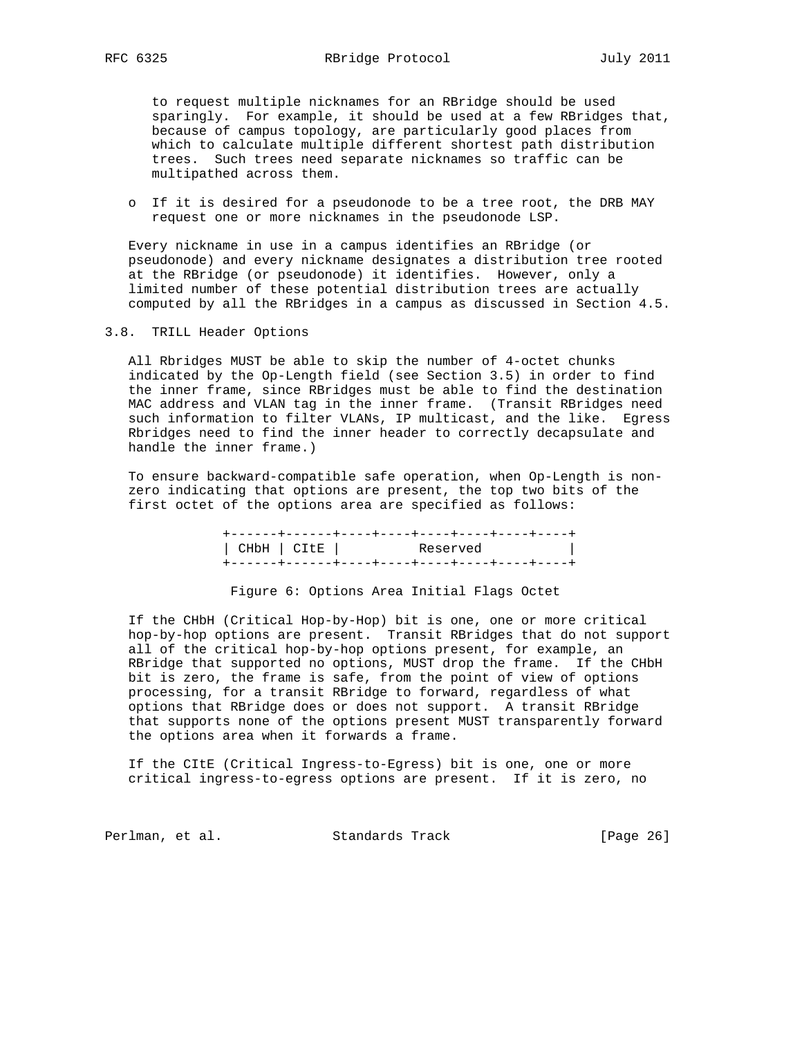to request multiple nicknames for an RBridge should be used sparingly. For example, it should be used at a few RBridges that, because of campus topology, are particularly good places from which to calculate multiple different shortest path distribution trees. Such trees need separate nicknames so traffic can be multipathed across them.

 o If it is desired for a pseudonode to be a tree root, the DRB MAY request one or more nicknames in the pseudonode LSP.

 Every nickname in use in a campus identifies an RBridge (or pseudonode) and every nickname designates a distribution tree rooted at the RBridge (or pseudonode) it identifies. However, only a limited number of these potential distribution trees are actually computed by all the RBridges in a campus as discussed in Section 4.5.

3.8. TRILL Header Options

 All Rbridges MUST be able to skip the number of 4-octet chunks indicated by the Op-Length field (see Section 3.5) in order to find the inner frame, since RBridges must be able to find the destination MAC address and VLAN tag in the inner frame. (Transit RBridges need such information to filter VLANs, IP multicast, and the like. Egress Rbridges need to find the inner header to correctly decapsulate and handle the inner frame.)

 To ensure backward-compatible safe operation, when Op-Length is non zero indicating that options are present, the top two bits of the first octet of the options area are specified as follows:

> +------+------+----+----+----+----+----+----+ | CHbH | CItE | Reserved | +------+------+----+----+----+----+----+----+

Figure 6: Options Area Initial Flags Octet

 If the CHbH (Critical Hop-by-Hop) bit is one, one or more critical hop-by-hop options are present. Transit RBridges that do not support all of the critical hop-by-hop options present, for example, an RBridge that supported no options, MUST drop the frame. If the CHbH bit is zero, the frame is safe, from the point of view of options processing, for a transit RBridge to forward, regardless of what options that RBridge does or does not support. A transit RBridge that supports none of the options present MUST transparently forward the options area when it forwards a frame.

 If the CItE (Critical Ingress-to-Egress) bit is one, one or more critical ingress-to-egress options are present. If it is zero, no

Perlman, et al. Standards Track [Page 26]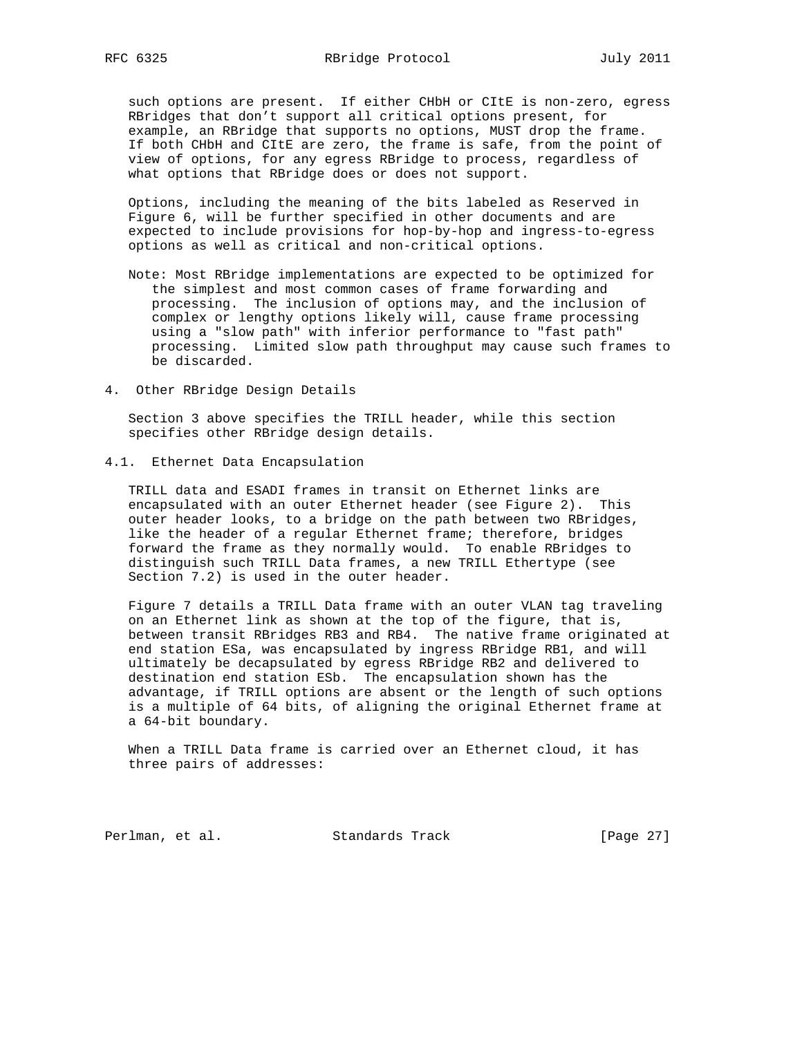such options are present. If either CHbH or CItE is non-zero, egress RBridges that don't support all critical options present, for example, an RBridge that supports no options, MUST drop the frame. If both CHbH and CItE are zero, the frame is safe, from the point of view of options, for any egress RBridge to process, regardless of what options that RBridge does or does not support.

 Options, including the meaning of the bits labeled as Reserved in Figure 6, will be further specified in other documents and are expected to include provisions for hop-by-hop and ingress-to-egress options as well as critical and non-critical options.

- Note: Most RBridge implementations are expected to be optimized for the simplest and most common cases of frame forwarding and processing. The inclusion of options may, and the inclusion of complex or lengthy options likely will, cause frame processing using a "slow path" with inferior performance to "fast path" processing. Limited slow path throughput may cause such frames to be discarded.
- 4. Other RBridge Design Details

 Section 3 above specifies the TRILL header, while this section specifies other RBridge design details.

4.1. Ethernet Data Encapsulation

 TRILL data and ESADI frames in transit on Ethernet links are encapsulated with an outer Ethernet header (see Figure 2). This outer header looks, to a bridge on the path between two RBridges, like the header of a regular Ethernet frame; therefore, bridges forward the frame as they normally would. To enable RBridges to distinguish such TRILL Data frames, a new TRILL Ethertype (see Section 7.2) is used in the outer header.

 Figure 7 details a TRILL Data frame with an outer VLAN tag traveling on an Ethernet link as shown at the top of the figure, that is, between transit RBridges RB3 and RB4. The native frame originated at end station ESa, was encapsulated by ingress RBridge RB1, and will ultimately be decapsulated by egress RBridge RB2 and delivered to destination end station ESb. The encapsulation shown has the advantage, if TRILL options are absent or the length of such options is a multiple of 64 bits, of aligning the original Ethernet frame at a 64-bit boundary.

 When a TRILL Data frame is carried over an Ethernet cloud, it has three pairs of addresses:

Perlman, et al. Standards Track [Page 27]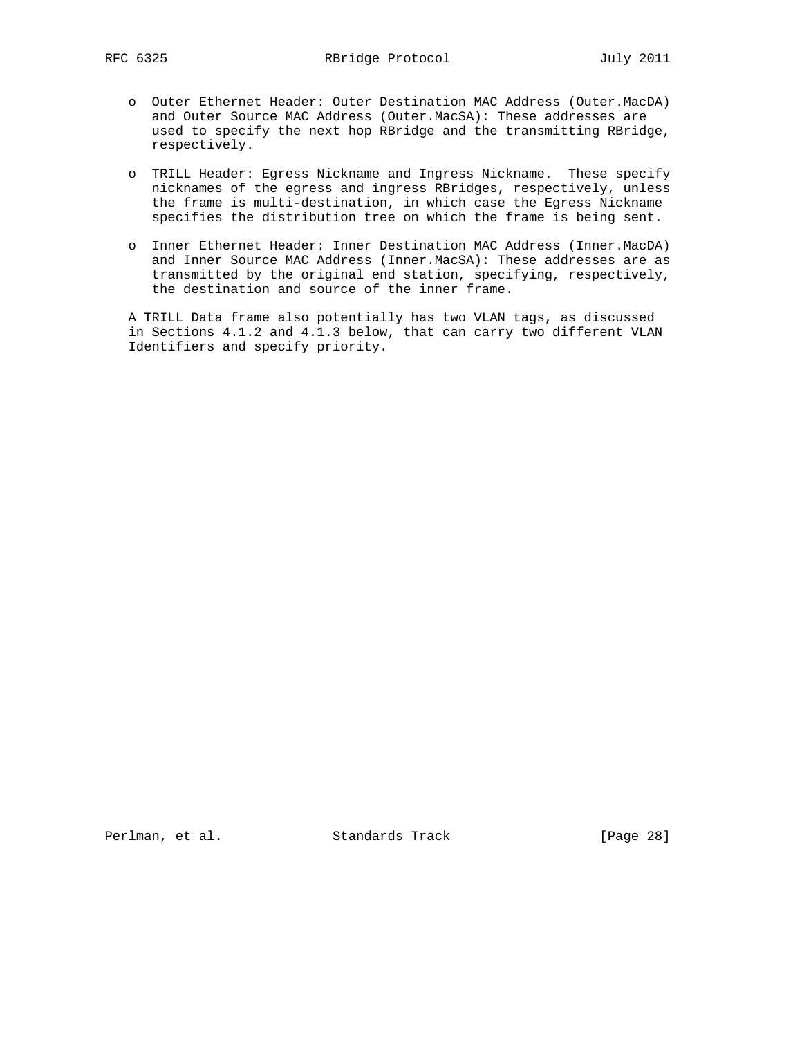- o Outer Ethernet Header: Outer Destination MAC Address (Outer.MacDA) and Outer Source MAC Address (Outer.MacSA): These addresses are used to specify the next hop RBridge and the transmitting RBridge, respectively.
- o TRILL Header: Egress Nickname and Ingress Nickname. These specify nicknames of the egress and ingress RBridges, respectively, unless the frame is multi-destination, in which case the Egress Nickname specifies the distribution tree on which the frame is being sent.
- o Inner Ethernet Header: Inner Destination MAC Address (Inner.MacDA) and Inner Source MAC Address (Inner.MacSA): These addresses are as transmitted by the original end station, specifying, respectively, the destination and source of the inner frame.

 A TRILL Data frame also potentially has two VLAN tags, as discussed in Sections 4.1.2 and 4.1.3 below, that can carry two different VLAN Identifiers and specify priority.

Perlman, et al. Standards Track [Page 28]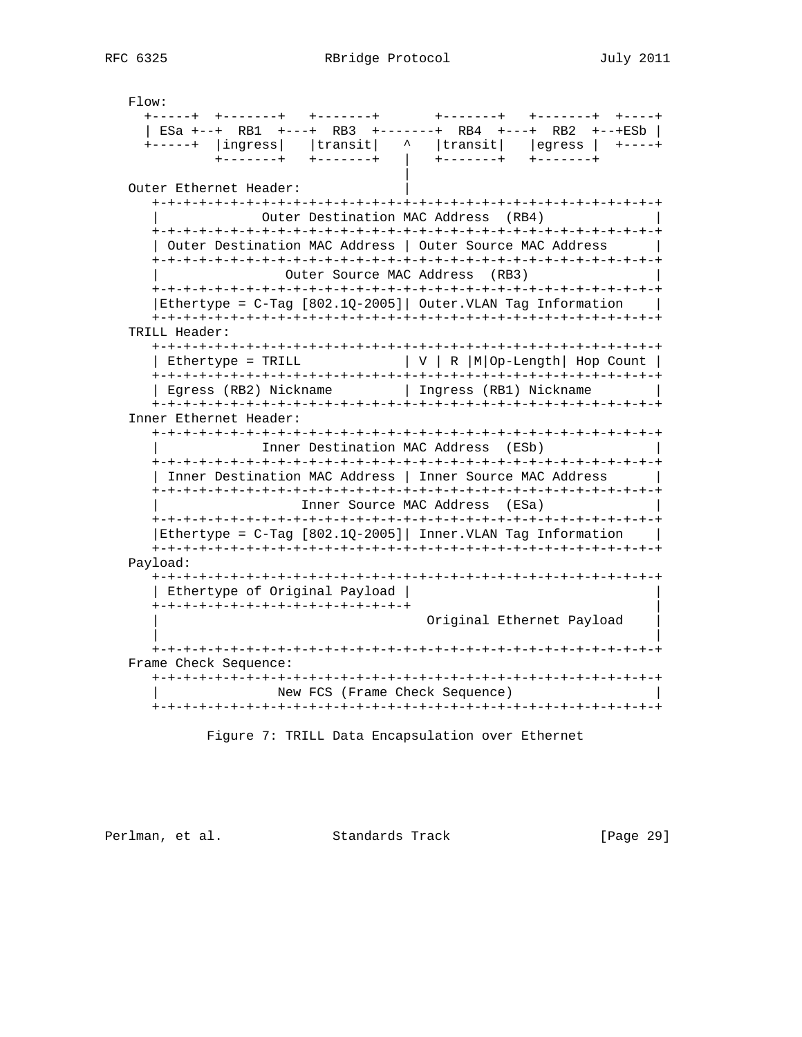Flow: +-----+ +-------+ +-------+ +-------+ +-------+ +----+ | ESa +--+ RB1 +---+ RB3 +-------+ RB4 +---+ RB2 +--+ESb | +-----+ |ingress| |transit| ^ |transit| |egress | +----+ +-------+ +-------+ | +-------+ +-------+ | Outer Ethernet Header: +-+-+-+-+-+-+-+-+-+-+-+-+-+-+-+-+-+-+-+-+-+-+-+-+-+-+-+-+-+-+-+-+ Outer Destination MAC Address (RB4) +-+-+-+-+-+-+-+-+-+-+-+-+-+-+-+-+-+-+-+-+-+-+-+-+-+-+-+-+-+-+-+-+ | Outer Destination MAC Address | Outer Source MAC Address | +-+-+-+-+-+-+-+-+-+-+-+-+-+-+-+-+-+-+-+-+-+-+-+-+-+-+-+-+-+-+-+-+ Outer Source MAC Address (RB3) +-+-+-+-+-+-+-+-+-+-+-+-+-+-+-+-+-+-+-+-+-+-+-+-+-+-+-+-+-+-+-+-+ |Ethertype = C-Tag [802.1Q-2005]| Outer.VLAN Tag Information | +-+-+-+-+-+-+-+-+-+-+-+-+-+-+-+-+-+-+-+-+-+-+-+-+-+-+-+-+-+-+-+-+ TRILL Header: +-+-+-+-+-+-+-+-+-+-+-+-+-+-+-+-+-+-+-+-+-+-+-+-+-+-+-+-+-+-+-+-+ | Ethertype = TRILL  $|V| \rvert R |M|$ Op-Length| Hop Count | +-+-+-+-+-+-+-+-+-+-+-+-+-+-+-+-+-+-+-+-+-+-+-+-+-+-+-+-+-+-+-+-+ | Egress (RB2) Nickname | Ingress (RB1) Nickname | +-+-+-+-+-+-+-+-+-+-+-+-+-+-+-+-+-+-+-+-+-+-+-+-+-+-+-+-+-+-+-+-+ Inner Ethernet Header: +-+-+-+-+-+-+-+-+-+-+-+-+-+-+-+-+-+-+-+-+-+-+-+-+-+-+-+-+-+-+-+-+ Inner Destination MAC Address (ESb) +-+-+-+-+-+-+-+-+-+-+-+-+-+-+-+-+-+-+-+-+-+-+-+-+-+-+-+-+-+-+-+-+ | Inner Destination MAC Address | Inner Source MAC Address | +-+-+-+-+-+-+-+-+-+-+-+-+-+-+-+-+-+-+-+-+-+-+-+-+-+-+-+-+-+-+-+-+ | Inner Source MAC Address (ESa) | +-+-+-+-+-+-+-+-+-+-+-+-+-+-+-+-+-+-+-+-+-+-+-+-+-+-+-+-+-+-+-+-+ |Ethertype = C-Tag [802.1Q-2005]| Inner.VLAN Tag Information | +-+-+-+-+-+-+-+-+-+-+-+-+-+-+-+-+-+-+-+-+-+-+-+-+-+-+-+-+-+-+-+-+ Payload: +-+-+-+-+-+-+-+-+-+-+-+-+-+-+-+-+-+-+-+-+-+-+-+-+-+-+-+-+-+-+-+-+ | Ethertype of Original Payload | | +-+-+-+-+-+-+-+-+-+-+-+-+-+-+-+-+ | Original Ethernet Payload | | +-+-+-+-+-+-+-+-+-+-+-+-+-+-+-+-+-+-+-+-+-+-+-+-+-+-+-+-+-+-+-+-+ Frame Check Sequence: +-+-+-+-+-+-+-+-+-+-+-+-+-+-+-+-+-+-+-+-+-+-+-+-+-+-+-+-+-+-+-+-+ New FCS (Frame Check Sequence) +-+-+-+-+-+-+-+-+-+-+-+-+-+-+-+-+-+-+-+-+-+-+-+-+-+-+-+-+-+-+-+-+

Figure 7: TRILL Data Encapsulation over Ethernet

Perlman, et al. Standards Track [Page 29]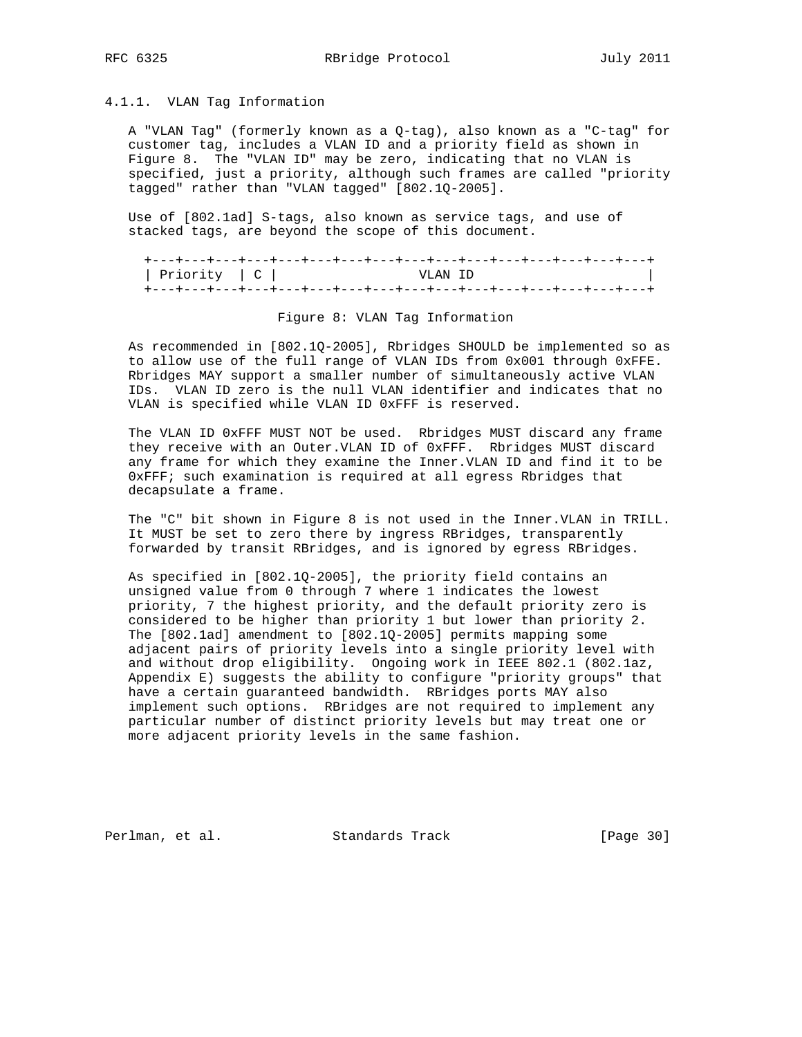## 4.1.1. VLAN Tag Information

 A "VLAN Tag" (formerly known as a Q-tag), also known as a "C-tag" for customer tag, includes a VLAN ID and a priority field as shown in Figure 8. The "VLAN ID" may be zero, indicating that no VLAN is specified, just a priority, although such frames are called "priority tagged" rather than "VLAN tagged" [802.1Q-2005].

 Use of [802.1ad] S-tags, also known as service tags, and use of stacked tags, are beyond the scope of this document.

|                  | +---+---+---+---+---+---+---+---+---+---+---+---+---+---+---+---+--- |  |
|------------------|----------------------------------------------------------------------|--|
| ∣ Priority ∣ C ∣ | VIAN TD                                                              |  |
|                  |                                                                      |  |

#### Figure 8: VLAN Tag Information

 As recommended in [802.1Q-2005], Rbridges SHOULD be implemented so as to allow use of the full range of VLAN IDs from 0x001 through 0xFFE. Rbridges MAY support a smaller number of simultaneously active VLAN IDs. VLAN ID zero is the null VLAN identifier and indicates that no VLAN is specified while VLAN ID 0xFFF is reserved.

 The VLAN ID 0xFFF MUST NOT be used. Rbridges MUST discard any frame they receive with an Outer.VLAN ID of 0xFFF. Rbridges MUST discard any frame for which they examine the Inner.VLAN ID and find it to be 0xFFF; such examination is required at all egress Rbridges that decapsulate a frame.

 The "C" bit shown in Figure 8 is not used in the Inner.VLAN in TRILL. It MUST be set to zero there by ingress RBridges, transparently forwarded by transit RBridges, and is ignored by egress RBridges.

 As specified in [802.1Q-2005], the priority field contains an unsigned value from 0 through 7 where 1 indicates the lowest priority, 7 the highest priority, and the default priority zero is considered to be higher than priority 1 but lower than priority 2. The [802.1ad] amendment to [802.1Q-2005] permits mapping some adjacent pairs of priority levels into a single priority level with and without drop eligibility. Ongoing work in IEEE 802.1 (802.1az, Appendix E) suggests the ability to configure "priority groups" that have a certain guaranteed bandwidth. RBridges ports MAY also implement such options. RBridges are not required to implement any particular number of distinct priority levels but may treat one or more adjacent priority levels in the same fashion.

Perlman, et al. Standards Track [Page 30]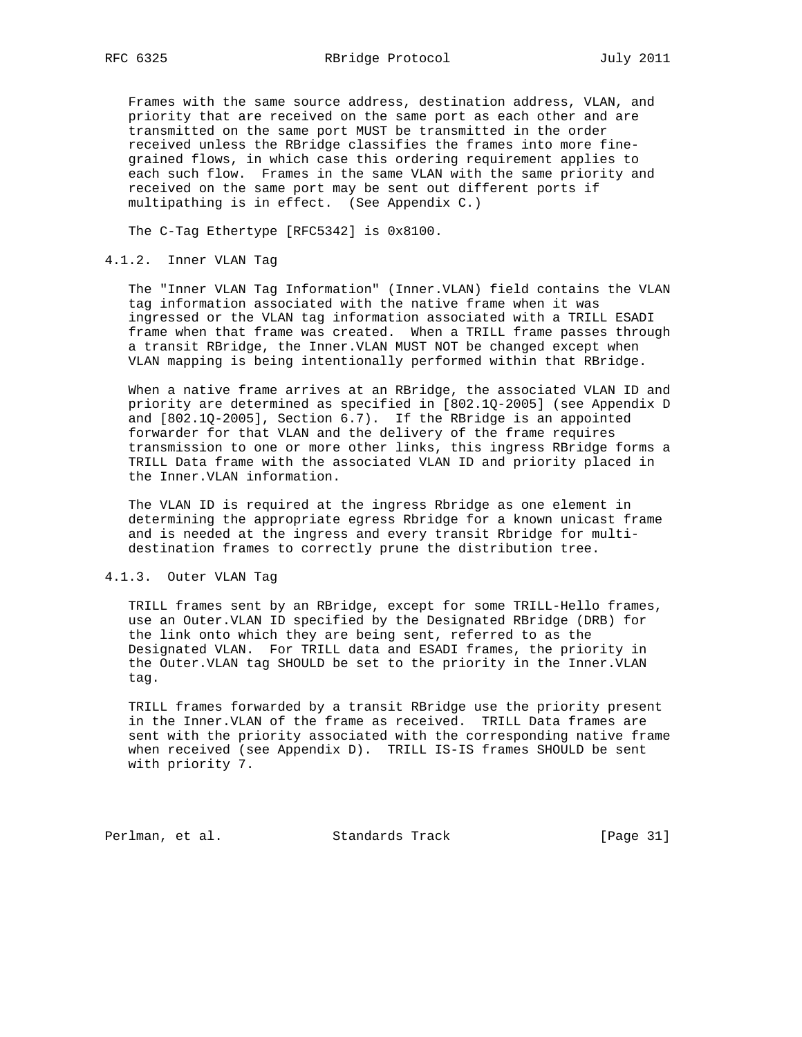Frames with the same source address, destination address, VLAN, and priority that are received on the same port as each other and are transmitted on the same port MUST be transmitted in the order received unless the RBridge classifies the frames into more fine grained flows, in which case this ordering requirement applies to each such flow. Frames in the same VLAN with the same priority and received on the same port may be sent out different ports if multipathing is in effect. (See Appendix C.)

The C-Tag Ethertype [RFC5342] is 0x8100.

## 4.1.2. Inner VLAN Tag

 The "Inner VLAN Tag Information" (Inner.VLAN) field contains the VLAN tag information associated with the native frame when it was ingressed or the VLAN tag information associated with a TRILL ESADI frame when that frame was created. When a TRILL frame passes through a transit RBridge, the Inner.VLAN MUST NOT be changed except when VLAN mapping is being intentionally performed within that RBridge.

 When a native frame arrives at an RBridge, the associated VLAN ID and priority are determined as specified in [802.1Q-2005] (see Appendix D and [802.1Q-2005], Section 6.7). If the RBridge is an appointed forwarder for that VLAN and the delivery of the frame requires transmission to one or more other links, this ingress RBridge forms a TRILL Data frame with the associated VLAN ID and priority placed in the Inner.VLAN information.

 The VLAN ID is required at the ingress Rbridge as one element in determining the appropriate egress Rbridge for a known unicast frame and is needed at the ingress and every transit Rbridge for multi destination frames to correctly prune the distribution tree.

## 4.1.3. Outer VLAN Tag

 TRILL frames sent by an RBridge, except for some TRILL-Hello frames, use an Outer.VLAN ID specified by the Designated RBridge (DRB) for the link onto which they are being sent, referred to as the Designated VLAN. For TRILL data and ESADI frames, the priority in the Outer.VLAN tag SHOULD be set to the priority in the Inner.VLAN tag.

 TRILL frames forwarded by a transit RBridge use the priority present in the Inner.VLAN of the frame as received. TRILL Data frames are sent with the priority associated with the corresponding native frame when received (see Appendix D). TRILL IS-IS frames SHOULD be sent with priority 7.

Perlman, et al. Standards Track [Page 31]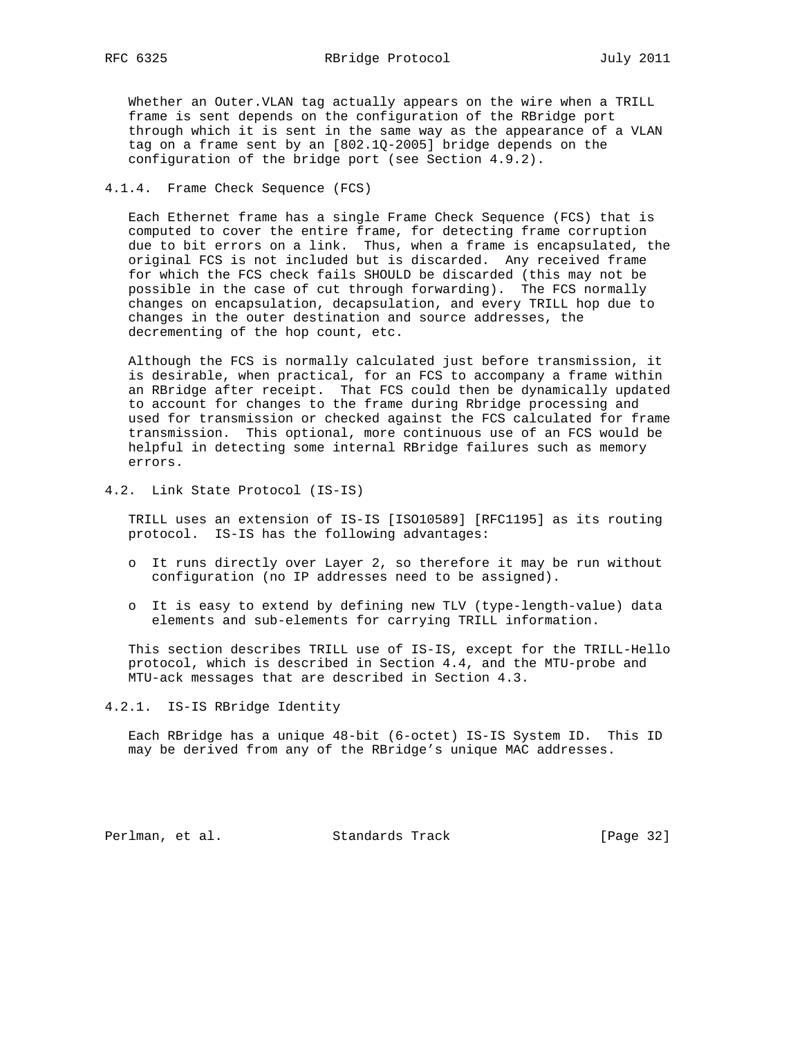Whether an Outer.VLAN tag actually appears on the wire when a TRILL frame is sent depends on the configuration of the RBridge port through which it is sent in the same way as the appearance of a VLAN tag on a frame sent by an [802.1Q-2005] bridge depends on the configuration of the bridge port (see Section 4.9.2).

## 4.1.4. Frame Check Sequence (FCS)

 Each Ethernet frame has a single Frame Check Sequence (FCS) that is computed to cover the entire frame, for detecting frame corruption due to bit errors on a link. Thus, when a frame is encapsulated, the original FCS is not included but is discarded. Any received frame for which the FCS check fails SHOULD be discarded (this may not be possible in the case of cut through forwarding). The FCS normally changes on encapsulation, decapsulation, and every TRILL hop due to changes in the outer destination and source addresses, the decrementing of the hop count, etc.

 Although the FCS is normally calculated just before transmission, it is desirable, when practical, for an FCS to accompany a frame within an RBridge after receipt. That FCS could then be dynamically updated to account for changes to the frame during Rbridge processing and used for transmission or checked against the FCS calculated for frame transmission. This optional, more continuous use of an FCS would be helpful in detecting some internal RBridge failures such as memory errors.

4.2. Link State Protocol (IS-IS)

 TRILL uses an extension of IS-IS [ISO10589] [RFC1195] as its routing protocol. IS-IS has the following advantages:

- o It runs directly over Layer 2, so therefore it may be run without configuration (no IP addresses need to be assigned).
- o It is easy to extend by defining new TLV (type-length-value) data elements and sub-elements for carrying TRILL information.

 This section describes TRILL use of IS-IS, except for the TRILL-Hello protocol, which is described in Section 4.4, and the MTU-probe and MTU-ack messages that are described in Section 4.3.

4.2.1. IS-IS RBridge Identity

 Each RBridge has a unique 48-bit (6-octet) IS-IS System ID. This ID may be derived from any of the RBridge's unique MAC addresses.

Perlman, et al. Standards Track [Page 32]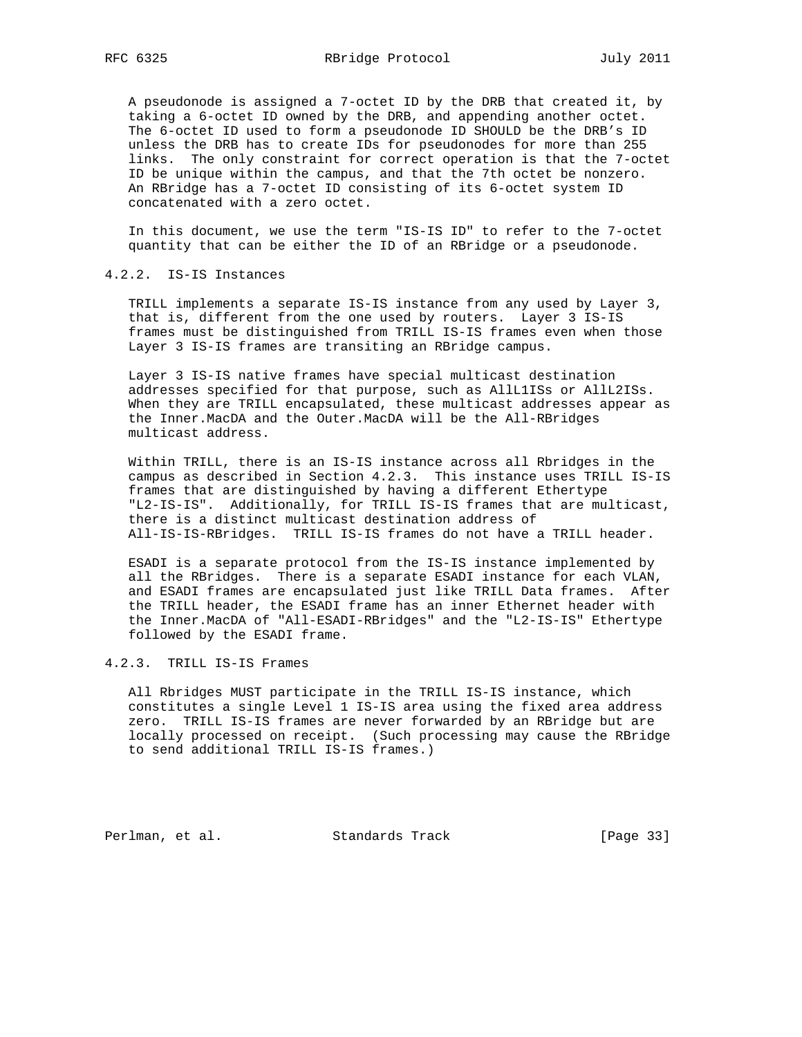A pseudonode is assigned a 7-octet ID by the DRB that created it, by taking a 6-octet ID owned by the DRB, and appending another octet. The 6-octet ID used to form a pseudonode ID SHOULD be the DRB's ID unless the DRB has to create IDs for pseudonodes for more than 255 links. The only constraint for correct operation is that the 7-octet ID be unique within the campus, and that the 7th octet be nonzero. An RBridge has a 7-octet ID consisting of its 6-octet system ID concatenated with a zero octet.

 In this document, we use the term "IS-IS ID" to refer to the 7-octet quantity that can be either the ID of an RBridge or a pseudonode.

#### 4.2.2. IS-IS Instances

 TRILL implements a separate IS-IS instance from any used by Layer 3, that is, different from the one used by routers. Layer 3 IS-IS frames must be distinguished from TRILL IS-IS frames even when those Layer 3 IS-IS frames are transiting an RBridge campus.

 Layer 3 IS-IS native frames have special multicast destination addresses specified for that purpose, such as AllL1ISs or AllL2ISs. When they are TRILL encapsulated, these multicast addresses appear as the Inner.MacDA and the Outer.MacDA will be the All-RBridges multicast address.

 Within TRILL, there is an IS-IS instance across all Rbridges in the campus as described in Section 4.2.3. This instance uses TRILL IS-IS frames that are distinguished by having a different Ethertype "L2-IS-IS". Additionally, for TRILL IS-IS frames that are multicast, there is a distinct multicast destination address of All-IS-IS-RBridges. TRILL IS-IS frames do not have a TRILL header.

 ESADI is a separate protocol from the IS-IS instance implemented by all the RBridges. There is a separate ESADI instance for each VLAN, and ESADI frames are encapsulated just like TRILL Data frames. After the TRILL header, the ESADI frame has an inner Ethernet header with the Inner.MacDA of "All-ESADI-RBridges" and the "L2-IS-IS" Ethertype followed by the ESADI frame.

#### 4.2.3. TRILL IS-IS Frames

 All Rbridges MUST participate in the TRILL IS-IS instance, which constitutes a single Level 1 IS-IS area using the fixed area address zero. TRILL IS-IS frames are never forwarded by an RBridge but are locally processed on receipt. (Such processing may cause the RBridge to send additional TRILL IS-IS frames.)

Perlman, et al. Standards Track [Page 33]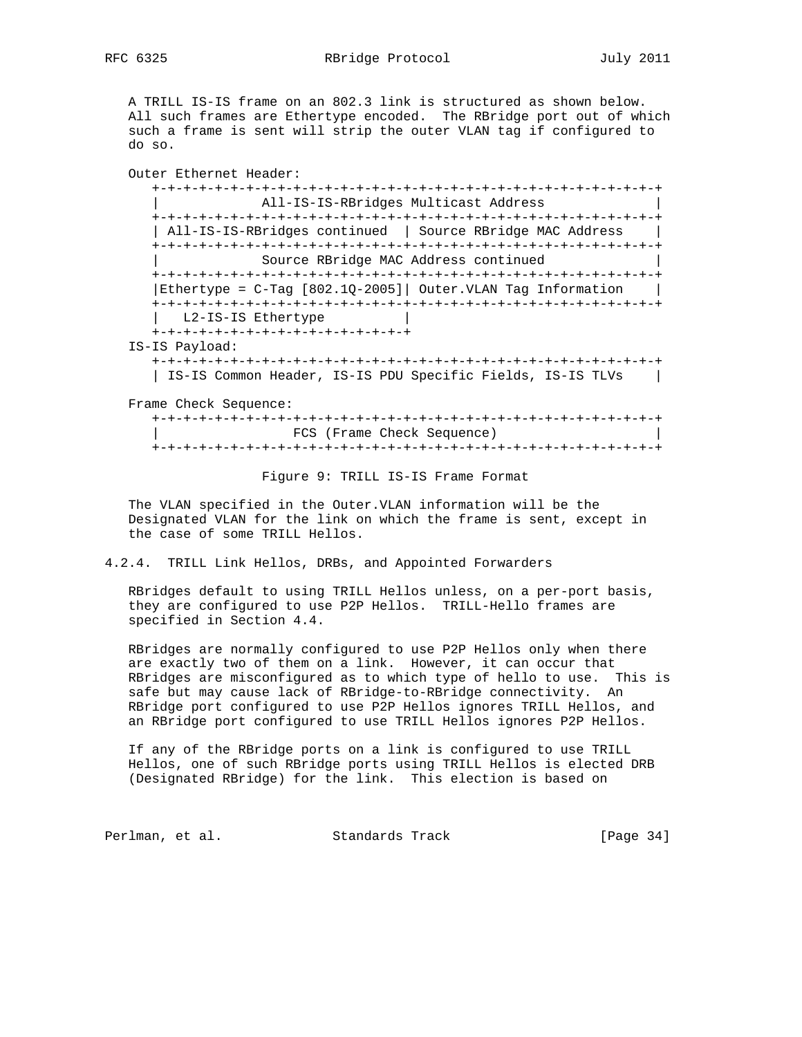RFC 6325 RBridge Protocol July 2011

 A TRILL IS-IS frame on an 802.3 link is structured as shown below. All such frames are Ethertype encoded. The RBridge port out of which such a frame is sent will strip the outer VLAN tag if configured to do so.

Outer Ethernet Header:

 +-+-+-+-+-+-+-+-+-+-+-+-+-+-+-+-+-+-+-+-+-+-+-+-+-+-+-+-+-+-+-+-+ | All-IS-IS-RBridges Multicast Address | +-+-+-+-+-+-+-+-+-+-+-+-+-+-+-+-+-+-+-+-+-+-+-+-+-+-+-+-+-+-+-+-+ | All-IS-IS-RBridges continued | Source RBridge MAC Address | +-+-+-+-+-+-+-+-+-+-+-+-+-+-+-+-+-+-+-+-+-+-+-+-+-+-+-+-+-+-+-+-+ Source RBridge MAC Address continued +-+-+-+-+-+-+-+-+-+-+-+-+-+-+-+-+-+-+-+-+-+-+-+-+-+-+-+-+-+-+-+-+ |Ethertype = C-Tag [802.1Q-2005]| Outer.VLAN Tag Information | +-+-+-+-+-+-+-+-+-+-+-+-+-+-+-+-+-+-+-+-+-+-+-+-+-+-+-+-+-+-+-+-+ | L2-IS-IS Ethertype | +-+-+-+-+-+-+-+-+-+-+-+-+-+-+-+-+ IS-IS Payload: +-+-+-+-+-+-+-+-+-+-+-+-+-+-+-+-+-+-+-+-+-+-+-+-+-+-+-+-+-+-+-+-+

| IS-IS Common Header, IS-IS PDU Specific Fields, IS-IS TLVs |

Frame Check Sequence:

 +-+-+-+-+-+-+-+-+-+-+-+-+-+-+-+-+-+-+-+-+-+-+-+-+-+-+-+-+-+-+-+-+ FCS (Frame Check Sequence) +-+-+-+-+-+-+-+-+-+-+-+-+-+-+-+-+-+-+-+-+-+-+-+-+-+-+-+-+-+-+-+-+

Figure 9: TRILL IS-IS Frame Format

 The VLAN specified in the Outer.VLAN information will be the Designated VLAN for the link on which the frame is sent, except in the case of some TRILL Hellos.

4.2.4. TRILL Link Hellos, DRBs, and Appointed Forwarders

 RBridges default to using TRILL Hellos unless, on a per-port basis, they are configured to use P2P Hellos. TRILL-Hello frames are specified in Section 4.4.

 RBridges are normally configured to use P2P Hellos only when there are exactly two of them on a link. However, it can occur that RBridges are misconfigured as to which type of hello to use. This is safe but may cause lack of RBridge-to-RBridge connectivity. An RBridge port configured to use P2P Hellos ignores TRILL Hellos, and an RBridge port configured to use TRILL Hellos ignores P2P Hellos.

 If any of the RBridge ports on a link is configured to use TRILL Hellos, one of such RBridge ports using TRILL Hellos is elected DRB (Designated RBridge) for the link. This election is based on

Perlman, et al. Standards Track [Page 34]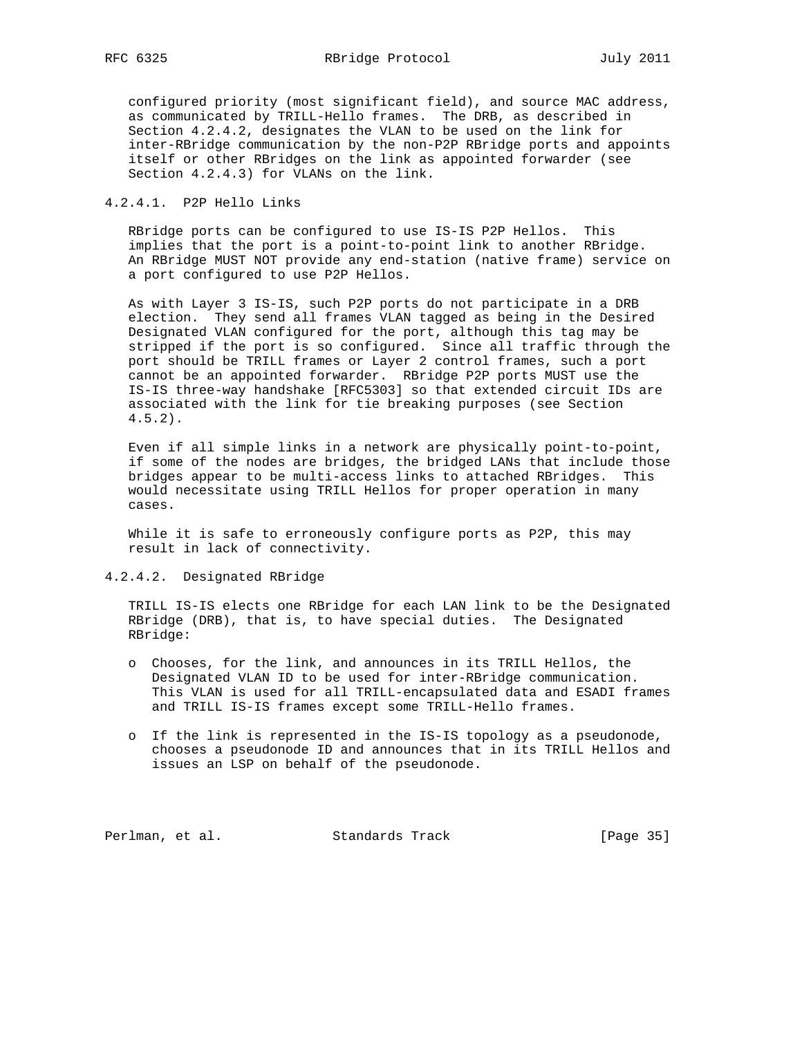configured priority (most significant field), and source MAC address, as communicated by TRILL-Hello frames. The DRB, as described in Section 4.2.4.2, designates the VLAN to be used on the link for inter-RBridge communication by the non-P2P RBridge ports and appoints itself or other RBridges on the link as appointed forwarder (see Section 4.2.4.3) for VLANs on the link.

## 4.2.4.1. P2P Hello Links

 RBridge ports can be configured to use IS-IS P2P Hellos. This implies that the port is a point-to-point link to another RBridge. An RBridge MUST NOT provide any end-station (native frame) service on a port configured to use P2P Hellos.

 As with Layer 3 IS-IS, such P2P ports do not participate in a DRB election. They send all frames VLAN tagged as being in the Desired Designated VLAN configured for the port, although this tag may be stripped if the port is so configured. Since all traffic through the port should be TRILL frames or Layer 2 control frames, such a port cannot be an appointed forwarder. RBridge P2P ports MUST use the IS-IS three-way handshake [RFC5303] so that extended circuit IDs are associated with the link for tie breaking purposes (see Section 4.5.2).

 Even if all simple links in a network are physically point-to-point, if some of the nodes are bridges, the bridged LANs that include those bridges appear to be multi-access links to attached RBridges. This would necessitate using TRILL Hellos for proper operation in many cases.

 While it is safe to erroneously configure ports as P2P, this may result in lack of connectivity.

## 4.2.4.2. Designated RBridge

 TRILL IS-IS elects one RBridge for each LAN link to be the Designated RBridge (DRB), that is, to have special duties. The Designated RBridge:

- o Chooses, for the link, and announces in its TRILL Hellos, the Designated VLAN ID to be used for inter-RBridge communication. This VLAN is used for all TRILL-encapsulated data and ESADI frames and TRILL IS-IS frames except some TRILL-Hello frames.
- o If the link is represented in the IS-IS topology as a pseudonode, chooses a pseudonode ID and announces that in its TRILL Hellos and issues an LSP on behalf of the pseudonode.

Perlman, et al. Standards Track [Page 35]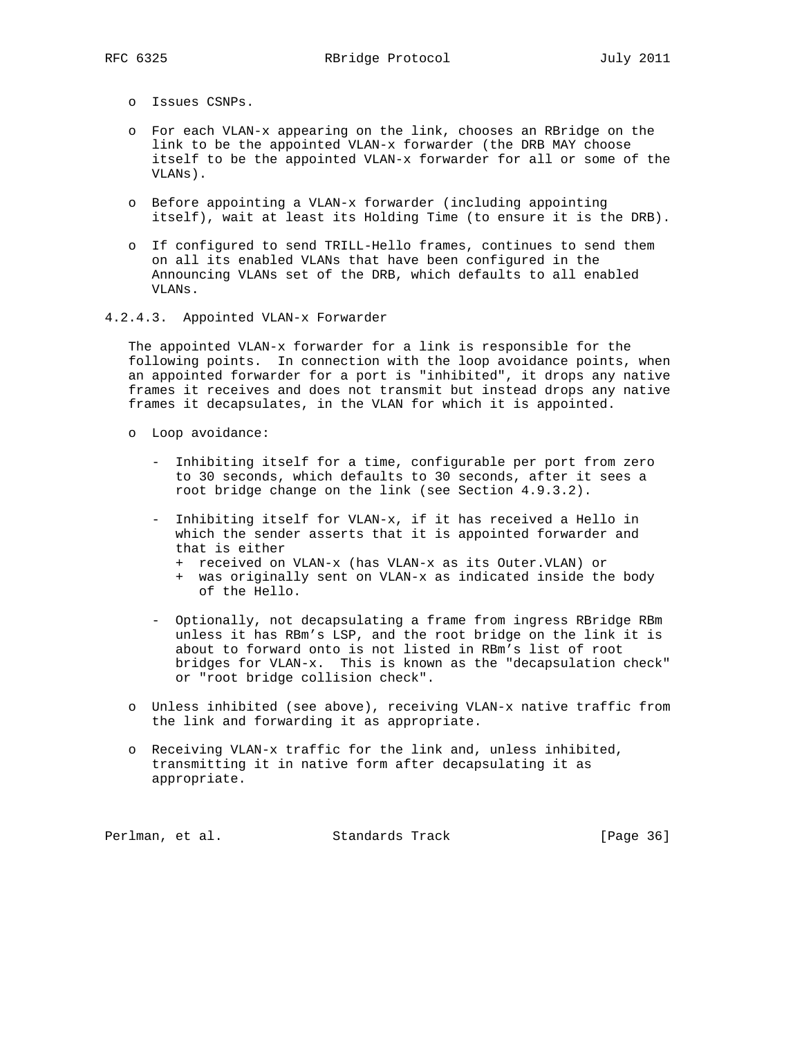- o Issues CSNPs.
- o For each VLAN-x appearing on the link, chooses an RBridge on the link to be the appointed VLAN-x forwarder (the DRB MAY choose itself to be the appointed VLAN-x forwarder for all or some of the VLANs).
- o Before appointing a VLAN-x forwarder (including appointing itself), wait at least its Holding Time (to ensure it is the DRB).
- o If configured to send TRILL-Hello frames, continues to send them on all its enabled VLANs that have been configured in the Announcing VLANs set of the DRB, which defaults to all enabled VLANs.
- 4.2.4.3. Appointed VLAN-x Forwarder

 The appointed VLAN-x forwarder for a link is responsible for the following points. In connection with the loop avoidance points, when an appointed forwarder for a port is "inhibited", it drops any native frames it receives and does not transmit but instead drops any native frames it decapsulates, in the VLAN for which it is appointed.

- o Loop avoidance:
	- Inhibiting itself for a time, configurable per port from zero to 30 seconds, which defaults to 30 seconds, after it sees a root bridge change on the link (see Section 4.9.3.2).
	- Inhibiting itself for VLAN-x, if it has received a Hello in which the sender asserts that it is appointed forwarder and that is either
		- + received on VLAN-x (has VLAN-x as its Outer.VLAN) or
		- + was originally sent on VLAN-x as indicated inside the body of the Hello.
	- Optionally, not decapsulating a frame from ingress RBridge RBm unless it has RBm's LSP, and the root bridge on the link it is about to forward onto is not listed in RBm's list of root bridges for VLAN-x. This is known as the "decapsulation check" or "root bridge collision check".
- o Unless inhibited (see above), receiving VLAN-x native traffic from the link and forwarding it as appropriate.
- o Receiving VLAN-x traffic for the link and, unless inhibited, transmitting it in native form after decapsulating it as appropriate.

Perlman, et al. Standards Track [Page 36]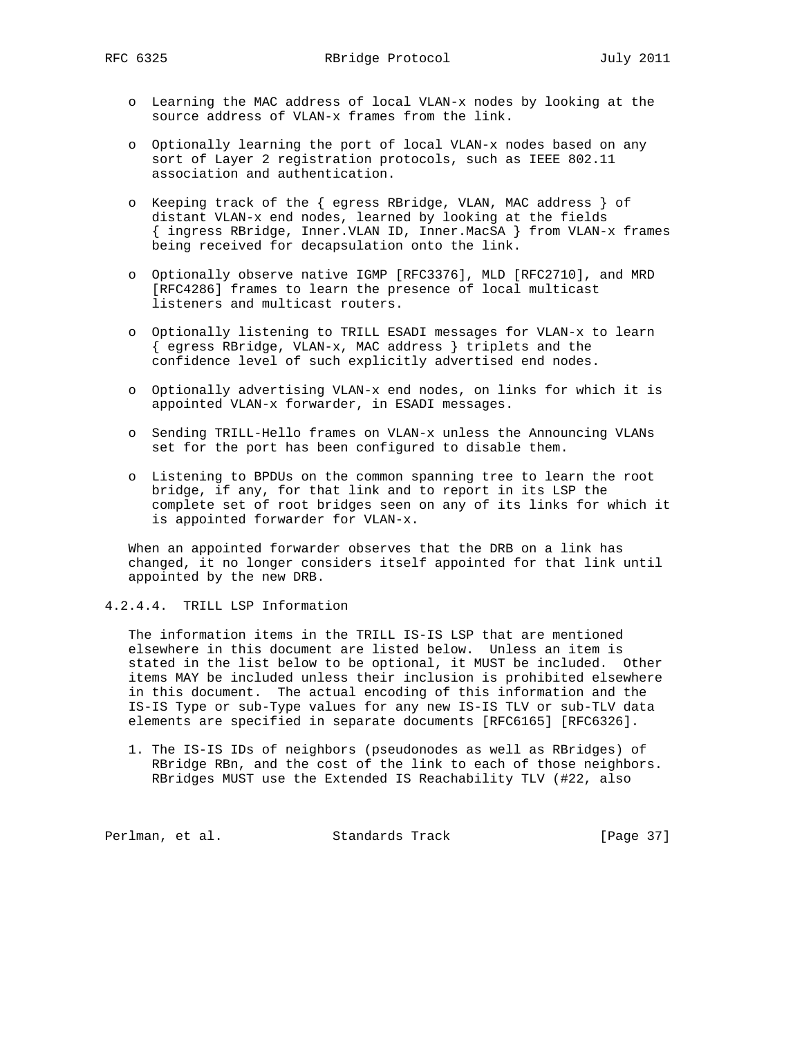- o Learning the MAC address of local VLAN-x nodes by looking at the source address of VLAN-x frames from the link.
- o Optionally learning the port of local VLAN-x nodes based on any sort of Layer 2 registration protocols, such as IEEE 802.11 association and authentication.
- o Keeping track of the { egress RBridge, VLAN, MAC address } of distant VLAN-x end nodes, learned by looking at the fields { ingress RBridge, Inner.VLAN ID, Inner.MacSA } from VLAN-x frames being received for decapsulation onto the link.
- o Optionally observe native IGMP [RFC3376], MLD [RFC2710], and MRD [RFC4286] frames to learn the presence of local multicast listeners and multicast routers.
- o Optionally listening to TRILL ESADI messages for VLAN-x to learn { egress RBridge, VLAN-x, MAC address } triplets and the confidence level of such explicitly advertised end nodes.
- o Optionally advertising VLAN-x end nodes, on links for which it is appointed VLAN-x forwarder, in ESADI messages.
- o Sending TRILL-Hello frames on VLAN-x unless the Announcing VLANs set for the port has been configured to disable them.
- o Listening to BPDUs on the common spanning tree to learn the root bridge, if any, for that link and to report in its LSP the complete set of root bridges seen on any of its links for which it is appointed forwarder for VLAN-x.

 When an appointed forwarder observes that the DRB on a link has changed, it no longer considers itself appointed for that link until appointed by the new DRB.

4.2.4.4. TRILL LSP Information

 The information items in the TRILL IS-IS LSP that are mentioned elsewhere in this document are listed below. Unless an item is stated in the list below to be optional, it MUST be included. Other items MAY be included unless their inclusion is prohibited elsewhere in this document. The actual encoding of this information and the IS-IS Type or sub-Type values for any new IS-IS TLV or sub-TLV data elements are specified in separate documents [RFC6165] [RFC6326].

 1. The IS-IS IDs of neighbors (pseudonodes as well as RBridges) of RBridge RBn, and the cost of the link to each of those neighbors. RBridges MUST use the Extended IS Reachability TLV (#22, also

Perlman, et al. Standards Track [Page 37]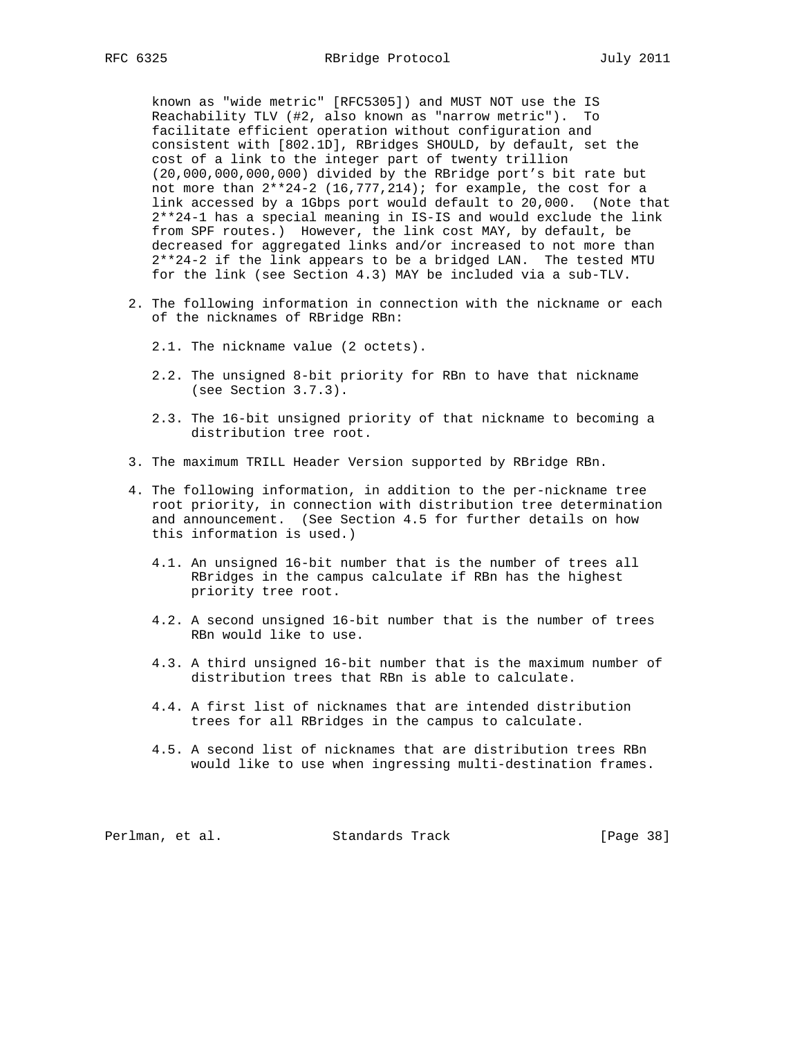known as "wide metric" [RFC5305]) and MUST NOT use the IS Reachability TLV (#2, also known as "narrow metric"). To facilitate efficient operation without configuration and consistent with [802.1D], RBridges SHOULD, by default, set the cost of a link to the integer part of twenty trillion (20,000,000,000,000) divided by the RBridge port's bit rate but not more than  $2**24-2$   $(16,777,214)$ ; for example, the cost for a link accessed by a 1Gbps port would default to 20,000. (Note that 2\*\*24-1 has a special meaning in IS-IS and would exclude the link from SPF routes.) However, the link cost MAY, by default, be decreased for aggregated links and/or increased to not more than 2\*\*24-2 if the link appears to be a bridged LAN. The tested MTU for the link (see Section 4.3) MAY be included via a sub-TLV.

- 2. The following information in connection with the nickname or each of the nicknames of RBridge RBn:
	- 2.1. The nickname value (2 octets).
	- 2.2. The unsigned 8-bit priority for RBn to have that nickname (see Section 3.7.3).
	- 2.3. The 16-bit unsigned priority of that nickname to becoming a distribution tree root.
- 3. The maximum TRILL Header Version supported by RBridge RBn.
- 4. The following information, in addition to the per-nickname tree root priority, in connection with distribution tree determination and announcement. (See Section 4.5 for further details on how this information is used.)
	- 4.1. An unsigned 16-bit number that is the number of trees all RBridges in the campus calculate if RBn has the highest priority tree root.
	- 4.2. A second unsigned 16-bit number that is the number of trees RBn would like to use.
	- 4.3. A third unsigned 16-bit number that is the maximum number of distribution trees that RBn is able to calculate.
	- 4.4. A first list of nicknames that are intended distribution trees for all RBridges in the campus to calculate.
	- 4.5. A second list of nicknames that are distribution trees RBn would like to use when ingressing multi-destination frames.

Perlman, et al. Standards Track [Page 38]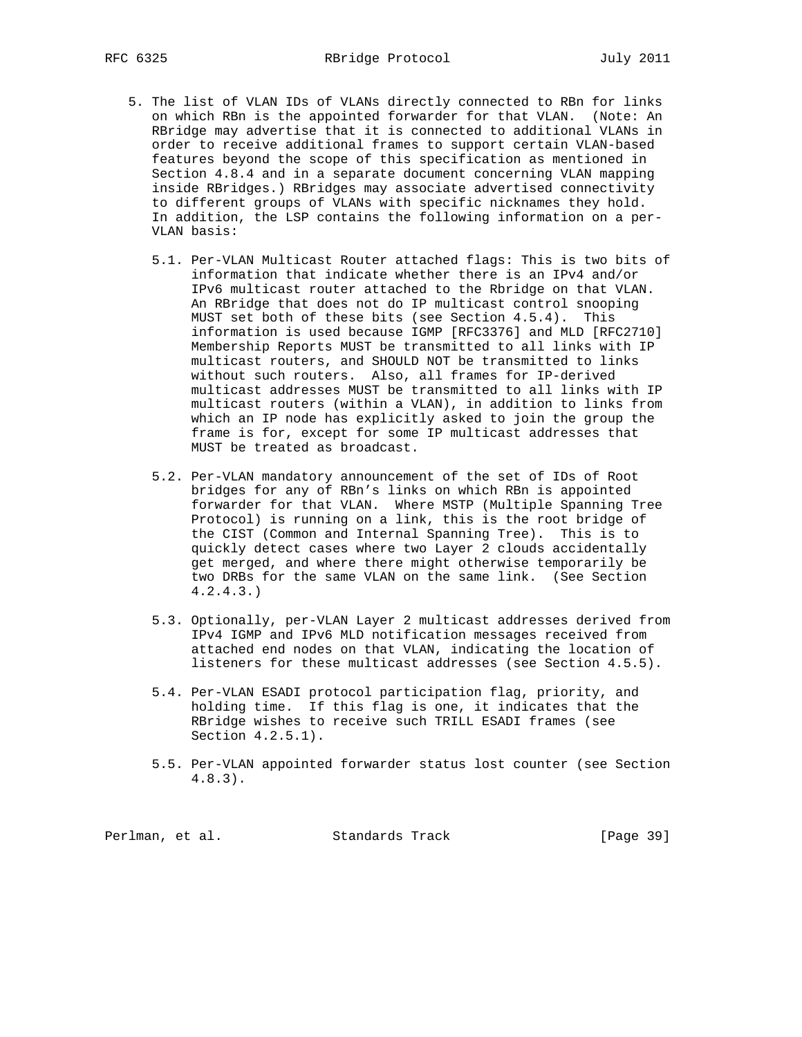- 5. The list of VLAN IDs of VLANs directly connected to RBn for links on which RBn is the appointed forwarder for that VLAN. (Note: An RBridge may advertise that it is connected to additional VLANs in order to receive additional frames to support certain VLAN-based features beyond the scope of this specification as mentioned in Section 4.8.4 and in a separate document concerning VLAN mapping inside RBridges.) RBridges may associate advertised connectivity to different groups of VLANs with specific nicknames they hold. In addition, the LSP contains the following information on a per- VLAN basis:
	- 5.1. Per-VLAN Multicast Router attached flags: This is two bits of information that indicate whether there is an IPv4 and/or IPv6 multicast router attached to the Rbridge on that VLAN. An RBridge that does not do IP multicast control snooping MUST set both of these bits (see Section 4.5.4). This information is used because IGMP [RFC3376] and MLD [RFC2710] Membership Reports MUST be transmitted to all links with IP multicast routers, and SHOULD NOT be transmitted to links without such routers. Also, all frames for IP-derived multicast addresses MUST be transmitted to all links with IP multicast routers (within a VLAN), in addition to links from which an IP node has explicitly asked to join the group the frame is for, except for some IP multicast addresses that MUST be treated as broadcast.
	- 5.2. Per-VLAN mandatory announcement of the set of IDs of Root bridges for any of RBn's links on which RBn is appointed forwarder for that VLAN. Where MSTP (Multiple Spanning Tree Protocol) is running on a link, this is the root bridge of the CIST (Common and Internal Spanning Tree). This is to quickly detect cases where two Layer 2 clouds accidentally get merged, and where there might otherwise temporarily be two DRBs for the same VLAN on the same link. (See Section 4.2.4.3.)
	- 5.3. Optionally, per-VLAN Layer 2 multicast addresses derived from IPv4 IGMP and IPv6 MLD notification messages received from attached end nodes on that VLAN, indicating the location of listeners for these multicast addresses (see Section 4.5.5).
	- 5.4. Per-VLAN ESADI protocol participation flag, priority, and holding time. If this flag is one, it indicates that the RBridge wishes to receive such TRILL ESADI frames (see Section 4.2.5.1).
	- 5.5. Per-VLAN appointed forwarder status lost counter (see Section 4.8.3).

Perlman, et al. Standards Track [Page 39]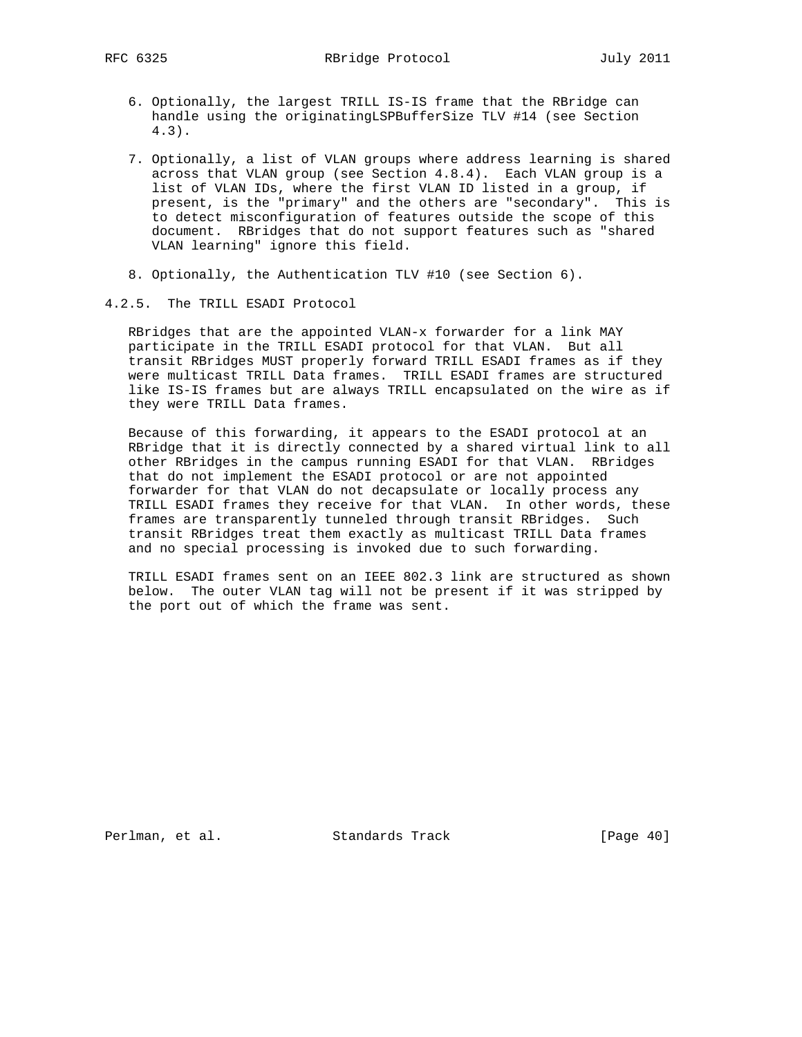- 6. Optionally, the largest TRILL IS-IS frame that the RBridge can handle using the originatingLSPBufferSize TLV #14 (see Section 4.3).
- 7. Optionally, a list of VLAN groups where address learning is shared across that VLAN group (see Section 4.8.4). Each VLAN group is a list of VLAN IDs, where the first VLAN ID listed in a group, if present, is the "primary" and the others are "secondary". This is to detect misconfiguration of features outside the scope of this document. RBridges that do not support features such as "shared VLAN learning" ignore this field.
- 8. Optionally, the Authentication TLV #10 (see Section 6).
- 4.2.5. The TRILL ESADI Protocol

 RBridges that are the appointed VLAN-x forwarder for a link MAY participate in the TRILL ESADI protocol for that VLAN. But all transit RBridges MUST properly forward TRILL ESADI frames as if they were multicast TRILL Data frames. TRILL ESADI frames are structured like IS-IS frames but are always TRILL encapsulated on the wire as if they were TRILL Data frames.

 Because of this forwarding, it appears to the ESADI protocol at an RBridge that it is directly connected by a shared virtual link to all other RBridges in the campus running ESADI for that VLAN. RBridges that do not implement the ESADI protocol or are not appointed forwarder for that VLAN do not decapsulate or locally process any TRILL ESADI frames they receive for that VLAN. In other words, these frames are transparently tunneled through transit RBridges. Such transit RBridges treat them exactly as multicast TRILL Data frames and no special processing is invoked due to such forwarding.

 TRILL ESADI frames sent on an IEEE 802.3 link are structured as shown below. The outer VLAN tag will not be present if it was stripped by the port out of which the frame was sent.

Perlman, et al. Standards Track [Page 40]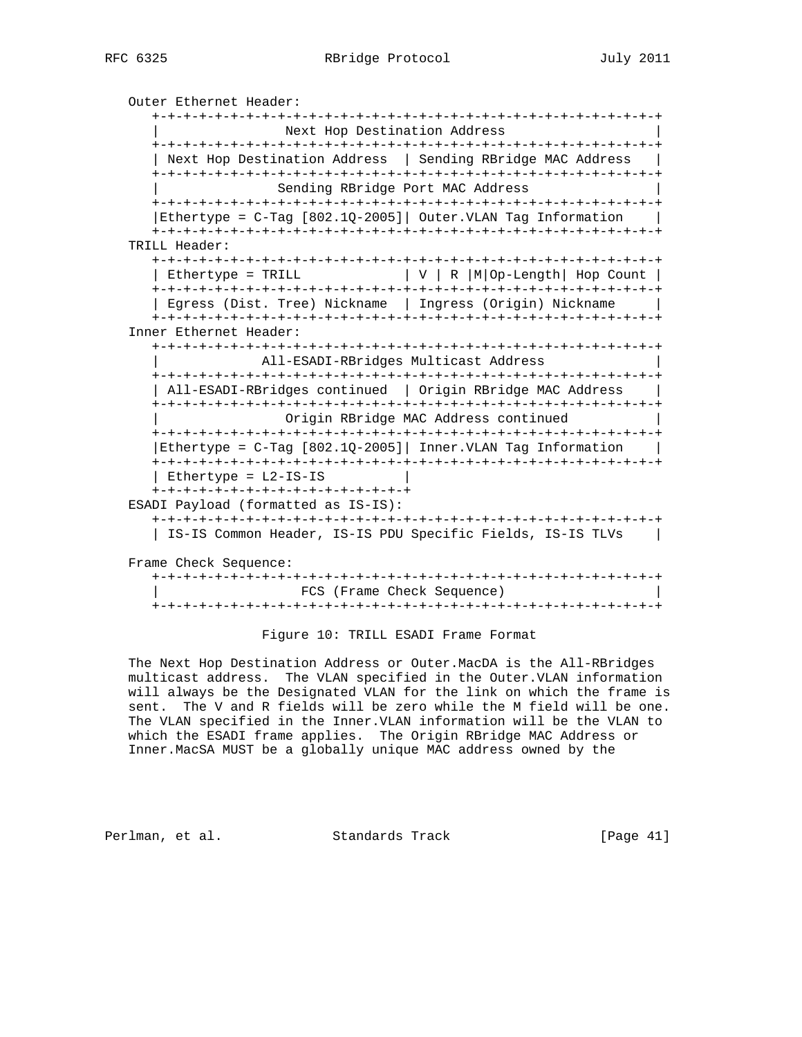```
 Outer Ethernet Header:
   +-+-+-+-+-+-+-+-+-+-+-+-+-+-+-+-+-+-+-+-+-+-+-+-+-+-+-+-+-+-+-+-+
                  Next Hop Destination Address
   +-+-+-+-+-+-+-+-+-+-+-+-+-+-+-+-+-+-+-+-+-+-+-+-+-+-+-+-+-+-+-+-+
  | Next Hop Destination Address | Sending RBridge MAC Address
   +-+-+-+-+-+-+-+-+-+-+-+-+-+-+-+-+-+-+-+-+-+-+-+-+-+-+-+-+-+-+-+-+
                  Sending RBridge Port MAC Address
   +-+-+-+-+-+-+-+-+-+-+-+-+-+-+-+-+-+-+-+-+-+-+-+-+-+-+-+-+-+-+-+-+
  |Ethertype = C-Tag [802.1Q-2005] Outer. VLAN Tag Information |
   +-+-+-+-+-+-+-+-+-+-+-+-+-+-+-+-+-+-+-+-+-+-+-+-+-+-+-+-+-+-+-+-+
TRILL Header:
   +-+-+-+-+-+-+-+-+-+-+-+-+-+-+-+-+-+-+-+-+-+-+-+-+-+-+-+-+-+-+-+-+
  | Ethertype = TRILL |V| \rvert R |M|Op-Length| Hop Count |
   +-+-+-+-+-+-+-+-+-+-+-+-+-+-+-+-+-+-+-+-+-+-+-+-+-+-+-+-+-+-+-+-+
   | Egress (Dist. Tree) Nickname | Ingress (Origin) Nickname |
   +-+-+-+-+-+-+-+-+-+-+-+-+-+-+-+-+-+-+-+-+-+-+-+-+-+-+-+-+-+-+-+-+
Inner Ethernet Header:
   +-+-+-+-+-+-+-+-+-+-+-+-+-+-+-+-+-+-+-+-+-+-+-+-+-+-+-+-+-+-+-+-+
                | All-ESADI-RBridges Multicast Address |
   +-+-+-+-+-+-+-+-+-+-+-+-+-+-+-+-+-+-+-+-+-+-+-+-+-+-+-+-+-+-+-+-+
  | All-ESADI-RBridges continued | Origin RBridge MAC Address |
   +-+-+-+-+-+-+-+-+-+-+-+-+-+-+-+-+-+-+-+-+-+-+-+-+-+-+-+-+-+-+-+-+
                  | Origin RBridge MAC Address continued |
   +-+-+-+-+-+-+-+-+-+-+-+-+-+-+-+-+-+-+-+-+-+-+-+-+-+-+-+-+-+-+-+-+
   |Ethertype = C-Tag [802.1Q-2005]| Inner.VLAN Tag Information |
   +-+-+-+-+-+-+-+-+-+-+-+-+-+-+-+-+-+-+-+-+-+-+-+-+-+-+-+-+-+-+-+-+
  | Ethertype = L2-IS-IS +-+-+-+-+-+-+-+-+-+-+-+-+-+-+-+-+
ESADI Payload (formatted as IS-IS):
   +-+-+-+-+-+-+-+-+-+-+-+-+-+-+-+-+-+-+-+-+-+-+-+-+-+-+-+-+-+-+-+-+
   | IS-IS Common Header, IS-IS PDU Specific Fields, IS-IS TLVs |
Frame Check Sequence:
   +-+-+-+-+-+-+-+-+-+-+-+-+-+-+-+-+-+-+-+-+-+-+-+-+-+-+-+-+-+-+-+-+
                    | FCS (Frame Check Sequence) |
```
+-+-+-+-+-+-+-+-+-+-+-+-+-+-+-+-+-+-+-+-+-+-+-+-+-+-+-+-+-+-+-+-+

#### Figure 10: TRILL ESADI Frame Format

 The Next Hop Destination Address or Outer.MacDA is the All-RBridges multicast address. The VLAN specified in the Outer.VLAN information will always be the Designated VLAN for the link on which the frame is sent. The V and R fields will be zero while the M field will be one. The VLAN specified in the Inner.VLAN information will be the VLAN to which the ESADI frame applies. The Origin RBridge MAC Address or Inner.MacSA MUST be a globally unique MAC address owned by the

Perlman, et al. Standards Track [Page 41]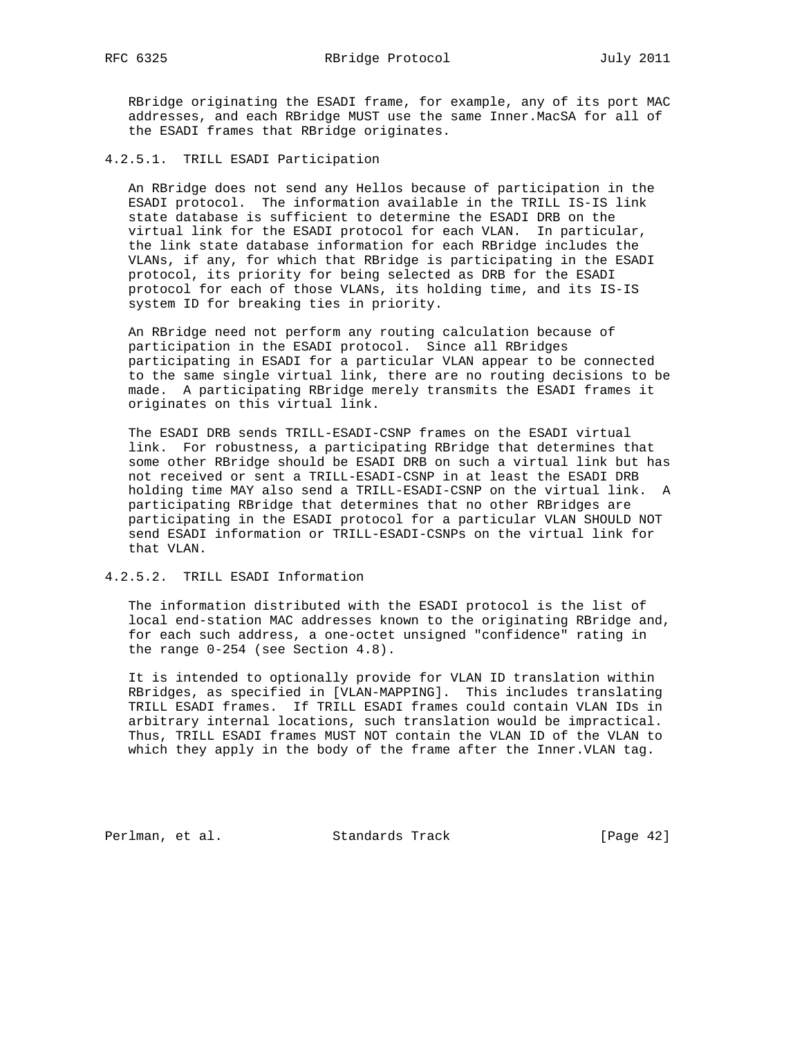RBridge originating the ESADI frame, for example, any of its port MAC addresses, and each RBridge MUST use the same Inner.MacSA for all of the ESADI frames that RBridge originates.

## 4.2.5.1. TRILL ESADI Participation

 An RBridge does not send any Hellos because of participation in the ESADI protocol. The information available in the TRILL IS-IS link state database is sufficient to determine the ESADI DRB on the virtual link for the ESADI protocol for each VLAN. In particular, the link state database information for each RBridge includes the VLANs, if any, for which that RBridge is participating in the ESADI protocol, its priority for being selected as DRB for the ESADI protocol for each of those VLANs, its holding time, and its IS-IS system ID for breaking ties in priority.

 An RBridge need not perform any routing calculation because of participation in the ESADI protocol. Since all RBridges participating in ESADI for a particular VLAN appear to be connected to the same single virtual link, there are no routing decisions to be made. A participating RBridge merely transmits the ESADI frames it originates on this virtual link.

 The ESADI DRB sends TRILL-ESADI-CSNP frames on the ESADI virtual link. For robustness, a participating RBridge that determines that some other RBridge should be ESADI DRB on such a virtual link but has not received or sent a TRILL-ESADI-CSNP in at least the ESADI DRB holding time MAY also send a TRILL-ESADI-CSNP on the virtual link. A participating RBridge that determines that no other RBridges are participating in the ESADI protocol for a particular VLAN SHOULD NOT send ESADI information or TRILL-ESADI-CSNPs on the virtual link for that VLAN.

4.2.5.2. TRILL ESADI Information

 The information distributed with the ESADI protocol is the list of local end-station MAC addresses known to the originating RBridge and, for each such address, a one-octet unsigned "confidence" rating in the range 0-254 (see Section 4.8).

 It is intended to optionally provide for VLAN ID translation within RBridges, as specified in [VLAN-MAPPING]. This includes translating TRILL ESADI frames. If TRILL ESADI frames could contain VLAN IDs in arbitrary internal locations, such translation would be impractical. Thus, TRILL ESADI frames MUST NOT contain the VLAN ID of the VLAN to which they apply in the body of the frame after the Inner.VLAN tag.

Perlman, et al. Standards Track [Page 42]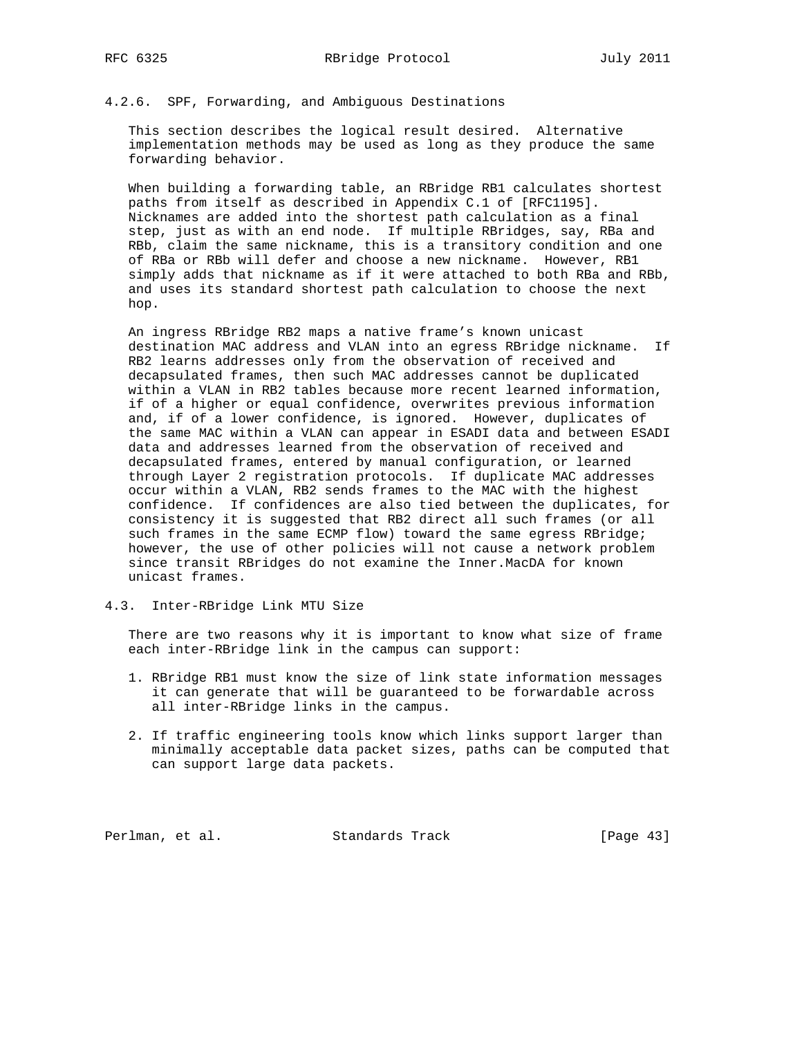# 4.2.6. SPF, Forwarding, and Ambiguous Destinations

 This section describes the logical result desired. Alternative implementation methods may be used as long as they produce the same forwarding behavior.

 When building a forwarding table, an RBridge RB1 calculates shortest paths from itself as described in Appendix C.1 of [RFC1195]. Nicknames are added into the shortest path calculation as a final step, just as with an end node. If multiple RBridges, say, RBa and RBb, claim the same nickname, this is a transitory condition and one of RBa or RBb will defer and choose a new nickname. However, RB1 simply adds that nickname as if it were attached to both RBa and RBb, and uses its standard shortest path calculation to choose the next hop.

 An ingress RBridge RB2 maps a native frame's known unicast destination MAC address and VLAN into an egress RBridge nickname. If RB2 learns addresses only from the observation of received and decapsulated frames, then such MAC addresses cannot be duplicated within a VLAN in RB2 tables because more recent learned information, if of a higher or equal confidence, overwrites previous information and, if of a lower confidence, is ignored. However, duplicates of the same MAC within a VLAN can appear in ESADI data and between ESADI data and addresses learned from the observation of received and decapsulated frames, entered by manual configuration, or learned through Layer 2 registration protocols. If duplicate MAC addresses occur within a VLAN, RB2 sends frames to the MAC with the highest confidence. If confidences are also tied between the duplicates, for consistency it is suggested that RB2 direct all such frames (or all such frames in the same ECMP flow) toward the same egress RBridge; however, the use of other policies will not cause a network problem since transit RBridges do not examine the Inner.MacDA for known unicast frames.

4.3. Inter-RBridge Link MTU Size

 There are two reasons why it is important to know what size of frame each inter-RBridge link in the campus can support:

- 1. RBridge RB1 must know the size of link state information messages it can generate that will be guaranteed to be forwardable across all inter-RBridge links in the campus.
- 2. If traffic engineering tools know which links support larger than minimally acceptable data packet sizes, paths can be computed that can support large data packets.

Perlman, et al. Standards Track [Page 43]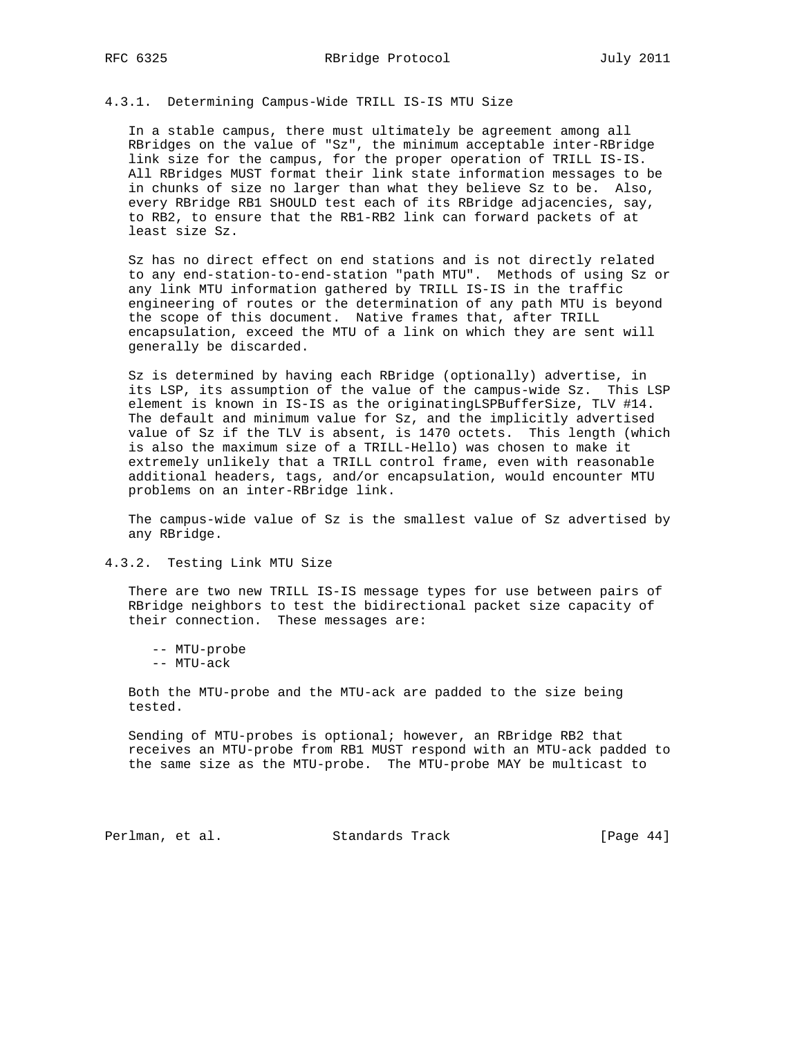## 4.3.1. Determining Campus-Wide TRILL IS-IS MTU Size

 In a stable campus, there must ultimately be agreement among all RBridges on the value of "Sz", the minimum acceptable inter-RBridge link size for the campus, for the proper operation of TRILL IS-IS. All RBridges MUST format their link state information messages to be in chunks of size no larger than what they believe Sz to be. Also, every RBridge RB1 SHOULD test each of its RBridge adjacencies, say, to RB2, to ensure that the RB1-RB2 link can forward packets of at least size Sz.

 Sz has no direct effect on end stations and is not directly related to any end-station-to-end-station "path MTU". Methods of using Sz or any link MTU information gathered by TRILL IS-IS in the traffic engineering of routes or the determination of any path MTU is beyond the scope of this document. Native frames that, after TRILL encapsulation, exceed the MTU of a link on which they are sent will generally be discarded.

 Sz is determined by having each RBridge (optionally) advertise, in its LSP, its assumption of the value of the campus-wide Sz. This LSP element is known in IS-IS as the originatingLSPBufferSize, TLV #14. The default and minimum value for Sz, and the implicitly advertised value of Sz if the TLV is absent, is 1470 octets. This length (which is also the maximum size of a TRILL-Hello) was chosen to make it extremely unlikely that a TRILL control frame, even with reasonable additional headers, tags, and/or encapsulation, would encounter MTU problems on an inter-RBridge link.

 The campus-wide value of Sz is the smallest value of Sz advertised by any RBridge.

## 4.3.2. Testing Link MTU Size

 There are two new TRILL IS-IS message types for use between pairs of RBridge neighbors to test the bidirectional packet size capacity of their connection. These messages are:

-- MTU-probe

-- MTU-ack

 Both the MTU-probe and the MTU-ack are padded to the size being tested.

 Sending of MTU-probes is optional; however, an RBridge RB2 that receives an MTU-probe from RB1 MUST respond with an MTU-ack padded to the same size as the MTU-probe. The MTU-probe MAY be multicast to

Perlman, et al. Standards Track [Page 44]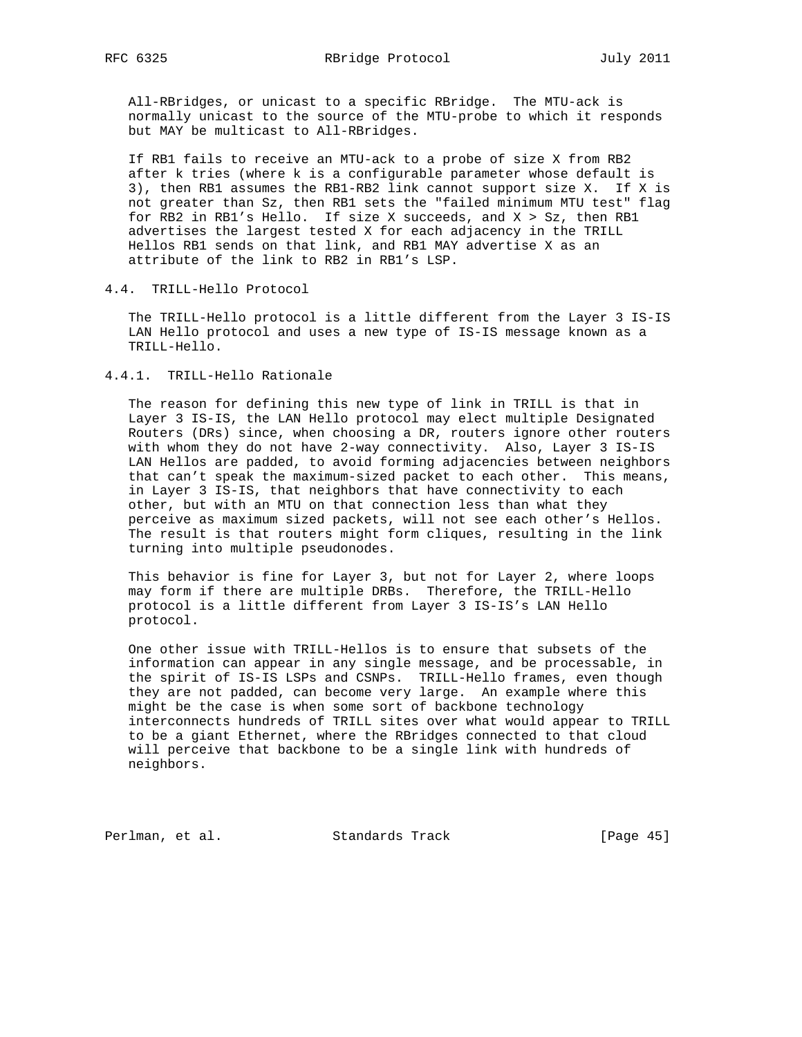All-RBridges, or unicast to a specific RBridge. The MTU-ack is normally unicast to the source of the MTU-probe to which it responds but MAY be multicast to All-RBridges.

 If RB1 fails to receive an MTU-ack to a probe of size X from RB2 after k tries (where k is a configurable parameter whose default is 3), then RB1 assumes the RB1-RB2 link cannot support size X. If X is not greater than Sz, then RB1 sets the "failed minimum MTU test" flag for RB2 in RB1's Hello. If size X succeeds, and X > Sz, then RB1 advertises the largest tested X for each adjacency in the TRILL Hellos RB1 sends on that link, and RB1 MAY advertise X as an attribute of the link to RB2 in RB1's LSP.

# 4.4. TRILL-Hello Protocol

 The TRILL-Hello protocol is a little different from the Layer 3 IS-IS LAN Hello protocol and uses a new type of IS-IS message known as a TRILL-Hello.

## 4.4.1. TRILL-Hello Rationale

 The reason for defining this new type of link in TRILL is that in Layer 3 IS-IS, the LAN Hello protocol may elect multiple Designated Routers (DRs) since, when choosing a DR, routers ignore other routers with whom they do not have 2-way connectivity. Also, Layer 3 IS-IS LAN Hellos are padded, to avoid forming adjacencies between neighbors that can't speak the maximum-sized packet to each other. This means, in Layer 3 IS-IS, that neighbors that have connectivity to each other, but with an MTU on that connection less than what they perceive as maximum sized packets, will not see each other's Hellos. The result is that routers might form cliques, resulting in the link turning into multiple pseudonodes.

 This behavior is fine for Layer 3, but not for Layer 2, where loops may form if there are multiple DRBs. Therefore, the TRILL-Hello protocol is a little different from Layer 3 IS-IS's LAN Hello protocol.

 One other issue with TRILL-Hellos is to ensure that subsets of the information can appear in any single message, and be processable, in the spirit of IS-IS LSPs and CSNPs. TRILL-Hello frames, even though they are not padded, can become very large. An example where this might be the case is when some sort of backbone technology interconnects hundreds of TRILL sites over what would appear to TRILL to be a giant Ethernet, where the RBridges connected to that cloud will perceive that backbone to be a single link with hundreds of neighbors.

Perlman, et al. Standards Track [Page 45]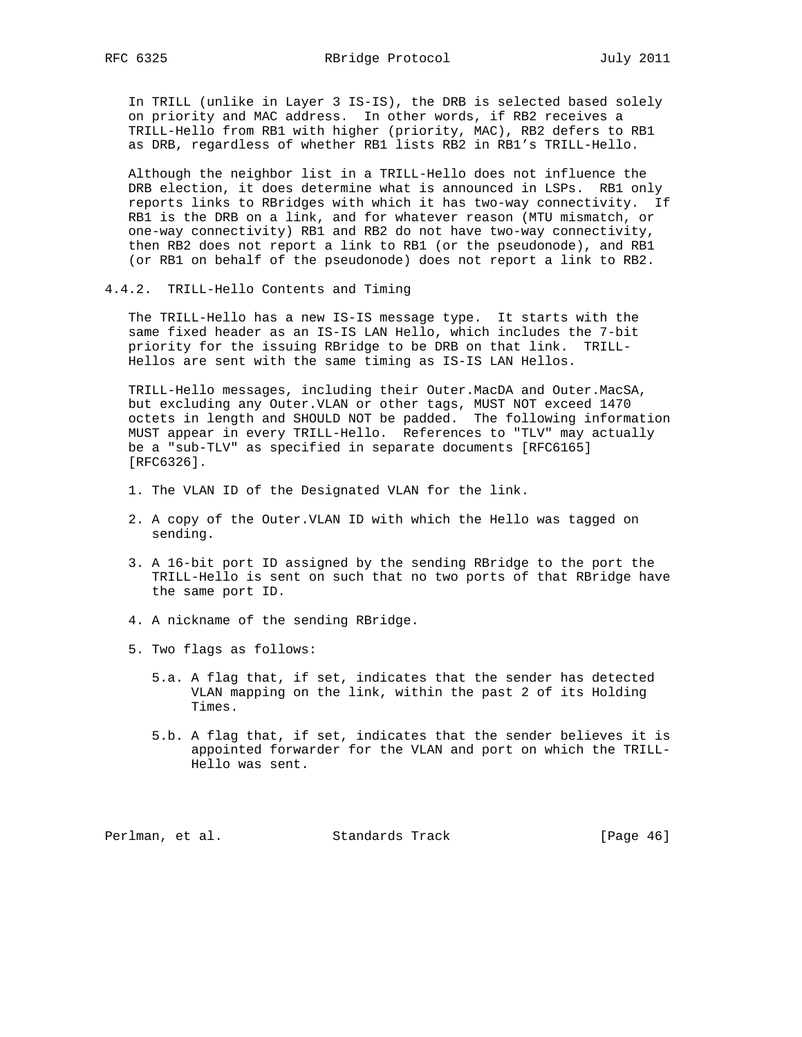In TRILL (unlike in Layer 3 IS-IS), the DRB is selected based solely on priority and MAC address. In other words, if RB2 receives a TRILL-Hello from RB1 with higher (priority, MAC), RB2 defers to RB1 as DRB, regardless of whether RB1 lists RB2 in RB1's TRILL-Hello.

 Although the neighbor list in a TRILL-Hello does not influence the DRB election, it does determine what is announced in LSPs. RB1 only reports links to RBridges with which it has two-way connectivity. If RB1 is the DRB on a link, and for whatever reason (MTU mismatch, or one-way connectivity) RB1 and RB2 do not have two-way connectivity, then RB2 does not report a link to RB1 (or the pseudonode), and RB1 (or RB1 on behalf of the pseudonode) does not report a link to RB2.

4.4.2. TRILL-Hello Contents and Timing

 The TRILL-Hello has a new IS-IS message type. It starts with the same fixed header as an IS-IS LAN Hello, which includes the 7-bit priority for the issuing RBridge to be DRB on that link. TRILL- Hellos are sent with the same timing as IS-IS LAN Hellos.

 TRILL-Hello messages, including their Outer.MacDA and Outer.MacSA, but excluding any Outer.VLAN or other tags, MUST NOT exceed 1470 octets in length and SHOULD NOT be padded. The following information MUST appear in every TRILL-Hello. References to "TLV" may actually be a "sub-TLV" as specified in separate documents [RFC6165] [RFC6326].

- 1. The VLAN ID of the Designated VLAN for the link.
- 2. A copy of the Outer.VLAN ID with which the Hello was tagged on sending.
- 3. A 16-bit port ID assigned by the sending RBridge to the port the TRILL-Hello is sent on such that no two ports of that RBridge have the same port ID.
- 4. A nickname of the sending RBridge.
- 5. Two flags as follows:
	- 5.a. A flag that, if set, indicates that the sender has detected VLAN mapping on the link, within the past 2 of its Holding Times.
	- 5.b. A flag that, if set, indicates that the sender believes it is appointed forwarder for the VLAN and port on which the TRILL- Hello was sent.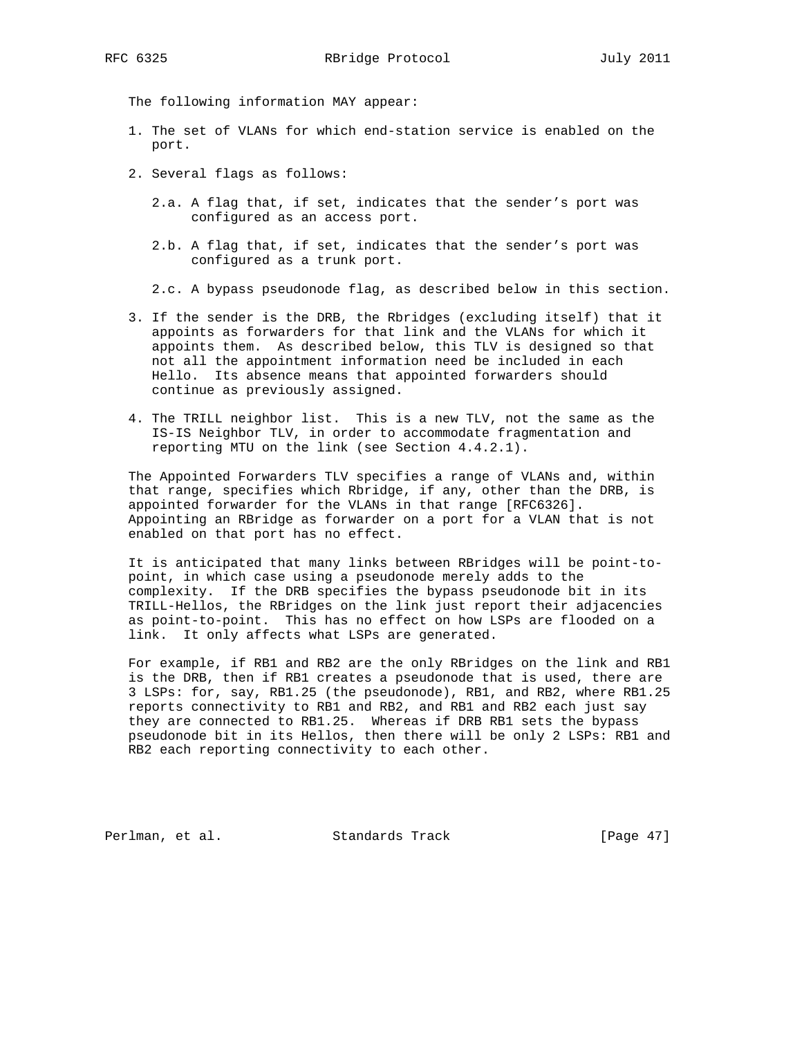The following information MAY appear:

- 1. The set of VLANs for which end-station service is enabled on the port.
- 2. Several flags as follows:
	- 2.a. A flag that, if set, indicates that the sender's port was configured as an access port.
	- 2.b. A flag that, if set, indicates that the sender's port was configured as a trunk port.
	- 2.c. A bypass pseudonode flag, as described below in this section.
- 3. If the sender is the DRB, the Rbridges (excluding itself) that it appoints as forwarders for that link and the VLANs for which it appoints them. As described below, this TLV is designed so that not all the appointment information need be included in each Hello. Its absence means that appointed forwarders should continue as previously assigned.
- 4. The TRILL neighbor list. This is a new TLV, not the same as the IS-IS Neighbor TLV, in order to accommodate fragmentation and reporting MTU on the link (see Section 4.4.2.1).

 The Appointed Forwarders TLV specifies a range of VLANs and, within that range, specifies which Rbridge, if any, other than the DRB, is appointed forwarder for the VLANs in that range [RFC6326]. Appointing an RBridge as forwarder on a port for a VLAN that is not enabled on that port has no effect.

 It is anticipated that many links between RBridges will be point-to point, in which case using a pseudonode merely adds to the complexity. If the DRB specifies the bypass pseudonode bit in its TRILL-Hellos, the RBridges on the link just report their adjacencies as point-to-point. This has no effect on how LSPs are flooded on a link. It only affects what LSPs are generated.

 For example, if RB1 and RB2 are the only RBridges on the link and RB1 is the DRB, then if RB1 creates a pseudonode that is used, there are 3 LSPs: for, say, RB1.25 (the pseudonode), RB1, and RB2, where RB1.25 reports connectivity to RB1 and RB2, and RB1 and RB2 each just say they are connected to RB1.25. Whereas if DRB RB1 sets the bypass pseudonode bit in its Hellos, then there will be only 2 LSPs: RB1 and RB2 each reporting connectivity to each other.

Perlman, et al. Standards Track [Page 47]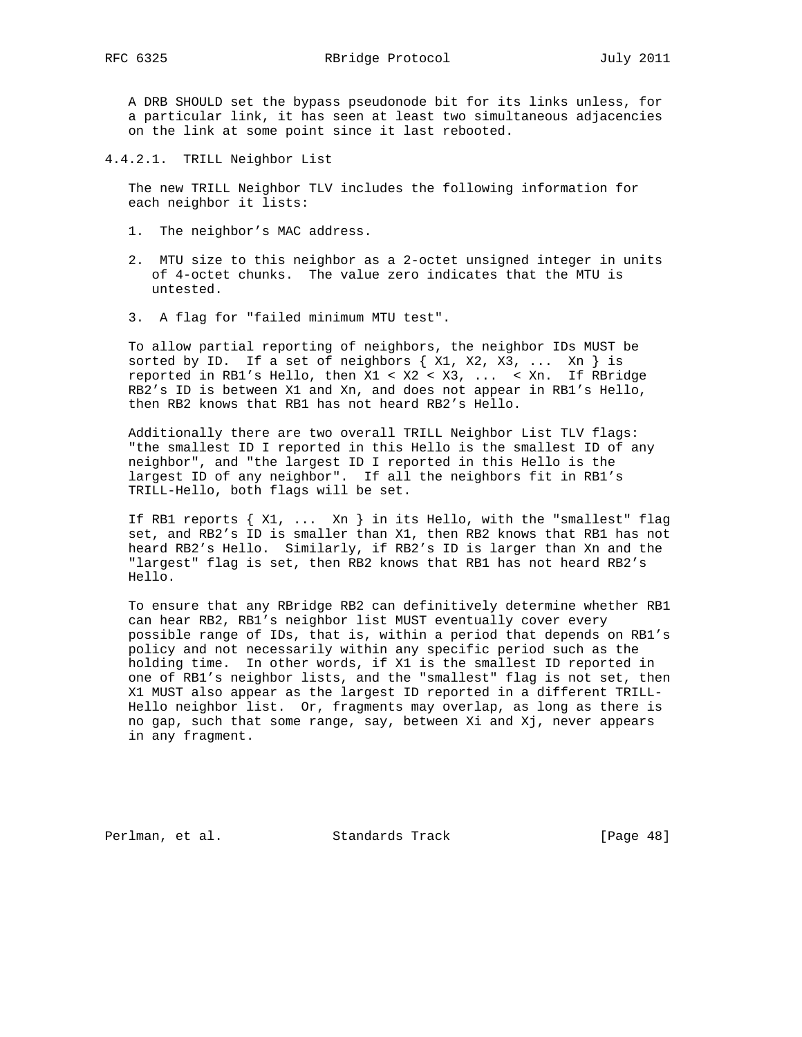A DRB SHOULD set the bypass pseudonode bit for its links unless, for a particular link, it has seen at least two simultaneous adjacencies on the link at some point since it last rebooted.

4.4.2.1. TRILL Neighbor List

 The new TRILL Neighbor TLV includes the following information for each neighbor it lists:

- 1. The neighbor's MAC address.
- 2. MTU size to this neighbor as a 2-octet unsigned integer in units of 4-octet chunks. The value zero indicates that the MTU is untested.
- 3. A flag for "failed minimum MTU test".

 To allow partial reporting of neighbors, the neighbor IDs MUST be sorted by ID. If a set of neighbors  $\{ X1, X2, X3, \ldots Xn \}$  is reported in RB1's Hello, then X1 < X2 < X3, ... < Xn. If RBridge RB2's ID is between X1 and Xn, and does not appear in RB1's Hello, then RB2 knows that RB1 has not heard RB2's Hello.

 Additionally there are two overall TRILL Neighbor List TLV flags: "the smallest ID I reported in this Hello is the smallest ID of any neighbor", and "the largest ID I reported in this Hello is the largest ID of any neighbor". If all the neighbors fit in RB1's TRILL-Hello, both flags will be set.

If RB1 reports  $\{ X1, \ldots Xn \}$  in its Hello, with the "smallest" flag set, and RB2's ID is smaller than X1, then RB2 knows that RB1 has not heard RB2's Hello. Similarly, if RB2's ID is larger than Xn and the "largest" flag is set, then RB2 knows that RB1 has not heard RB2's Hello.

 To ensure that any RBridge RB2 can definitively determine whether RB1 can hear RB2, RB1's neighbor list MUST eventually cover every possible range of IDs, that is, within a period that depends on RB1's policy and not necessarily within any specific period such as the holding time. In other words, if X1 is the smallest ID reported in one of RB1's neighbor lists, and the "smallest" flag is not set, then X1 MUST also appear as the largest ID reported in a different TRILL- Hello neighbor list. Or, fragments may overlap, as long as there is no gap, such that some range, say, between Xi and Xj, never appears in any fragment.

Perlman, et al. Standards Track [Page 48]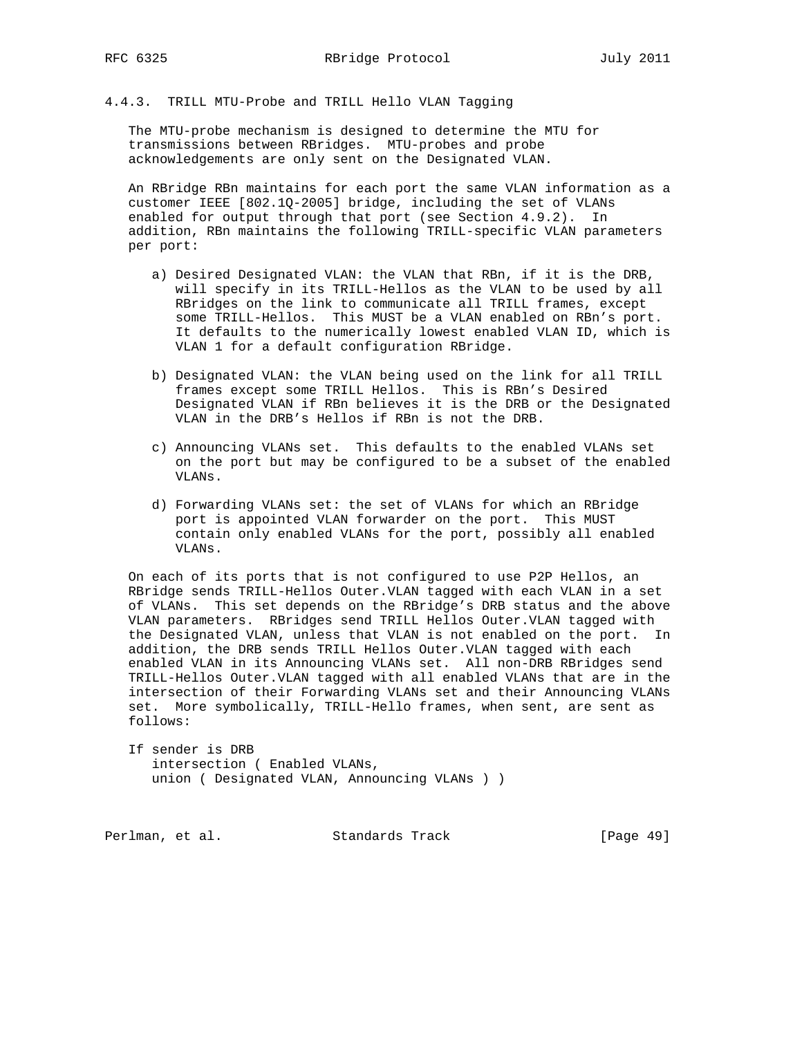4.4.3. TRILL MTU-Probe and TRILL Hello VLAN Tagging

 The MTU-probe mechanism is designed to determine the MTU for transmissions between RBridges. MTU-probes and probe acknowledgements are only sent on the Designated VLAN.

 An RBridge RBn maintains for each port the same VLAN information as a customer IEEE [802.1Q-2005] bridge, including the set of VLANs enabled for output through that port (see Section 4.9.2). In addition, RBn maintains the following TRILL-specific VLAN parameters per port:

- a) Desired Designated VLAN: the VLAN that RBn, if it is the DRB, will specify in its TRILL-Hellos as the VLAN to be used by all RBridges on the link to communicate all TRILL frames, except some TRILL-Hellos. This MUST be a VLAN enabled on RBn's port. It defaults to the numerically lowest enabled VLAN ID, which is VLAN 1 for a default configuration RBridge.
- b) Designated VLAN: the VLAN being used on the link for all TRILL frames except some TRILL Hellos. This is RBn's Desired Designated VLAN if RBn believes it is the DRB or the Designated VLAN in the DRB's Hellos if RBn is not the DRB.
- c) Announcing VLANs set. This defaults to the enabled VLANs set on the port but may be configured to be a subset of the enabled VLANs.
- d) Forwarding VLANs set: the set of VLANs for which an RBridge port is appointed VLAN forwarder on the port. This MUST contain only enabled VLANs for the port, possibly all enabled VLANs.

 On each of its ports that is not configured to use P2P Hellos, an RBridge sends TRILL-Hellos Outer.VLAN tagged with each VLAN in a set of VLANs. This set depends on the RBridge's DRB status and the above VLAN parameters. RBridges send TRILL Hellos Outer.VLAN tagged with the Designated VLAN, unless that VLAN is not enabled on the port. In addition, the DRB sends TRILL Hellos Outer.VLAN tagged with each enabled VLAN in its Announcing VLANs set. All non-DRB RBridges send TRILL-Hellos Outer.VLAN tagged with all enabled VLANs that are in the intersection of their Forwarding VLANs set and their Announcing VLANs set. More symbolically, TRILL-Hello frames, when sent, are sent as follows:

 If sender is DRB intersection ( Enabled VLANs, union ( Designated VLAN, Announcing VLANs ) )

Perlman, et al. Standards Track [Page 49]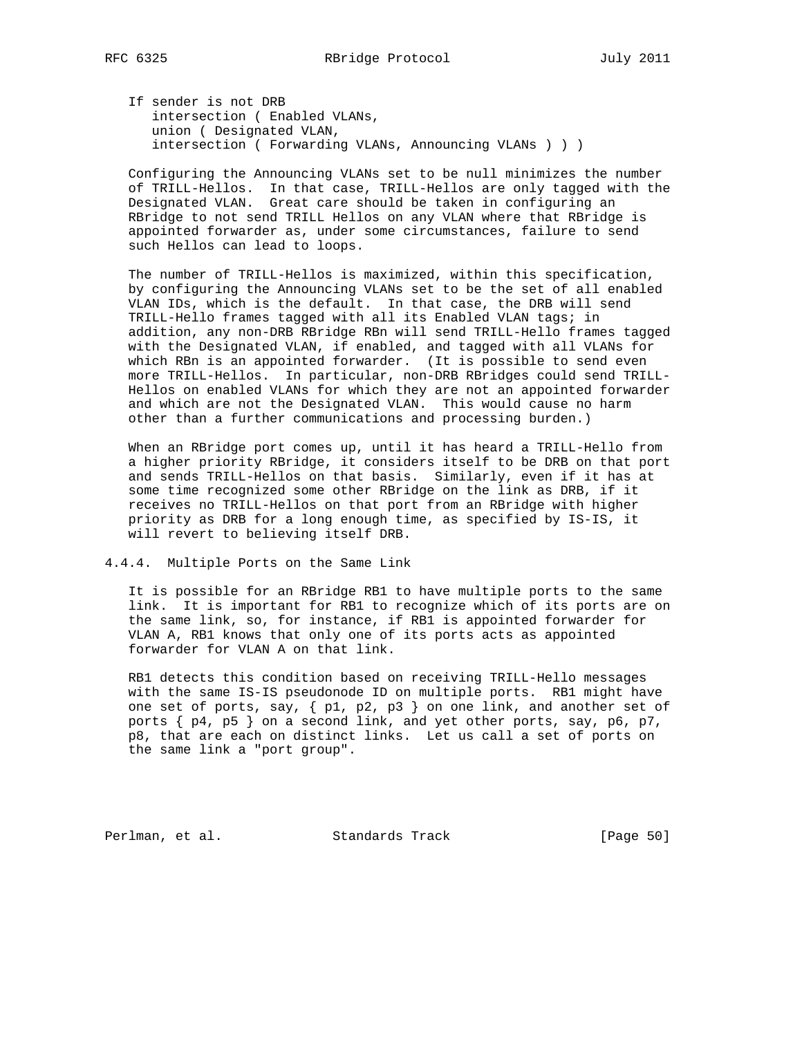If sender is not DRB intersection ( Enabled VLANs, union ( Designated VLAN, intersection ( Forwarding VLANs, Announcing VLANs ) ) )

 Configuring the Announcing VLANs set to be null minimizes the number of TRILL-Hellos. In that case, TRILL-Hellos are only tagged with the Designated VLAN. Great care should be taken in configuring an RBridge to not send TRILL Hellos on any VLAN where that RBridge is appointed forwarder as, under some circumstances, failure to send such Hellos can lead to loops.

 The number of TRILL-Hellos is maximized, within this specification, by configuring the Announcing VLANs set to be the set of all enabled VLAN IDs, which is the default. In that case, the DRB will send TRILL-Hello frames tagged with all its Enabled VLAN tags; in addition, any non-DRB RBridge RBn will send TRILL-Hello frames tagged with the Designated VLAN, if enabled, and tagged with all VLANs for which RBn is an appointed forwarder. (It is possible to send even more TRILL-Hellos. In particular, non-DRB RBridges could send TRILL- Hellos on enabled VLANs for which they are not an appointed forwarder and which are not the Designated VLAN. This would cause no harm other than a further communications and processing burden.)

When an RBridge port comes up, until it has heard a TRILL-Hello from a higher priority RBridge, it considers itself to be DRB on that port and sends TRILL-Hellos on that basis. Similarly, even if it has at some time recognized some other RBridge on the link as DRB, if it receives no TRILL-Hellos on that port from an RBridge with higher priority as DRB for a long enough time, as specified by IS-IS, it will revert to believing itself DRB.

4.4.4. Multiple Ports on the Same Link

 It is possible for an RBridge RB1 to have multiple ports to the same link. It is important for RB1 to recognize which of its ports are on the same link, so, for instance, if RB1 is appointed forwarder for VLAN A, RB1 knows that only one of its ports acts as appointed forwarder for VLAN A on that link.

 RB1 detects this condition based on receiving TRILL-Hello messages with the same IS-IS pseudonode ID on multiple ports. RB1 might have one set of ports, say,  $\{p1, p2, p3\}$  on one link, and another set of ports  $\{ p4, p5 \}$  on a second link, and yet other ports, say, p6, p7, p8, that are each on distinct links. Let us call a set of ports on the same link a "port group".

Perlman, et al. Standards Track [Page 50]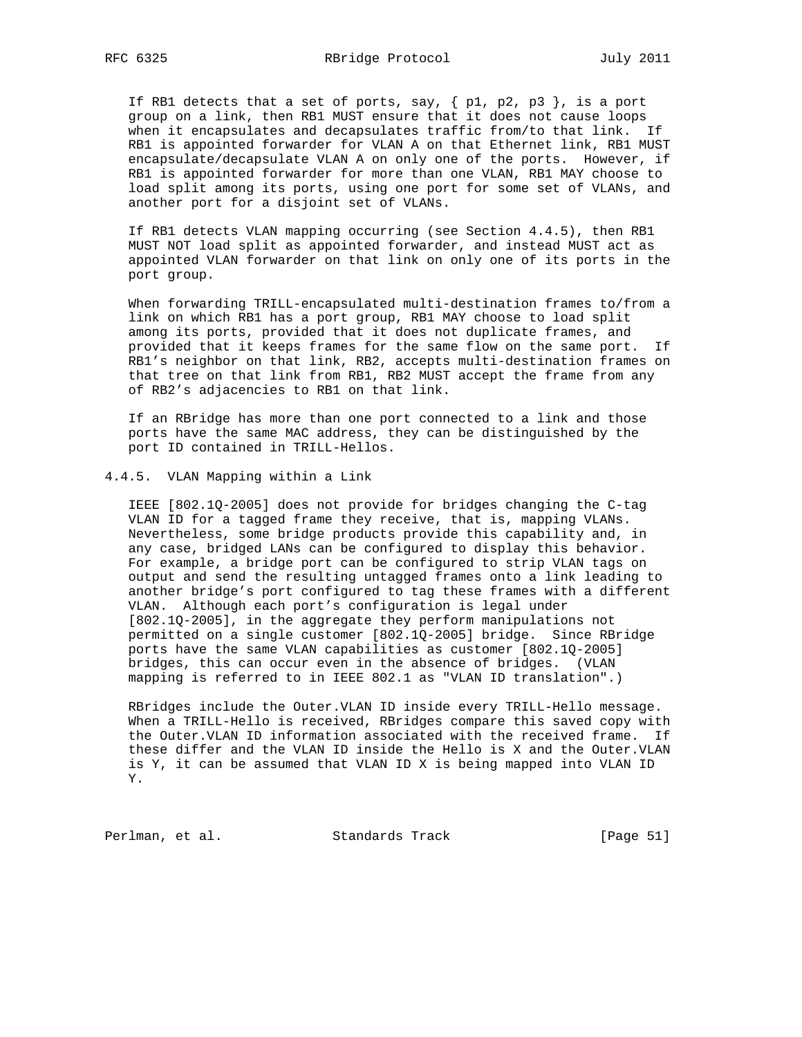If RB1 detects that a set of ports, say,  $\{p1, p2, p3\}$ , is a port group on a link, then RB1 MUST ensure that it does not cause loops when it encapsulates and decapsulates traffic from/to that link. If RB1 is appointed forwarder for VLAN A on that Ethernet link, RB1 MUST encapsulate/decapsulate VLAN A on only one of the ports. However, if RB1 is appointed forwarder for more than one VLAN, RB1 MAY choose to load split among its ports, using one port for some set of VLANs, and another port for a disjoint set of VLANs.

 If RB1 detects VLAN mapping occurring (see Section 4.4.5), then RB1 MUST NOT load split as appointed forwarder, and instead MUST act as appointed VLAN forwarder on that link on only one of its ports in the port group.

 When forwarding TRILL-encapsulated multi-destination frames to/from a link on which RB1 has a port group, RB1 MAY choose to load split among its ports, provided that it does not duplicate frames, and provided that it keeps frames for the same flow on the same port. If RB1's neighbor on that link, RB2, accepts multi-destination frames on that tree on that link from RB1, RB2 MUST accept the frame from any of RB2's adjacencies to RB1 on that link.

 If an RBridge has more than one port connected to a link and those ports have the same MAC address, they can be distinguished by the port ID contained in TRILL-Hellos.

### 4.4.5. VLAN Mapping within a Link

 IEEE [802.1Q-2005] does not provide for bridges changing the C-tag VLAN ID for a tagged frame they receive, that is, mapping VLANs. Nevertheless, some bridge products provide this capability and, in any case, bridged LANs can be configured to display this behavior. For example, a bridge port can be configured to strip VLAN tags on output and send the resulting untagged frames onto a link leading to another bridge's port configured to tag these frames with a different VLAN. Although each port's configuration is legal under [802.1Q-2005], in the aggregate they perform manipulations not permitted on a single customer [802.1Q-2005] bridge. Since RBridge ports have the same VLAN capabilities as customer [802.1Q-2005] bridges, this can occur even in the absence of bridges. (VLAN mapping is referred to in IEEE 802.1 as "VLAN ID translation".)

 RBridges include the Outer.VLAN ID inside every TRILL-Hello message. When a TRILL-Hello is received, RBridges compare this saved copy with the Outer.VLAN ID information associated with the received frame. If these differ and the VLAN ID inside the Hello is X and the Outer.VLAN is Y, it can be assumed that VLAN ID X is being mapped into VLAN ID Y.

Perlman, et al. Standards Track [Page 51]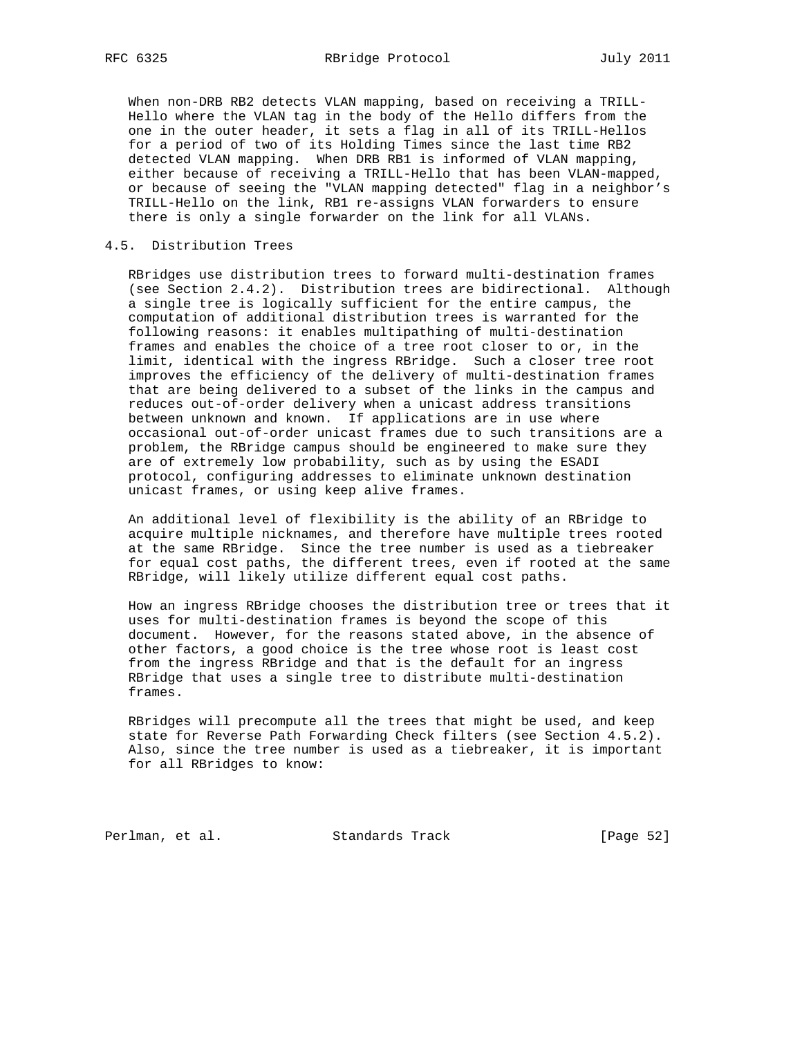When non-DRB RB2 detects VLAN mapping, based on receiving a TRILL- Hello where the VLAN tag in the body of the Hello differs from the one in the outer header, it sets a flag in all of its TRILL-Hellos for a period of two of its Holding Times since the last time RB2 detected VLAN mapping. When DRB RB1 is informed of VLAN mapping, either because of receiving a TRILL-Hello that has been VLAN-mapped, or because of seeing the "VLAN mapping detected" flag in a neighbor's TRILL-Hello on the link, RB1 re-assigns VLAN forwarders to ensure there is only a single forwarder on the link for all VLANs.

## 4.5. Distribution Trees

 RBridges use distribution trees to forward multi-destination frames (see Section 2.4.2). Distribution trees are bidirectional. Although a single tree is logically sufficient for the entire campus, the computation of additional distribution trees is warranted for the following reasons: it enables multipathing of multi-destination frames and enables the choice of a tree root closer to or, in the limit, identical with the ingress RBridge. Such a closer tree root improves the efficiency of the delivery of multi-destination frames that are being delivered to a subset of the links in the campus and reduces out-of-order delivery when a unicast address transitions between unknown and known. If applications are in use where occasional out-of-order unicast frames due to such transitions are a problem, the RBridge campus should be engineered to make sure they are of extremely low probability, such as by using the ESADI protocol, configuring addresses to eliminate unknown destination unicast frames, or using keep alive frames.

 An additional level of flexibility is the ability of an RBridge to acquire multiple nicknames, and therefore have multiple trees rooted at the same RBridge. Since the tree number is used as a tiebreaker for equal cost paths, the different trees, even if rooted at the same RBridge, will likely utilize different equal cost paths.

 How an ingress RBridge chooses the distribution tree or trees that it uses for multi-destination frames is beyond the scope of this document. However, for the reasons stated above, in the absence of other factors, a good choice is the tree whose root is least cost from the ingress RBridge and that is the default for an ingress RBridge that uses a single tree to distribute multi-destination frames.

 RBridges will precompute all the trees that might be used, and keep state for Reverse Path Forwarding Check filters (see Section 4.5.2). Also, since the tree number is used as a tiebreaker, it is important for all RBridges to know:

Perlman, et al. Standards Track [Page 52]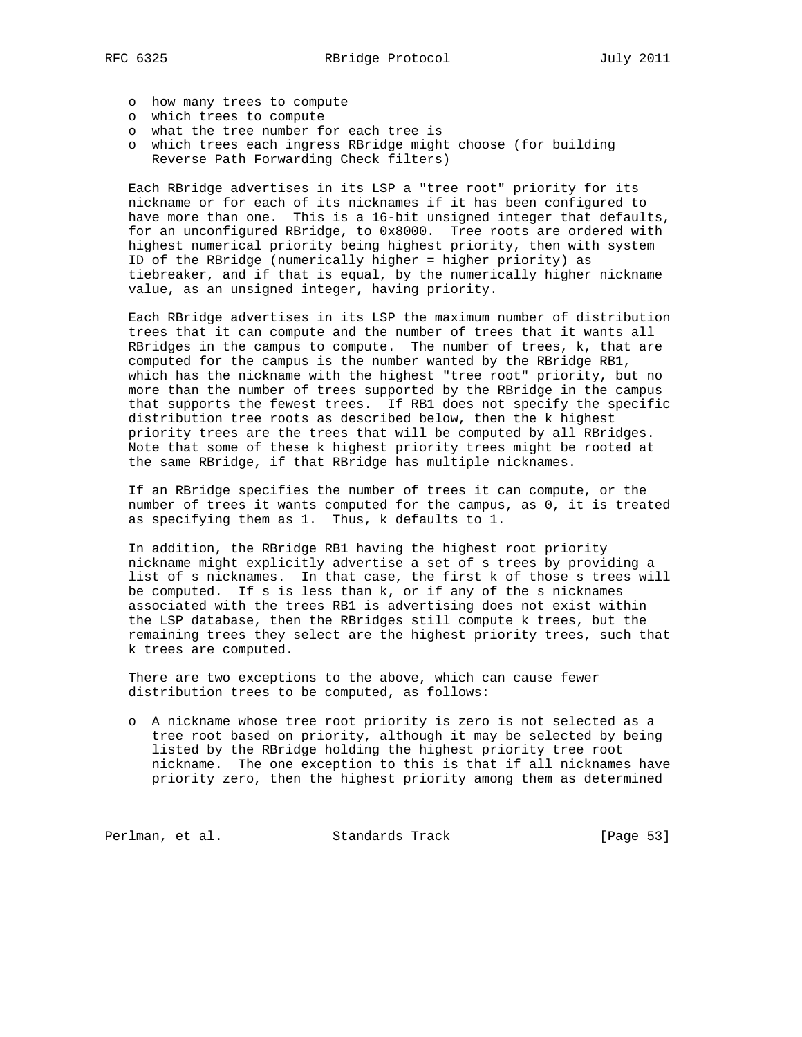- o how many trees to compute
- o which trees to compute
- o what the tree number for each tree is
	- o which trees each ingress RBridge might choose (for building Reverse Path Forwarding Check filters)

 Each RBridge advertises in its LSP a "tree root" priority for its nickname or for each of its nicknames if it has been configured to have more than one. This is a 16-bit unsigned integer that defaults, for an unconfigured RBridge, to 0x8000. Tree roots are ordered with highest numerical priority being highest priority, then with system ID of the RBridge (numerically higher = higher priority) as tiebreaker, and if that is equal, by the numerically higher nickname value, as an unsigned integer, having priority.

 Each RBridge advertises in its LSP the maximum number of distribution trees that it can compute and the number of trees that it wants all RBridges in the campus to compute. The number of trees, k, that are computed for the campus is the number wanted by the RBridge RB1, which has the nickname with the highest "tree root" priority, but no more than the number of trees supported by the RBridge in the campus that supports the fewest trees. If RB1 does not specify the specific distribution tree roots as described below, then the k highest priority trees are the trees that will be computed by all RBridges. Note that some of these k highest priority trees might be rooted at the same RBridge, if that RBridge has multiple nicknames.

 If an RBridge specifies the number of trees it can compute, or the number of trees it wants computed for the campus, as 0, it is treated as specifying them as 1. Thus, k defaults to 1.

 In addition, the RBridge RB1 having the highest root priority nickname might explicitly advertise a set of s trees by providing a list of s nicknames. In that case, the first k of those s trees will be computed. If s is less than k, or if any of the s nicknames associated with the trees RB1 is advertising does not exist within the LSP database, then the RBridges still compute k trees, but the remaining trees they select are the highest priority trees, such that k trees are computed.

 There are two exceptions to the above, which can cause fewer distribution trees to be computed, as follows:

 o A nickname whose tree root priority is zero is not selected as a tree root based on priority, although it may be selected by being listed by the RBridge holding the highest priority tree root nickname. The one exception to this is that if all nicknames have priority zero, then the highest priority among them as determined

Perlman, et al. Standards Track [Page 53]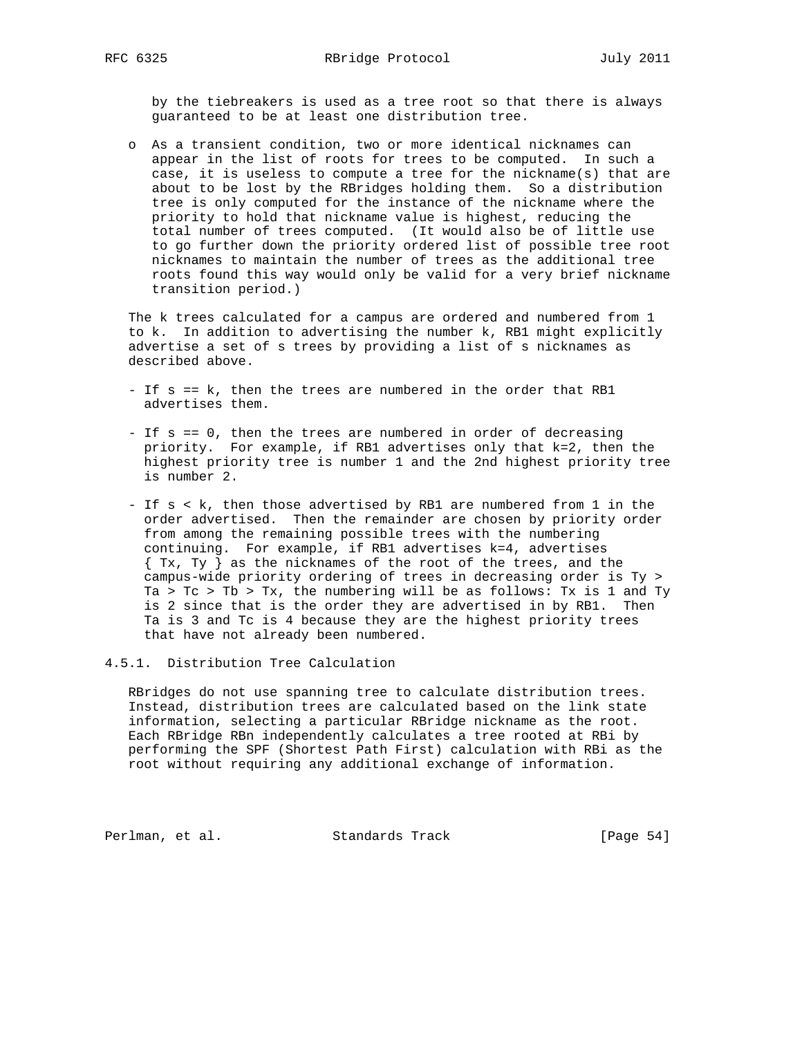by the tiebreakers is used as a tree root so that there is always guaranteed to be at least one distribution tree.

 o As a transient condition, two or more identical nicknames can appear in the list of roots for trees to be computed. In such a case, it is useless to compute a tree for the nickname(s) that are about to be lost by the RBridges holding them. So a distribution tree is only computed for the instance of the nickname where the priority to hold that nickname value is highest, reducing the total number of trees computed. (It would also be of little use to go further down the priority ordered list of possible tree root nicknames to maintain the number of trees as the additional tree roots found this way would only be valid for a very brief nickname transition period.)

 The k trees calculated for a campus are ordered and numbered from 1 to k. In addition to advertising the number k, RB1 might explicitly advertise a set of s trees by providing a list of s nicknames as described above.

- If s == k, then the trees are numbered in the order that RB1 advertises them.
- If s == 0, then the trees are numbered in order of decreasing priority. For example, if RB1 advertises only that k=2, then the highest priority tree is number 1 and the 2nd highest priority tree is number 2.
- If s < k, then those advertised by RB1 are numbered from 1 in the order advertised. Then the remainder are chosen by priority order from among the remaining possible trees with the numbering continuing. For example, if RB1 advertises k=4, advertises { Tx, Ty } as the nicknames of the root of the trees, and the campus-wide priority ordering of trees in decreasing order is Ty > Ta > Tc > Tb > Tx, the numbering will be as follows: Tx is 1 and Ty is 2 since that is the order they are advertised in by RB1. Then Ta is 3 and Tc is 4 because they are the highest priority trees that have not already been numbered.

## 4.5.1. Distribution Tree Calculation

 RBridges do not use spanning tree to calculate distribution trees. Instead, distribution trees are calculated based on the link state information, selecting a particular RBridge nickname as the root. Each RBridge RBn independently calculates a tree rooted at RBi by performing the SPF (Shortest Path First) calculation with RBi as the root without requiring any additional exchange of information.

Perlman, et al. Standards Track [Page 54]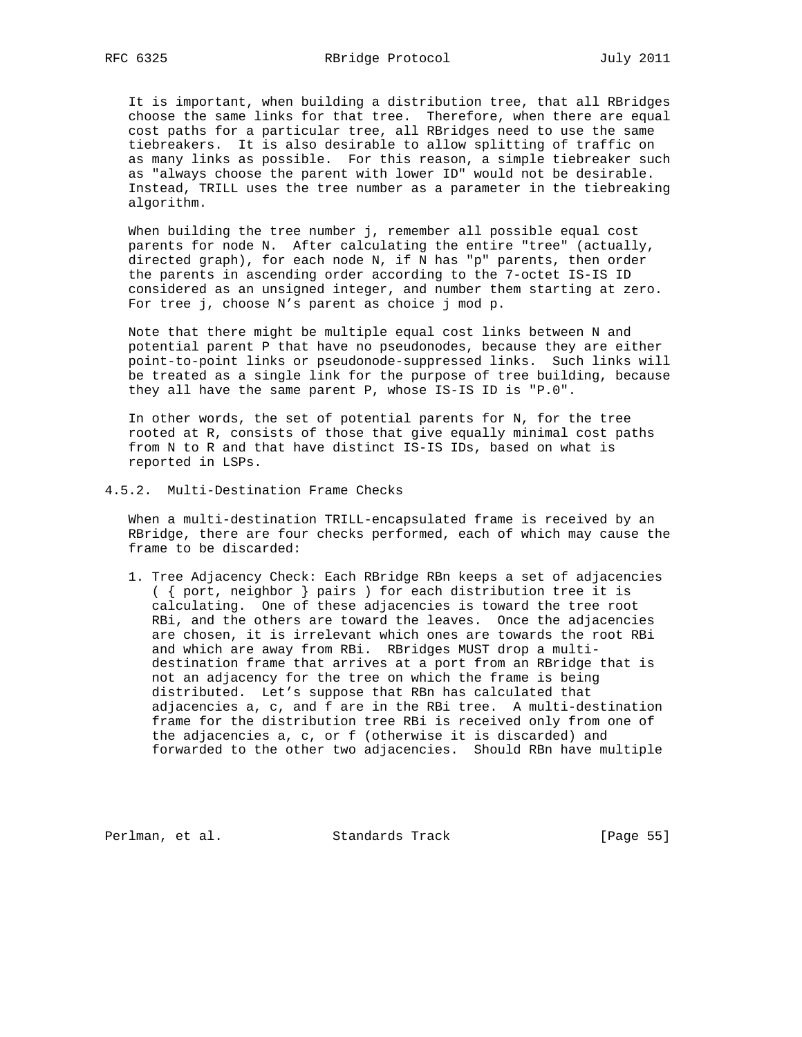It is important, when building a distribution tree, that all RBridges choose the same links for that tree. Therefore, when there are equal cost paths for a particular tree, all RBridges need to use the same tiebreakers. It is also desirable to allow splitting of traffic on as many links as possible. For this reason, a simple tiebreaker such as "always choose the parent with lower ID" would not be desirable. Instead, TRILL uses the tree number as a parameter in the tiebreaking algorithm.

 When building the tree number j, remember all possible equal cost parents for node N. After calculating the entire "tree" (actually, directed graph), for each node N, if N has "p" parents, then order the parents in ascending order according to the 7-octet IS-IS ID considered as an unsigned integer, and number them starting at zero. For tree j, choose N's parent as choice j mod p.

 Note that there might be multiple equal cost links between N and potential parent P that have no pseudonodes, because they are either point-to-point links or pseudonode-suppressed links. Such links will be treated as a single link for the purpose of tree building, because they all have the same parent P, whose IS-IS ID is "P.0".

 In other words, the set of potential parents for N, for the tree rooted at R, consists of those that give equally minimal cost paths from N to R and that have distinct IS-IS IDs, based on what is reported in LSPs.

#### 4.5.2. Multi-Destination Frame Checks

 When a multi-destination TRILL-encapsulated frame is received by an RBridge, there are four checks performed, each of which may cause the frame to be discarded:

 1. Tree Adjacency Check: Each RBridge RBn keeps a set of adjacencies ( { port, neighbor } pairs ) for each distribution tree it is calculating. One of these adjacencies is toward the tree root RBi, and the others are toward the leaves. Once the adjacencies are chosen, it is irrelevant which ones are towards the root RBi and which are away from RBi. RBridges MUST drop a multi destination frame that arrives at a port from an RBridge that is not an adjacency for the tree on which the frame is being distributed. Let's suppose that RBn has calculated that adjacencies a, c, and f are in the RBi tree. A multi-destination frame for the distribution tree RBi is received only from one of the adjacencies a, c, or f (otherwise it is discarded) and forwarded to the other two adjacencies. Should RBn have multiple

Perlman, et al. Standards Track [Page 55]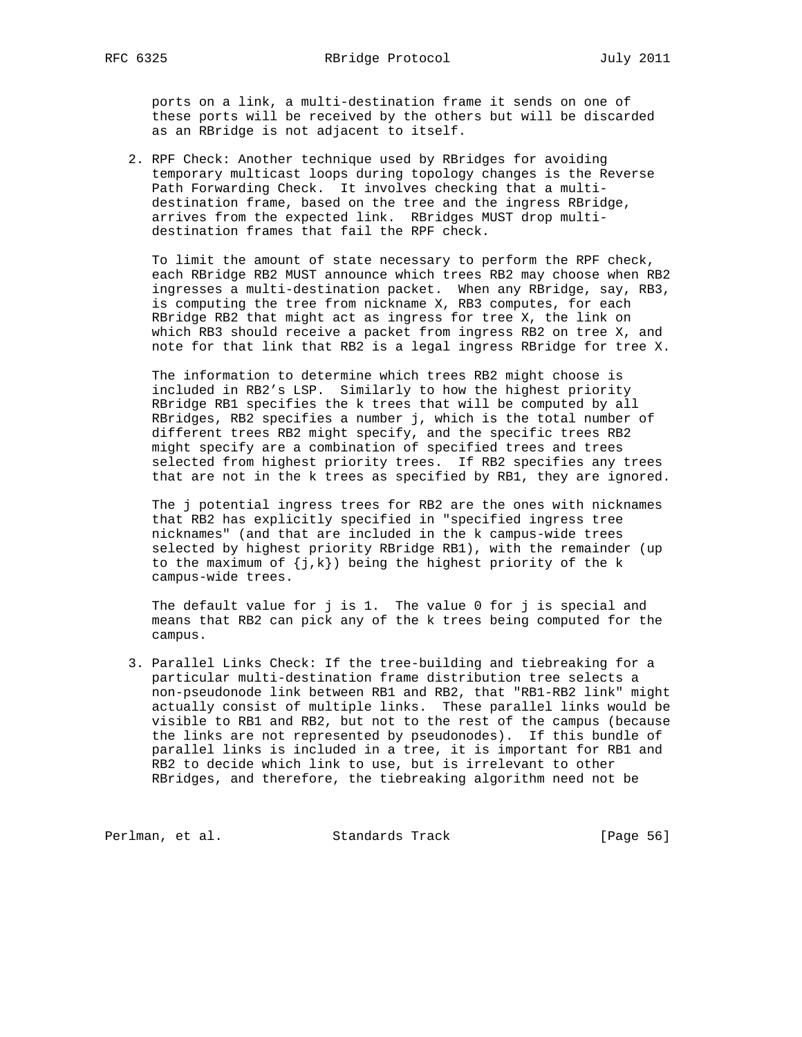ports on a link, a multi-destination frame it sends on one of these ports will be received by the others but will be discarded as an RBridge is not adjacent to itself.

 2. RPF Check: Another technique used by RBridges for avoiding temporary multicast loops during topology changes is the Reverse Path Forwarding Check. It involves checking that a multi destination frame, based on the tree and the ingress RBridge, arrives from the expected link. RBridges MUST drop multi destination frames that fail the RPF check.

 To limit the amount of state necessary to perform the RPF check, each RBridge RB2 MUST announce which trees RB2 may choose when RB2 ingresses a multi-destination packet. When any RBridge, say, RB3, is computing the tree from nickname X, RB3 computes, for each RBridge RB2 that might act as ingress for tree X, the link on which RB3 should receive a packet from ingress RB2 on tree X, and note for that link that RB2 is a legal ingress RBridge for tree X.

 The information to determine which trees RB2 might choose is included in RB2's LSP. Similarly to how the highest priority RBridge RB1 specifies the k trees that will be computed by all RBridges, RB2 specifies a number j, which is the total number of different trees RB2 might specify, and the specific trees RB2 might specify are a combination of specified trees and trees selected from highest priority trees. If RB2 specifies any trees that are not in the k trees as specified by RB1, they are ignored.

 The j potential ingress trees for RB2 are the ones with nicknames that RB2 has explicitly specified in "specified ingress tree nicknames" (and that are included in the k campus-wide trees selected by highest priority RBridge RB1), with the remainder (up to the maximum of  ${j,k}$ ) being the highest priority of the k campus-wide trees.

 The default value for j is 1. The value 0 for j is special and means that RB2 can pick any of the k trees being computed for the campus.

 3. Parallel Links Check: If the tree-building and tiebreaking for a particular multi-destination frame distribution tree selects a non-pseudonode link between RB1 and RB2, that "RB1-RB2 link" might actually consist of multiple links. These parallel links would be visible to RB1 and RB2, but not to the rest of the campus (because the links are not represented by pseudonodes). If this bundle of parallel links is included in a tree, it is important for RB1 and RB2 to decide which link to use, but is irrelevant to other RBridges, and therefore, the tiebreaking algorithm need not be

Perlman, et al. Standards Track [Page 56]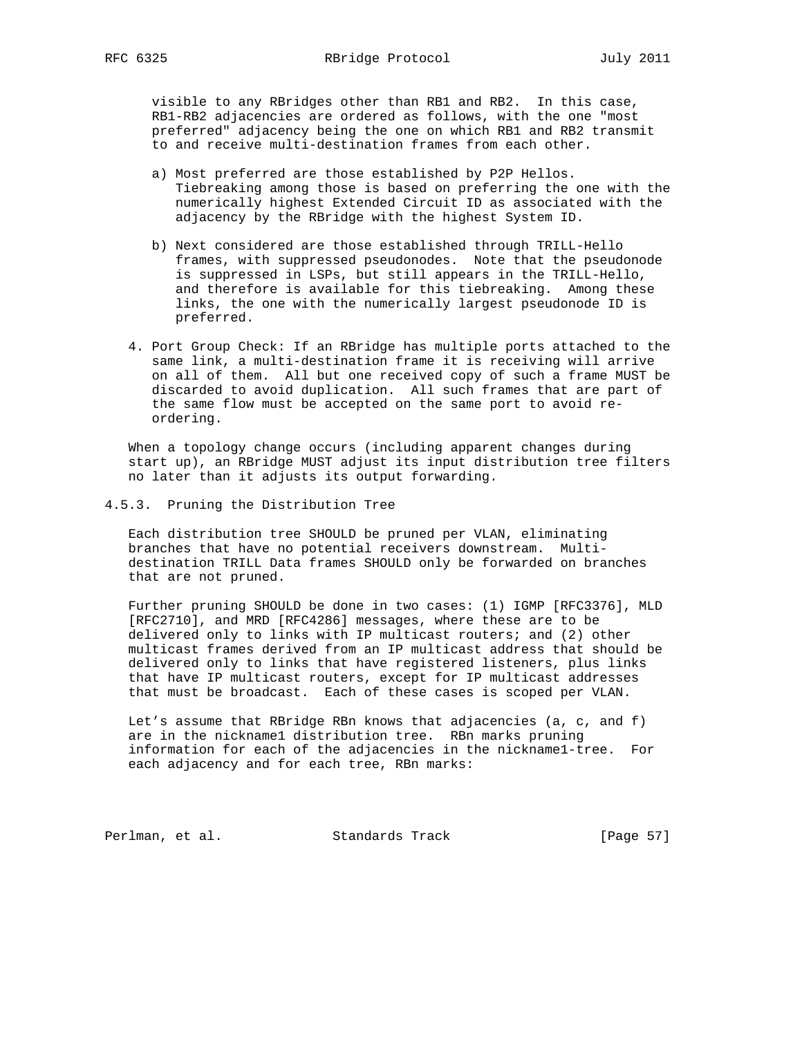visible to any RBridges other than RB1 and RB2. In this case, RB1-RB2 adjacencies are ordered as follows, with the one "most preferred" adjacency being the one on which RB1 and RB2 transmit to and receive multi-destination frames from each other.

- a) Most preferred are those established by P2P Hellos. Tiebreaking among those is based on preferring the one with the numerically highest Extended Circuit ID as associated with the adjacency by the RBridge with the highest System ID.
- b) Next considered are those established through TRILL-Hello frames, with suppressed pseudonodes. Note that the pseudonode is suppressed in LSPs, but still appears in the TRILL-Hello, and therefore is available for this tiebreaking. Among these links, the one with the numerically largest pseudonode ID is preferred.
- 4. Port Group Check: If an RBridge has multiple ports attached to the same link, a multi-destination frame it is receiving will arrive on all of them. All but one received copy of such a frame MUST be discarded to avoid duplication. All such frames that are part of the same flow must be accepted on the same port to avoid re ordering.

 When a topology change occurs (including apparent changes during start up), an RBridge MUST adjust its input distribution tree filters no later than it adjusts its output forwarding.

## 4.5.3. Pruning the Distribution Tree

 Each distribution tree SHOULD be pruned per VLAN, eliminating branches that have no potential receivers downstream. Multi destination TRILL Data frames SHOULD only be forwarded on branches that are not pruned.

 Further pruning SHOULD be done in two cases: (1) IGMP [RFC3376], MLD [RFC2710], and MRD [RFC4286] messages, where these are to be delivered only to links with IP multicast routers; and (2) other multicast frames derived from an IP multicast address that should be delivered only to links that have registered listeners, plus links that have IP multicast routers, except for IP multicast addresses that must be broadcast. Each of these cases is scoped per VLAN.

 Let's assume that RBridge RBn knows that adjacencies (a, c, and f) are in the nickname1 distribution tree. RBn marks pruning information for each of the adjacencies in the nickname1-tree. For each adjacency and for each tree, RBn marks:

Perlman, et al. Standards Track [Page 57]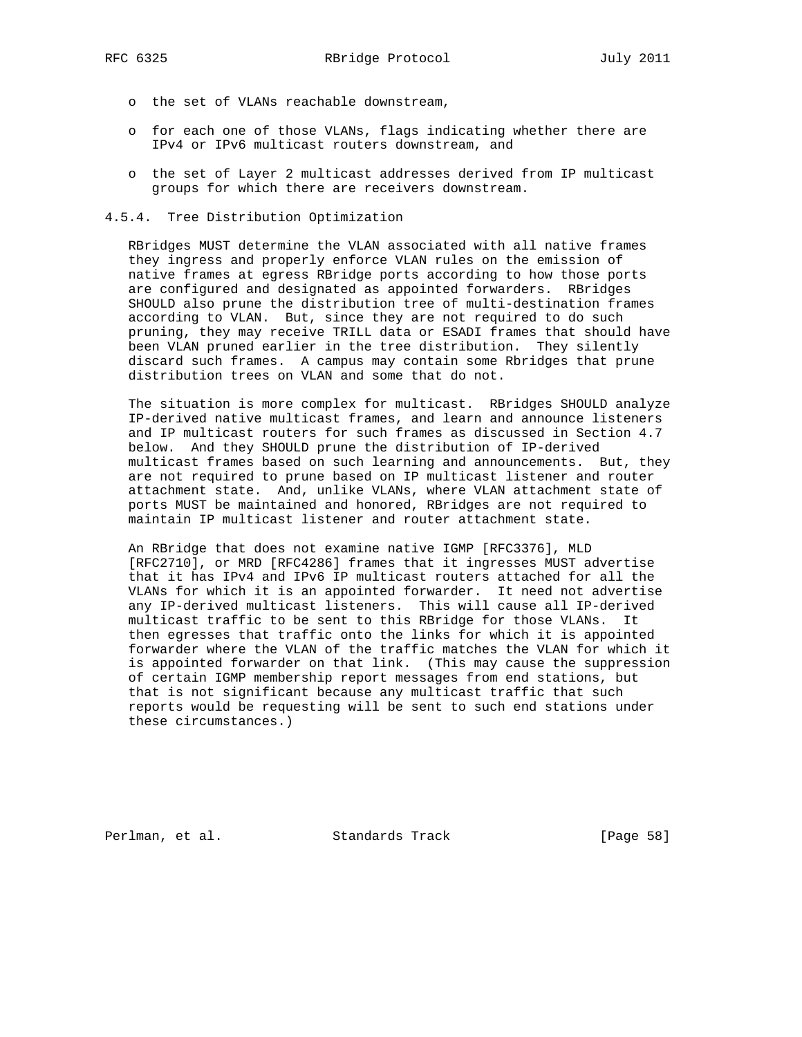- o the set of VLANs reachable downstream,
- o for each one of those VLANs, flags indicating whether there are IPv4 or IPv6 multicast routers downstream, and
- o the set of Layer 2 multicast addresses derived from IP multicast groups for which there are receivers downstream.
- 4.5.4. Tree Distribution Optimization

 RBridges MUST determine the VLAN associated with all native frames they ingress and properly enforce VLAN rules on the emission of native frames at egress RBridge ports according to how those ports are configured and designated as appointed forwarders. RBridges SHOULD also prune the distribution tree of multi-destination frames according to VLAN. But, since they are not required to do such pruning, they may receive TRILL data or ESADI frames that should have been VLAN pruned earlier in the tree distribution. They silently discard such frames. A campus may contain some Rbridges that prune distribution trees on VLAN and some that do not.

 The situation is more complex for multicast. RBridges SHOULD analyze IP-derived native multicast frames, and learn and announce listeners and IP multicast routers for such frames as discussed in Section 4.7 below. And they SHOULD prune the distribution of IP-derived multicast frames based on such learning and announcements. But, they are not required to prune based on IP multicast listener and router attachment state. And, unlike VLANs, where VLAN attachment state of ports MUST be maintained and honored, RBridges are not required to maintain IP multicast listener and router attachment state.

 An RBridge that does not examine native IGMP [RFC3376], MLD [RFC2710], or MRD [RFC4286] frames that it ingresses MUST advertise that it has IPv4 and IPv6 IP multicast routers attached for all the VLANs for which it is an appointed forwarder. It need not advertise any IP-derived multicast listeners. This will cause all IP-derived multicast traffic to be sent to this RBridge for those VLANs. It then egresses that traffic onto the links for which it is appointed forwarder where the VLAN of the traffic matches the VLAN for which it is appointed forwarder on that link. (This may cause the suppression of certain IGMP membership report messages from end stations, but that is not significant because any multicast traffic that such reports would be requesting will be sent to such end stations under these circumstances.)

Perlman, et al. Standards Track [Page 58]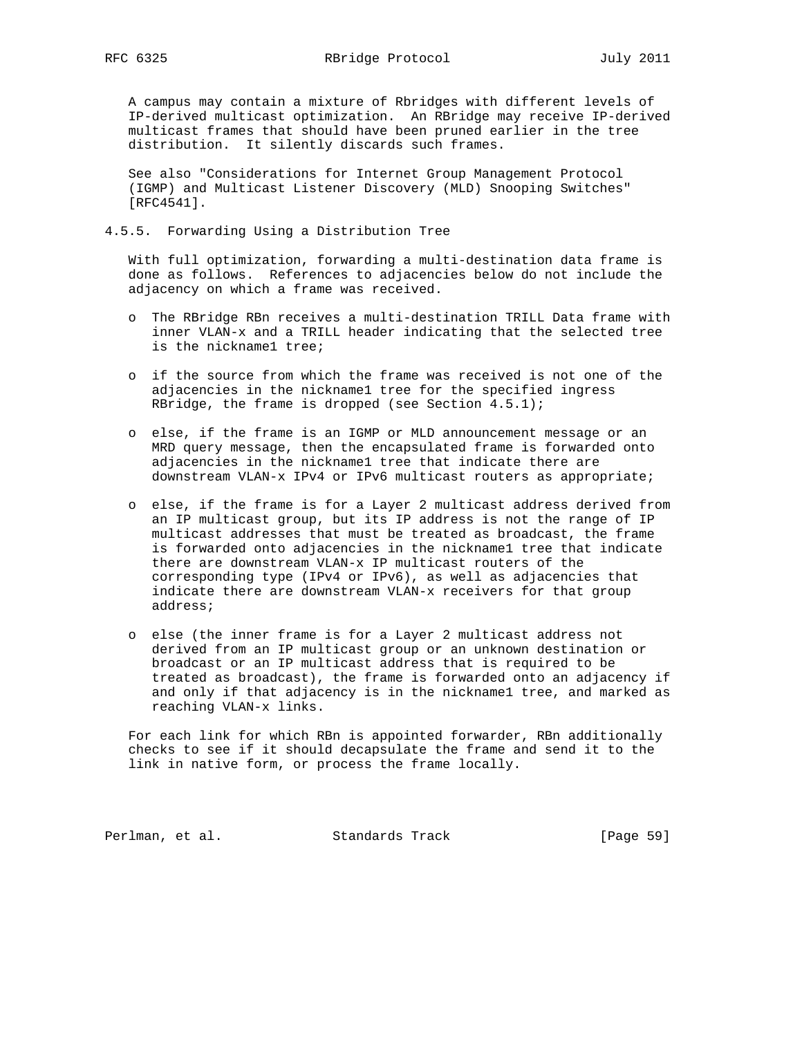A campus may contain a mixture of Rbridges with different levels of IP-derived multicast optimization. An RBridge may receive IP-derived multicast frames that should have been pruned earlier in the tree distribution. It silently discards such frames.

 See also "Considerations for Internet Group Management Protocol (IGMP) and Multicast Listener Discovery (MLD) Snooping Switches" [RFC4541].

## 4.5.5. Forwarding Using a Distribution Tree

 With full optimization, forwarding a multi-destination data frame is done as follows. References to adjacencies below do not include the adjacency on which a frame was received.

- o The RBridge RBn receives a multi-destination TRILL Data frame with inner VLAN-x and a TRILL header indicating that the selected tree is the nickname1 tree;
- o if the source from which the frame was received is not one of the adjacencies in the nickname1 tree for the specified ingress RBridge, the frame is dropped (see Section 4.5.1);
- o else, if the frame is an IGMP or MLD announcement message or an MRD query message, then the encapsulated frame is forwarded onto adjacencies in the nickname1 tree that indicate there are downstream VLAN-x IPv4 or IPv6 multicast routers as appropriate;
- o else, if the frame is for a Layer 2 multicast address derived from an IP multicast group, but its IP address is not the range of IP multicast addresses that must be treated as broadcast, the frame is forwarded onto adjacencies in the nickname1 tree that indicate there are downstream VLAN-x IP multicast routers of the corresponding type (IPv4 or IPv6), as well as adjacencies that indicate there are downstream VLAN-x receivers for that group address;
- o else (the inner frame is for a Layer 2 multicast address not derived from an IP multicast group or an unknown destination or broadcast or an IP multicast address that is required to be treated as broadcast), the frame is forwarded onto an adjacency if and only if that adjacency is in the nickname1 tree, and marked as reaching VLAN-x links.

 For each link for which RBn is appointed forwarder, RBn additionally checks to see if it should decapsulate the frame and send it to the link in native form, or process the frame locally.

Perlman, et al. Standards Track [Page 59]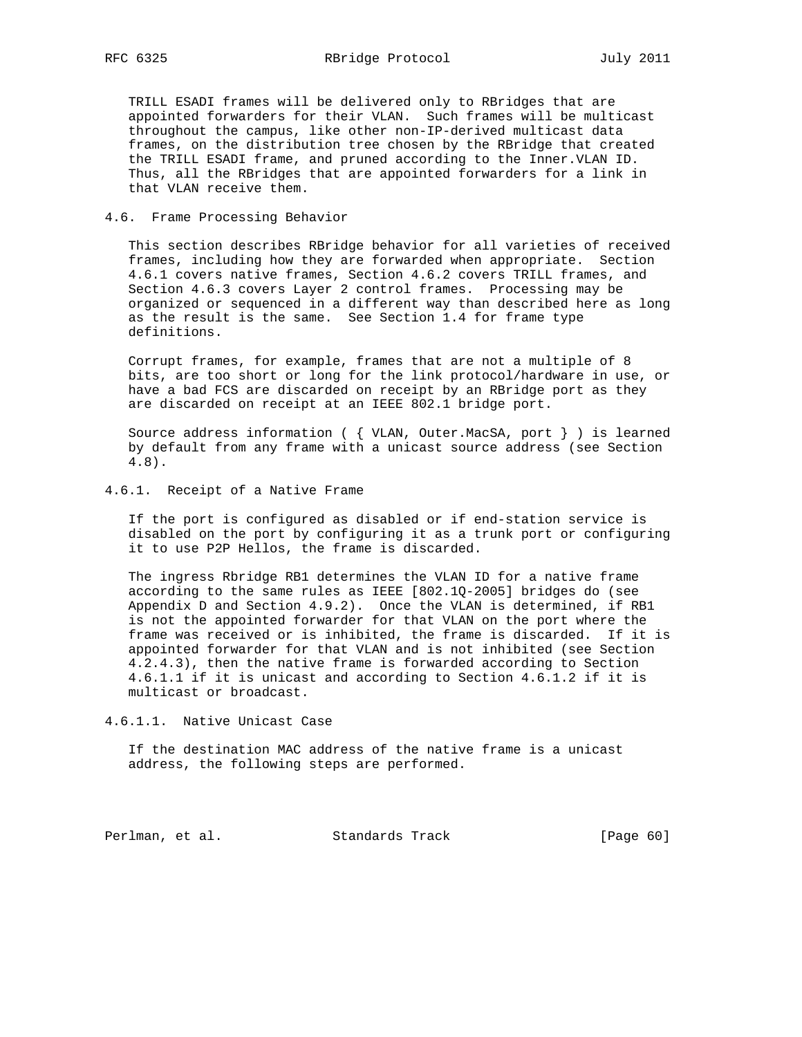TRILL ESADI frames will be delivered only to RBridges that are appointed forwarders for their VLAN. Such frames will be multicast throughout the campus, like other non-IP-derived multicast data frames, on the distribution tree chosen by the RBridge that created the TRILL ESADI frame, and pruned according to the Inner.VLAN ID. Thus, all the RBridges that are appointed forwarders for a link in that VLAN receive them.

## 4.6. Frame Processing Behavior

 This section describes RBridge behavior for all varieties of received frames, including how they are forwarded when appropriate. Section 4.6.1 covers native frames, Section 4.6.2 covers TRILL frames, and Section 4.6.3 covers Layer 2 control frames. Processing may be organized or sequenced in a different way than described here as long as the result is the same. See Section 1.4 for frame type definitions.

 Corrupt frames, for example, frames that are not a multiple of 8 bits, are too short or long for the link protocol/hardware in use, or have a bad FCS are discarded on receipt by an RBridge port as they are discarded on receipt at an IEEE 802.1 bridge port.

 Source address information ( { VLAN, Outer.MacSA, port } ) is learned by default from any frame with a unicast source address (see Section 4.8).

## 4.6.1. Receipt of a Native Frame

 If the port is configured as disabled or if end-station service is disabled on the port by configuring it as a trunk port or configuring it to use P2P Hellos, the frame is discarded.

 The ingress Rbridge RB1 determines the VLAN ID for a native frame according to the same rules as IEEE [802.1Q-2005] bridges do (see Appendix D and Section 4.9.2). Once the VLAN is determined, if RB1 is not the appointed forwarder for that VLAN on the port where the frame was received or is inhibited, the frame is discarded. If it is appointed forwarder for that VLAN and is not inhibited (see Section 4.2.4.3), then the native frame is forwarded according to Section 4.6.1.1 if it is unicast and according to Section 4.6.1.2 if it is multicast or broadcast.

4.6.1.1. Native Unicast Case

 If the destination MAC address of the native frame is a unicast address, the following steps are performed.

Perlman, et al. Standards Track [Page 60]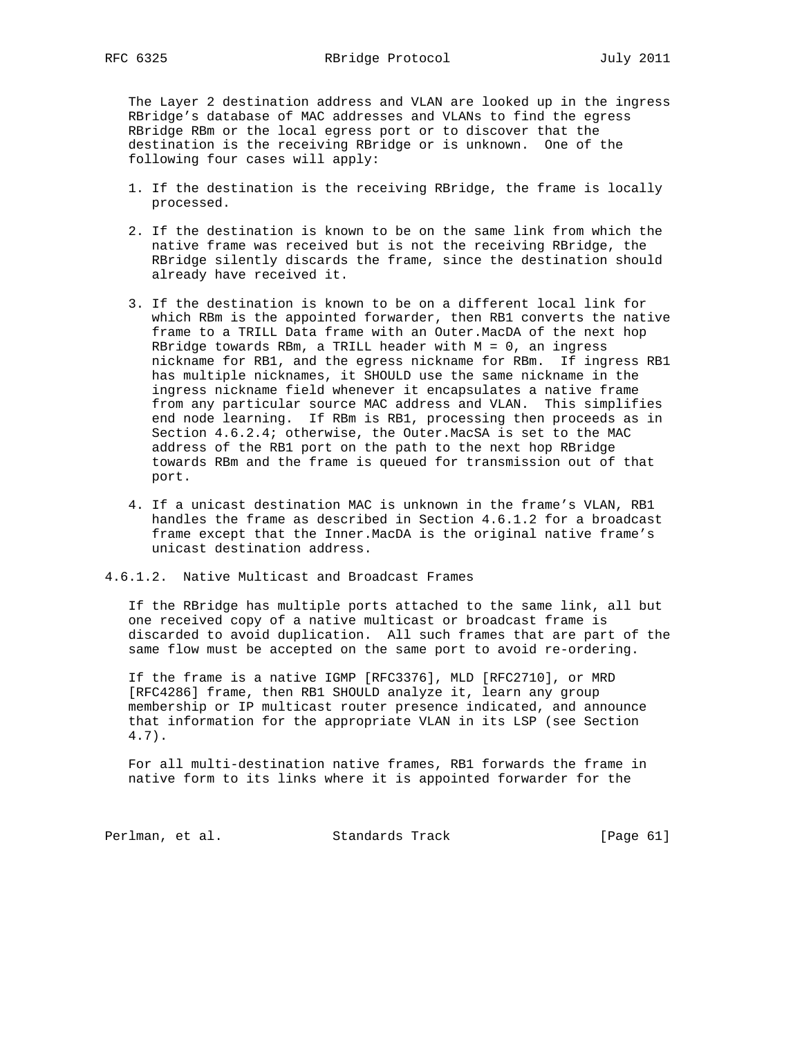The Layer 2 destination address and VLAN are looked up in the ingress RBridge's database of MAC addresses and VLANs to find the egress RBridge RBm or the local egress port or to discover that the destination is the receiving RBridge or is unknown. One of the following four cases will apply:

- 1. If the destination is the receiving RBridge, the frame is locally processed.
- 2. If the destination is known to be on the same link from which the native frame was received but is not the receiving RBridge, the RBridge silently discards the frame, since the destination should already have received it.
- 3. If the destination is known to be on a different local link for which RBm is the appointed forwarder, then RB1 converts the native frame to a TRILL Data frame with an Outer.MacDA of the next hop RBridge towards RBm, a TRILL header with  $M = 0$ , an ingress nickname for RB1, and the egress nickname for RBm. If ingress RB1 has multiple nicknames, it SHOULD use the same nickname in the ingress nickname field whenever it encapsulates a native frame from any particular source MAC address and VLAN. This simplifies end node learning. If RBm is RB1, processing then proceeds as in Section 4.6.2.4; otherwise, the Outer.MacSA is set to the MAC address of the RB1 port on the path to the next hop RBridge towards RBm and the frame is queued for transmission out of that port.
- 4. If a unicast destination MAC is unknown in the frame's VLAN, RB1 handles the frame as described in Section 4.6.1.2 for a broadcast frame except that the Inner.MacDA is the original native frame's unicast destination address.

### 4.6.1.2. Native Multicast and Broadcast Frames

 If the RBridge has multiple ports attached to the same link, all but one received copy of a native multicast or broadcast frame is discarded to avoid duplication. All such frames that are part of the same flow must be accepted on the same port to avoid re-ordering.

 If the frame is a native IGMP [RFC3376], MLD [RFC2710], or MRD [RFC4286] frame, then RB1 SHOULD analyze it, learn any group membership or IP multicast router presence indicated, and announce that information for the appropriate VLAN in its LSP (see Section 4.7).

 For all multi-destination native frames, RB1 forwards the frame in native form to its links where it is appointed forwarder for the

Perlman, et al. Standards Track [Page 61]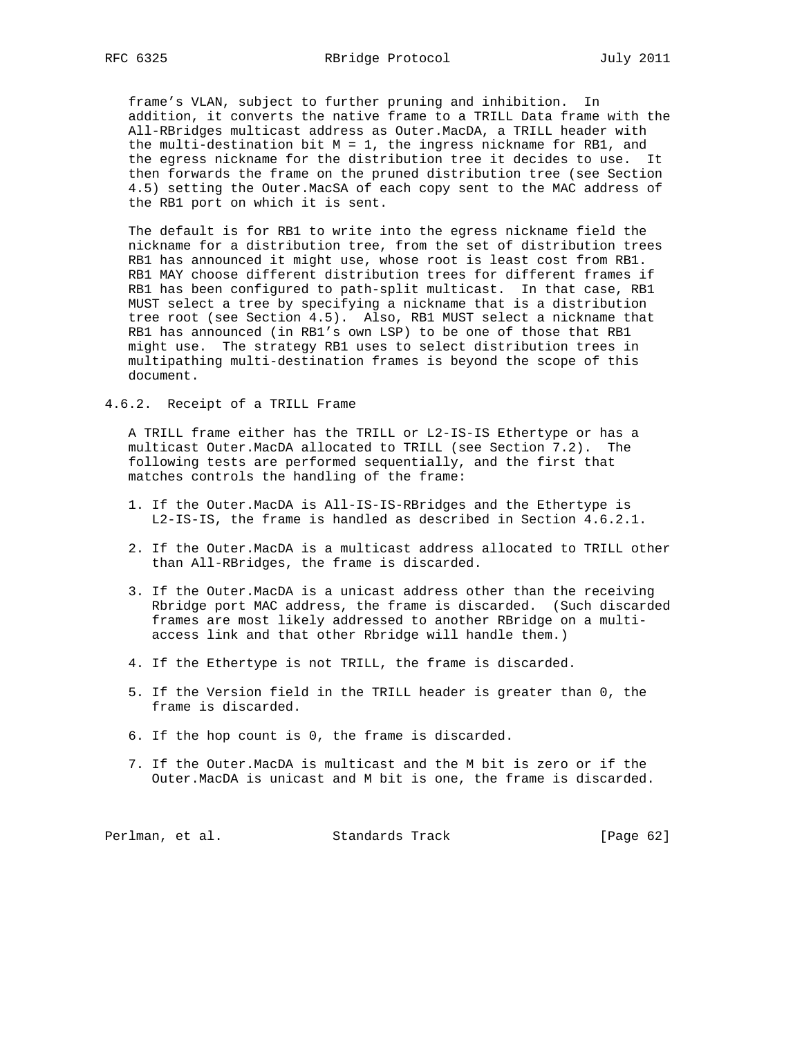frame's VLAN, subject to further pruning and inhibition. In addition, it converts the native frame to a TRILL Data frame with the All-RBridges multicast address as Outer.MacDA, a TRILL header with the multi-destination bit  $M = 1$ , the ingress nickname for RB1, and the egress nickname for the distribution tree it decides to use. It then forwards the frame on the pruned distribution tree (see Section 4.5) setting the Outer.MacSA of each copy sent to the MAC address of the RB1 port on which it is sent.

 The default is for RB1 to write into the egress nickname field the nickname for a distribution tree, from the set of distribution trees RB1 has announced it might use, whose root is least cost from RB1. RB1 MAY choose different distribution trees for different frames if RB1 has been configured to path-split multicast. In that case, RB1 MUST select a tree by specifying a nickname that is a distribution tree root (see Section 4.5). Also, RB1 MUST select a nickname that RB1 has announced (in RB1's own LSP) to be one of those that RB1 might use. The strategy RB1 uses to select distribution trees in multipathing multi-destination frames is beyond the scope of this document.

4.6.2. Receipt of a TRILL Frame

 A TRILL frame either has the TRILL or L2-IS-IS Ethertype or has a multicast Outer.MacDA allocated to TRILL (see Section 7.2). The following tests are performed sequentially, and the first that matches controls the handling of the frame:

- 1. If the Outer.MacDA is All-IS-IS-RBridges and the Ethertype is L2-IS-IS, the frame is handled as described in Section 4.6.2.1.
- 2. If the Outer.MacDA is a multicast address allocated to TRILL other than All-RBridges, the frame is discarded.
- 3. If the Outer.MacDA is a unicast address other than the receiving Rbridge port MAC address, the frame is discarded. (Such discarded frames are most likely addressed to another RBridge on a multi access link and that other Rbridge will handle them.)
- 4. If the Ethertype is not TRILL, the frame is discarded.
- 5. If the Version field in the TRILL header is greater than 0, the frame is discarded.
- 6. If the hop count is 0, the frame is discarded.
- 7. If the Outer.MacDA is multicast and the M bit is zero or if the Outer.MacDA is unicast and M bit is one, the frame is discarded.

Perlman, et al. Standards Track [Page 62]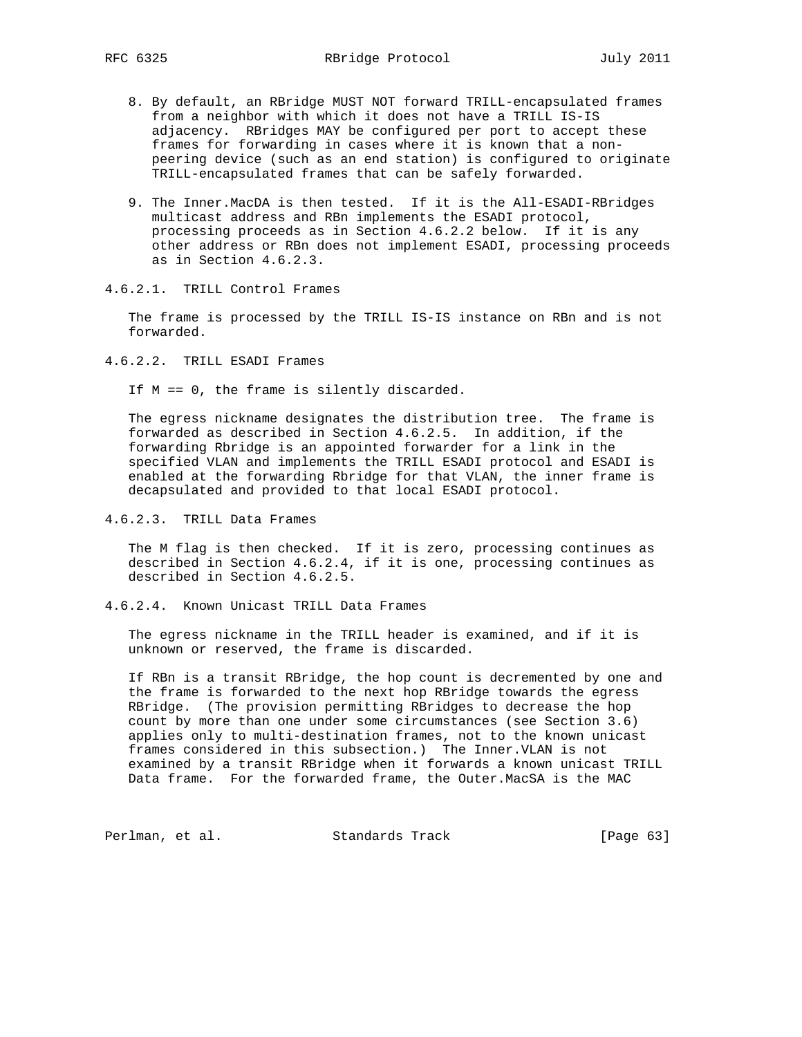- 8. By default, an RBridge MUST NOT forward TRILL-encapsulated frames from a neighbor with which it does not have a TRILL IS-IS adjacency. RBridges MAY be configured per port to accept these frames for forwarding in cases where it is known that a non peering device (such as an end station) is configured to originate TRILL-encapsulated frames that can be safely forwarded.
- 9. The Inner.MacDA is then tested. If it is the All-ESADI-RBridges multicast address and RBn implements the ESADI protocol, processing proceeds as in Section 4.6.2.2 below. If it is any other address or RBn does not implement ESADI, processing proceeds as in Section 4.6.2.3.
- 4.6.2.1. TRILL Control Frames

 The frame is processed by the TRILL IS-IS instance on RBn and is not forwarded.

4.6.2.2. TRILL ESADI Frames

If M == 0, the frame is silently discarded.

 The egress nickname designates the distribution tree. The frame is forwarded as described in Section 4.6.2.5. In addition, if the forwarding Rbridge is an appointed forwarder for a link in the specified VLAN and implements the TRILL ESADI protocol and ESADI is enabled at the forwarding Rbridge for that VLAN, the inner frame is decapsulated and provided to that local ESADI protocol.

4.6.2.3. TRILL Data Frames

 The M flag is then checked. If it is zero, processing continues as described in Section 4.6.2.4, if it is one, processing continues as described in Section 4.6.2.5.

4.6.2.4. Known Unicast TRILL Data Frames

 The egress nickname in the TRILL header is examined, and if it is unknown or reserved, the frame is discarded.

 If RBn is a transit RBridge, the hop count is decremented by one and the frame is forwarded to the next hop RBridge towards the egress RBridge. (The provision permitting RBridges to decrease the hop count by more than one under some circumstances (see Section 3.6) applies only to multi-destination frames, not to the known unicast frames considered in this subsection.) The Inner.VLAN is not examined by a transit RBridge when it forwards a known unicast TRILL Data frame. For the forwarded frame, the Outer.MacSA is the MAC

Perlman, et al. Standards Track [Page 63]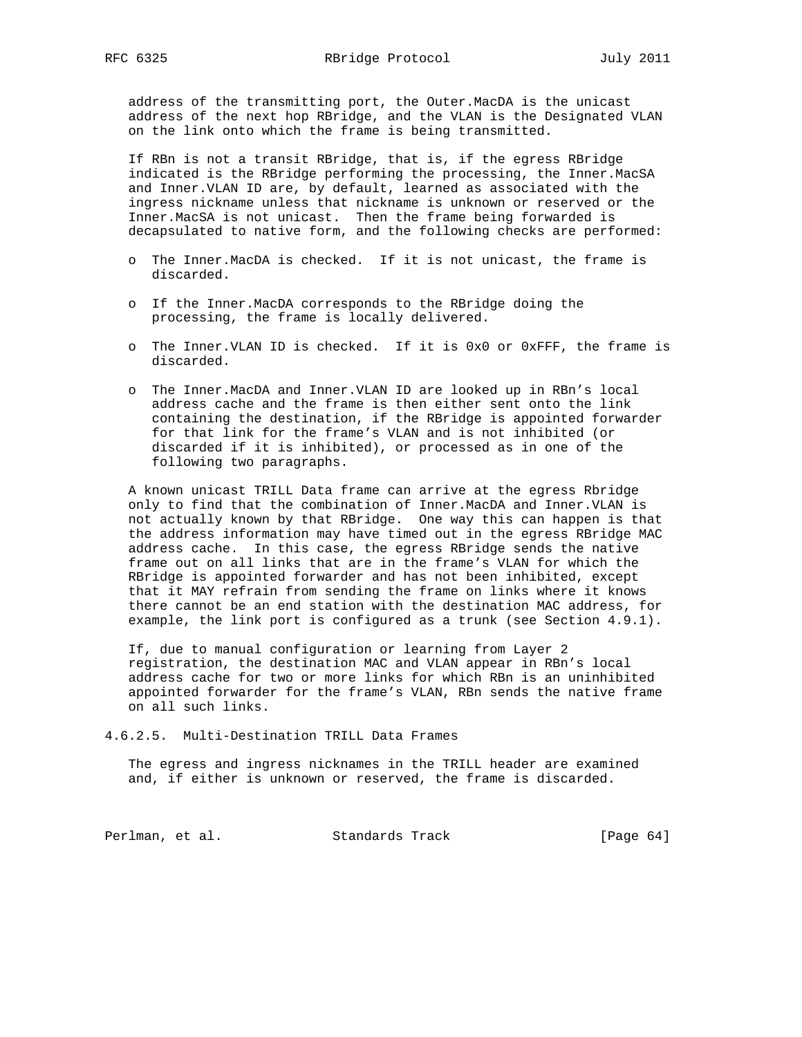address of the transmitting port, the Outer.MacDA is the unicast address of the next hop RBridge, and the VLAN is the Designated VLAN on the link onto which the frame is being transmitted.

 If RBn is not a transit RBridge, that is, if the egress RBridge indicated is the RBridge performing the processing, the Inner.MacSA and Inner.VLAN ID are, by default, learned as associated with the ingress nickname unless that nickname is unknown or reserved or the Inner.MacSA is not unicast. Then the frame being forwarded is decapsulated to native form, and the following checks are performed:

- o The Inner.MacDA is checked. If it is not unicast, the frame is discarded.
- o If the Inner.MacDA corresponds to the RBridge doing the processing, the frame is locally delivered.
- o The Inner.VLAN ID is checked. If it is 0x0 or 0xFFF, the frame is discarded.
- o The Inner.MacDA and Inner.VLAN ID are looked up in RBn's local address cache and the frame is then either sent onto the link containing the destination, if the RBridge is appointed forwarder for that link for the frame's VLAN and is not inhibited (or discarded if it is inhibited), or processed as in one of the following two paragraphs.

 A known unicast TRILL Data frame can arrive at the egress Rbridge only to find that the combination of Inner.MacDA and Inner.VLAN is not actually known by that RBridge. One way this can happen is that the address information may have timed out in the egress RBridge MAC address cache. In this case, the egress RBridge sends the native frame out on all links that are in the frame's VLAN for which the RBridge is appointed forwarder and has not been inhibited, except that it MAY refrain from sending the frame on links where it knows there cannot be an end station with the destination MAC address, for example, the link port is configured as a trunk (see Section 4.9.1).

 If, due to manual configuration or learning from Layer 2 registration, the destination MAC and VLAN appear in RBn's local address cache for two or more links for which RBn is an uninhibited appointed forwarder for the frame's VLAN, RBn sends the native frame on all such links.

4.6.2.5. Multi-Destination TRILL Data Frames

 The egress and ingress nicknames in the TRILL header are examined and, if either is unknown or reserved, the frame is discarded.

Perlman, et al. Standards Track [Page 64]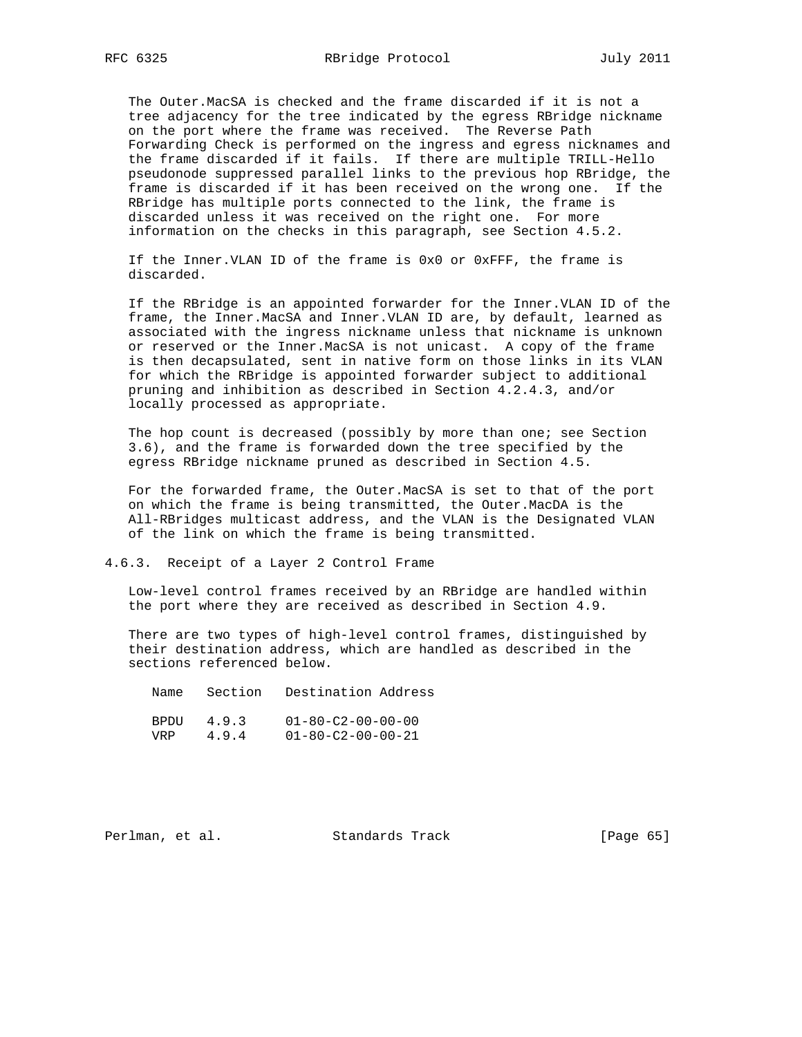The Outer.MacSA is checked and the frame discarded if it is not a tree adjacency for the tree indicated by the egress RBridge nickname on the port where the frame was received. The Reverse Path Forwarding Check is performed on the ingress and egress nicknames and the frame discarded if it fails. If there are multiple TRILL-Hello pseudonode suppressed parallel links to the previous hop RBridge, the frame is discarded if it has been received on the wrong one. If the RBridge has multiple ports connected to the link, the frame is discarded unless it was received on the right one. For more information on the checks in this paragraph, see Section 4.5.2.

 If the Inner.VLAN ID of the frame is 0x0 or 0xFFF, the frame is discarded.

 If the RBridge is an appointed forwarder for the Inner.VLAN ID of the frame, the Inner.MacSA and Inner.VLAN ID are, by default, learned as associated with the ingress nickname unless that nickname is unknown or reserved or the Inner.MacSA is not unicast. A copy of the frame is then decapsulated, sent in native form on those links in its VLAN for which the RBridge is appointed forwarder subject to additional pruning and inhibition as described in Section 4.2.4.3, and/or locally processed as appropriate.

 The hop count is decreased (possibly by more than one; see Section 3.6), and the frame is forwarded down the tree specified by the egress RBridge nickname pruned as described in Section 4.5.

 For the forwarded frame, the Outer.MacSA is set to that of the port on which the frame is being transmitted, the Outer.MacDA is the All-RBridges multicast address, and the VLAN is the Designated VLAN of the link on which the frame is being transmitted.

4.6.3. Receipt of a Layer 2 Control Frame

 Low-level control frames received by an RBridge are handled within the port where they are received as described in Section 4.9.

 There are two types of high-level control frames, distinguished by their destination address, which are handled as described in the sections referenced below.

 Name Section Destination Address BPDU 4.9.3 01-80-C2-00-00-00 VRP 4.9.4 01-80-C2-00-00-21

Perlman, et al. Standards Track [Page 65]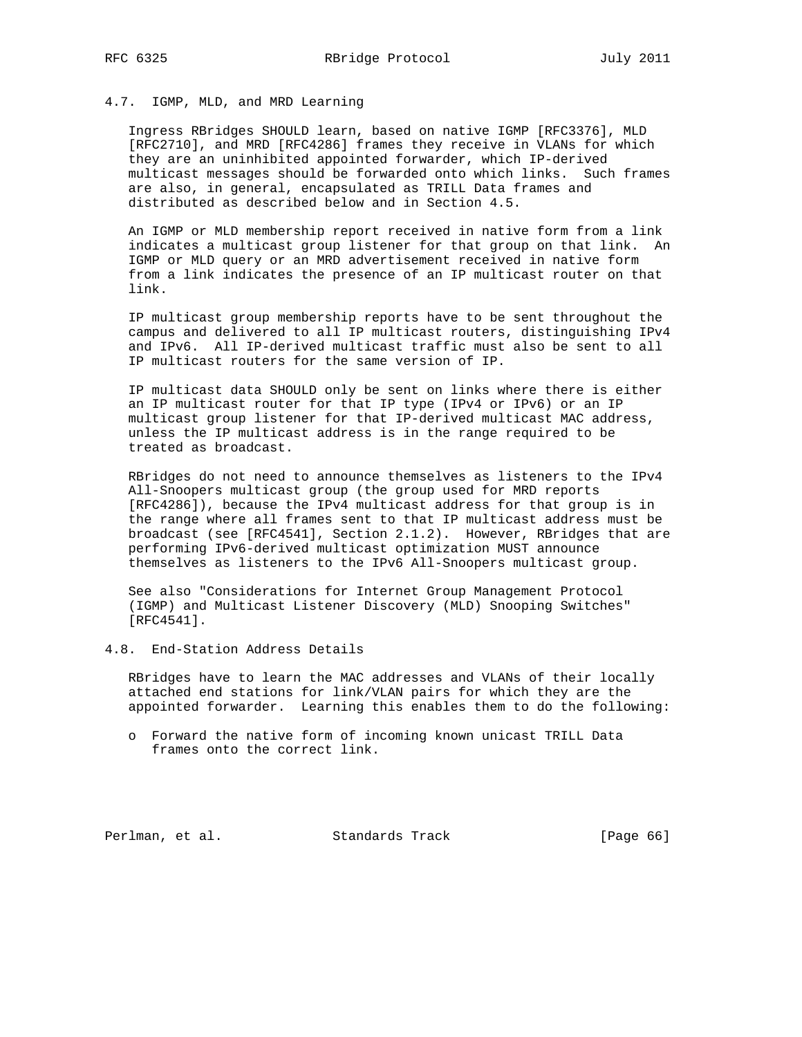## 4.7. IGMP, MLD, and MRD Learning

 Ingress RBridges SHOULD learn, based on native IGMP [RFC3376], MLD [RFC2710], and MRD [RFC4286] frames they receive in VLANs for which they are an uninhibited appointed forwarder, which IP-derived multicast messages should be forwarded onto which links. Such frames are also, in general, encapsulated as TRILL Data frames and distributed as described below and in Section 4.5.

 An IGMP or MLD membership report received in native form from a link indicates a multicast group listener for that group on that link. An IGMP or MLD query or an MRD advertisement received in native form from a link indicates the presence of an IP multicast router on that link.

 IP multicast group membership reports have to be sent throughout the campus and delivered to all IP multicast routers, distinguishing IPv4 and IPv6. All IP-derived multicast traffic must also be sent to all IP multicast routers for the same version of IP.

 IP multicast data SHOULD only be sent on links where there is either an IP multicast router for that IP type (IPv4 or IPv6) or an IP multicast group listener for that IP-derived multicast MAC address, unless the IP multicast address is in the range required to be treated as broadcast.

 RBridges do not need to announce themselves as listeners to the IPv4 All-Snoopers multicast group (the group used for MRD reports [RFC4286]), because the IPv4 multicast address for that group is in the range where all frames sent to that IP multicast address must be broadcast (see [RFC4541], Section 2.1.2). However, RBridges that are performing IPv6-derived multicast optimization MUST announce themselves as listeners to the IPv6 All-Snoopers multicast group.

 See also "Considerations for Internet Group Management Protocol (IGMP) and Multicast Listener Discovery (MLD) Snooping Switches" [RFC4541].

# 4.8. End-Station Address Details

 RBridges have to learn the MAC addresses and VLANs of their locally attached end stations for link/VLAN pairs for which they are the appointed forwarder. Learning this enables them to do the following:

 o Forward the native form of incoming known unicast TRILL Data frames onto the correct link.

Perlman, et al. Standards Track [Page 66]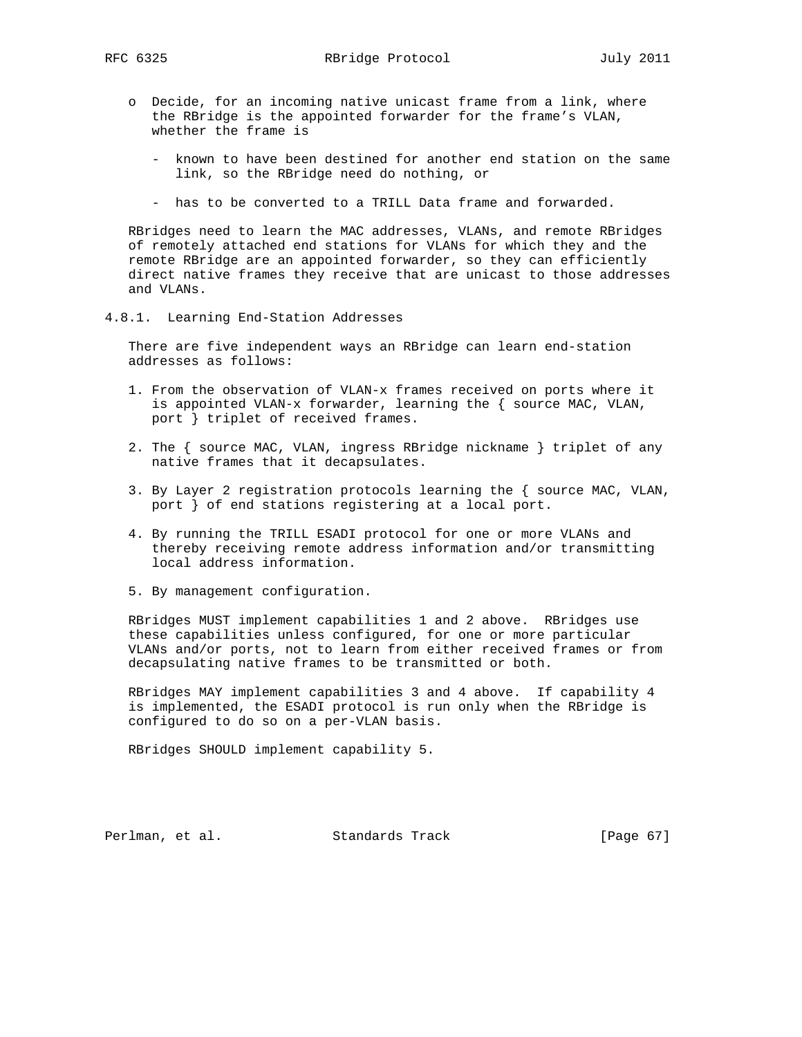- o Decide, for an incoming native unicast frame from a link, where the RBridge is the appointed forwarder for the frame's VLAN, whether the frame is
	- known to have been destined for another end station on the same link, so the RBridge need do nothing, or
	- has to be converted to a TRILL Data frame and forwarded.

 RBridges need to learn the MAC addresses, VLANs, and remote RBridges of remotely attached end stations for VLANs for which they and the remote RBridge are an appointed forwarder, so they can efficiently direct native frames they receive that are unicast to those addresses and VLANs.

4.8.1. Learning End-Station Addresses

 There are five independent ways an RBridge can learn end-station addresses as follows:

- 1. From the observation of VLAN-x frames received on ports where it is appointed VLAN-x forwarder, learning the { source MAC, VLAN, port } triplet of received frames.
- 2. The { source MAC, VLAN, ingress RBridge nickname } triplet of any native frames that it decapsulates.
- 3. By Layer 2 registration protocols learning the { source MAC, VLAN, port } of end stations registering at a local port.
- 4. By running the TRILL ESADI protocol for one or more VLANs and thereby receiving remote address information and/or transmitting local address information.
- 5. By management configuration.

 RBridges MUST implement capabilities 1 and 2 above. RBridges use these capabilities unless configured, for one or more particular VLANs and/or ports, not to learn from either received frames or from decapsulating native frames to be transmitted or both.

 RBridges MAY implement capabilities 3 and 4 above. If capability 4 is implemented, the ESADI protocol is run only when the RBridge is configured to do so on a per-VLAN basis.

RBridges SHOULD implement capability 5.

Perlman, et al. Standards Track [Page 67]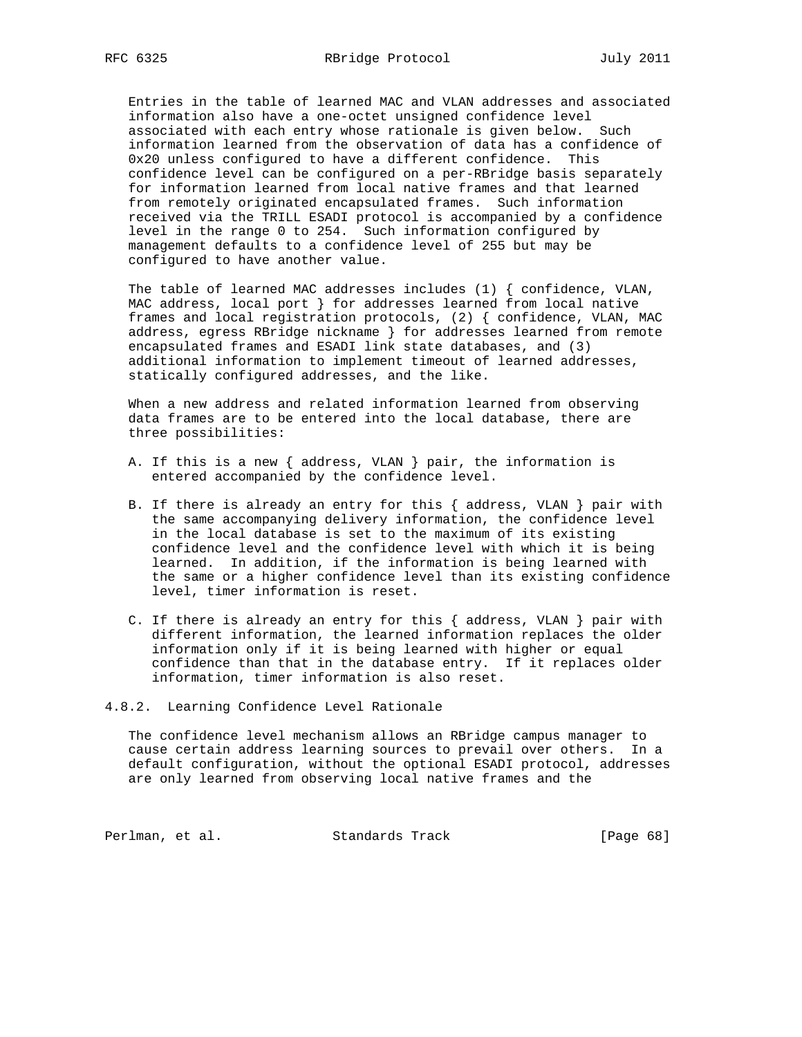Entries in the table of learned MAC and VLAN addresses and associated information also have a one-octet unsigned confidence level associated with each entry whose rationale is given below. Such information learned from the observation of data has a confidence of 0x20 unless configured to have a different confidence. This confidence level can be configured on a per-RBridge basis separately for information learned from local native frames and that learned from remotely originated encapsulated frames. Such information received via the TRILL ESADI protocol is accompanied by a confidence level in the range 0 to 254. Such information configured by management defaults to a confidence level of 255 but may be configured to have another value.

 The table of learned MAC addresses includes (1) { confidence, VLAN, MAC address, local port } for addresses learned from local native frames and local registration protocols, (2) { confidence, VLAN, MAC address, egress RBridge nickname } for addresses learned from remote encapsulated frames and ESADI link state databases, and (3) additional information to implement timeout of learned addresses, statically configured addresses, and the like.

 When a new address and related information learned from observing data frames are to be entered into the local database, there are three possibilities:

- A. If this is a new { address, VLAN } pair, the information is entered accompanied by the confidence level.
- B. If there is already an entry for this { address, VLAN } pair with the same accompanying delivery information, the confidence level in the local database is set to the maximum of its existing confidence level and the confidence level with which it is being learned. In addition, if the information is being learned with the same or a higher confidence level than its existing confidence level, timer information is reset.
- C. If there is already an entry for this { address, VLAN } pair with different information, the learned information replaces the older information only if it is being learned with higher or equal confidence than that in the database entry. If it replaces older information, timer information is also reset.

## 4.8.2. Learning Confidence Level Rationale

 The confidence level mechanism allows an RBridge campus manager to cause certain address learning sources to prevail over others. In a default configuration, without the optional ESADI protocol, addresses are only learned from observing local native frames and the

Perlman, et al. Standards Track [Page 68]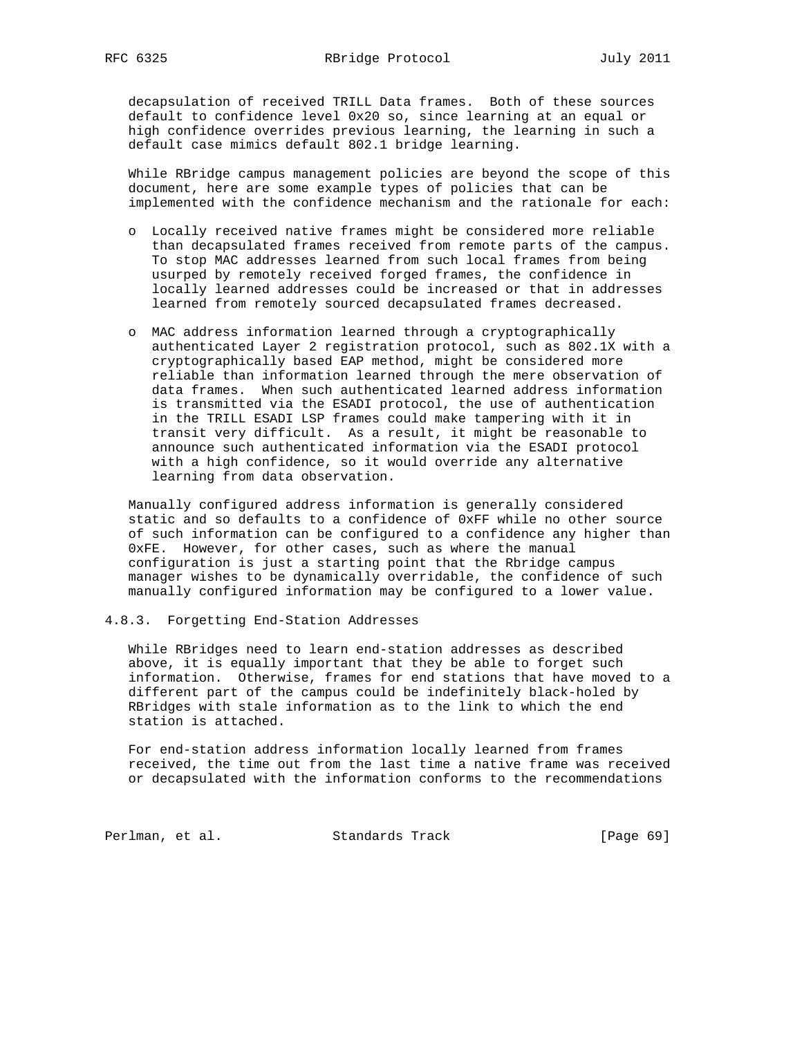decapsulation of received TRILL Data frames. Both of these sources default to confidence level 0x20 so, since learning at an equal or high confidence overrides previous learning, the learning in such a default case mimics default 802.1 bridge learning.

 While RBridge campus management policies are beyond the scope of this document, here are some example types of policies that can be implemented with the confidence mechanism and the rationale for each:

- o Locally received native frames might be considered more reliable than decapsulated frames received from remote parts of the campus. To stop MAC addresses learned from such local frames from being usurped by remotely received forged frames, the confidence in locally learned addresses could be increased or that in addresses learned from remotely sourced decapsulated frames decreased.
- o MAC address information learned through a cryptographically authenticated Layer 2 registration protocol, such as 802.1X with a cryptographically based EAP method, might be considered more reliable than information learned through the mere observation of data frames. When such authenticated learned address information is transmitted via the ESADI protocol, the use of authentication in the TRILL ESADI LSP frames could make tampering with it in transit very difficult. As a result, it might be reasonable to announce such authenticated information via the ESADI protocol with a high confidence, so it would override any alternative learning from data observation.

 Manually configured address information is generally considered static and so defaults to a confidence of 0xFF while no other source of such information can be configured to a confidence any higher than 0xFE. However, for other cases, such as where the manual configuration is just a starting point that the Rbridge campus manager wishes to be dynamically overridable, the confidence of such manually configured information may be configured to a lower value.

4.8.3. Forgetting End-Station Addresses

 While RBridges need to learn end-station addresses as described above, it is equally important that they be able to forget such information. Otherwise, frames for end stations that have moved to a different part of the campus could be indefinitely black-holed by RBridges with stale information as to the link to which the end station is attached.

 For end-station address information locally learned from frames received, the time out from the last time a native frame was received or decapsulated with the information conforms to the recommendations

Perlman, et al. Standards Track [Page 69]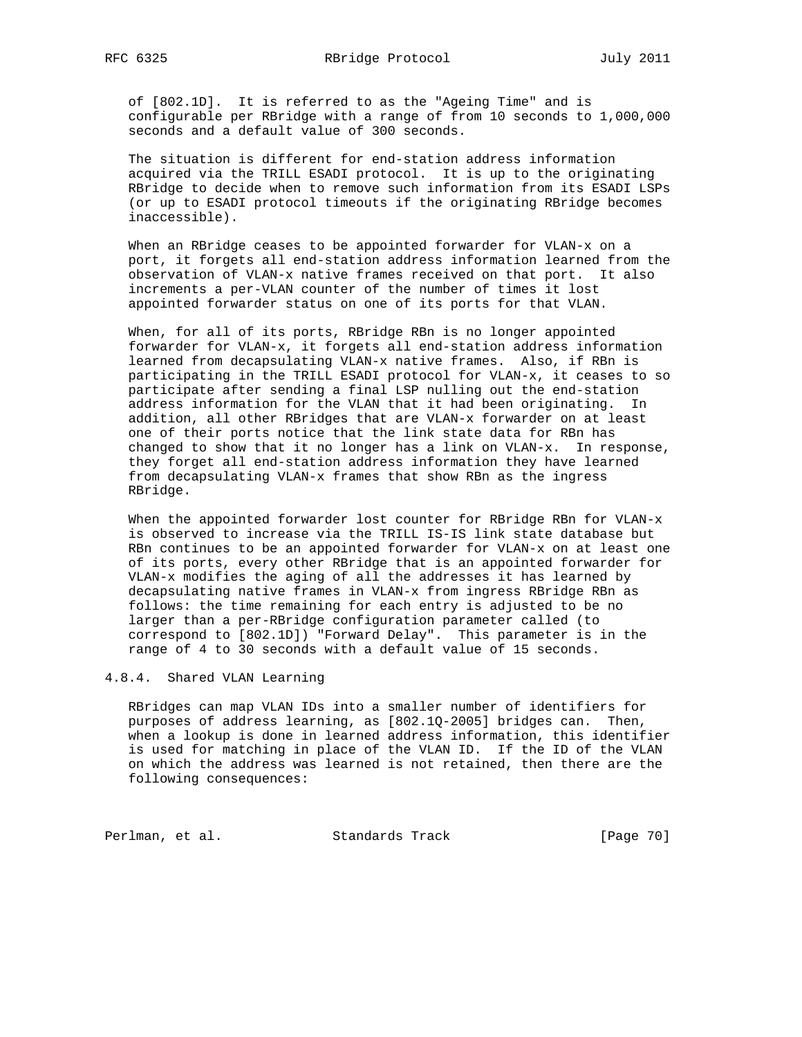of [802.1D]. It is referred to as the "Ageing Time" and is configurable per RBridge with a range of from 10 seconds to 1,000,000 seconds and a default value of 300 seconds.

 The situation is different for end-station address information acquired via the TRILL ESADI protocol. It is up to the originating RBridge to decide when to remove such information from its ESADI LSPs (or up to ESADI protocol timeouts if the originating RBridge becomes inaccessible).

 When an RBridge ceases to be appointed forwarder for VLAN-x on a port, it forgets all end-station address information learned from the observation of VLAN-x native frames received on that port. It also increments a per-VLAN counter of the number of times it lost appointed forwarder status on one of its ports for that VLAN.

 When, for all of its ports, RBridge RBn is no longer appointed forwarder for VLAN-x, it forgets all end-station address information learned from decapsulating VLAN-x native frames. Also, if RBn is participating in the TRILL ESADI protocol for VLAN-x, it ceases to so participate after sending a final LSP nulling out the end-station address information for the VLAN that it had been originating. In addition, all other RBridges that are VLAN-x forwarder on at least one of their ports notice that the link state data for RBn has changed to show that it no longer has a link on VLAN-x. In response, they forget all end-station address information they have learned from decapsulating VLAN-x frames that show RBn as the ingress RBridge.

When the appointed forwarder lost counter for RBridge RBn for VLAN-x is observed to increase via the TRILL IS-IS link state database but RBn continues to be an appointed forwarder for VLAN-x on at least one of its ports, every other RBridge that is an appointed forwarder for VLAN-x modifies the aging of all the addresses it has learned by decapsulating native frames in VLAN-x from ingress RBridge RBn as follows: the time remaining for each entry is adjusted to be no larger than a per-RBridge configuration parameter called (to correspond to [802.1D]) "Forward Delay". This parameter is in the range of 4 to 30 seconds with a default value of 15 seconds.

## 4.8.4. Shared VLAN Learning

 RBridges can map VLAN IDs into a smaller number of identifiers for purposes of address learning, as [802.1Q-2005] bridges can. Then, when a lookup is done in learned address information, this identifier is used for matching in place of the VLAN ID. If the ID of the VLAN on which the address was learned is not retained, then there are the following consequences:

Perlman, et al. Standards Track [Page 70]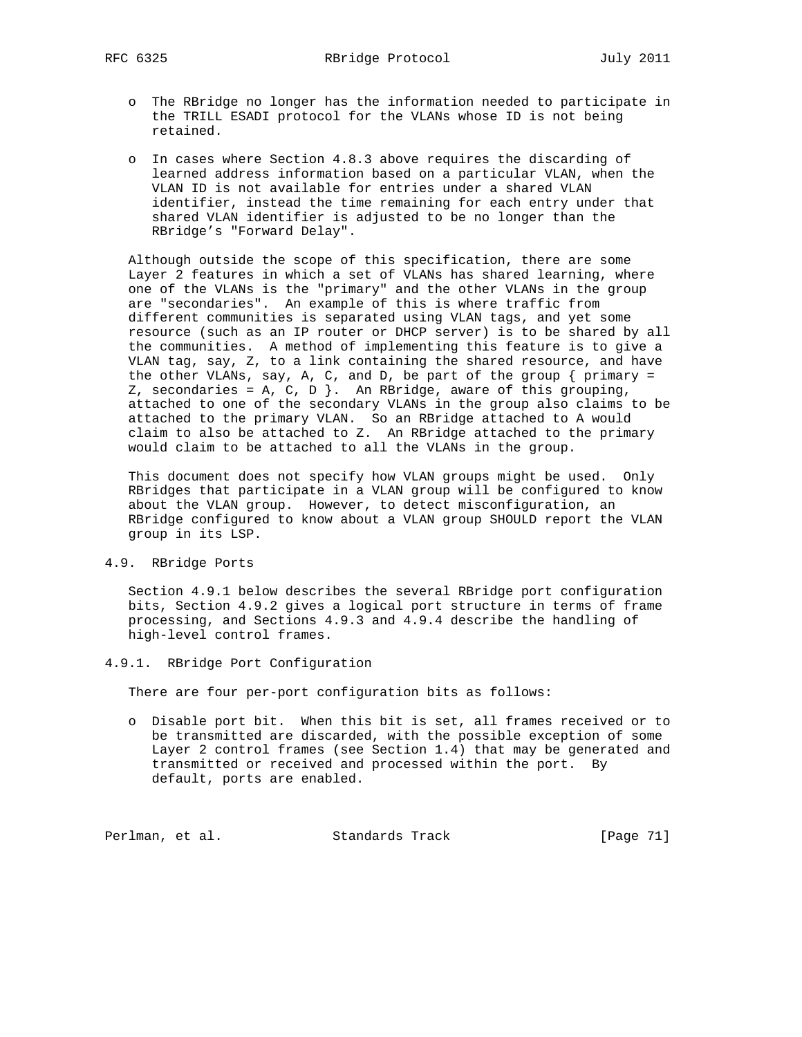- o The RBridge no longer has the information needed to participate in the TRILL ESADI protocol for the VLANs whose ID is not being retained.
- o In cases where Section 4.8.3 above requires the discarding of learned address information based on a particular VLAN, when the VLAN ID is not available for entries under a shared VLAN identifier, instead the time remaining for each entry under that shared VLAN identifier is adjusted to be no longer than the RBridge's "Forward Delay".

 Although outside the scope of this specification, there are some Layer 2 features in which a set of VLANs has shared learning, where one of the VLANs is the "primary" and the other VLANs in the group are "secondaries". An example of this is where traffic from different communities is separated using VLAN tags, and yet some resource (such as an IP router or DHCP server) is to be shared by all the communities. A method of implementing this feature is to give a VLAN tag, say, Z, to a link containing the shared resource, and have the other VLANs, say, A, C, and D, be part of the group  $\{$  primary = Z, secondaries = A, C, D  $\}$ . An RBridge, aware of this grouping, attached to one of the secondary VLANs in the group also claims to be attached to the primary VLAN. So an RBridge attached to A would claim to also be attached to Z. An RBridge attached to the primary would claim to be attached to all the VLANs in the group.

 This document does not specify how VLAN groups might be used. Only RBridges that participate in a VLAN group will be configured to know about the VLAN group. However, to detect misconfiguration, an RBridge configured to know about a VLAN group SHOULD report the VLAN group in its LSP.

4.9. RBridge Ports

 Section 4.9.1 below describes the several RBridge port configuration bits, Section 4.9.2 gives a logical port structure in terms of frame processing, and Sections 4.9.3 and 4.9.4 describe the handling of high-level control frames.

4.9.1. RBridge Port Configuration

There are four per-port configuration bits as follows:

 o Disable port bit. When this bit is set, all frames received or to be transmitted are discarded, with the possible exception of some Layer 2 control frames (see Section 1.4) that may be generated and transmitted or received and processed within the port. By default, ports are enabled.

Perlman, et al. Standards Track [Page 71]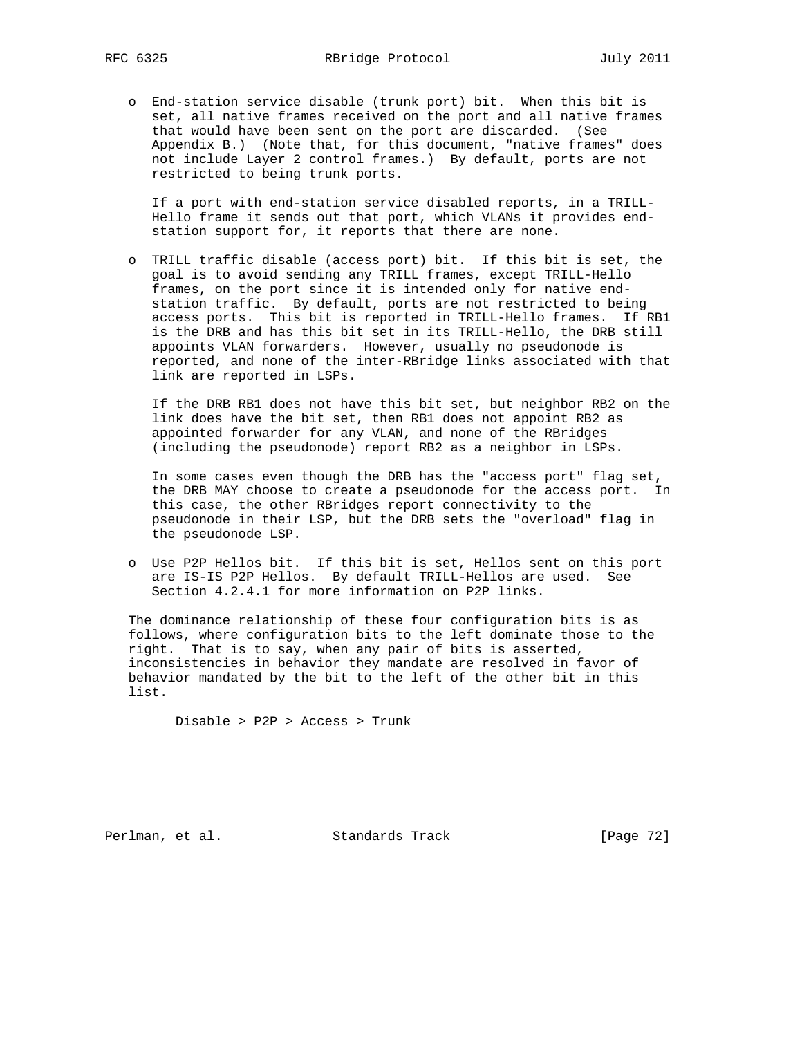o End-station service disable (trunk port) bit. When this bit is set, all native frames received on the port and all native frames that would have been sent on the port are discarded. (See Appendix B.) (Note that, for this document, "native frames" does not include Layer 2 control frames.) By default, ports are not restricted to being trunk ports.

 If a port with end-station service disabled reports, in a TRILL- Hello frame it sends out that port, which VLANs it provides end station support for, it reports that there are none.

 o TRILL traffic disable (access port) bit. If this bit is set, the goal is to avoid sending any TRILL frames, except TRILL-Hello frames, on the port since it is intended only for native end station traffic. By default, ports are not restricted to being access ports. This bit is reported in TRILL-Hello frames. If RB1 is the DRB and has this bit set in its TRILL-Hello, the DRB still appoints VLAN forwarders. However, usually no pseudonode is reported, and none of the inter-RBridge links associated with that link are reported in LSPs.

 If the DRB RB1 does not have this bit set, but neighbor RB2 on the link does have the bit set, then RB1 does not appoint RB2 as appointed forwarder for any VLAN, and none of the RBridges (including the pseudonode) report RB2 as a neighbor in LSPs.

 In some cases even though the DRB has the "access port" flag set, the DRB MAY choose to create a pseudonode for the access port. In this case, the other RBridges report connectivity to the pseudonode in their LSP, but the DRB sets the "overload" flag in the pseudonode LSP.

 o Use P2P Hellos bit. If this bit is set, Hellos sent on this port are IS-IS P2P Hellos. By default TRILL-Hellos are used. See Section 4.2.4.1 for more information on P2P links.

 The dominance relationship of these four configuration bits is as follows, where configuration bits to the left dominate those to the right. That is to say, when any pair of bits is asserted, inconsistencies in behavior they mandate are resolved in favor of behavior mandated by the bit to the left of the other bit in this list.

Disable > P2P > Access > Trunk

Perlman, et al. Standards Track [Page 72]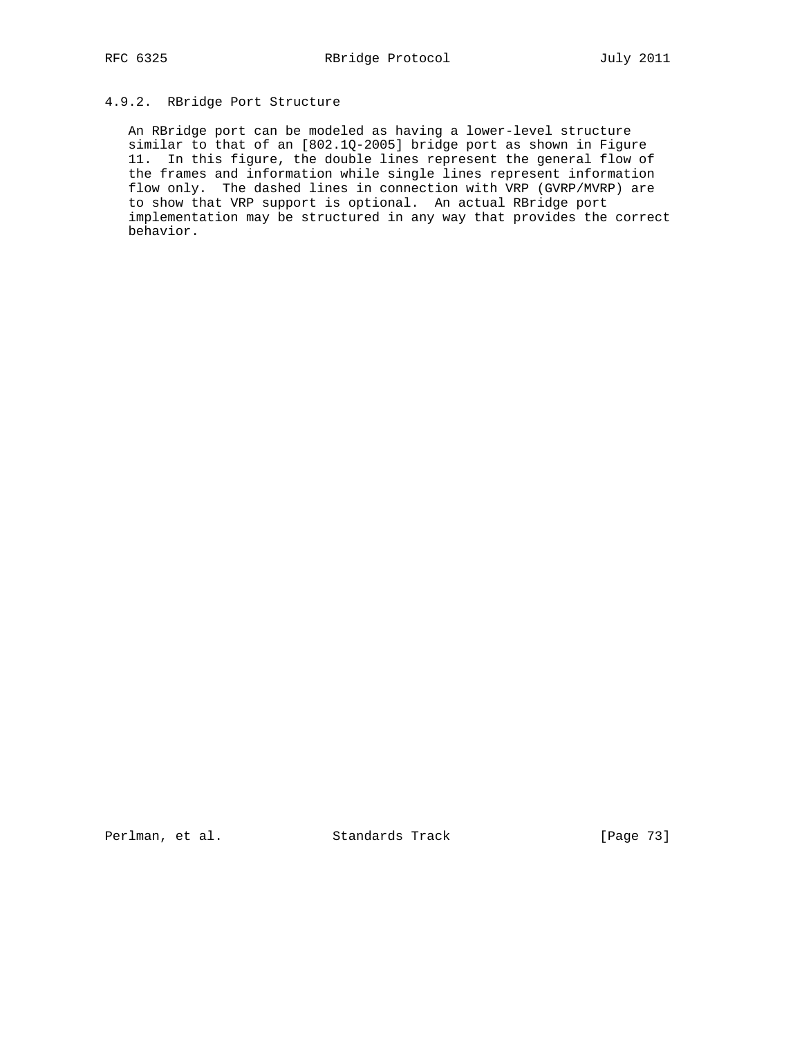# 4.9.2. RBridge Port Structure

 An RBridge port can be modeled as having a lower-level structure similar to that of an [802.1Q-2005] bridge port as shown in Figure 11. In this figure, the double lines represent the general flow of the frames and information while single lines represent information flow only. The dashed lines in connection with VRP (GVRP/MVRP) are to show that VRP support is optional. An actual RBridge port implementation may be structured in any way that provides the correct behavior.

Perlman, et al. Standards Track [Page 73]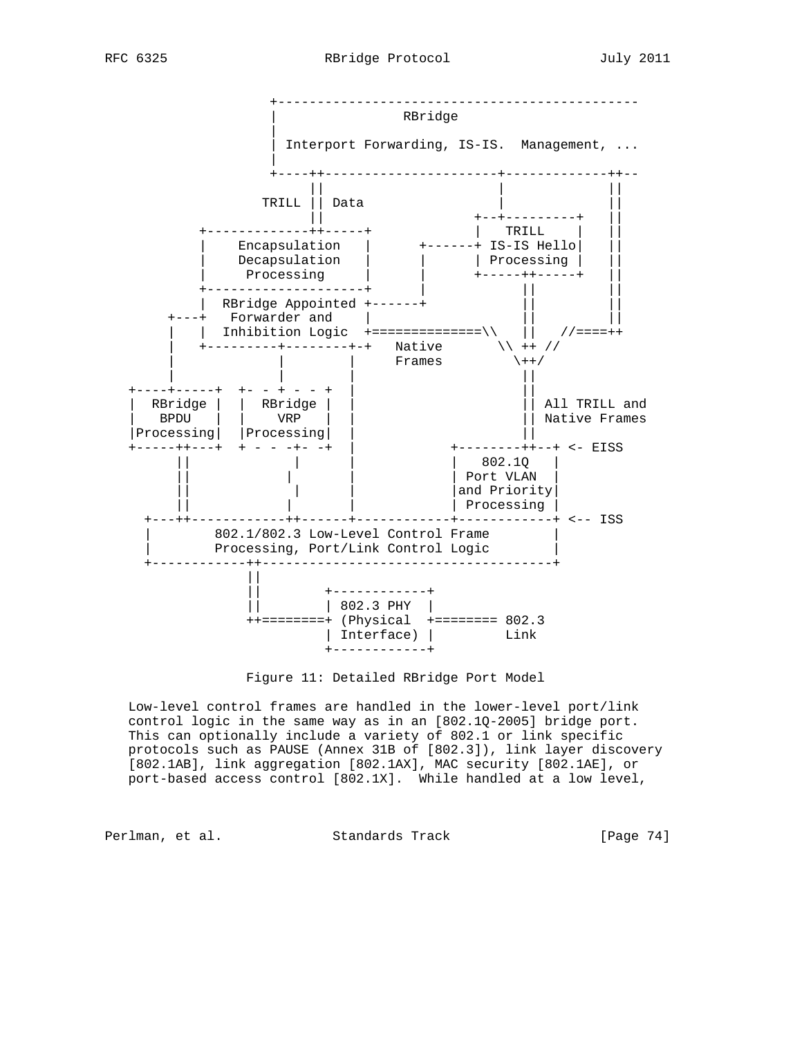

Figure 11: Detailed RBridge Port Model

 Low-level control frames are handled in the lower-level port/link control logic in the same way as in an [802.1Q-2005] bridge port. This can optionally include a variety of 802.1 or link specific protocols such as PAUSE (Annex 31B of [802.3]), link layer discovery [802.1AB], link aggregation [802.1AX], MAC security [802.1AE], or port-based access control [802.1X]. While handled at a low level,

Perlman, et al. Standards Track [Page 74]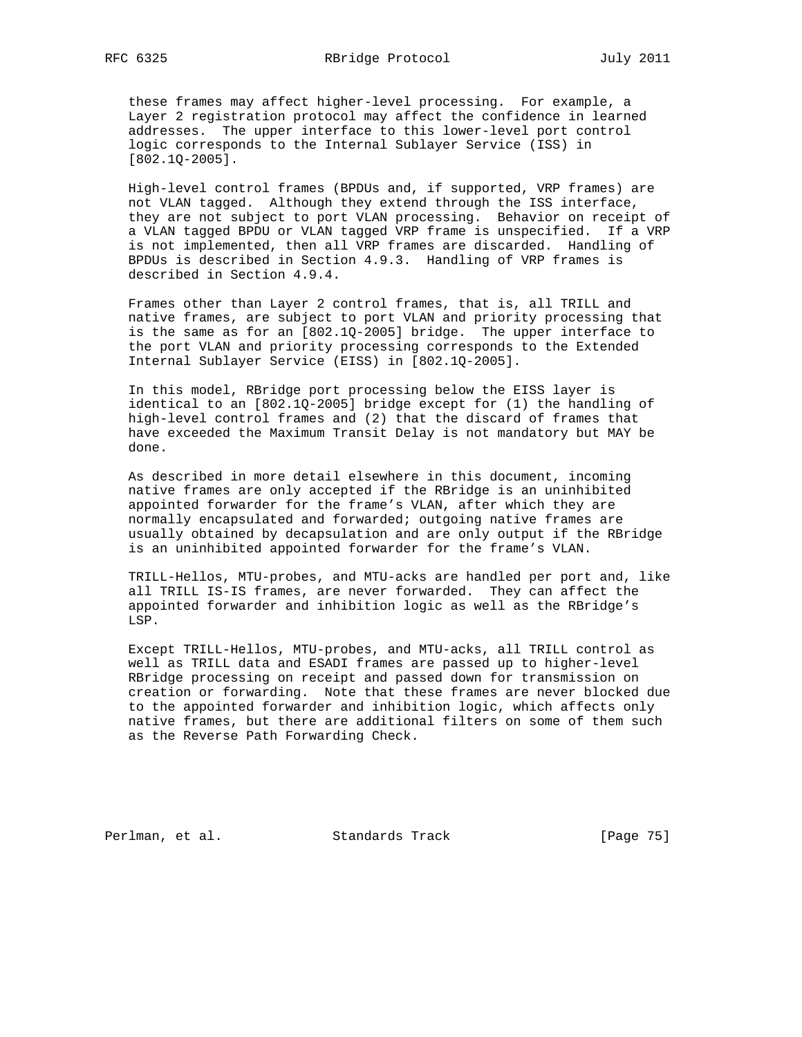these frames may affect higher-level processing. For example, a Layer 2 registration protocol may affect the confidence in learned addresses. The upper interface to this lower-level port control logic corresponds to the Internal Sublayer Service (ISS) in [802.1Q-2005].

 High-level control frames (BPDUs and, if supported, VRP frames) are not VLAN tagged. Although they extend through the ISS interface, they are not subject to port VLAN processing. Behavior on receipt of a VLAN tagged BPDU or VLAN tagged VRP frame is unspecified. If a VRP is not implemented, then all VRP frames are discarded. Handling of BPDUs is described in Section 4.9.3. Handling of VRP frames is described in Section 4.9.4.

 Frames other than Layer 2 control frames, that is, all TRILL and native frames, are subject to port VLAN and priority processing that is the same as for an [802.1Q-2005] bridge. The upper interface to the port VLAN and priority processing corresponds to the Extended Internal Sublayer Service (EISS) in [802.1Q-2005].

 In this model, RBridge port processing below the EISS layer is identical to an [802.1Q-2005] bridge except for (1) the handling of high-level control frames and (2) that the discard of frames that have exceeded the Maximum Transit Delay is not mandatory but MAY be done.

 As described in more detail elsewhere in this document, incoming native frames are only accepted if the RBridge is an uninhibited appointed forwarder for the frame's VLAN, after which they are normally encapsulated and forwarded; outgoing native frames are usually obtained by decapsulation and are only output if the RBridge is an uninhibited appointed forwarder for the frame's VLAN.

 TRILL-Hellos, MTU-probes, and MTU-acks are handled per port and, like all TRILL IS-IS frames, are never forwarded. They can affect the appointed forwarder and inhibition logic as well as the RBridge's LSP.

 Except TRILL-Hellos, MTU-probes, and MTU-acks, all TRILL control as well as TRILL data and ESADI frames are passed up to higher-level RBridge processing on receipt and passed down for transmission on creation or forwarding. Note that these frames are never blocked due to the appointed forwarder and inhibition logic, which affects only native frames, but there are additional filters on some of them such as the Reverse Path Forwarding Check.

Perlman, et al. Standards Track [Page 75]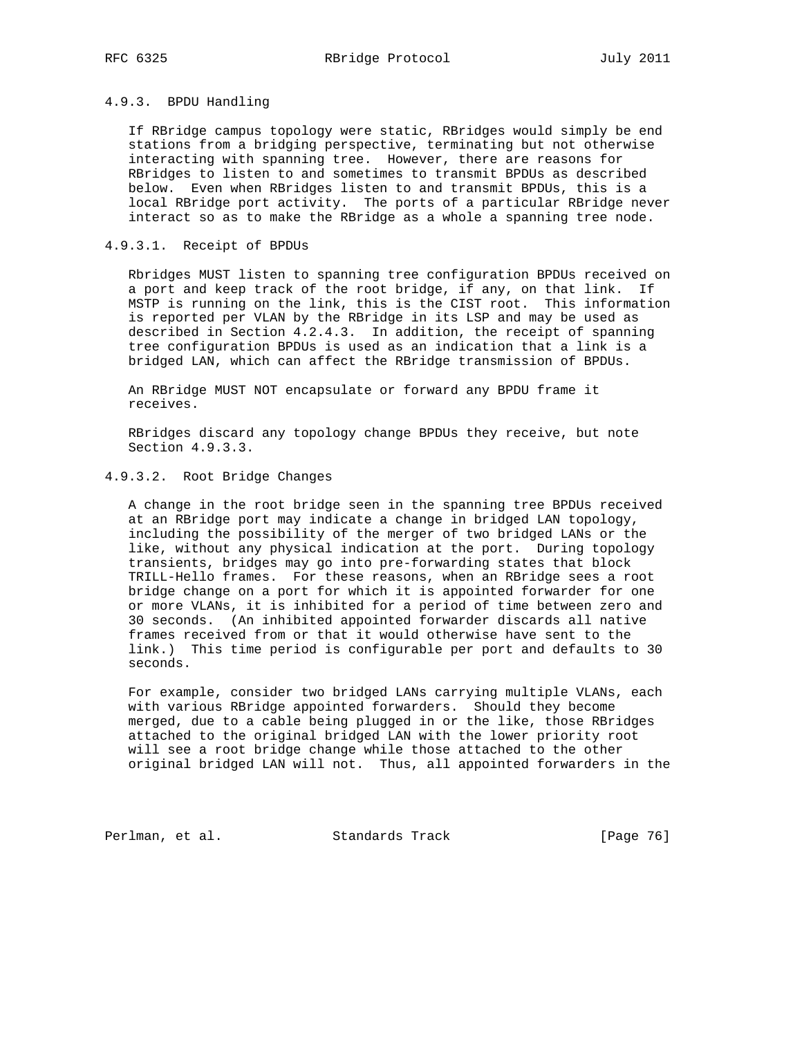# 4.9.3. BPDU Handling

 If RBridge campus topology were static, RBridges would simply be end stations from a bridging perspective, terminating but not otherwise interacting with spanning tree. However, there are reasons for RBridges to listen to and sometimes to transmit BPDUs as described below. Even when RBridges listen to and transmit BPDUs, this is a local RBridge port activity. The ports of a particular RBridge never interact so as to make the RBridge as a whole a spanning tree node.

## 4.9.3.1. Receipt of BPDUs

 Rbridges MUST listen to spanning tree configuration BPDUs received on a port and keep track of the root bridge, if any, on that link. If MSTP is running on the link, this is the CIST root. This information is reported per VLAN by the RBridge in its LSP and may be used as described in Section 4.2.4.3. In addition, the receipt of spanning tree configuration BPDUs is used as an indication that a link is a bridged LAN, which can affect the RBridge transmission of BPDUs.

 An RBridge MUST NOT encapsulate or forward any BPDU frame it receives.

 RBridges discard any topology change BPDUs they receive, but note Section 4.9.3.3.

## 4.9.3.2. Root Bridge Changes

 A change in the root bridge seen in the spanning tree BPDUs received at an RBridge port may indicate a change in bridged LAN topology, including the possibility of the merger of two bridged LANs or the like, without any physical indication at the port. During topology transients, bridges may go into pre-forwarding states that block TRILL-Hello frames. For these reasons, when an RBridge sees a root bridge change on a port for which it is appointed forwarder for one or more VLANs, it is inhibited for a period of time between zero and 30 seconds. (An inhibited appointed forwarder discards all native frames received from or that it would otherwise have sent to the link.) This time period is configurable per port and defaults to 30 seconds.

 For example, consider two bridged LANs carrying multiple VLANs, each with various RBridge appointed forwarders. Should they become merged, due to a cable being plugged in or the like, those RBridges attached to the original bridged LAN with the lower priority root will see a root bridge change while those attached to the other original bridged LAN will not. Thus, all appointed forwarders in the

Perlman, et al. Standards Track [Page 76]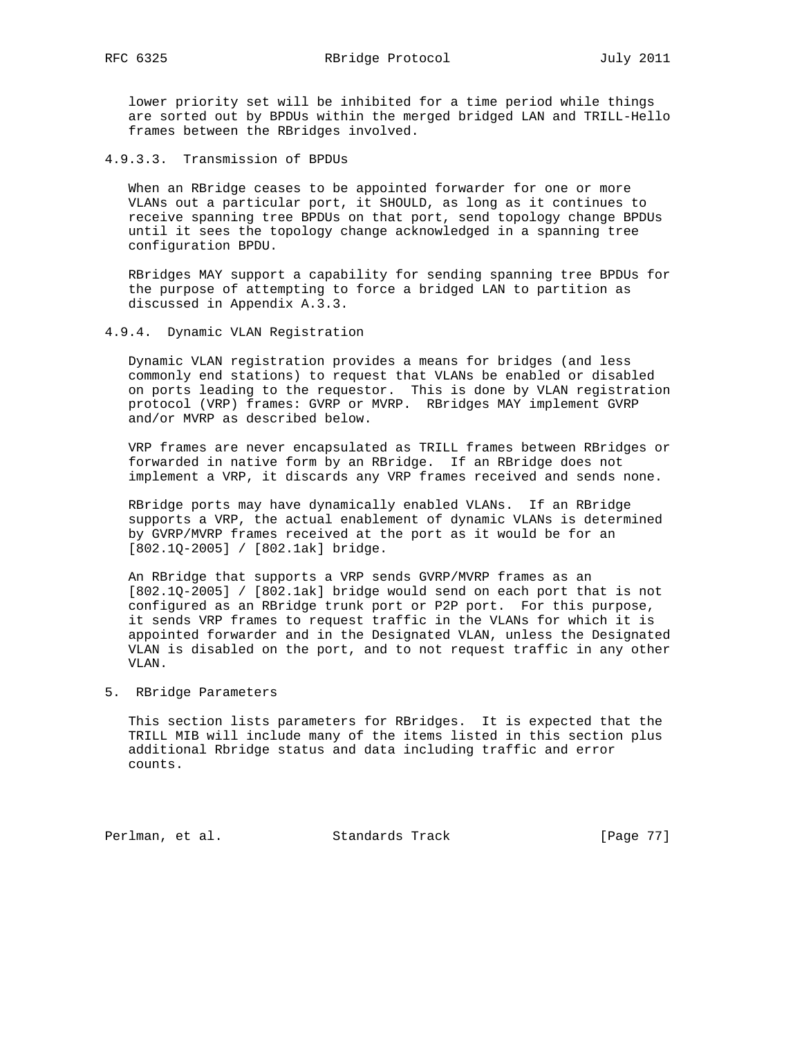lower priority set will be inhibited for a time period while things are sorted out by BPDUs within the merged bridged LAN and TRILL-Hello frames between the RBridges involved.

4.9.3.3. Transmission of BPDUs

 When an RBridge ceases to be appointed forwarder for one or more VLANs out a particular port, it SHOULD, as long as it continues to receive spanning tree BPDUs on that port, send topology change BPDUs until it sees the topology change acknowledged in a spanning tree configuration BPDU.

 RBridges MAY support a capability for sending spanning tree BPDUs for the purpose of attempting to force a bridged LAN to partition as discussed in Appendix A.3.3.

4.9.4. Dynamic VLAN Registration

 Dynamic VLAN registration provides a means for bridges (and less commonly end stations) to request that VLANs be enabled or disabled on ports leading to the requestor. This is done by VLAN registration protocol (VRP) frames: GVRP or MVRP. RBridges MAY implement GVRP and/or MVRP as described below.

 VRP frames are never encapsulated as TRILL frames between RBridges or forwarded in native form by an RBridge. If an RBridge does not implement a VRP, it discards any VRP frames received and sends none.

 RBridge ports may have dynamically enabled VLANs. If an RBridge supports a VRP, the actual enablement of dynamic VLANs is determined by GVRP/MVRP frames received at the port as it would be for an [802.1Q-2005] / [802.1ak] bridge.

 An RBridge that supports a VRP sends GVRP/MVRP frames as an [802.1Q-2005] / [802.1ak] bridge would send on each port that is not configured as an RBridge trunk port or P2P port. For this purpose, it sends VRP frames to request traffic in the VLANs for which it is appointed forwarder and in the Designated VLAN, unless the Designated VLAN is disabled on the port, and to not request traffic in any other VLAN.

5. RBridge Parameters

 This section lists parameters for RBridges. It is expected that the TRILL MIB will include many of the items listed in this section plus additional Rbridge status and data including traffic and error counts.

Perlman, et al. Standards Track [Page 77]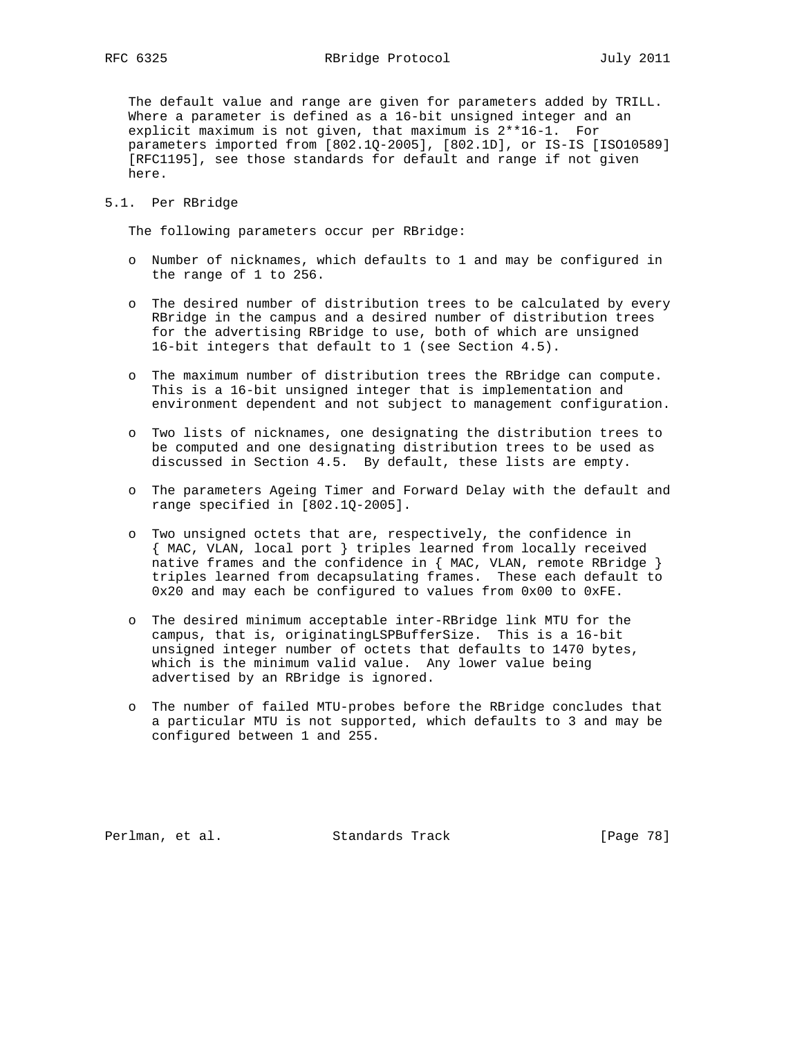The default value and range are given for parameters added by TRILL. Where a parameter is defined as a 16-bit unsigned integer and an explicit maximum is not given, that maximum is 2\*\*16-1. For parameters imported from [802.1Q-2005], [802.1D], or IS-IS [ISO10589] [RFC1195], see those standards for default and range if not given here.

## 5.1. Per RBridge

The following parameters occur per RBridge:

- o Number of nicknames, which defaults to 1 and may be configured in the range of 1 to 256.
- o The desired number of distribution trees to be calculated by every RBridge in the campus and a desired number of distribution trees for the advertising RBridge to use, both of which are unsigned 16-bit integers that default to 1 (see Section 4.5).
- o The maximum number of distribution trees the RBridge can compute. This is a 16-bit unsigned integer that is implementation and environment dependent and not subject to management configuration.
- o Two lists of nicknames, one designating the distribution trees to be computed and one designating distribution trees to be used as discussed in Section 4.5. By default, these lists are empty.
- o The parameters Ageing Timer and Forward Delay with the default and range specified in [802.1Q-2005].
- o Two unsigned octets that are, respectively, the confidence in { MAC, VLAN, local port } triples learned from locally received native frames and the confidence in { MAC, VLAN, remote RBridge } triples learned from decapsulating frames. These each default to 0x20 and may each be configured to values from 0x00 to 0xFE.
- o The desired minimum acceptable inter-RBridge link MTU for the campus, that is, originatingLSPBufferSize. This is a 16-bit unsigned integer number of octets that defaults to 1470 bytes, which is the minimum valid value. Any lower value being advertised by an RBridge is ignored.
- o The number of failed MTU-probes before the RBridge concludes that a particular MTU is not supported, which defaults to 3 and may be configured between 1 and 255.

Perlman, et al. Standards Track [Page 78]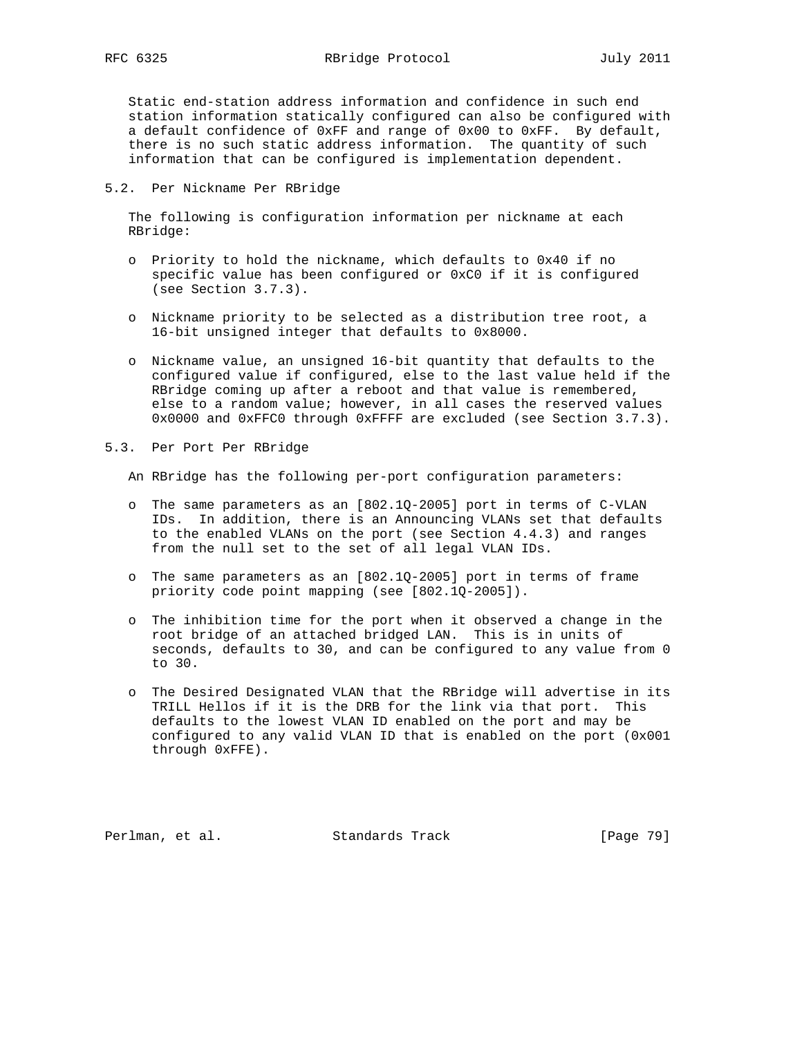Static end-station address information and confidence in such end station information statically configured can also be configured with a default confidence of 0xFF and range of 0x00 to 0xFF. By default, there is no such static address information. The quantity of such information that can be configured is implementation dependent.

### 5.2. Per Nickname Per RBridge

 The following is configuration information per nickname at each RBridge:

- o Priority to hold the nickname, which defaults to 0x40 if no specific value has been configured or 0xC0 if it is configured (see Section 3.7.3).
- o Nickname priority to be selected as a distribution tree root, a 16-bit unsigned integer that defaults to 0x8000.
- o Nickname value, an unsigned 16-bit quantity that defaults to the configured value if configured, else to the last value held if the RBridge coming up after a reboot and that value is remembered, else to a random value; however, in all cases the reserved values 0x0000 and 0xFFC0 through 0xFFFF are excluded (see Section 3.7.3).
- 5.3. Per Port Per RBridge

An RBridge has the following per-port configuration parameters:

- o The same parameters as an [802.1Q-2005] port in terms of C-VLAN IDs. In addition, there is an Announcing VLANs set that defaults to the enabled VLANs on the port (see Section 4.4.3) and ranges from the null set to the set of all legal VLAN IDs.
- o The same parameters as an [802.1Q-2005] port in terms of frame priority code point mapping (see [802.1Q-2005]).
- o The inhibition time for the port when it observed a change in the root bridge of an attached bridged LAN. This is in units of seconds, defaults to 30, and can be configured to any value from 0 to 30.
- o The Desired Designated VLAN that the RBridge will advertise in its TRILL Hellos if it is the DRB for the link via that port. This defaults to the lowest VLAN ID enabled on the port and may be configured to any valid VLAN ID that is enabled on the port (0x001 through 0xFFE).

Perlman, et al. Standards Track [Page 79]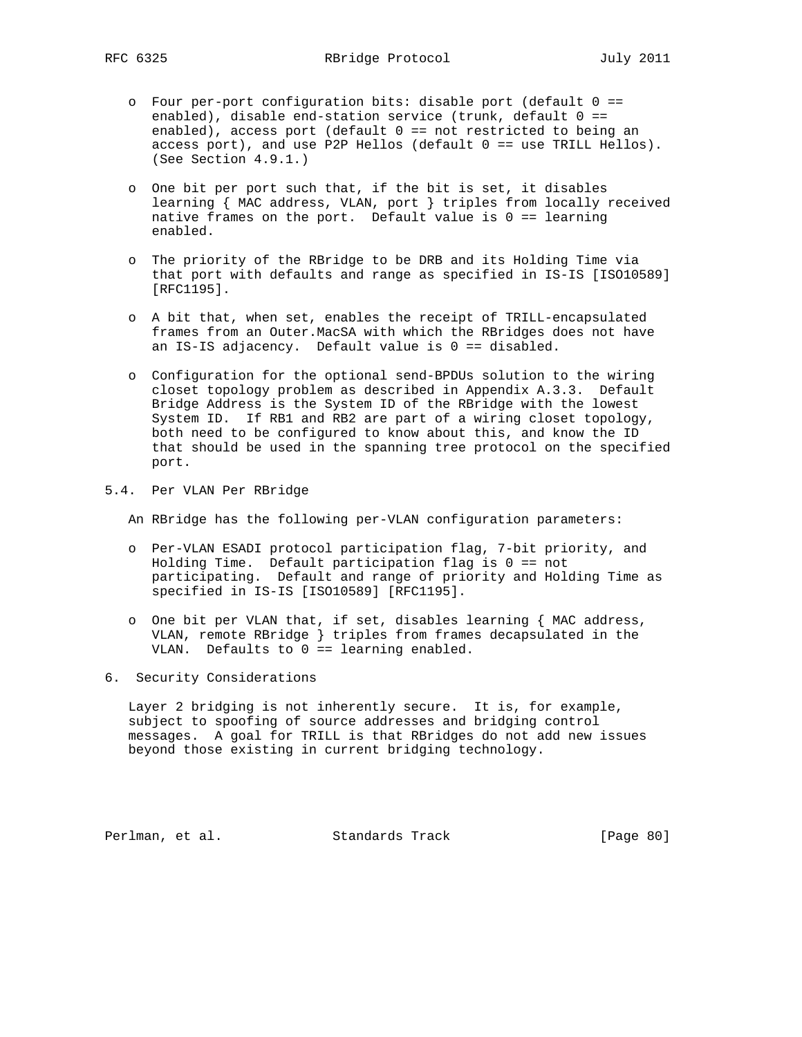- o Four per-port configuration bits: disable port (default 0 == enabled), disable end-station service (trunk, default 0 == enabled), access port (default 0 == not restricted to being an access port), and use P2P Hellos (default 0 == use TRILL Hellos). (See Section 4.9.1.)
- o One bit per port such that, if the bit is set, it disables learning { MAC address, VLAN, port } triples from locally received native frames on the port. Default value is  $0 =$  learning enabled.
- o The priority of the RBridge to be DRB and its Holding Time via that port with defaults and range as specified in IS-IS [ISO10589] [RFC1195].
- o A bit that, when set, enables the receipt of TRILL-encapsulated frames from an Outer.MacSA with which the RBridges does not have an IS-IS adjacency. Default value is 0 == disabled.
- o Configuration for the optional send-BPDUs solution to the wiring closet topology problem as described in Appendix A.3.3. Default Bridge Address is the System ID of the RBridge with the lowest System ID. If RB1 and RB2 are part of a wiring closet topology, both need to be configured to know about this, and know the ID that should be used in the spanning tree protocol on the specified port.
- 5.4. Per VLAN Per RBridge

An RBridge has the following per-VLAN configuration parameters:

- o Per-VLAN ESADI protocol participation flag, 7-bit priority, and Holding Time. Default participation flag is 0 == not participating. Default and range of priority and Holding Time as specified in IS-IS [ISO10589] [RFC1195].
- o One bit per VLAN that, if set, disables learning { MAC address, VLAN, remote RBridge } triples from frames decapsulated in the VLAN. Defaults to 0 == learning enabled.
- 6. Security Considerations

 Layer 2 bridging is not inherently secure. It is, for example, subject to spoofing of source addresses and bridging control messages. A goal for TRILL is that RBridges do not add new issues beyond those existing in current bridging technology.

Perlman, et al. Standards Track [Page 80]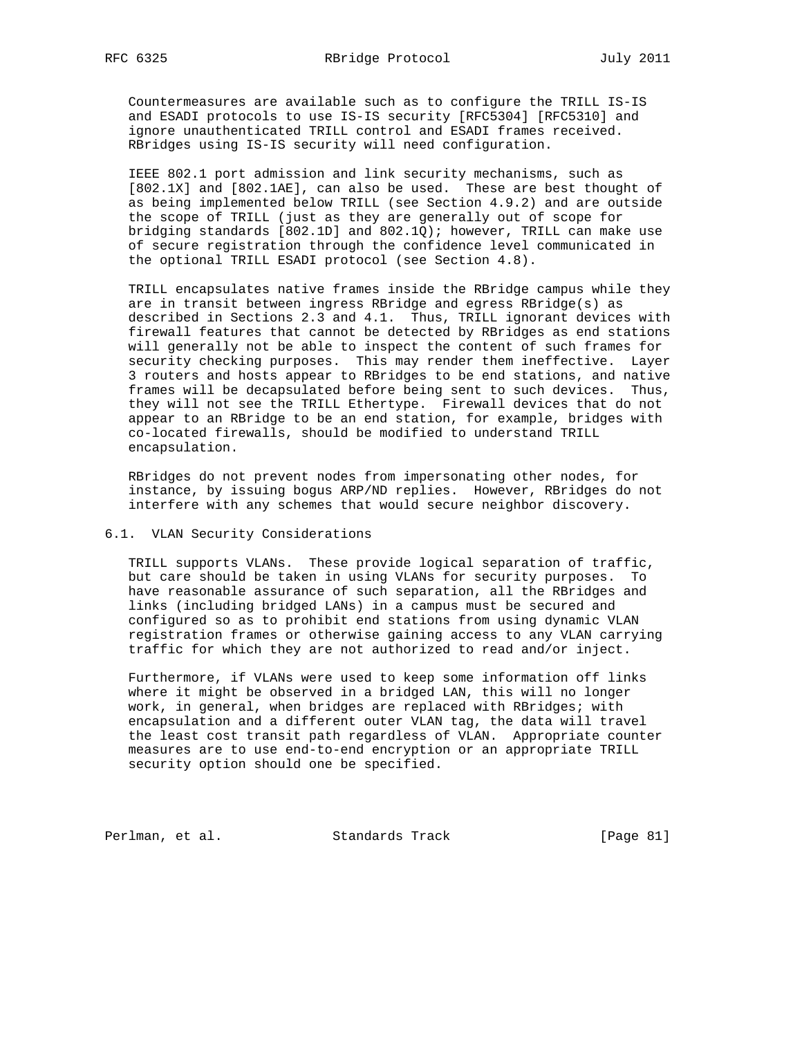Countermeasures are available such as to configure the TRILL IS-IS and ESADI protocols to use IS-IS security [RFC5304] [RFC5310] and ignore unauthenticated TRILL control and ESADI frames received. RBridges using IS-IS security will need configuration.

 IEEE 802.1 port admission and link security mechanisms, such as [802.1X] and [802.1AE], can also be used. These are best thought of as being implemented below TRILL (see Section 4.9.2) and are outside the scope of TRILL (just as they are generally out of scope for bridging standards [802.1D] and 802.1Q); however, TRILL can make use of secure registration through the confidence level communicated in the optional TRILL ESADI protocol (see Section 4.8).

 TRILL encapsulates native frames inside the RBridge campus while they are in transit between ingress RBridge and egress RBridge(s) as described in Sections 2.3 and 4.1. Thus, TRILL ignorant devices with firewall features that cannot be detected by RBridges as end stations will generally not be able to inspect the content of such frames for security checking purposes. This may render them ineffective. Layer 3 routers and hosts appear to RBridges to be end stations, and native frames will be decapsulated before being sent to such devices. Thus, they will not see the TRILL Ethertype. Firewall devices that do not appear to an RBridge to be an end station, for example, bridges with co-located firewalls, should be modified to understand TRILL encapsulation.

 RBridges do not prevent nodes from impersonating other nodes, for instance, by issuing bogus ARP/ND replies. However, RBridges do not interfere with any schemes that would secure neighbor discovery.

## 6.1. VLAN Security Considerations

 TRILL supports VLANs. These provide logical separation of traffic, but care should be taken in using VLANs for security purposes. To have reasonable assurance of such separation, all the RBridges and links (including bridged LANs) in a campus must be secured and configured so as to prohibit end stations from using dynamic VLAN registration frames or otherwise gaining access to any VLAN carrying traffic for which they are not authorized to read and/or inject.

 Furthermore, if VLANs were used to keep some information off links where it might be observed in a bridged LAN, this will no longer work, in general, when bridges are replaced with RBridges; with encapsulation and a different outer VLAN tag, the data will travel the least cost transit path regardless of VLAN. Appropriate counter measures are to use end-to-end encryption or an appropriate TRILL security option should one be specified.

Perlman, et al. Standards Track [Page 81]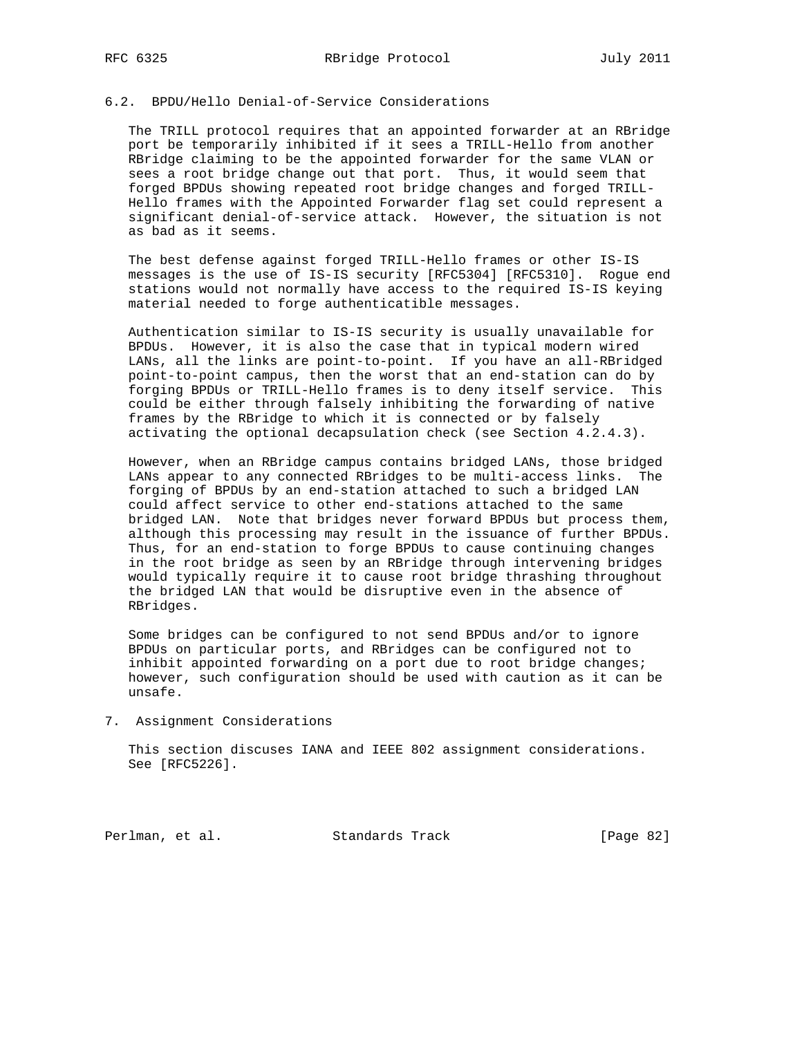# 6.2. BPDU/Hello Denial-of-Service Considerations

 The TRILL protocol requires that an appointed forwarder at an RBridge port be temporarily inhibited if it sees a TRILL-Hello from another RBridge claiming to be the appointed forwarder for the same VLAN or sees a root bridge change out that port. Thus, it would seem that forged BPDUs showing repeated root bridge changes and forged TRILL- Hello frames with the Appointed Forwarder flag set could represent a significant denial-of-service attack. However, the situation is not as bad as it seems.

 The best defense against forged TRILL-Hello frames or other IS-IS messages is the use of IS-IS security [RFC5304] [RFC5310]. Rogue end stations would not normally have access to the required IS-IS keying material needed to forge authenticatible messages.

 Authentication similar to IS-IS security is usually unavailable for BPDUs. However, it is also the case that in typical modern wired LANs, all the links are point-to-point. If you have an all-RBridged point-to-point campus, then the worst that an end-station can do by forging BPDUs or TRILL-Hello frames is to deny itself service. This could be either through falsely inhibiting the forwarding of native frames by the RBridge to which it is connected or by falsely activating the optional decapsulation check (see Section 4.2.4.3).

 However, when an RBridge campus contains bridged LANs, those bridged LANs appear to any connected RBridges to be multi-access links. The forging of BPDUs by an end-station attached to such a bridged LAN could affect service to other end-stations attached to the same bridged LAN. Note that bridges never forward BPDUs but process them, although this processing may result in the issuance of further BPDUs. Thus, for an end-station to forge BPDUs to cause continuing changes in the root bridge as seen by an RBridge through intervening bridges would typically require it to cause root bridge thrashing throughout the bridged LAN that would be disruptive even in the absence of RBridges.

 Some bridges can be configured to not send BPDUs and/or to ignore BPDUs on particular ports, and RBridges can be configured not to inhibit appointed forwarding on a port due to root bridge changes; however, such configuration should be used with caution as it can be unsafe.

7. Assignment Considerations

 This section discuses IANA and IEEE 802 assignment considerations. See [RFC5226].

Perlman, et al. Standards Track [Page 82]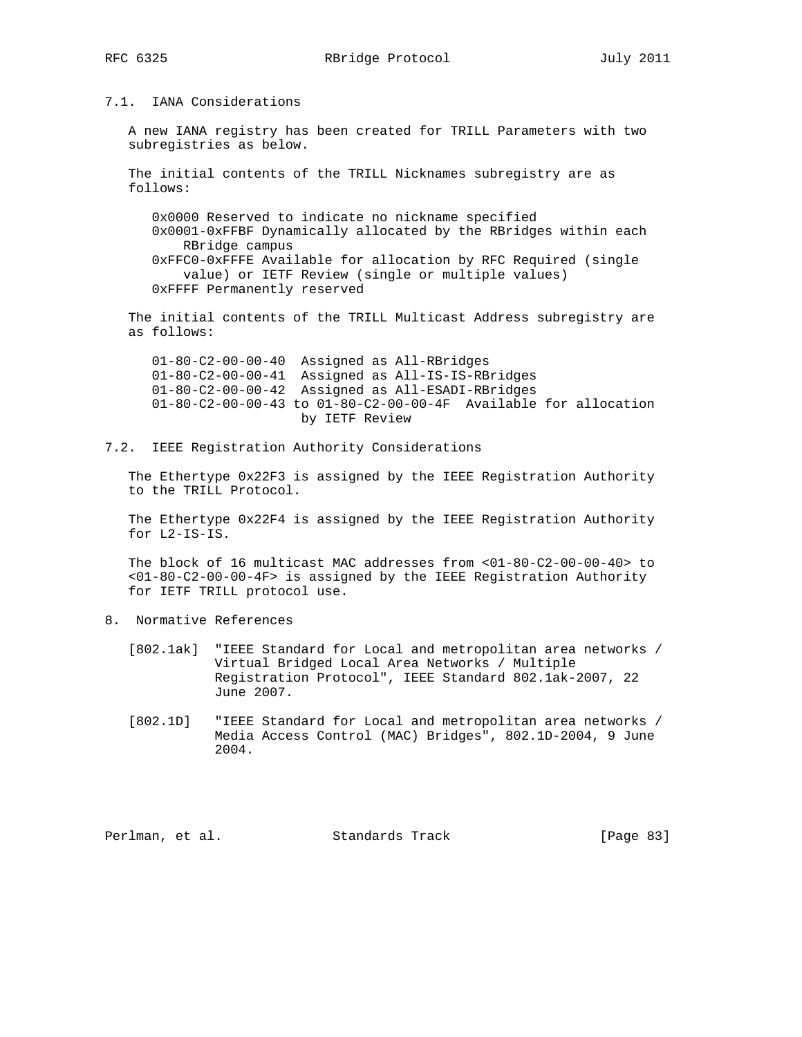# 7.1. IANA Considerations

 A new IANA registry has been created for TRILL Parameters with two subregistries as below.

 The initial contents of the TRILL Nicknames subregistry are as follows:

 0x0000 Reserved to indicate no nickname specified 0x0001-0xFFBF Dynamically allocated by the RBridges within each RBridge campus 0xFFC0-0xFFFE Available for allocation by RFC Required (single value) or IETF Review (single or multiple values) 0xFFFF Permanently reserved

 The initial contents of the TRILL Multicast Address subregistry are as follows:

 01-80-C2-00-00-40 Assigned as All-RBridges 01-80-C2-00-00-41 Assigned as All-IS-IS-RBridges 01-80-C2-00-00-42 Assigned as All-ESADI-RBridges 01-80-C2-00-00-43 to 01-80-C2-00-00-4F Available for allocation by IETF Review

7.2. IEEE Registration Authority Considerations

 The Ethertype 0x22F3 is assigned by the IEEE Registration Authority to the TRILL Protocol.

 The Ethertype 0x22F4 is assigned by the IEEE Registration Authority for L2-IS-IS.

 The block of 16 multicast MAC addresses from <01-80-C2-00-00-40> to <01-80-C2-00-00-4F> is assigned by the IEEE Registration Authority for IETF TRILL protocol use.

- 8. Normative References
	- [802.1ak] "IEEE Standard for Local and metropolitan area networks / Virtual Bridged Local Area Networks / Multiple Registration Protocol", IEEE Standard 802.1ak-2007, 22 June 2007.
	- [802.1D] "IEEE Standard for Local and metropolitan area networks / Media Access Control (MAC) Bridges", 802.1D-2004, 9 June 2004.

Perlman, et al. Standards Track [Page 83]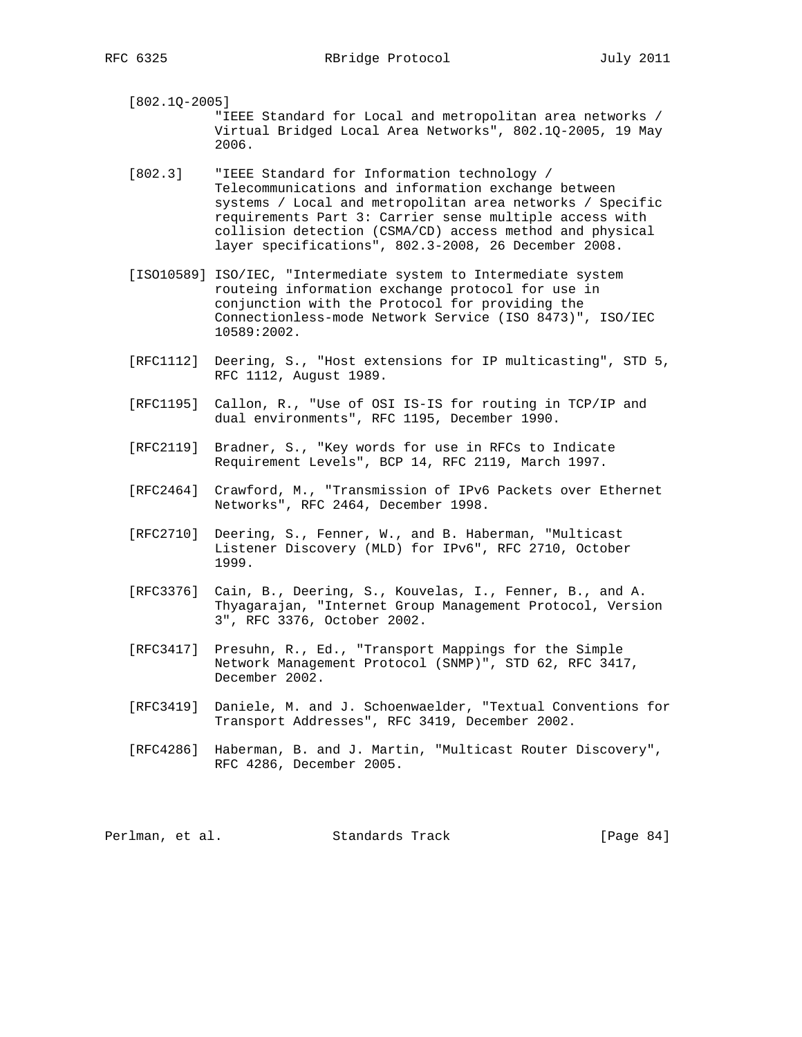[802.1Q-2005] "IEEE Standard for Local and metropolitan area networks / Virtual Bridged Local Area Networks", 802.1Q-2005, 19 May 2006.

- [802.3] "IEEE Standard for Information technology / Telecommunications and information exchange between systems / Local and metropolitan area networks / Specific requirements Part 3: Carrier sense multiple access with collision detection (CSMA/CD) access method and physical layer specifications", 802.3-2008, 26 December 2008.
- [ISO10589] ISO/IEC, "Intermediate system to Intermediate system routeing information exchange protocol for use in conjunction with the Protocol for providing the Connectionless-mode Network Service (ISO 8473)", ISO/IEC 10589:2002.
- [RFC1112] Deering, S., "Host extensions for IP multicasting", STD 5, RFC 1112, August 1989.
- [RFC1195] Callon, R., "Use of OSI IS-IS for routing in TCP/IP and dual environments", RFC 1195, December 1990.
- [RFC2119] Bradner, S., "Key words for use in RFCs to Indicate Requirement Levels", BCP 14, RFC 2119, March 1997.
- [RFC2464] Crawford, M., "Transmission of IPv6 Packets over Ethernet Networks", RFC 2464, December 1998.
- [RFC2710] Deering, S., Fenner, W., and B. Haberman, "Multicast Listener Discovery (MLD) for IPv6", RFC 2710, October 1999.
- [RFC3376] Cain, B., Deering, S., Kouvelas, I., Fenner, B., and A. Thyagarajan, "Internet Group Management Protocol, Version 3", RFC 3376, October 2002.
- [RFC3417] Presuhn, R., Ed., "Transport Mappings for the Simple Network Management Protocol (SNMP)", STD 62, RFC 3417, December 2002.
- [RFC3419] Daniele, M. and J. Schoenwaelder, "Textual Conventions for Transport Addresses", RFC 3419, December 2002.
- [RFC4286] Haberman, B. and J. Martin, "Multicast Router Discovery", RFC 4286, December 2005.

Perlman, et al. Standards Track [Page 84]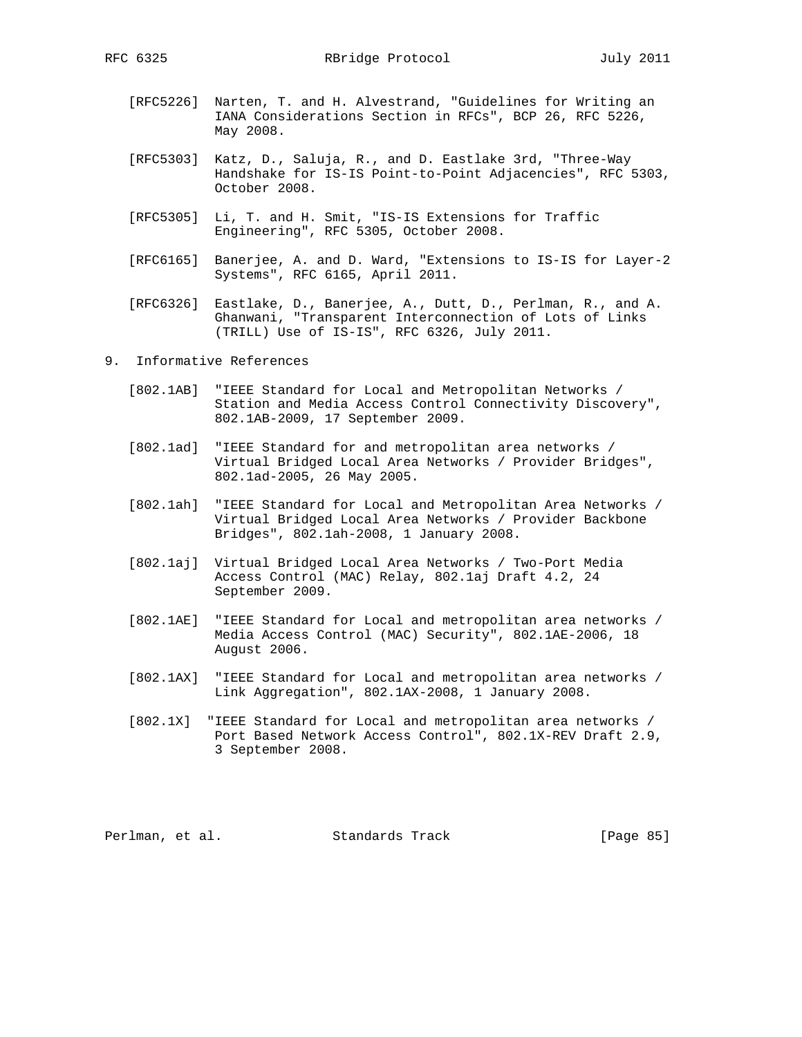RFC 6325 RBridge Protocol July 2011

- [RFC5226] Narten, T. and H. Alvestrand, "Guidelines for Writing an IANA Considerations Section in RFCs", BCP 26, RFC 5226, May 2008.
- [RFC5303] Katz, D., Saluja, R., and D. Eastlake 3rd, "Three-Way Handshake for IS-IS Point-to-Point Adjacencies", RFC 5303, October 2008.
- [RFC5305] Li, T. and H. Smit, "IS-IS Extensions for Traffic Engineering", RFC 5305, October 2008.
- [RFC6165] Banerjee, A. and D. Ward, "Extensions to IS-IS for Layer-2 Systems", RFC 6165, April 2011.
- [RFC6326] Eastlake, D., Banerjee, A., Dutt, D., Perlman, R., and A. Ghanwani, "Transparent Interconnection of Lots of Links (TRILL) Use of IS-IS", RFC 6326, July 2011.
- 9. Informative References
	- [802.1AB] "IEEE Standard for Local and Metropolitan Networks / Station and Media Access Control Connectivity Discovery", 802.1AB-2009, 17 September 2009.
	- [802.1ad] "IEEE Standard for and metropolitan area networks / Virtual Bridged Local Area Networks / Provider Bridges", 802.1ad-2005, 26 May 2005.
	- [802.1ah] "IEEE Standard for Local and Metropolitan Area Networks / Virtual Bridged Local Area Networks / Provider Backbone Bridges", 802.1ah-2008, 1 January 2008.
	- [802.1aj] Virtual Bridged Local Area Networks / Two-Port Media Access Control (MAC) Relay, 802.1aj Draft 4.2, 24 September 2009.
	- [802.1AE] "IEEE Standard for Local and metropolitan area networks / Media Access Control (MAC) Security", 802.1AE-2006, 18 August 2006.
	- [802.1AX] "IEEE Standard for Local and metropolitan area networks / Link Aggregation", 802.1AX-2008, 1 January 2008.
	- [802.1X] "IEEE Standard for Local and metropolitan area networks / Port Based Network Access Control", 802.1X-REV Draft 2.9, 3 September 2008.

Perlman, et al. Standards Track [Page 85]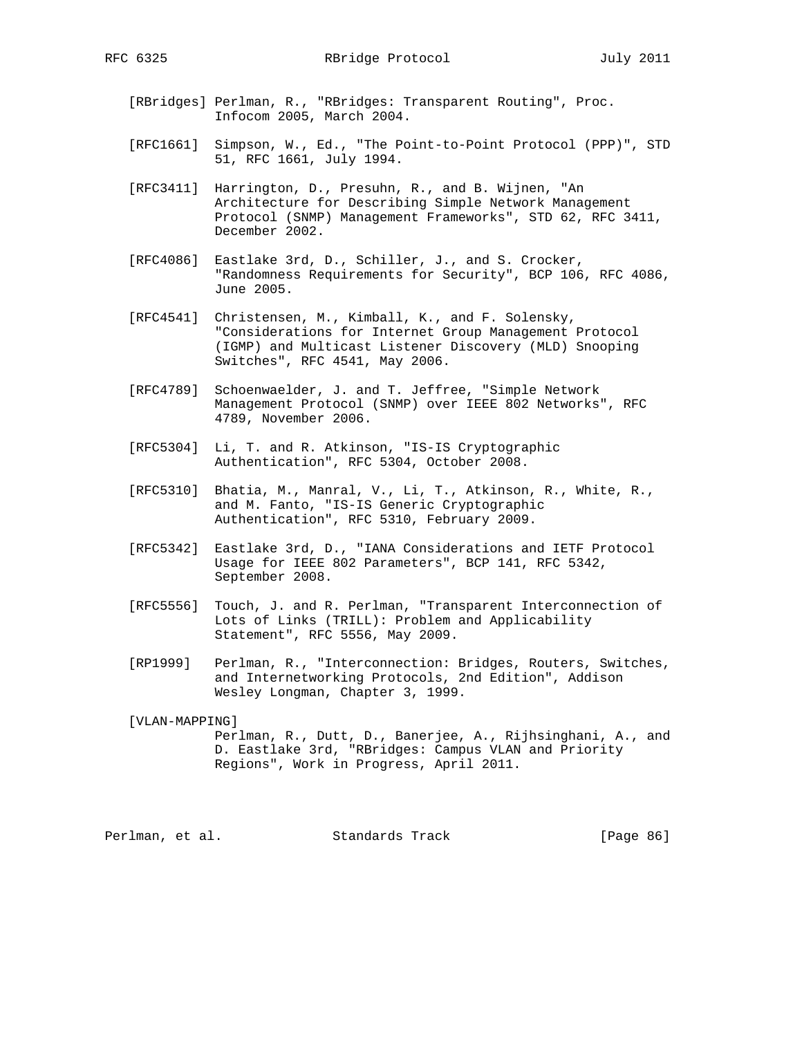[RBridges] Perlman, R., "RBridges: Transparent Routing", Proc. Infocom 2005, March 2004.

- [RFC1661] Simpson, W., Ed., "The Point-to-Point Protocol (PPP)", STD 51, RFC 1661, July 1994.
- [RFC3411] Harrington, D., Presuhn, R., and B. Wijnen, "An Architecture for Describing Simple Network Management Protocol (SNMP) Management Frameworks", STD 62, RFC 3411, December 2002.
- [RFC4086] Eastlake 3rd, D., Schiller, J., and S. Crocker, "Randomness Requirements for Security", BCP 106, RFC 4086, June 2005.
- [RFC4541] Christensen, M., Kimball, K., and F. Solensky, "Considerations for Internet Group Management Protocol (IGMP) and Multicast Listener Discovery (MLD) Snooping Switches", RFC 4541, May 2006.
- [RFC4789] Schoenwaelder, J. and T. Jeffree, "Simple Network Management Protocol (SNMP) over IEEE 802 Networks", RFC 4789, November 2006.
- [RFC5304] Li, T. and R. Atkinson, "IS-IS Cryptographic Authentication", RFC 5304, October 2008.
- [RFC5310] Bhatia, M., Manral, V., Li, T., Atkinson, R., White, R., and M. Fanto, "IS-IS Generic Cryptographic Authentication", RFC 5310, February 2009.
- [RFC5342] Eastlake 3rd, D., "IANA Considerations and IETF Protocol Usage for IEEE 802 Parameters", BCP 141, RFC 5342, September 2008.
- [RFC5556] Touch, J. and R. Perlman, "Transparent Interconnection of Lots of Links (TRILL): Problem and Applicability Statement", RFC 5556, May 2009.
- [RP1999] Perlman, R., "Interconnection: Bridges, Routers, Switches, and Internetworking Protocols, 2nd Edition", Addison Wesley Longman, Chapter 3, 1999.

 [VLAN-MAPPING] Perlman, R., Dutt, D., Banerjee, A., Rijhsinghani, A., and D. Eastlake 3rd, "RBridges: Campus VLAN and Priority Regions", Work in Progress, April 2011.

Perlman, et al. Standards Track [Page 86]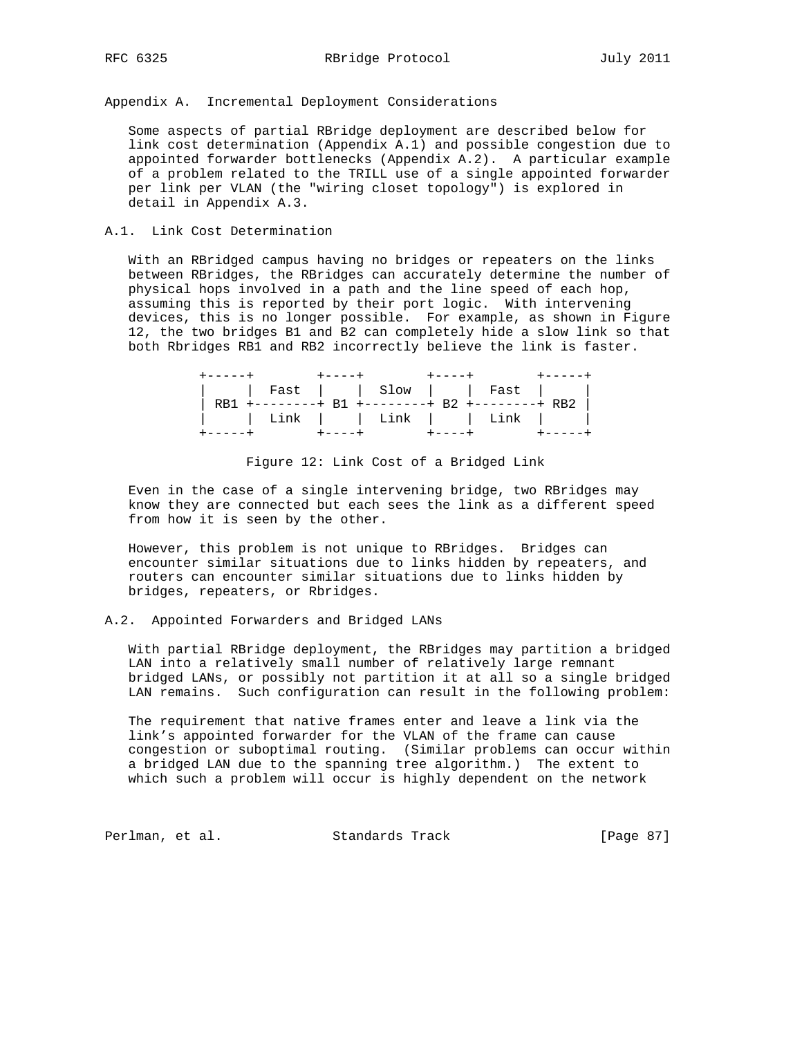Appendix A. Incremental Deployment Considerations

 Some aspects of partial RBridge deployment are described below for link cost determination (Appendix A.1) and possible congestion due to appointed forwarder bottlenecks (Appendix A.2). A particular example of a problem related to the TRILL use of a single appointed forwarder per link per VLAN (the "wiring closet topology") is explored in detail in Appendix A.3.

## A.1. Link Cost Determination

 With an RBridged campus having no bridges or repeaters on the links between RBridges, the RBridges can accurately determine the number of physical hops involved in a path and the line speed of each hop, assuming this is reported by their port logic. With intervening devices, this is no longer possible. For example, as shown in Figure 12, the two bridges B1 and B2 can completely hide a slow link so that both Rbridges RB1 and RB2 incorrectly believe the link is faster.

|  |  | Fast     Slow     Fast                         |
|--|--|------------------------------------------------|
|  |  | RB1 +--------+ B1 +--------+ B2 +--------+ RB2 |
|  |  | Link     Link     Link                         |
|  |  | +----+ +----+ +----+                           |

Figure 12: Link Cost of a Bridged Link

 Even in the case of a single intervening bridge, two RBridges may know they are connected but each sees the link as a different speed from how it is seen by the other.

 However, this problem is not unique to RBridges. Bridges can encounter similar situations due to links hidden by repeaters, and routers can encounter similar situations due to links hidden by bridges, repeaters, or Rbridges.

# A.2. Appointed Forwarders and Bridged LANs

 With partial RBridge deployment, the RBridges may partition a bridged LAN into a relatively small number of relatively large remnant bridged LANs, or possibly not partition it at all so a single bridged LAN remains. Such configuration can result in the following problem:

 The requirement that native frames enter and leave a link via the link's appointed forwarder for the VLAN of the frame can cause congestion or suboptimal routing. (Similar problems can occur within a bridged LAN due to the spanning tree algorithm.) The extent to which such a problem will occur is highly dependent on the network

Perlman, et al. Standards Track [Page 87]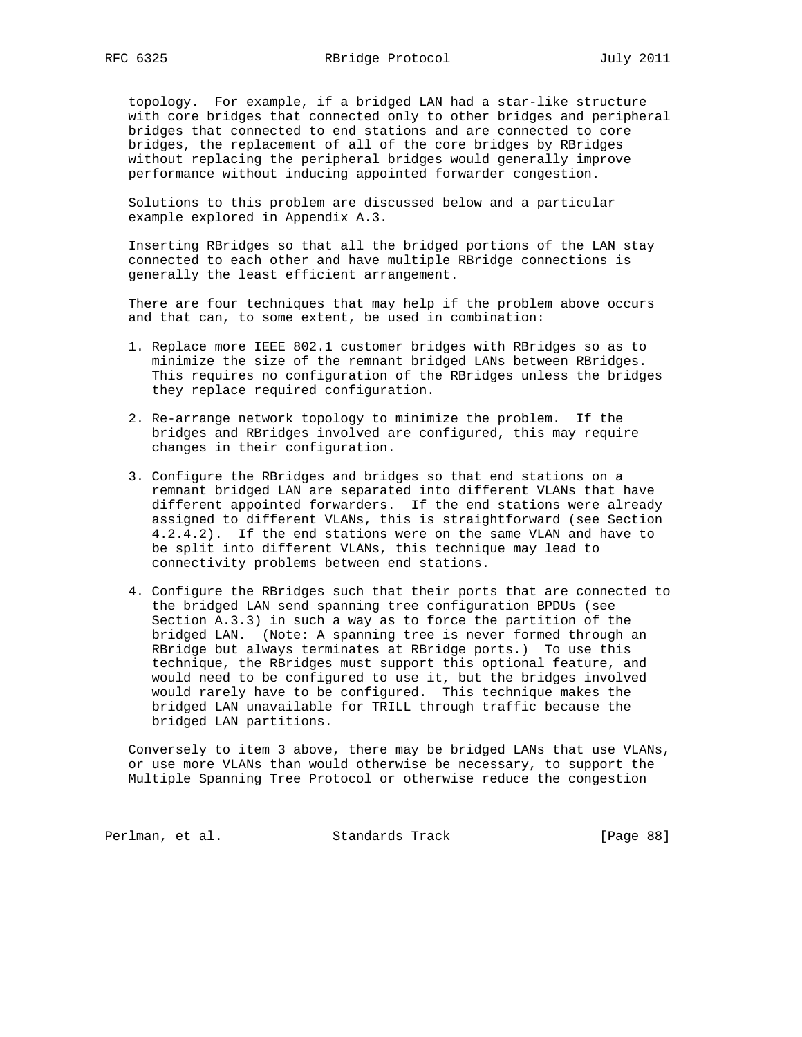topology. For example, if a bridged LAN had a star-like structure with core bridges that connected only to other bridges and peripheral bridges that connected to end stations and are connected to core bridges, the replacement of all of the core bridges by RBridges without replacing the peripheral bridges would generally improve performance without inducing appointed forwarder congestion.

 Solutions to this problem are discussed below and a particular example explored in Appendix A.3.

 Inserting RBridges so that all the bridged portions of the LAN stay connected to each other and have multiple RBridge connections is generally the least efficient arrangement.

 There are four techniques that may help if the problem above occurs and that can, to some extent, be used in combination:

- 1. Replace more IEEE 802.1 customer bridges with RBridges so as to minimize the size of the remnant bridged LANs between RBridges. This requires no configuration of the RBridges unless the bridges they replace required configuration.
- 2. Re-arrange network topology to minimize the problem. If the bridges and RBridges involved are configured, this may require changes in their configuration.
- 3. Configure the RBridges and bridges so that end stations on a remnant bridged LAN are separated into different VLANs that have different appointed forwarders. If the end stations were already assigned to different VLANs, this is straightforward (see Section 4.2.4.2). If the end stations were on the same VLAN and have to be split into different VLANs, this technique may lead to connectivity problems between end stations.
- 4. Configure the RBridges such that their ports that are connected to the bridged LAN send spanning tree configuration BPDUs (see Section A.3.3) in such a way as to force the partition of the bridged LAN. (Note: A spanning tree is never formed through an RBridge but always terminates at RBridge ports.) To use this technique, the RBridges must support this optional feature, and would need to be configured to use it, but the bridges involved would rarely have to be configured. This technique makes the bridged LAN unavailable for TRILL through traffic because the bridged LAN partitions.

 Conversely to item 3 above, there may be bridged LANs that use VLANs, or use more VLANs than would otherwise be necessary, to support the Multiple Spanning Tree Protocol or otherwise reduce the congestion

Perlman, et al. Standards Track [Page 88]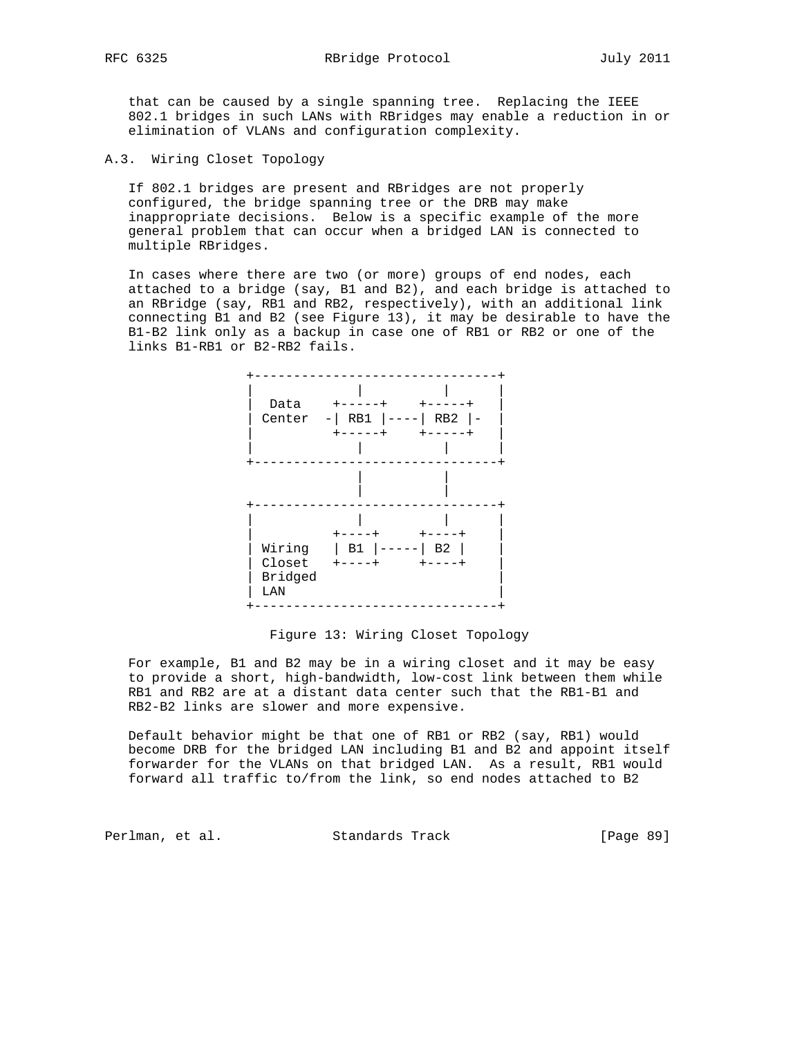that can be caused by a single spanning tree. Replacing the IEEE 802.1 bridges in such LANs with RBridges may enable a reduction in or elimination of VLANs and configuration complexity.

A.3. Wiring Closet Topology

 If 802.1 bridges are present and RBridges are not properly configured, the bridge spanning tree or the DRB may make inappropriate decisions. Below is a specific example of the more general problem that can occur when a bridged LAN is connected to multiple RBridges.

 In cases where there are two (or more) groups of end nodes, each attached to a bridge (say, B1 and B2), and each bridge is attached to an RBridge (say, RB1 and RB2, respectively), with an additional link connecting B1 and B2 (see Figure 13), it may be desirable to have the B1-B2 link only as a backup in case one of RB1 or RB2 or one of the links B1-RB1 or B2-RB2 fails.



## Figure 13: Wiring Closet Topology

 For example, B1 and B2 may be in a wiring closet and it may be easy to provide a short, high-bandwidth, low-cost link between them while RB1 and RB2 are at a distant data center such that the RB1-B1 and RB2-B2 links are slower and more expensive.

 Default behavior might be that one of RB1 or RB2 (say, RB1) would become DRB for the bridged LAN including B1 and B2 and appoint itself forwarder for the VLANs on that bridged LAN. As a result, RB1 would forward all traffic to/from the link, so end nodes attached to B2

Perlman, et al. Standards Track [Page 89]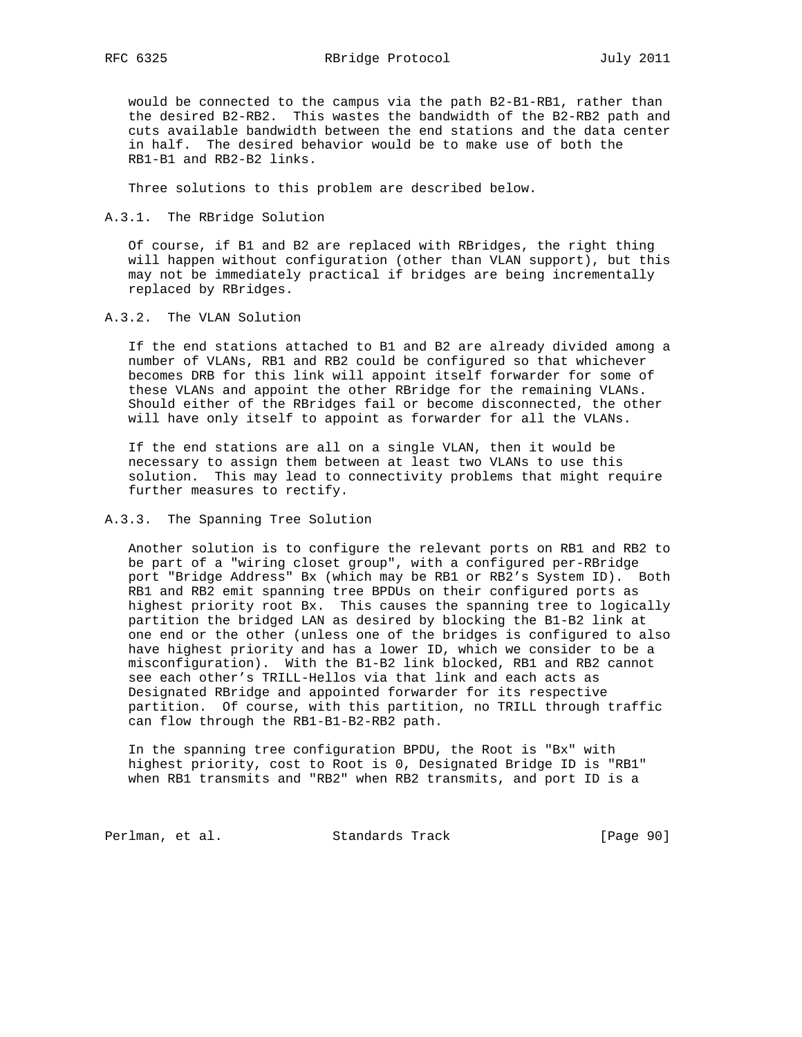would be connected to the campus via the path B2-B1-RB1, rather than the desired B2-RB2. This wastes the bandwidth of the B2-RB2 path and cuts available bandwidth between the end stations and the data center in half. The desired behavior would be to make use of both the RB1-B1 and RB2-B2 links.

Three solutions to this problem are described below.

A.3.1. The RBridge Solution

 Of course, if B1 and B2 are replaced with RBridges, the right thing will happen without configuration (other than VLAN support), but this may not be immediately practical if bridges are being incrementally replaced by RBridges.

### A.3.2. The VLAN Solution

 If the end stations attached to B1 and B2 are already divided among a number of VLANs, RB1 and RB2 could be configured so that whichever becomes DRB for this link will appoint itself forwarder for some of these VLANs and appoint the other RBridge for the remaining VLANs. Should either of the RBridges fail or become disconnected, the other will have only itself to appoint as forwarder for all the VLANs.

 If the end stations are all on a single VLAN, then it would be necessary to assign them between at least two VLANs to use this solution. This may lead to connectivity problems that might require further measures to rectify.

## A.3.3. The Spanning Tree Solution

 Another solution is to configure the relevant ports on RB1 and RB2 to be part of a "wiring closet group", with a configured per-RBridge port "Bridge Address" Bx (which may be RB1 or RB2's System ID). Both RB1 and RB2 emit spanning tree BPDUs on their configured ports as highest priority root Bx. This causes the spanning tree to logically partition the bridged LAN as desired by blocking the B1-B2 link at one end or the other (unless one of the bridges is configured to also have highest priority and has a lower ID, which we consider to be a misconfiguration). With the B1-B2 link blocked, RB1 and RB2 cannot see each other's TRILL-Hellos via that link and each acts as Designated RBridge and appointed forwarder for its respective partition. Of course, with this partition, no TRILL through traffic can flow through the RB1-B1-B2-RB2 path.

 In the spanning tree configuration BPDU, the Root is "Bx" with highest priority, cost to Root is 0, Designated Bridge ID is "RB1" when RB1 transmits and "RB2" when RB2 transmits, and port ID is a

Perlman, et al. Standards Track [Page 90]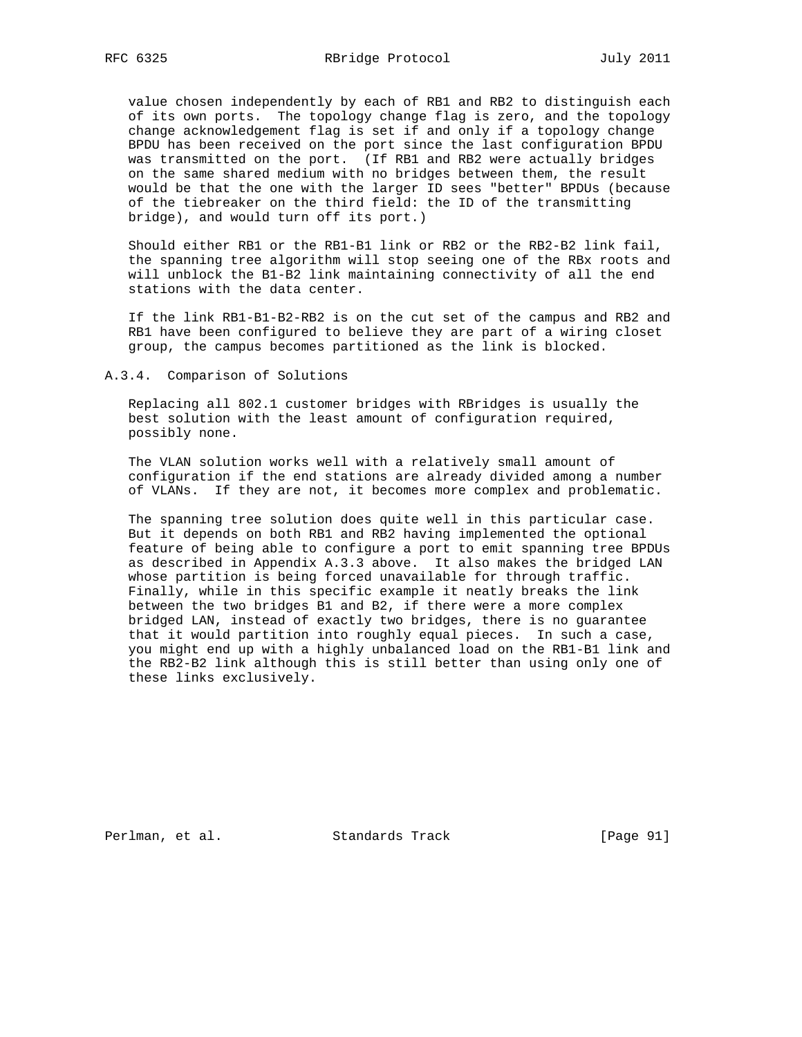value chosen independently by each of RB1 and RB2 to distinguish each of its own ports. The topology change flag is zero, and the topology change acknowledgement flag is set if and only if a topology change BPDU has been received on the port since the last configuration BPDU was transmitted on the port. (If RB1 and RB2 were actually bridges on the same shared medium with no bridges between them, the result would be that the one with the larger ID sees "better" BPDUs (because of the tiebreaker on the third field: the ID of the transmitting bridge), and would turn off its port.)

 Should either RB1 or the RB1-B1 link or RB2 or the RB2-B2 link fail, the spanning tree algorithm will stop seeing one of the RBx roots and will unblock the B1-B2 link maintaining connectivity of all the end stations with the data center.

 If the link RB1-B1-B2-RB2 is on the cut set of the campus and RB2 and RB1 have been configured to believe they are part of a wiring closet group, the campus becomes partitioned as the link is blocked.

A.3.4. Comparison of Solutions

 Replacing all 802.1 customer bridges with RBridges is usually the best solution with the least amount of configuration required, possibly none.

 The VLAN solution works well with a relatively small amount of configuration if the end stations are already divided among a number of VLANs. If they are not, it becomes more complex and problematic.

 The spanning tree solution does quite well in this particular case. But it depends on both RB1 and RB2 having implemented the optional feature of being able to configure a port to emit spanning tree BPDUs as described in Appendix A.3.3 above. It also makes the bridged LAN whose partition is being forced unavailable for through traffic. Finally, while in this specific example it neatly breaks the link between the two bridges B1 and B2, if there were a more complex bridged LAN, instead of exactly two bridges, there is no guarantee that it would partition into roughly equal pieces. In such a case, you might end up with a highly unbalanced load on the RB1-B1 link and the RB2-B2 link although this is still better than using only one of these links exclusively.

Perlman, et al. Standards Track [Page 91]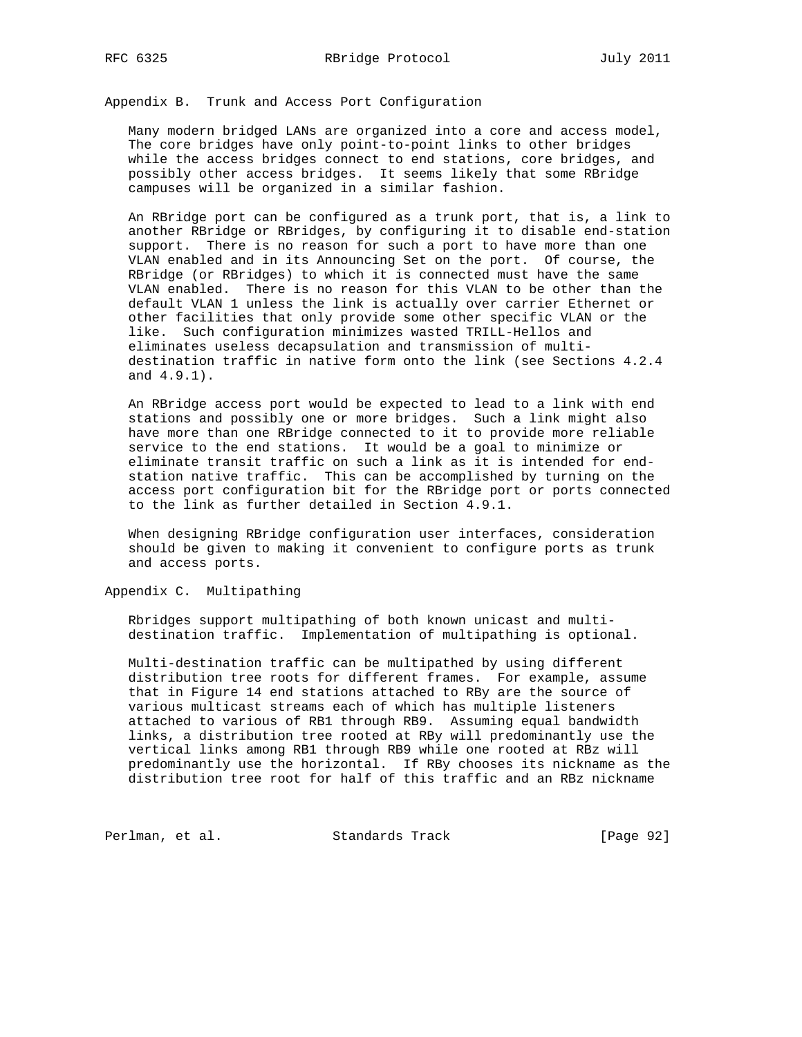Appendix B. Trunk and Access Port Configuration

 Many modern bridged LANs are organized into a core and access model, The core bridges have only point-to-point links to other bridges while the access bridges connect to end stations, core bridges, and possibly other access bridges. It seems likely that some RBridge campuses will be organized in a similar fashion.

 An RBridge port can be configured as a trunk port, that is, a link to another RBridge or RBridges, by configuring it to disable end-station support. There is no reason for such a port to have more than one VLAN enabled and in its Announcing Set on the port. Of course, the RBridge (or RBridges) to which it is connected must have the same VLAN enabled. There is no reason for this VLAN to be other than the default VLAN 1 unless the link is actually over carrier Ethernet or other facilities that only provide some other specific VLAN or the like. Such configuration minimizes wasted TRILL-Hellos and eliminates useless decapsulation and transmission of multi destination traffic in native form onto the link (see Sections 4.2.4 and 4.9.1).

 An RBridge access port would be expected to lead to a link with end stations and possibly one or more bridges. Such a link might also have more than one RBridge connected to it to provide more reliable service to the end stations. It would be a goal to minimize or eliminate transit traffic on such a link as it is intended for end station native traffic. This can be accomplished by turning on the access port configuration bit for the RBridge port or ports connected to the link as further detailed in Section 4.9.1.

 When designing RBridge configuration user interfaces, consideration should be given to making it convenient to configure ports as trunk and access ports.

Appendix C. Multipathing

 Rbridges support multipathing of both known unicast and multi destination traffic. Implementation of multipathing is optional.

 Multi-destination traffic can be multipathed by using different distribution tree roots for different frames. For example, assume that in Figure 14 end stations attached to RBy are the source of various multicast streams each of which has multiple listeners attached to various of RB1 through RB9. Assuming equal bandwidth links, a distribution tree rooted at RBy will predominantly use the vertical links among RB1 through RB9 while one rooted at RBz will predominantly use the horizontal. If RBy chooses its nickname as the distribution tree root for half of this traffic and an RBz nickname

Perlman, et al. Standards Track [Page 92]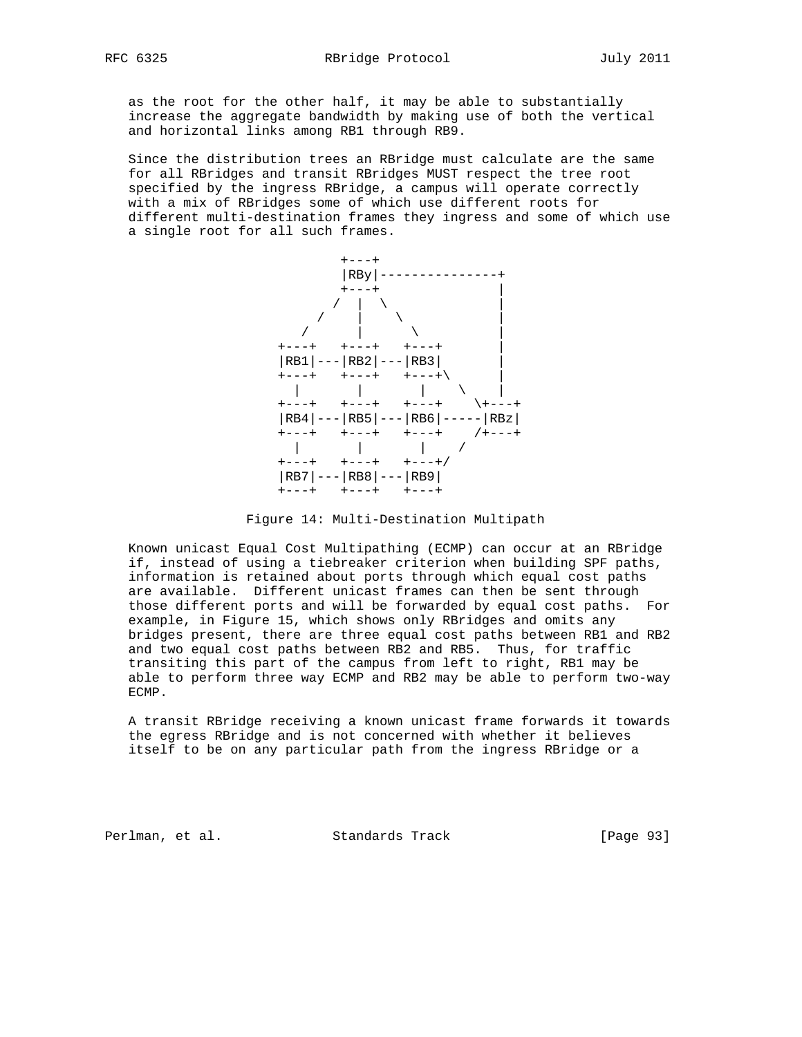as the root for the other half, it may be able to substantially increase the aggregate bandwidth by making use of both the vertical and horizontal links among RB1 through RB9.

 Since the distribution trees an RBridge must calculate are the same for all RBridges and transit RBridges MUST respect the tree root specified by the ingress RBridge, a campus will operate correctly with a mix of RBridges some of which use different roots for different multi-destination frames they ingress and some of which use a single root for all such frames.



Figure 14: Multi-Destination Multipath

 Known unicast Equal Cost Multipathing (ECMP) can occur at an RBridge if, instead of using a tiebreaker criterion when building SPF paths, information is retained about ports through which equal cost paths are available. Different unicast frames can then be sent through those different ports and will be forwarded by equal cost paths. For example, in Figure 15, which shows only RBridges and omits any bridges present, there are three equal cost paths between RB1 and RB2 and two equal cost paths between RB2 and RB5. Thus, for traffic transiting this part of the campus from left to right, RB1 may be able to perform three way ECMP and RB2 may be able to perform two-way ECMP.

 A transit RBridge receiving a known unicast frame forwards it towards the egress RBridge and is not concerned with whether it believes itself to be on any particular path from the ingress RBridge or a

Perlman, et al. Standards Track [Page 93]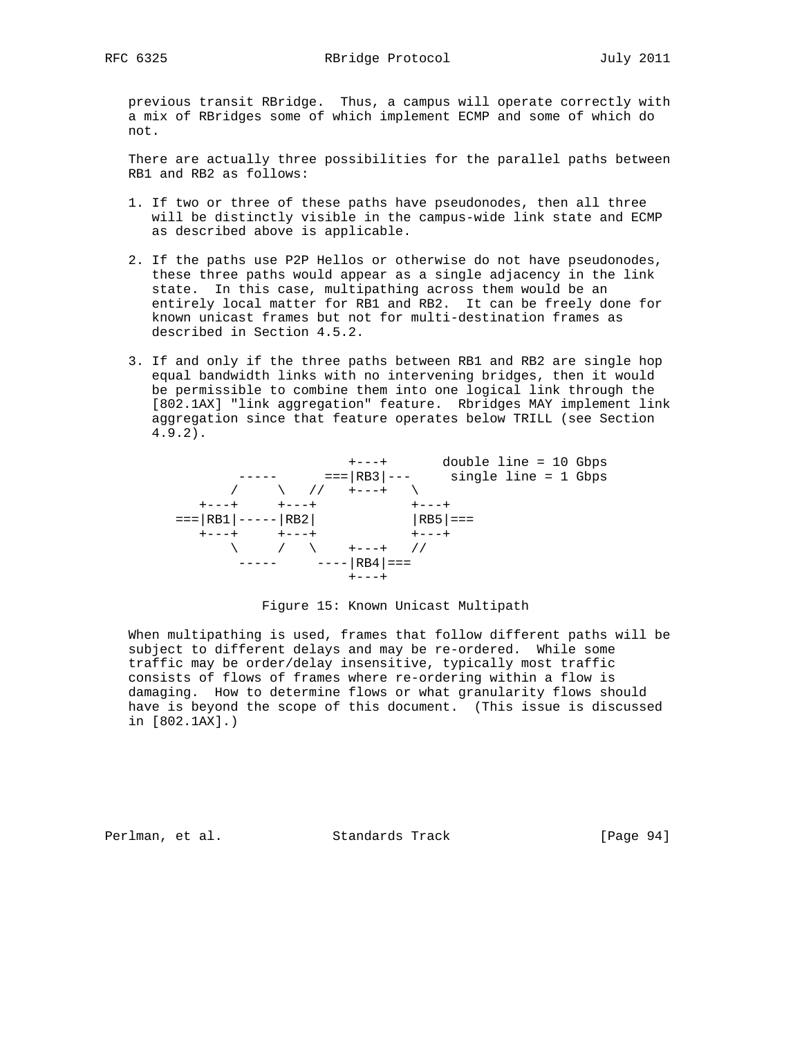previous transit RBridge. Thus, a campus will operate correctly with a mix of RBridges some of which implement ECMP and some of which do not.

 There are actually three possibilities for the parallel paths between RB1 and RB2 as follows:

- 1. If two or three of these paths have pseudonodes, then all three will be distinctly visible in the campus-wide link state and ECMP as described above is applicable.
- 2. If the paths use P2P Hellos or otherwise do not have pseudonodes, these three paths would appear as a single adjacency in the link state. In this case, multipathing across them would be an entirely local matter for RB1 and RB2. It can be freely done for known unicast frames but not for multi-destination frames as described in Section 4.5.2.
- 3. If and only if the three paths between RB1 and RB2 are single hop equal bandwidth links with no intervening bridges, then it would be permissible to combine them into one logical link through the [802.1AX] "link aggregation" feature. Rbridges MAY implement link aggregation since that feature operates below TRILL (see Section 4.9.2).



### Figure 15: Known Unicast Multipath

 When multipathing is used, frames that follow different paths will be subject to different delays and may be re-ordered. While some traffic may be order/delay insensitive, typically most traffic consists of flows of frames where re-ordering within a flow is damaging. How to determine flows or what granularity flows should have is beyond the scope of this document. (This issue is discussed in [802.1AX].)

Perlman, et al. Standards Track [Page 94]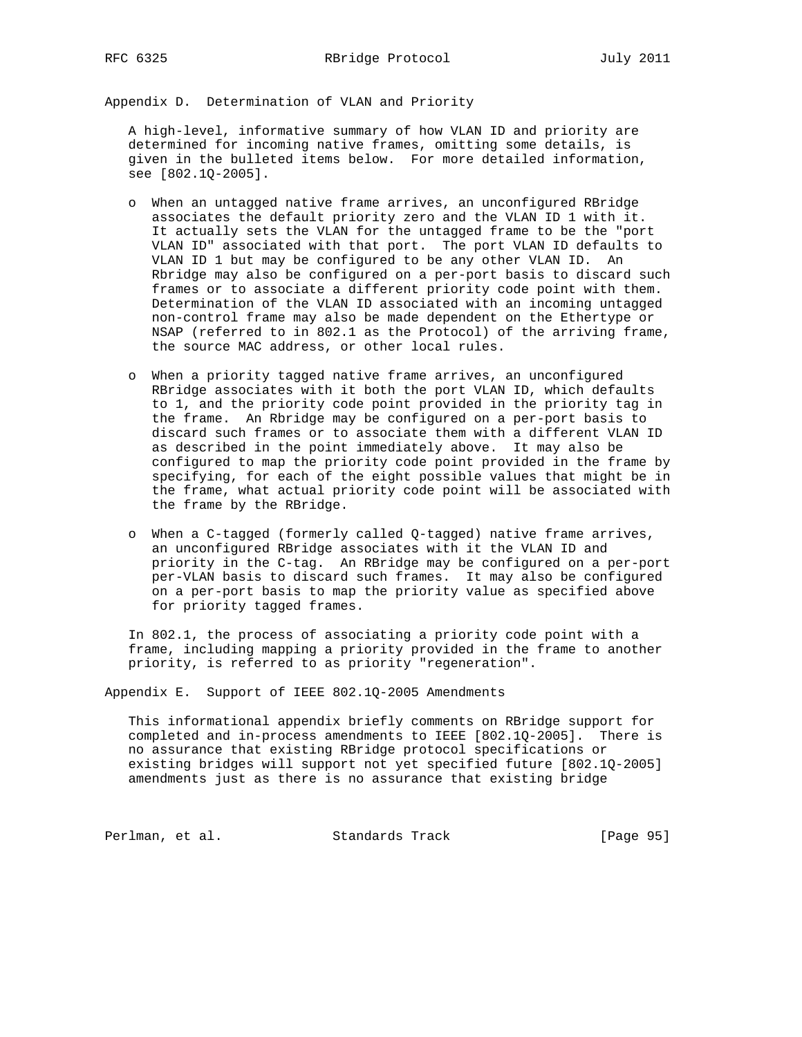Appendix D. Determination of VLAN and Priority

 A high-level, informative summary of how VLAN ID and priority are determined for incoming native frames, omitting some details, is given in the bulleted items below. For more detailed information, see [802.1Q-2005].

- o When an untagged native frame arrives, an unconfigured RBridge associates the default priority zero and the VLAN ID 1 with it. It actually sets the VLAN for the untagged frame to be the "port VLAN ID" associated with that port. The port VLAN ID defaults to VLAN ID 1 but may be configured to be any other VLAN ID. An Rbridge may also be configured on a per-port basis to discard such frames or to associate a different priority code point with them. Determination of the VLAN ID associated with an incoming untagged non-control frame may also be made dependent on the Ethertype or NSAP (referred to in 802.1 as the Protocol) of the arriving frame, the source MAC address, or other local rules.
- o When a priority tagged native frame arrives, an unconfigured RBridge associates with it both the port VLAN ID, which defaults to 1, and the priority code point provided in the priority tag in the frame. An Rbridge may be configured on a per-port basis to discard such frames or to associate them with a different VLAN ID as described in the point immediately above. It may also be configured to map the priority code point provided in the frame by specifying, for each of the eight possible values that might be in the frame, what actual priority code point will be associated with the frame by the RBridge.
- o When a C-tagged (formerly called Q-tagged) native frame arrives, an unconfigured RBridge associates with it the VLAN ID and priority in the C-tag. An RBridge may be configured on a per-port per-VLAN basis to discard such frames. It may also be configured on a per-port basis to map the priority value as specified above for priority tagged frames.

 In 802.1, the process of associating a priority code point with a frame, including mapping a priority provided in the frame to another priority, is referred to as priority "regeneration".

Appendix E. Support of IEEE 802.1Q-2005 Amendments

 This informational appendix briefly comments on RBridge support for completed and in-process amendments to IEEE [802.1Q-2005]. There is no assurance that existing RBridge protocol specifications or existing bridges will support not yet specified future [802.1Q-2005] amendments just as there is no assurance that existing bridge

Perlman, et al. Standards Track [Page 95]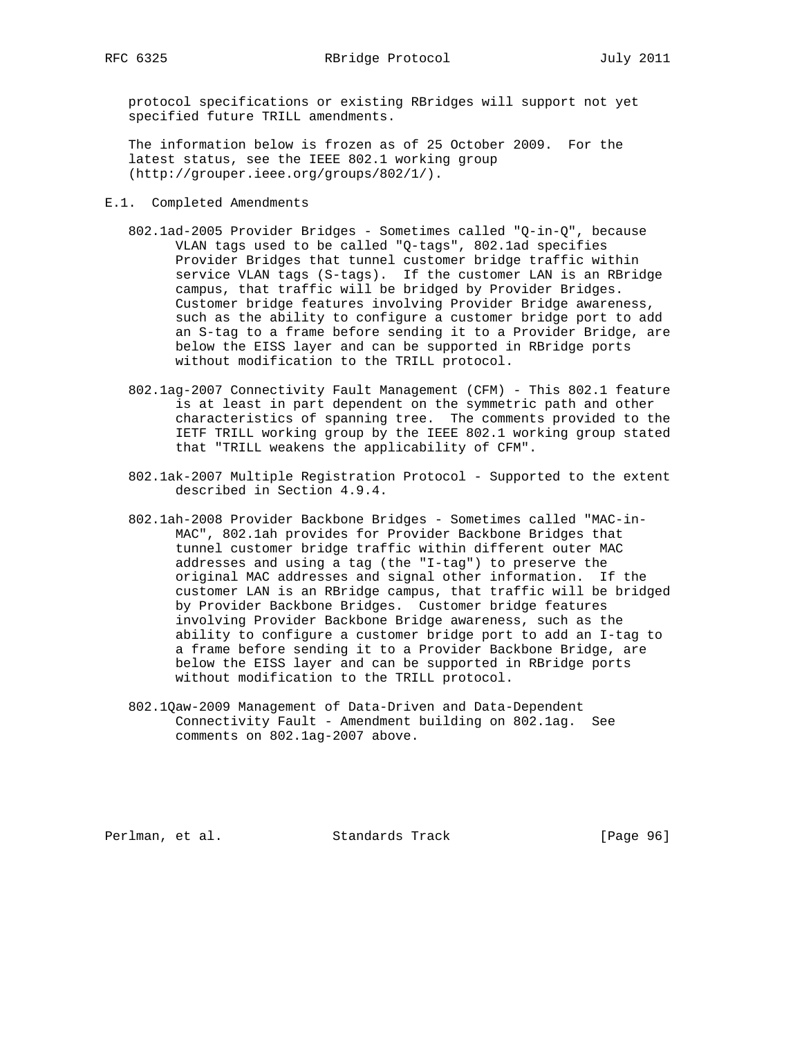protocol specifications or existing RBridges will support not yet specified future TRILL amendments.

 The information below is frozen as of 25 October 2009. For the latest status, see the IEEE 802.1 working group (http://grouper.ieee.org/groups/802/1/).

- E.1. Completed Amendments
	- 802.1ad-2005 Provider Bridges Sometimes called "Q-in-Q", because VLAN tags used to be called "Q-tags", 802.1ad specifies Provider Bridges that tunnel customer bridge traffic within service VLAN tags (S-tags). If the customer LAN is an RBridge campus, that traffic will be bridged by Provider Bridges. Customer bridge features involving Provider Bridge awareness, such as the ability to configure a customer bridge port to add an S-tag to a frame before sending it to a Provider Bridge, are below the EISS layer and can be supported in RBridge ports without modification to the TRILL protocol.
	- 802.1ag-2007 Connectivity Fault Management (CFM) This 802.1 feature is at least in part dependent on the symmetric path and other characteristics of spanning tree. The comments provided to the IETF TRILL working group by the IEEE 802.1 working group stated that "TRILL weakens the applicability of CFM".
	- 802.1ak-2007 Multiple Registration Protocol Supported to the extent described in Section 4.9.4.
	- 802.1ah-2008 Provider Backbone Bridges Sometimes called "MAC-in- MAC", 802.1ah provides for Provider Backbone Bridges that tunnel customer bridge traffic within different outer MAC addresses and using a tag (the "I-tag") to preserve the original MAC addresses and signal other information. If the customer LAN is an RBridge campus, that traffic will be bridged by Provider Backbone Bridges. Customer bridge features involving Provider Backbone Bridge awareness, such as the ability to configure a customer bridge port to add an I-tag to a frame before sending it to a Provider Backbone Bridge, are below the EISS layer and can be supported in RBridge ports without modification to the TRILL protocol.
	- 802.1Qaw-2009 Management of Data-Driven and Data-Dependent Connectivity Fault - Amendment building on 802.1ag. See comments on 802.1ag-2007 above.

Perlman, et al. Standards Track [Page 96]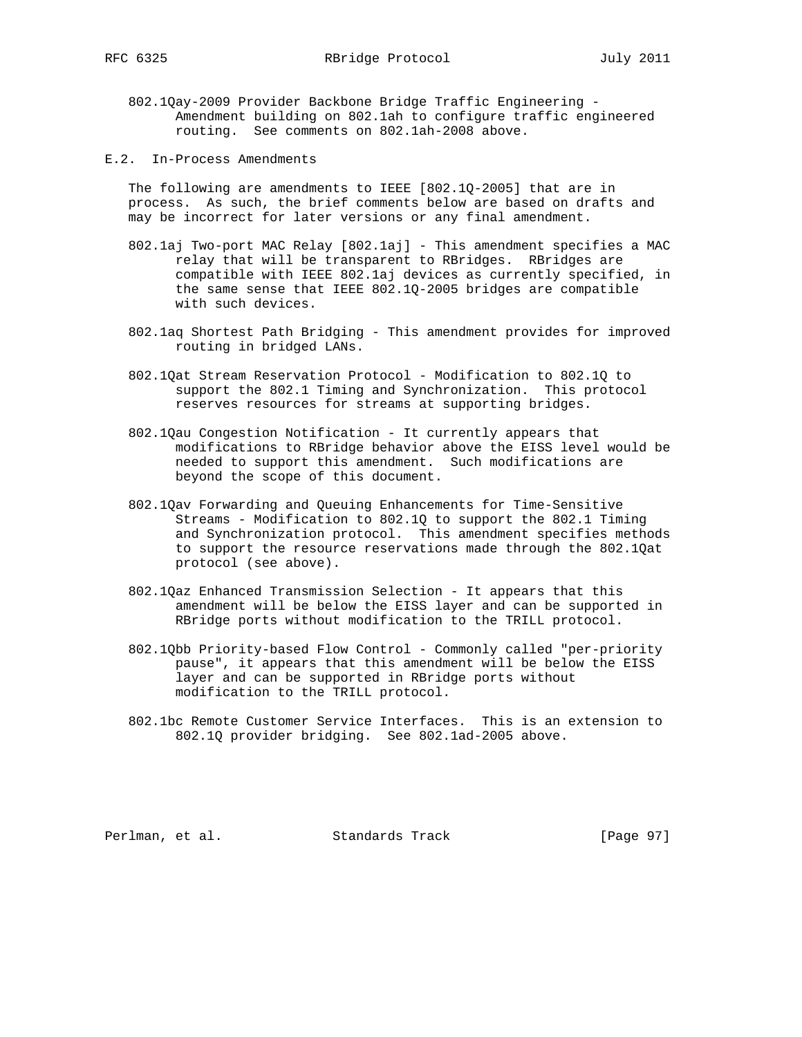- 802.1Qay-2009 Provider Backbone Bridge Traffic Engineering Amendment building on 802.1ah to configure traffic engineered routing. See comments on 802.1ah-2008 above.
- E.2. In-Process Amendments

 The following are amendments to IEEE [802.1Q-2005] that are in process. As such, the brief comments below are based on drafts and may be incorrect for later versions or any final amendment.

- 802.1aj Two-port MAC Relay [802.1aj] This amendment specifies a MAC relay that will be transparent to RBridges. RBridges are compatible with IEEE 802.1aj devices as currently specified, in the same sense that IEEE 802.1Q-2005 bridges are compatible with such devices.
- 802.1aq Shortest Path Bridging This amendment provides for improved routing in bridged LANs.
- 802.1Qat Stream Reservation Protocol Modification to 802.1Q to support the 802.1 Timing and Synchronization. This protocol reserves resources for streams at supporting bridges.
- 802.1Qau Congestion Notification It currently appears that modifications to RBridge behavior above the EISS level would be needed to support this amendment. Such modifications are beyond the scope of this document.
- 802.1Qav Forwarding and Queuing Enhancements for Time-Sensitive Streams - Modification to 802.1Q to support the 802.1 Timing and Synchronization protocol. This amendment specifies methods to support the resource reservations made through the 802.1Qat protocol (see above).
- 802.1Qaz Enhanced Transmission Selection It appears that this amendment will be below the EISS layer and can be supported in RBridge ports without modification to the TRILL protocol.
- 802.1Qbb Priority-based Flow Control Commonly called "per-priority pause", it appears that this amendment will be below the EISS layer and can be supported in RBridge ports without modification to the TRILL protocol.
- 802.1bc Remote Customer Service Interfaces. This is an extension to 802.1Q provider bridging. See 802.1ad-2005 above.

Perlman, et al. Standards Track [Page 97]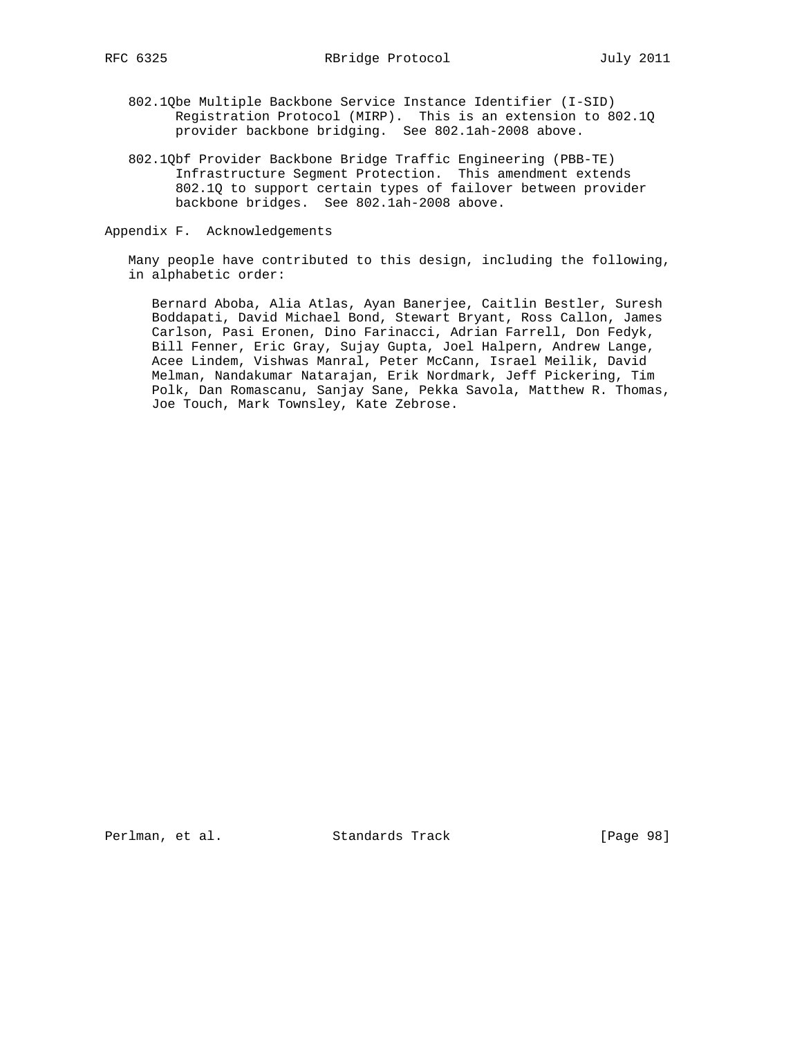- 802.1Qbe Multiple Backbone Service Instance Identifier (I-SID) Registration Protocol (MIRP). This is an extension to 802.1Q provider backbone bridging. See 802.1ah-2008 above.
- 802.1Qbf Provider Backbone Bridge Traffic Engineering (PBB-TE) Infrastructure Segment Protection. This amendment extends 802.1Q to support certain types of failover between provider backbone bridges. See 802.1ah-2008 above.

Appendix F. Acknowledgements

 Many people have contributed to this design, including the following, in alphabetic order:

 Bernard Aboba, Alia Atlas, Ayan Banerjee, Caitlin Bestler, Suresh Boddapati, David Michael Bond, Stewart Bryant, Ross Callon, James Carlson, Pasi Eronen, Dino Farinacci, Adrian Farrell, Don Fedyk, Bill Fenner, Eric Gray, Sujay Gupta, Joel Halpern, Andrew Lange, Acee Lindem, Vishwas Manral, Peter McCann, Israel Meilik, David Melman, Nandakumar Natarajan, Erik Nordmark, Jeff Pickering, Tim Polk, Dan Romascanu, Sanjay Sane, Pekka Savola, Matthew R. Thomas, Joe Touch, Mark Townsley, Kate Zebrose.

Perlman, et al. Standards Track [Page 98]